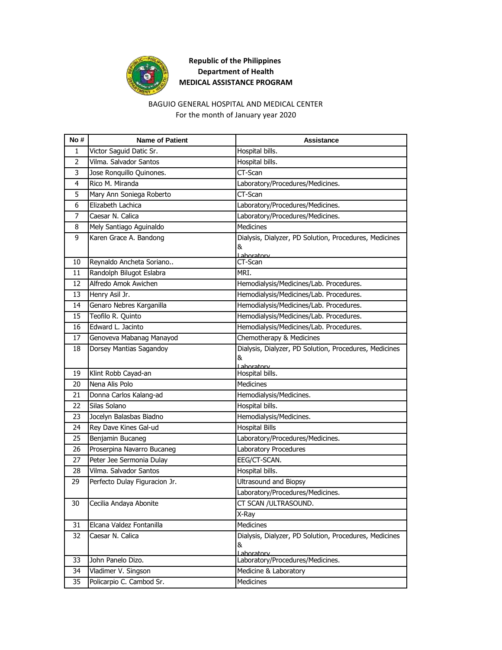

# **Republic of the Philippines Department of Health MEDICAL ASSISTANCE PROGRAM**

### BAGUIO GENERAL HOSPITAL AND MEDICAL CENTER For the month of January year 2020

| No#            | <b>Name of Patient</b>                              | <b>Assistance</b>                                                         |
|----------------|-----------------------------------------------------|---------------------------------------------------------------------------|
| 1              | Victor Saguid Datic Sr.                             | Hospital bills.                                                           |
| $\overline{2}$ | Vilma. Salvador Santos                              | Hospital bills.                                                           |
| 3              | Jose Ronquillo Quinones.                            | CT-Scan                                                                   |
| 4              | Rico M. Miranda                                     | Laboratory/Procedures/Medicines.                                          |
| 5              | Mary Ann Soniega Roberto                            | CT-Scan                                                                   |
| 6              | Elizabeth Lachica                                   | Laboratory/Procedures/Medicines.                                          |
| 7              | Caesar N. Calica                                    | Laboratory/Procedures/Medicines.                                          |
| 8              | Mely Santiago Aguinaldo                             | <b>Medicines</b>                                                          |
| 9              | Karen Grace A. Bandong                              | Dialysis, Dialyzer, PD Solution, Procedures, Medicines<br>&               |
| 10             | Reynaldo Ancheta Soriano                            | Laboratory<br>CT-Scan                                                     |
| 11             | Randolph Bilugot Eslabra                            | MRI.                                                                      |
| 12             | Alfredo Amok Awichen                                | Hemodialysis/Medicines/Lab. Procedures.                                   |
| 13             | Henry Asil Jr.                                      | Hemodialysis/Medicines/Lab. Procedures.                                   |
| 14             | Genaro Nebres Karganilla                            | Hemodialysis/Medicines/Lab. Procedures.                                   |
| 15             | Teofilo R. Quinto                                   | Hemodialysis/Medicines/Lab. Procedures.                                   |
| 16             | Edward L. Jacinto                                   | Hemodialysis/Medicines/Lab. Procedures.                                   |
| 17             |                                                     | Chemotherapy & Medicines                                                  |
|                | Genoveva Mabanag Manayod<br>Dorsey Mantias Sagandoy |                                                                           |
| 18             |                                                     | Dialysis, Dialyzer, PD Solution, Procedures, Medicines<br>&<br>Laboratory |
| 19             | Klint Robb Cayad-an                                 | Hospital bills.                                                           |
| 20             | Nena Alis Polo                                      | <b>Medicines</b>                                                          |
| 21             | Donna Carlos Kalang-ad                              | Hemodialysis/Medicines.                                                   |
| 22             | Silas Solano                                        | Hospital bills.                                                           |
| 23             | Jocelyn Balasbas Biadno                             | Hemodialysis/Medicines.                                                   |
| 24             | Rey Dave Kines Gal-ud                               | <b>Hospital Bills</b>                                                     |
| 25             | Benjamin Bucaneg                                    | Laboratory/Procedures/Medicines.                                          |
| 26             | Proserpina Navarro Bucaneg                          | Laboratory Procedures                                                     |
| 27             | Peter Jee Sermonia Dulay                            | EEG/CT-SCAN.                                                              |
| 28             | Vilma. Salvador Santos                              | Hospital bills.                                                           |
| 29             | Perfecto Dulay Figuracion Jr.                       | <b>Ultrasound and Biopsy</b>                                              |
|                |                                                     | Laboratory/Procedures/Medicines.                                          |
| 30             | Cecilia Andaya Abonite                              | CT SCAN /ULTRASOUND.                                                      |
|                |                                                     | X-Ray                                                                     |
| 31             | Elcana Valdez Fontanilla                            | Medicines                                                                 |
| 32             | Caesar N. Calica                                    | Dialysis, Dialyzer, PD Solution, Procedures, Medicines<br>&<br>Laboratory |
| 33             | John Panelo Dizo.                                   | Laboratory/Procedures/Medicines.                                          |
| 34             | Vladimer V. Singson                                 | Medicine & Laboratory                                                     |
| 35             | Policarpio C. Cambod Sr.                            | Medicines                                                                 |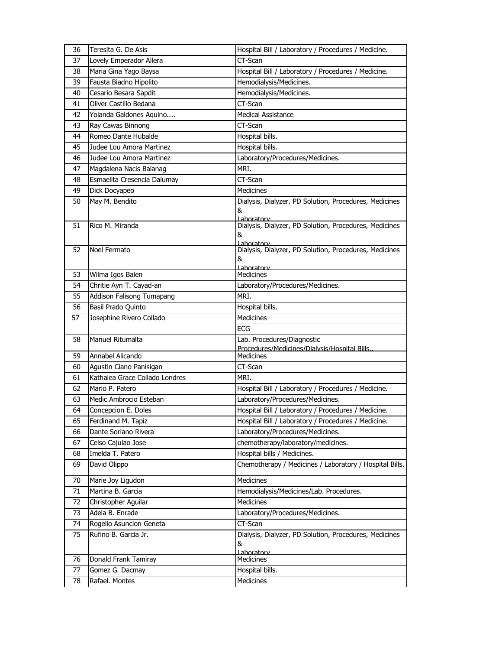| 36 | Teresita G. De Asis            | Hospital Bill / Laboratory / Procedures / Medicine.                  |
|----|--------------------------------|----------------------------------------------------------------------|
| 37 | Lovely Emperador Allera        | CT-Scan                                                              |
| 38 | Maria Gina Yago Baysa          | Hospital Bill / Laboratory / Procedures / Medicine.                  |
| 39 | Fausta Biadno Hipolito         | Hemodialysis/Medicines.                                              |
| 40 | Cesario Besara Sapdit          | Hemodialysis/Medicines.                                              |
| 41 | Oliver Castillo Bedana         | CT-Scan                                                              |
| 42 | Yolanda Galdones Aquino        | <b>Medical Assistance</b>                                            |
| 43 | Ray Cawas Binnong              | CT-Scan                                                              |
| 44 | Romeo Dante Hubalde            | Hospital bills.                                                      |
| 45 | Judee Lou Amora Martinez       | Hospital bills.                                                      |
| 46 | Judee Lou Amora Martinez       | Laboratory/Procedures/Medicines.                                     |
| 47 | Magdalena Nacis Balanag        | MRI.                                                                 |
| 48 | Esmaelita Cresencia Dalumay    | CT-Scan                                                              |
| 49 | Dick Docyapeo                  | <b>Medicines</b>                                                     |
| 50 | May M. Bendito                 | Dialysis, Dialyzer, PD Solution, Procedures, Medicines               |
|    |                                | &                                                                    |
| 51 | Rico M. Miranda                | Laboratory<br>Dialysis, Dialyzer, PD Solution, Procedures, Medicines |
|    |                                | &                                                                    |
|    |                                | Laboratory                                                           |
| 52 | Noel Fermato                   | Dialysis, Dialyzer, PD Solution, Procedures, Medicines               |
|    |                                | &<br>Laboratory                                                      |
| 53 | Wilma Igos Balen               | <b>Medicines</b>                                                     |
| 54 | Chritie Ayn T. Cayad-an        | Laboratory/Procedures/Medicines.                                     |
| 55 | Addison Falisong Tumapang      | MRI.                                                                 |
| 56 | Basil Prado Quinto             | Hospital bills.                                                      |
| 57 | Josephine Rivero Collado       | <b>Medicines</b>                                                     |
|    |                                | <b>ECG</b>                                                           |
| 58 | Manuel Ritumalta               | Lab. Procedures/Diagnostic                                           |
|    |                                | Procedures/Medicines/Dialysis/Hospital Bills.                        |
| 59 | Annabel Alicando               | <b>Medicines</b>                                                     |
| 60 | Agustin Ciano Panisigan        | CT-Scan                                                              |
| 61 | Kathalea Grace Collado Londres | MRI.                                                                 |
| 62 | Mario P. Patero                | Hospital Bill / Laboratory / Procedures / Medicine.                  |
| 63 | Medic Ambrocio Esteban         | Laboratory/Procedures/Medicines.                                     |
| 64 | Concepcion E. Doles            | Hospital Bill / Laboratory / Procedures / Medicine.                  |
| 65 | Ferdinand M. Tapiz             | Hospital Bill / Laboratory / Procedures / Medicine.                  |
| 66 | Dante Soriano Rivera           | Laboratory/Procedures/Medicines.                                     |
| 67 | Celso Cajulao Jose             | chemotherapy/laboratory/medicines.                                   |
| 68 | Imelda T. Patero               | Hospital bills / Medicines.                                          |
| 69 | David Olippo                   | Chemotherapy / Medicines / Laboratory / Hospital Bills.              |
| 70 | Marie Joy Ligudon              | Medicines                                                            |
| 71 | Martina B. Garcia              | Hemodialysis/Medicines/Lab. Procedures.                              |
| 72 | Christopher Aguilar            | Medicines                                                            |
| 73 | Adela B. Enrade                | Laboratory/Procedures/Medicines.                                     |
| 74 | Rogelio Asuncion Geneta        | CT-Scan                                                              |
| 75 | Rufino B. Garcia Jr.           | Dialysis, Dialyzer, PD Solution, Procedures, Medicines               |
|    |                                | &                                                                    |
| 76 | Donald Frank Tamiray           | Laboratory<br>Medicines                                              |
| 77 | Gomez G. Dacmay                | Hospital bills.                                                      |
|    |                                |                                                                      |
| 78 | Rafael. Montes                 | Medicines                                                            |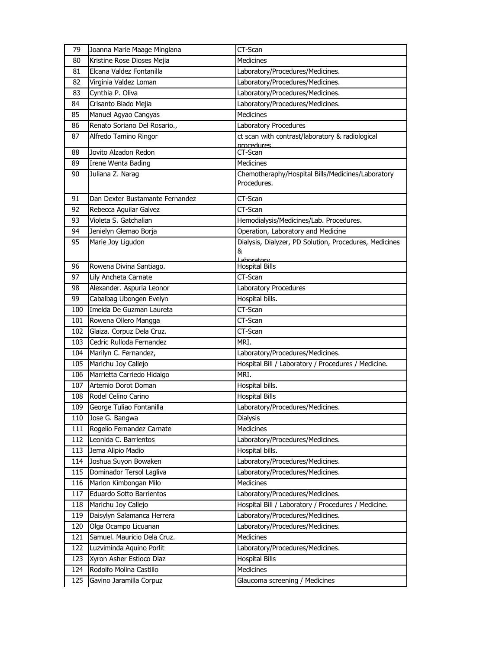| 79         | Joanna Marie Maage Minglana                        | CT-Scan                                                          |
|------------|----------------------------------------------------|------------------------------------------------------------------|
| 80         | Kristine Rose Dioses Mejia                         | Medicines                                                        |
| 81         | Elcana Valdez Fontanilla                           | Laboratory/Procedures/Medicines.                                 |
| 82         | Virginia Valdez Loman                              | Laboratory/Procedures/Medicines.                                 |
| 83         | Cynthia P. Oliva                                   | Laboratory/Procedures/Medicines.                                 |
| 84         | Crisanto Biado Mejia                               | Laboratory/Procedures/Medicines.                                 |
| 85         | Manuel Agyao Cangyas                               | <b>Medicines</b>                                                 |
| 86         | Renato Soriano Del Rosario.,                       | Laboratory Procedures                                            |
| 87         | Alfredo Tamino Ringor                              | ct scan with contrast/laboratory & radiological                  |
|            |                                                    | procedures.                                                      |
| 88         | Jovito Alzadon Redon                               | CT-Scan                                                          |
| 89         | Irene Wenta Bading                                 | <b>Medicines</b>                                                 |
| 90         | Juliana Z. Narag                                   | Chemotheraphy/Hospital Bills/Medicines/Laboratory<br>Procedures. |
| 91         | Dan Dexter Bustamante Fernandez                    | CT-Scan                                                          |
| 92         | Rebecca Aguilar Galvez                             | CT-Scan                                                          |
| 93         | Violeta S. Gatchalian                              | Hemodialysis/Medicines/Lab. Procedures.                          |
| 94         | Jenielyn Glemao Borja                              | Operation, Laboratory and Medicine                               |
| 95         | Marie Joy Ligudon                                  | Dialysis, Dialyzer, PD Solution, Procedures, Medicines           |
|            |                                                    | &                                                                |
| 96         | Rowena Divina Santiago.                            | Laboratory<br><b>Hospital Bills</b>                              |
| 97         | Lily Ancheta Carnate                               | CT-Scan                                                          |
| 98         | Alexander. Aspuria Leonor                          | Laboratory Procedures                                            |
| 99         | Cabalbag Ubongen Evelyn                            | Hospital bills.                                                  |
| 100        | Imelda De Guzman Laureta                           | CT-Scan                                                          |
| 101        | Rowena Ollero Mangga                               | CT-Scan                                                          |
| 102        | Glaiza. Corpuz Dela Cruz.                          | CT-Scan                                                          |
| 103        | Cedric Rulloda Fernandez                           | MRI.                                                             |
| 104        | Marilyn C. Fernandez,                              | Laboratory/Procedures/Medicines.                                 |
| 105        | Marichu Joy Callejo                                | Hospital Bill / Laboratory / Procedures / Medicine.              |
| 106        | Marrietta Carriedo Hidalgo                         | MRI.                                                             |
| 107        | Artemio Dorot Doman                                | Hospital bills.                                                  |
| 108        | Rodel Celino Carino                                | <b>Hospital Bills</b>                                            |
| 109        | George Tuliao Fontanilla                           | Laboratory/Procedures/Medicines.                                 |
| 110        | Jose G. Bangwa                                     | Dialysis                                                         |
| 111        | Rogelio Fernandez Carnate                          | Medicines                                                        |
|            | Leonida C. Barrientos                              |                                                                  |
| 112<br>113 | Jema Alipio Madio                                  | Laboratory/Procedures/Medicines.<br>Hospital bills.              |
| 114        |                                                    | Laboratory/Procedures/Medicines.                                 |
|            | Joshua Suyon Bowaken                               |                                                                  |
| 115        |                                                    |                                                                  |
|            | Dominador Tersol Lagliva                           | Laboratory/Procedures/Medicines.                                 |
| 116        | Marlon Kimbongan Milo                              | Medicines                                                        |
| 117        | Eduardo Sotto Barrientos                           | Laboratory/Procedures/Medicines.                                 |
| 118        | Marichu Joy Callejo                                | Hospital Bill / Laboratory / Procedures / Medicine.              |
| 119        | Daisylyn Salamanca Herrera                         | Laboratory/Procedures/Medicines.                                 |
| 120        | Olga Ocampo Licuanan                               | Laboratory/Procedures/Medicines.                                 |
| 121        | Samuel. Mauricio Dela Cruz.                        | Medicines                                                        |
| 122        | Luzviminda Aquino Porlit                           | Laboratory/Procedures/Medicines.                                 |
| 123        | Xyron Asher Estioco Diaz                           | <b>Hospital Bills</b>                                            |
| 124<br>125 | Rodolfo Molina Castillo<br>Gavino Jaramilla Corpuz | Medicines<br>Glaucoma screening / Medicines                      |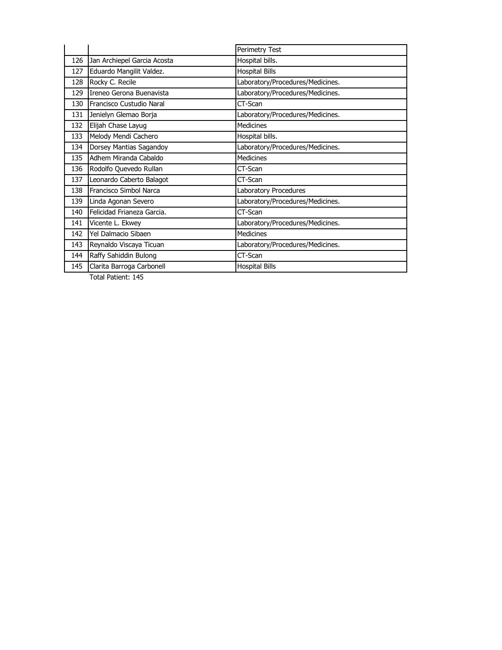|     |                             | Perimetry Test                   |
|-----|-----------------------------|----------------------------------|
| 126 | Jan Archiepel Garcia Acosta | Hospital bills.                  |
| 127 | Eduardo Mangilit Valdez.    | <b>Hospital Bills</b>            |
| 128 | Rocky C. Recile             | Laboratory/Procedures/Medicines. |
| 129 | Ireneo Gerona Buenavista    | Laboratory/Procedures/Medicines. |
| 130 | Francisco Custudio Naral    | CT-Scan                          |
| 131 | Jenielyn Glemao Borja       | Laboratory/Procedures/Medicines. |
| 132 | Elijah Chase Layug          | <b>Medicines</b>                 |
| 133 | Melody Mendi Cachero        | Hospital bills.                  |
| 134 | Dorsey Mantias Sagandoy     | Laboratory/Procedures/Medicines. |
| 135 | Adhem Miranda Cabaldo       | <b>Medicines</b>                 |
| 136 | Rodolfo Quevedo Rullan      | CT-Scan                          |
| 137 | Leonardo Caberto Balagot    | CT-Scan                          |
| 138 | Francisco Simbol Narca      | Laboratory Procedures            |
| 139 | Linda Agonan Severo         | Laboratory/Procedures/Medicines. |
| 140 | Felicidad Frianeza Garcia.  | CT-Scan                          |
| 141 | Vicente L. Ekwey            | Laboratory/Procedures/Medicines. |
| 142 | Yel Dalmacio Sibaen         | <b>Medicines</b>                 |
| 143 | Reynaldo Viscaya Ticuan     | Laboratory/Procedures/Medicines. |
| 144 | Raffy Sahiddin Bulong       | CT-Scan                          |
| 145 | Clarita Barroga Carbonell   | <b>Hospital Bills</b>            |

Total Patient: 145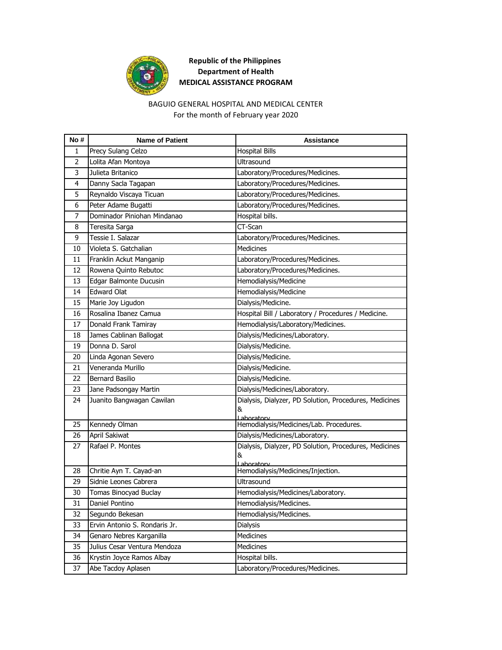

# **Republic of the Philippines Department of Health MEDICAL ASSISTANCE PROGRAM**

### BAGUIO GENERAL HOSPITAL AND MEDICAL CENTER For the month of February year 2020

| No# | <b>Name of Patient</b>        | <b>Assistance</b>                                                         |
|-----|-------------------------------|---------------------------------------------------------------------------|
| 1   | Precy Sulang Celzo            | <b>Hospital Bills</b>                                                     |
| 2   | Lolita Afan Montoya           | Ultrasound                                                                |
| 3   | Julieta Britanico             | Laboratory/Procedures/Medicines.                                          |
| 4   | Danny Sacla Tagapan           | Laboratory/Procedures/Medicines.                                          |
| 5   | Reynaldo Viscaya Ticuan       | Laboratory/Procedures/Medicines.                                          |
| 6   | Peter Adame Bugatti           | Laboratory/Procedures/Medicines.                                          |
| 7   | Dominador Piniohan Mindanao   | Hospital bills.                                                           |
| 8   | Teresita Sarga                | CT-Scan                                                                   |
| 9   | Tessie I. Salazar             | Laboratory/Procedures/Medicines.                                          |
| 10  | Violeta S. Gatchalian         | <b>Medicines</b>                                                          |
| 11  | Franklin Ackut Manganip       | Laboratory/Procedures/Medicines.                                          |
| 12  | Rowena Quinto Rebutoc         | Laboratory/Procedures/Medicines.                                          |
| 13  | Edgar Balmonte Ducusin        | Hemodialysis/Medicine                                                     |
| 14  | <b>Edward Olat</b>            | Hemodialysis/Medicine                                                     |
| 15  | Marie Joy Ligudon             | Dialysis/Medicine.                                                        |
| 16  | Rosalina Ibanez Camua         | Hospital Bill / Laboratory / Procedures / Medicine.                       |
| 17  | Donald Frank Tamiray          | Hemodialysis/Laboratory/Medicines.                                        |
| 18  | James Cablinan Ballogat       | Dialysis/Medicines/Laboratory.                                            |
| 19  | Donna D. Sarol                | Dialysis/Medicine.                                                        |
| 20  | Linda Agonan Severo           | Dialysis/Medicine.                                                        |
| 21  | Veneranda Murillo             | Dialysis/Medicine.                                                        |
| 22  | <b>Bernard Basilio</b>        | Dialysis/Medicine.                                                        |
| 23  | Jane Padsongay Martin         | Dialysis/Medicines/Laboratory.                                            |
| 24  | Juanito Bangwagan Cawilan     | Dialysis, Dialyzer, PD Solution, Procedures, Medicines<br>&<br>Laboratory |
| 25  | Kennedy Olman                 | Hemodialysis/Medicines/Lab. Procedures.                                   |
| 26  | April Sakiwat                 | Dialysis/Medicines/Laboratory.                                            |
| 27  | Rafael P. Montes              | Dialysis, Dialyzer, PD Solution, Procedures, Medicines<br>&<br>Laboratory |
| 28  | Chritie Ayn T. Cayad-an       | Hemodialysis/Medicines/Injection.                                         |
| 29  | Sidnie Leones Cabrera         | Ultrasound                                                                |
| 30  | Tomas Binocyad Buclay         | Hemodialysis/Medicines/Laboratory.                                        |
| 31  | Daniel Pontino                | Hemodialysis/Medicines.                                                   |
| 32  | Segundo Bekesan               | Hemodialysis/Medicines.                                                   |
| 33  | Ervin Antonio S. Rondaris Jr. | Dialysis                                                                  |
| 34  | Genaro Nebres Karganilla      | Medicines                                                                 |
| 35  | Julius Cesar Ventura Mendoza  | Medicines                                                                 |
| 36  | Krystin Joyce Ramos Albay     | Hospital bills.                                                           |
| 37  | Abe Tacdoy Aplasen            | Laboratory/Procedures/Medicines.                                          |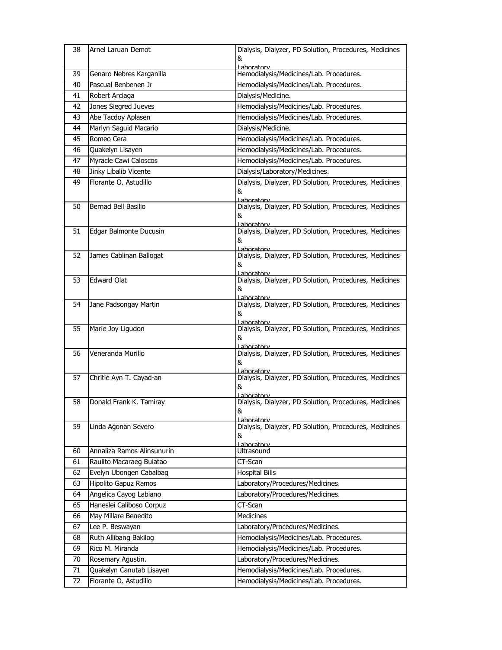| 38 | Arnel Laruan Demot         | Dialysis, Dialyzer, PD Solution, Procedures, Medicines<br>&                  |
|----|----------------------------|------------------------------------------------------------------------------|
|    |                            | Lahoratory                                                                   |
| 39 | Genaro Nebres Karganilla   | Hemodialysis/Medicines/Lab. Procedures.                                      |
| 40 | Pascual Benbenen Jr        | Hemodialysis/Medicines/Lab. Procedures.                                      |
| 41 | Robert Arciaga             | Dialysis/Medicine.                                                           |
| 42 | Jones Siegred Jueves       | Hemodialysis/Medicines/Lab. Procedures.                                      |
| 43 | Abe Tacdoy Aplasen         | Hemodialysis/Medicines/Lab. Procedures.                                      |
| 44 | Marlyn Saguid Macario      | Dialysis/Medicine.                                                           |
| 45 | Romeo Cera                 | Hemodialysis/Medicines/Lab. Procedures.                                      |
| 46 | Quakelyn Lisayen           | Hemodialysis/Medicines/Lab. Procedures.                                      |
| 47 | Myracle Cawi Caloscos      | Hemodialysis/Medicines/Lab. Procedures.                                      |
| 48 | Jinky Libalib Vicente      | Dialysis/Laboratory/Medicines.                                               |
| 49 | Florante O. Astudillo      | Dialysis, Dialyzer, PD Solution, Procedures, Medicines                       |
|    |                            | &                                                                            |
| 50 | Bernad Bell Basilio        | Laboratory<br>Dialysis, Dialyzer, PD Solution, Procedures, Medicines         |
|    |                            | &                                                                            |
| 51 | Edgar Balmonte Ducusin     | Laboratory<br>Dialysis, Dialyzer, PD Solution, Procedures, Medicines         |
|    |                            | &                                                                            |
|    |                            | l aboratory                                                                  |
| 52 | James Cablinan Ballogat    | Dialysis, Dialyzer, PD Solution, Procedures, Medicines                       |
|    |                            | &<br>Laboratory                                                              |
| 53 | <b>Edward Olat</b>         | Dialysis, Dialyzer, PD Solution, Procedures, Medicines                       |
|    |                            | &                                                                            |
| 54 | Jane Padsongay Martin      | Laboratory<br>Dialysis, Dialyzer, PD Solution, Procedures, Medicines         |
|    |                            | &                                                                            |
| 55 | Marie Joy Ligudon          | <u>l aboratorv</u><br>Dialysis, Dialyzer, PD Solution, Procedures, Medicines |
|    |                            | &                                                                            |
|    |                            | Laboratorv                                                                   |
| 56 | Veneranda Murillo          | Dialysis, Dialyzer, PD Solution, Procedures, Medicines<br>&                  |
|    |                            | Laboratorv                                                                   |
| 57 | Chritie Ayn T. Cayad-an    | Dialysis, Dialyzer, PD Solution, Procedures, Medicines                       |
|    |                            | &<br><u>l aboratorv</u>                                                      |
| 58 | Donald Frank K. Tamiray    | Dialysis, Dialyzer, PD Solution, Procedures, Medicines                       |
|    |                            | &                                                                            |
| 59 | Linda Agonan Severo        | Laboratory<br>Dialysis, Dialyzer, PD Solution, Procedures, Medicines         |
|    |                            | &                                                                            |
|    |                            | Laboratory                                                                   |
| 60 | Annaliza Ramos Alinsunurin | Ultrasound                                                                   |
| 61 | Raulito Macaraeg Bulatao   | CT-Scan                                                                      |
| 62 | Evelyn Ubongen Cabalbag    | <b>Hospital Bills</b>                                                        |
| 63 | Hipolito Gapuz Ramos       | Laboratory/Procedures/Medicines.                                             |
| 64 | Angelica Cayog Labiano     | Laboratory/Procedures/Medicines.                                             |
| 65 | Haneslei Caliboso Corpuz   | CT-Scan                                                                      |
| 66 | May Millare Benedito       | <b>Medicines</b>                                                             |
| 67 | Lee P. Beswayan            | Laboratory/Procedures/Medicines.                                             |
| 68 | Ruth Allibang Bakilog      | Hemodialysis/Medicines/Lab. Procedures.                                      |
| 69 | Rico M. Miranda            | Hemodialysis/Medicines/Lab. Procedures.                                      |
| 70 | Rosemary Agustin.          | Laboratory/Procedures/Medicines.                                             |
| 71 | Quakelyn Canutab Lisayen   | Hemodialysis/Medicines/Lab. Procedures.                                      |
| 72 | Florante O. Astudillo      | Hemodialysis/Medicines/Lab. Procedures.                                      |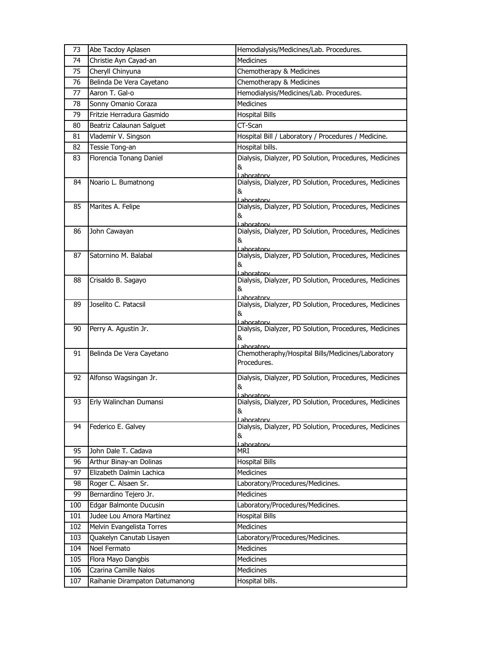| 73  | Abe Tacdoy Aplasen             | Hemodialysis/Medicines/Lab. Procedures.                               |
|-----|--------------------------------|-----------------------------------------------------------------------|
| 74  | Christie Ayn Cayad-an          | <b>Medicines</b>                                                      |
| 75  | Cheryll Chinyuna               | Chemotherapy & Medicines                                              |
| 76  | Belinda De Vera Cayetano       | Chemotherapy & Medicines                                              |
| 77  | Aaron T. Gal-o                 | Hemodialysis/Medicines/Lab. Procedures.                               |
| 78  | Sonny Omanio Coraza            | <b>Medicines</b>                                                      |
| 79  | Fritzie Herradura Gasmido      | Hospital Bills                                                        |
| 80  | Beatriz Calaunan Salguet       | CT-Scan                                                               |
| 81  | Vlademir V. Singson            | Hospital Bill / Laboratory / Procedures / Medicine.                   |
| 82  | Tessie Tong-an                 | Hospital bills.                                                       |
| 83  | Florencia Tonang Daniel        | Dialysis, Dialyzer, PD Solution, Procedures, Medicines                |
|     |                                | &                                                                     |
| 84  | Noario L. Bumatnong            | Lahoratory<br>Dialysis, Dialyzer, PD Solution, Procedures, Medicines  |
|     |                                | &                                                                     |
| 85  | Marites A. Felipe              | I aboratory<br>Dialysis, Dialyzer, PD Solution, Procedures, Medicines |
|     |                                | &                                                                     |
|     |                                | Laboratory                                                            |
| 86  | John Cawayan                   | Dialysis, Dialyzer, PD Solution, Procedures, Medicines                |
|     |                                | &<br>l aboratory                                                      |
| 87  | Satornino M. Balabal           | Dialysis, Dialyzer, PD Solution, Procedures, Medicines                |
|     |                                | &                                                                     |
| 88  | Crisaldo B. Sagayo             | Laboratorv<br>Dialysis, Dialyzer, PD Solution, Procedures, Medicines  |
|     |                                | &                                                                     |
| 89  | Joselito C. Patacsil           | Laboratory<br>Dialysis, Dialyzer, PD Solution, Procedures, Medicines  |
|     |                                | &                                                                     |
|     |                                | Laboratory                                                            |
| 90  | Perry A. Agustin Jr.           | Dialysis, Dialyzer, PD Solution, Procedures, Medicines<br>&           |
|     |                                | aboratory                                                             |
| 91  | Belinda De Vera Cayetano       | Chemotheraphy/Hospital Bills/Medicines/Laboratory                     |
|     |                                | Procedures.                                                           |
| 92  | Alfonso Wagsingan Jr.          | Dialysis, Dialyzer, PD Solution, Procedures, Medicines                |
|     |                                | &                                                                     |
| 93  | Erly Walinchan Dumansi         | aboratory<br>Dialysis, Dialyzer, PD Solution, Procedures, Medicines   |
|     |                                | &                                                                     |
| 94  | Federico E. Galvey             | Laboratory<br>Dialysis, Dialyzer, PD Solution, Procedures, Medicines  |
|     |                                | &                                                                     |
|     |                                | Laboratory                                                            |
| 95  | John Dale T. Cadava            | MRI                                                                   |
| 96  | Arthur Binay-an Dolinas        | <b>Hospital Bills</b>                                                 |
| 97  | Elizabeth Dalmin Lachica       | Medicines                                                             |
| 98  | Roger C. Alsaen Sr.            | Laboratory/Procedures/Medicines.                                      |
| 99  | Bernardino Tejero Jr.          | Medicines                                                             |
| 100 | Edgar Balmonte Ducusin         | Laboratory/Procedures/Medicines.                                      |
| 101 | Judee Lou Amora Martinez       | <b>Hospital Bills</b>                                                 |
| 102 | Melvin Evangelista Torres      | Medicines                                                             |
| 103 | Quakelyn Canutab Lisayen       | Laboratory/Procedures/Medicines.                                      |
| 104 | Noel Fermato                   | Medicines                                                             |
| 105 | Flora Mayo Dangbis             | Medicines                                                             |
| 106 | Czarina Camille Nalos          | Medicines                                                             |
| 107 | Raihanie Dirampaton Datumanong | Hospital bills.                                                       |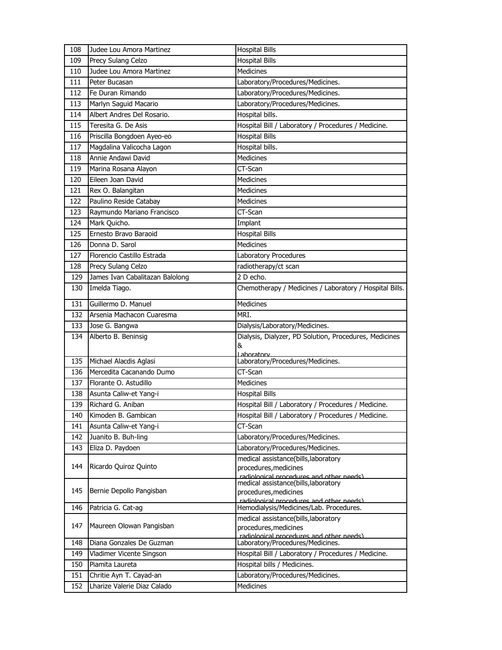| 108              | Judee Lou Amora Martinez                               | <b>Hospital Bills</b>                                                                                     |
|------------------|--------------------------------------------------------|-----------------------------------------------------------------------------------------------------------|
| 109              | Precy Sulang Celzo                                     | <b>Hospital Bills</b>                                                                                     |
| 110              | Judee Lou Amora Martinez                               | <b>Medicines</b>                                                                                          |
| 111              | Peter Bucasan                                          | Laboratory/Procedures/Medicines.                                                                          |
| 112              | Fe Duran Rimando                                       | Laboratory/Procedures/Medicines.                                                                          |
| 113              | Marlyn Saguid Macario                                  | Laboratory/Procedures/Medicines.                                                                          |
| 114              | Albert Andres Del Rosario.                             | Hospital bills.                                                                                           |
| 115              | Teresita G. De Asis                                    | Hospital Bill / Laboratory / Procedures / Medicine.                                                       |
| 116              | Priscilla Bongdoen Ayeo-eo                             | <b>Hospital Bills</b>                                                                                     |
| $11\overline{7}$ | Magdalina Valicocha Lagon                              | Hospital bills.                                                                                           |
| 118              | Annie Andawi David                                     | Medicines                                                                                                 |
| 119              | Marina Rosana Alayon                                   | CT-Scan                                                                                                   |
| 120              | Eileen Joan David                                      | <b>Medicines</b>                                                                                          |
| 121              | Rex O. Balangitan                                      | <b>Medicines</b>                                                                                          |
| 122              | Paulino Reside Catabay                                 | <b>Medicines</b>                                                                                          |
| 123              | Raymundo Mariano Francisco                             | CT-Scan                                                                                                   |
| 124              | Mark Quicho.                                           | Implant                                                                                                   |
| 125              | Ernesto Bravo Baraoid                                  | <b>Hospital Bills</b>                                                                                     |
| 126              | Donna D. Sarol                                         | <b>Medicines</b>                                                                                          |
| 127              | Florencio Castillo Estrada                             | <b>Laboratory Procedures</b>                                                                              |
| 128              | Precy Sulang Celzo                                     | radiotherapy/ct scan                                                                                      |
| 129              | James Ivan Cabalitazan Balolong                        | 2 D echo.                                                                                                 |
| 130              | Imelda Tiago.                                          | Chemotherapy / Medicines / Laboratory / Hospital Bills.                                                   |
| 131              | Guillermo D. Manuel                                    | Medicines                                                                                                 |
| 132              | Arsenia Machacon Cuaresma                              | MRI.                                                                                                      |
| 133              | Jose G. Bangwa                                         | Dialysis/Laboratory/Medicines.                                                                            |
| 134              | Alberto B. Beninsig                                    | Dialysis, Dialyzer, PD Solution, Procedures, Medicines<br>&<br>Laboratory                                 |
| 135              | Michael Alacdis Aglasi                                 | Laboratory/Procedures/Medicines.                                                                          |
| 136              | Mercedita Cacanando Dumo                               | CT-Scan                                                                                                   |
| 137              | Florante O. Astudillo                                  | Medicines                                                                                                 |
| 138              | Asunta Caliw-et Yang-i                                 | <b>Hospital Bills</b>                                                                                     |
| 139              | Richard G. Aniban                                      | Hospital Bill / Laboratory / Procedures / Medicine.                                                       |
| 140              | Kimoden B. Gambican                                    | Hospital Bill / Laboratory / Procedures / Medicine.                                                       |
| 141              | Asunta Caliw-et Yang-i                                 | CT-Scan                                                                                                   |
| 142              | Juanito B. Buh-ling                                    | Laboratory/Procedures/Medicines.                                                                          |
| 143              | Eliza D. Paydoen                                       | Laboratory/Procedures/Medicines.                                                                          |
| 144              | Ricardo Quiroz Quinto                                  | medical assistance(bills, laboratory<br>procedures, medicines                                             |
| 145              | Bernie Depollo Pangisban                               | radiological procedures and other needs)<br>medical assistance(bills, laboratory<br>procedures, medicines |
| 146              | Patricia G. Cat-ag                                     | radiological procedures and other needs)<br>Hemodialysis/Medicines/Lab. Procedures.                       |
| 147              | Maureen Olowan Pangisban                               | medical assistance(bills, laboratory                                                                      |
|                  |                                                        | procedures, medicines<br>radiological procedures and other needs)                                         |
| 148              | Diana Gonzales De Guzman                               | Laboratory/Procedures/Medicines.                                                                          |
| 149              |                                                        | Hospital Bill / Laboratory / Procedures / Medicine.                                                       |
|                  | Vladimer Vicente Singson                               |                                                                                                           |
| 150              | Piamita Laureta                                        | Hospital bills / Medicines.                                                                               |
| 151<br>152       | Chritie Ayn T. Cayad-an<br>Lharize Valerie Diaz Calado | Laboratory/Procedures/Medicines.<br>Medicines                                                             |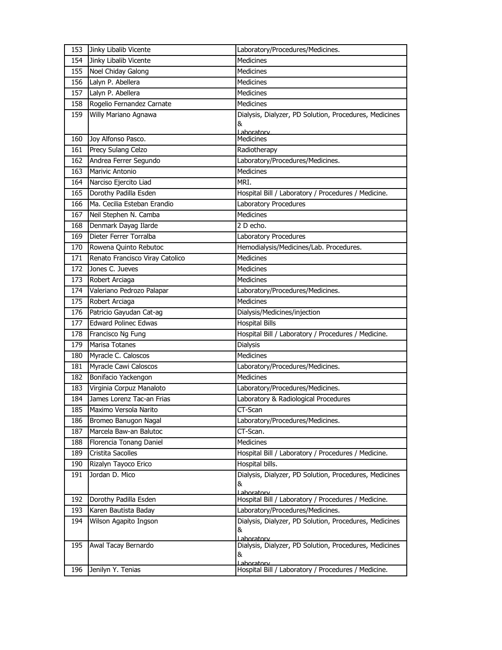| 153 | Jinky Libalib Vicente           | Laboratory/Procedures/Medicines.                                  |
|-----|---------------------------------|-------------------------------------------------------------------|
| 154 | Jinky Libalib Vicente           | <b>Medicines</b>                                                  |
| 155 | Noel Chiday Galong              | <b>Medicines</b>                                                  |
| 156 | Lalyn P. Abellera               | <b>Medicines</b>                                                  |
| 157 | Lalyn P. Abellera               | <b>Medicines</b>                                                  |
| 158 | Rogelio Fernandez Carnate       | <b>Medicines</b>                                                  |
| 159 | Willy Mariano Agnawa            | Dialysis, Dialyzer, PD Solution, Procedures, Medicines            |
|     |                                 | &                                                                 |
| 160 | Joy Alfonso Pasco.              | Laboratory<br><b>Medicines</b>                                    |
| 161 | Precy Sulang Celzo              | Radiotherapy                                                      |
| 162 | Andrea Ferrer Segundo           | Laboratory/Procedures/Medicines.                                  |
| 163 | Marivic Antonio                 | <b>Medicines</b>                                                  |
| 164 | Narciso Ejercito Liad           | MRI.                                                              |
|     | Dorothy Padilla Esden           |                                                                   |
| 165 |                                 | Hospital Bill / Laboratory / Procedures / Medicine.               |
| 166 | Ma. Cecilia Esteban Erandio     | Laboratory Procedures                                             |
| 167 | Neil Stephen N. Camba           | Medicines                                                         |
| 168 | Denmark Dayag Ilarde            | 2 D echo.                                                         |
| 169 | Dieter Ferrer Torralba          | Laboratory Procedures                                             |
| 170 | Rowena Quinto Rebutoc           | Hemodialysis/Medicines/Lab. Procedures.                           |
| 171 | Renato Francisco Viray Catolico | <b>Medicines</b>                                                  |
| 172 | Jones C. Jueves                 | <b>Medicines</b>                                                  |
| 173 | Robert Arciaga                  | <b>Medicines</b>                                                  |
| 174 | Valeriano Pedrozo Palapar       | Laboratory/Procedures/Medicines.                                  |
| 175 | Robert Arciaga                  | <b>Medicines</b>                                                  |
| 176 | Patricio Gayudan Cat-ag         | Dialysis/Medicines/injection                                      |
| 177 | <b>Edward Polinec Edwas</b>     | <b>Hospital Bills</b>                                             |
| 178 | Francisco Ng Fung               | Hospital Bill / Laboratory / Procedures / Medicine.               |
| 179 | Marisa Totanes                  | Dialysis                                                          |
| 180 | Myracle C. Caloscos             | <b>Medicines</b>                                                  |
| 181 | Myracle Cawi Caloscos           | Laboratory/Procedures/Medicines.                                  |
| 182 | Bonifacio Yackengon             | Medicines                                                         |
| 183 | Virginia Corpuz Manaloto        | Laboratory/Procedures/Medicines.                                  |
| 184 | James Lorenz Tac-an Frias       | Laboratory & Radiological Procedures                              |
| 185 | Maximo Versola Narito           | CT-Scan                                                           |
| 186 | Bromeo Banugon Nagal            | Laboratory/Procedures/Medicines.                                  |
| 187 | Marcela Baw-an Balutoc          | CT-Scan.                                                          |
| 188 | Florencia Tonang Daniel         | Medicines                                                         |
| 189 | <b>Cristita Sacolles</b>        | Hospital Bill / Laboratory / Procedures / Medicine.               |
| 190 | Rizalyn Tayoco Erico            | Hospital bills.                                                   |
| 191 | Jordan D. Mico                  | Dialysis, Dialyzer, PD Solution, Procedures, Medicines            |
|     |                                 | &                                                                 |
|     |                                 | Laboratory<br>Hospital Bill / Laboratory / Procedures / Medicine. |
| 192 | Dorothy Padilla Esden           |                                                                   |
| 193 | Karen Bautista Baday            | Laboratory/Procedures/Medicines.                                  |
| 194 | Wilson Agapito Ingson           | Dialysis, Dialyzer, PD Solution, Procedures, Medicines<br>&       |
|     |                                 | Laboratory                                                        |
| 195 | Awal Tacay Bernardo             | Dialysis, Dialyzer, PD Solution, Procedures, Medicines            |
|     |                                 | &<br>Laboratory                                                   |
| 196 | Jenilyn Y. Tenias               | Hospital Bill / Laboratory / Procedures / Medicine.               |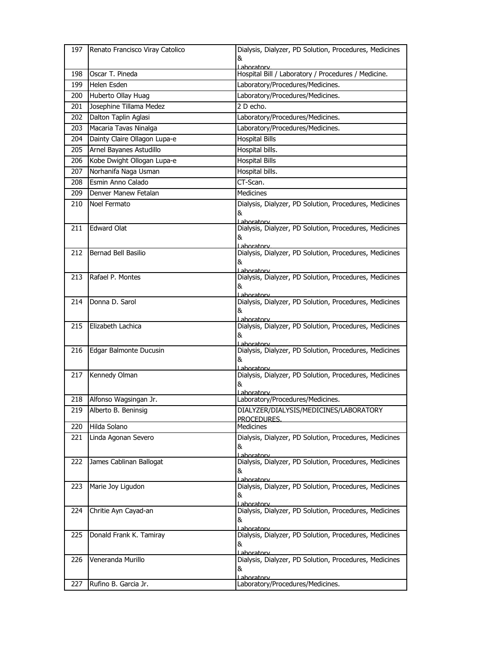| 197 | Renato Francisco Viray Catolico | Dialysis, Dialyzer, PD Solution, Procedures, Medicines                      |
|-----|---------------------------------|-----------------------------------------------------------------------------|
|     |                                 | &                                                                           |
| 198 | Oscar T. Pineda                 | Laboratory<br>Hospital Bill / Laboratory / Procedures / Medicine.           |
| 199 | Helen Esden                     | Laboratory/Procedures/Medicines.                                            |
| 200 | Huberto Ollay Huag              | Laboratory/Procedures/Medicines.                                            |
| 201 | Josephine Tillama Medez         | 2 D echo.                                                                   |
| 202 | Dalton Taplin Aglasi            | Laboratory/Procedures/Medicines.                                            |
| 203 | Macaria Tavas Ninalga           | Laboratory/Procedures/Medicines.                                            |
| 204 | Dainty Claire Ollagon Lupa-e    | <b>Hospital Bills</b>                                                       |
| 205 | Arnel Bayanes Astudillo         | Hospital bills.                                                             |
| 206 | Kobe Dwight Ollogan Lupa-e      | <b>Hospital Bills</b>                                                       |
| 207 | Norhanifa Naga Usman            | Hospital bills.                                                             |
| 208 | Esmin Anno Calado               | CT-Scan.                                                                    |
| 209 | Denver Manew Fetalan            | <b>Medicines</b>                                                            |
| 210 | Noel Fermato                    | Dialysis, Dialyzer, PD Solution, Procedures, Medicines                      |
|     |                                 | &                                                                           |
| 211 | <b>Edward Olat</b>              | Lahoratory<br>Dialysis, Dialyzer, PD Solution, Procedures, Medicines        |
|     |                                 | &                                                                           |
|     |                                 | Laboratory                                                                  |
| 212 | Bernad Bell Basilio             | Dialysis, Dialyzer, PD Solution, Procedures, Medicines<br>&                 |
|     |                                 | Lahoratory                                                                  |
| 213 | Rafael P. Montes                | Dialysis, Dialyzer, PD Solution, Procedures, Medicines                      |
|     |                                 | &<br>Lahoratory                                                             |
| 214 | Donna D. Sarol                  | Dialysis, Dialyzer, PD Solution, Procedures, Medicines                      |
|     |                                 | &                                                                           |
| 215 | Elizabeth Lachica               | Lahoratory<br>Dialysis, Dialyzer, PD Solution, Procedures, Medicines        |
|     |                                 | &                                                                           |
| 216 | Edgar Balmonte Ducusin          | Laboratory<br>Dialysis, Dialyzer, PD Solution, Procedures, Medicines        |
|     |                                 | &                                                                           |
|     |                                 | l ahoratorv                                                                 |
| 217 | Kennedy Olman                   | Dialysis, Dialyzer, PD Solution, Procedures, Medicines<br>&                 |
|     |                                 | Laboratory                                                                  |
| 218 | Alfonso Wagsingan Jr.           | Laboratory/Procedures/Medicines.                                            |
| 219 | Alberto B. Beninsig             | DIALYZER/DIALYSIS/MEDICINES/LABORATORY                                      |
| 220 | Hilda Solano                    | PROCEDURES.<br><b>Medicines</b>                                             |
| 221 | Linda Agonan Severo             | Dialysis, Dialyzer, PD Solution, Procedures, Medicines                      |
|     |                                 | &                                                                           |
| 222 | James Cablinan Ballogat         | <u>Laboratorv</u><br>Dialysis, Dialyzer, PD Solution, Procedures, Medicines |
|     |                                 | &                                                                           |
|     |                                 | Laboratory                                                                  |
| 223 | Marie Joy Ligudon               | Dialysis, Dialyzer, PD Solution, Procedures, Medicines                      |
|     |                                 | &<br>Laboratory                                                             |
| 224 | Chritie Ayn Cayad-an            | Dialysis, Dialyzer, PD Solution, Procedures, Medicines                      |
|     |                                 | &<br>Laboratory                                                             |
| 225 | Donald Frank K. Tamiray         | Dialysis, Dialyzer, PD Solution, Procedures, Medicines                      |
|     |                                 | &                                                                           |
| 226 | Veneranda Murillo               | Lahoratory<br>Dialysis, Dialyzer, PD Solution, Procedures, Medicines        |
|     |                                 | &                                                                           |
|     |                                 | Laboratory                                                                  |
| 227 | Rufino B. Garcia Jr.            | Laboratory/Procedures/Medicines.                                            |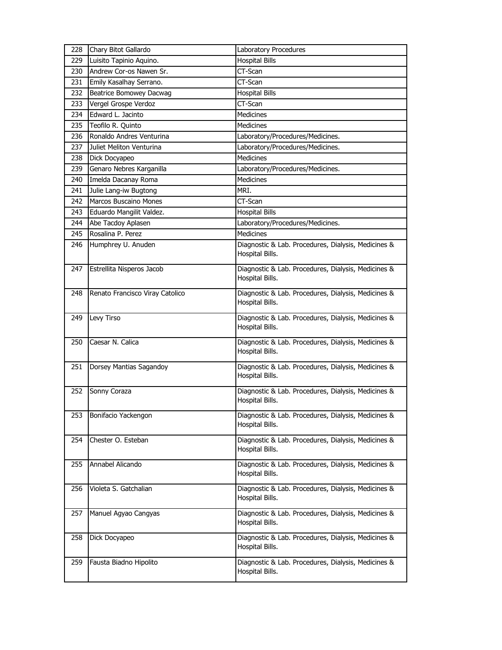| 228 | Chary Bitot Gallardo            | Laboratory Procedures                                                  |
|-----|---------------------------------|------------------------------------------------------------------------|
| 229 | Luisito Tapinio Aquino.         | <b>Hospital Bills</b>                                                  |
| 230 | Andrew Cor-os Nawen Sr.         | CT-Scan                                                                |
| 231 | Emily Kasalhay Serrano.         | CT-Scan                                                                |
| 232 | Beatrice Bomowey Dacwag         | <b>Hospital Bills</b>                                                  |
| 233 | Vergel Grospe Verdoz            | CT-Scan                                                                |
| 234 | Edward L. Jacinto               | <b>Medicines</b>                                                       |
| 235 | Teofilo R. Quinto               | <b>Medicines</b>                                                       |
| 236 | Ronaldo Andres Venturina        | Laboratory/Procedures/Medicines.                                       |
| 237 | Juliet Meliton Venturina        | Laboratory/Procedures/Medicines.                                       |
| 238 | Dick Docyapeo                   | <b>Medicines</b>                                                       |
| 239 | Genaro Nebres Karganilla        | Laboratory/Procedures/Medicines.                                       |
| 240 | Imelda Dacanay Roma             | <b>Medicines</b>                                                       |
| 241 | Julie Lang-iw Bugtong           | MRI.                                                                   |
| 242 | Marcos Buscaino Mones           | CT-Scan                                                                |
| 243 | Eduardo Mangilit Valdez.        | <b>Hospital Bills</b>                                                  |
| 244 | Abe Tacdoy Aplasen              | Laboratory/Procedures/Medicines.                                       |
| 245 | Rosalina P. Perez               | <b>Medicines</b>                                                       |
| 246 | Humphrey U. Anuden              | Diagnostic & Lab. Procedures, Dialysis, Medicines &<br>Hospital Bills. |
| 247 | Estrellita Nisperos Jacob       | Diagnostic & Lab. Procedures, Dialysis, Medicines &<br>Hospital Bills. |
| 248 | Renato Francisco Viray Catolico | Diagnostic & Lab. Procedures, Dialysis, Medicines &<br>Hospital Bills. |
|     |                                 |                                                                        |
| 249 | Levy Tirso                      | Diagnostic & Lab. Procedures, Dialysis, Medicines &<br>Hospital Bills. |
| 250 | Caesar N. Calica                | Diagnostic & Lab. Procedures, Dialysis, Medicines &<br>Hospital Bills. |
| 251 | Dorsey Mantias Sagandoy         | Diagnostic & Lab. Procedures, Dialysis, Medicines &<br>Hospital Bills. |
| 252 | Sonny Coraza                    | Diagnostic & Lab. Procedures, Dialysis, Medicines &<br>Hospital Bills. |
| 253 | Bonifacio Yackengon             | Diagnostic & Lab. Procedures, Dialysis, Medicines &<br>Hospital Bills. |
| 254 | Chester O. Esteban              | Diagnostic & Lab. Procedures, Dialysis, Medicines &<br>Hospital Bills. |
| 255 | Annabel Alicando                | Diagnostic & Lab. Procedures, Dialysis, Medicines &<br>Hospital Bills. |
| 256 | Violeta S. Gatchalian           | Diagnostic & Lab. Procedures, Dialysis, Medicines &<br>Hospital Bills. |
| 257 | Manuel Agyao Cangyas            | Diagnostic & Lab. Procedures, Dialysis, Medicines &<br>Hospital Bills. |
| 258 | Dick Docyapeo                   | Diagnostic & Lab. Procedures, Dialysis, Medicines &<br>Hospital Bills. |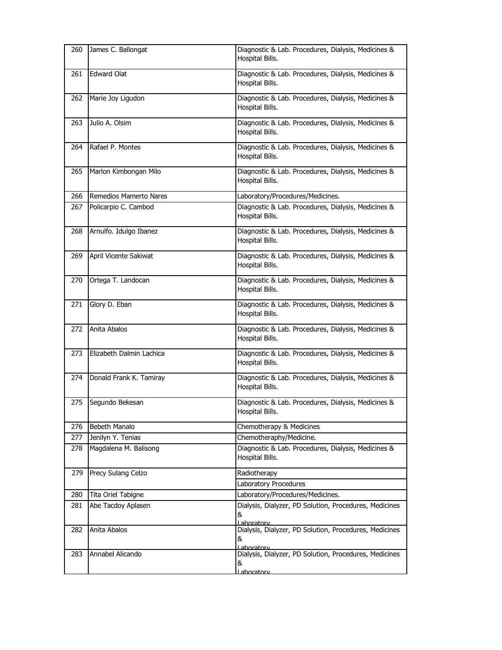| 260 | James C. Ballongat       | Diagnostic & Lab. Procedures, Dialysis, Medicines &<br>Hospital Bills.    |
|-----|--------------------------|---------------------------------------------------------------------------|
| 261 | <b>Edward Olat</b>       | Diagnostic & Lab. Procedures, Dialysis, Medicines &<br>Hospital Bills.    |
| 262 | Marie Joy Ligudon        | Diagnostic & Lab. Procedures, Dialysis, Medicines &<br>Hospital Bills.    |
| 263 | Julio A. Olsim           | Diagnostic & Lab. Procedures, Dialysis, Medicines &<br>Hospital Bills.    |
| 264 | Rafael P. Montes         | Diagnostic & Lab. Procedures, Dialysis, Medicines &<br>Hospital Bills.    |
| 265 | Marlon Kimbongan Milo    | Diagnostic & Lab. Procedures, Dialysis, Medicines &<br>Hospital Bills.    |
| 266 | Remedios Mamerto Nares   | Laboratory/Procedures/Medicines.                                          |
| 267 | Policarpio C. Cambod     | Diagnostic & Lab. Procedures, Dialysis, Medicines &<br>Hospital Bills.    |
| 268 | Arnulfo. Idulgo Ibanez   | Diagnostic & Lab. Procedures, Dialysis, Medicines &<br>Hospital Bills.    |
| 269 | April Vicente Sakiwat    | Diagnostic & Lab. Procedures, Dialysis, Medicines &<br>Hospital Bills.    |
| 270 | Ortega T. Landocan       | Diagnostic & Lab. Procedures, Dialysis, Medicines &<br>Hospital Bills.    |
| 271 | Glory D. Eban            | Diagnostic & Lab. Procedures, Dialysis, Medicines &<br>Hospital Bills.    |
| 272 | Anita Abalos             | Diagnostic & Lab. Procedures, Dialysis, Medicines &<br>Hospital Bills.    |
| 273 | Elizabeth Dalmin Lachica | Diagnostic & Lab. Procedures, Dialysis, Medicines &<br>Hospital Bills.    |
| 274 | Donald Frank K. Tamiray  | Diagnostic & Lab. Procedures, Dialysis, Medicines &<br>Hospital Bills.    |
| 275 | Segundo Bekesan          | Diagnostic & Lab. Procedures, Dialysis, Medicines &<br>Hospital Bills.    |
| 276 | Bebeth Manalo            | Chemotherapy & Medicines                                                  |
| 277 | Jenilyn Y. Tenias        | Chemotheraphy/Medicine.                                                   |
| 278 | Magdalena M. Balisong    | Diagnostic & Lab. Procedures, Dialysis, Medicines &<br>Hospital Bills.    |
| 279 | Precy Sulang Celzo       | Radiotherapy<br>Laboratory Procedures                                     |
| 280 | Tita Oriel Tabigne       | Laboratory/Procedures/Medicines.                                          |
| 281 | Abe Tacdoy Aplasen       | Dialysis, Dialyzer, PD Solution, Procedures, Medicines                    |
|     |                          | &<br>Laboratory                                                           |
| 282 | Anita Abalos             | Dialysis, Dialyzer, PD Solution, Procedures, Medicines<br>&<br>Laboratory |
| 283 | Annabel Alicando         | Dialysis, Dialyzer, PD Solution, Procedures, Medicines<br>&<br>aboratory  |
|     |                          |                                                                           |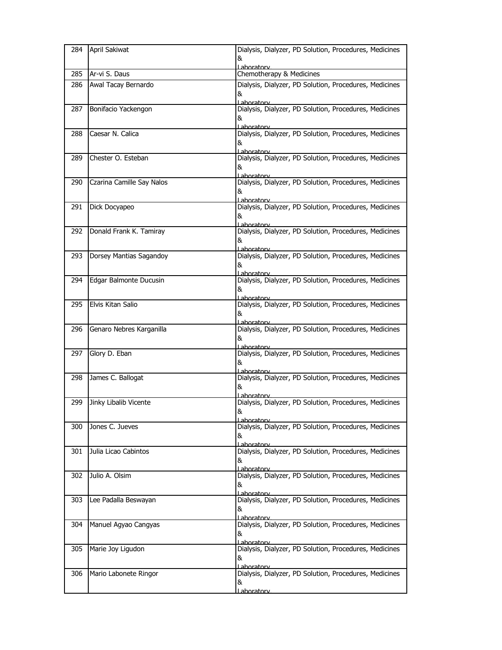| 284 | April Sakiwat             | Dialysis, Dialyzer, PD Solution, Procedures, Medicines<br>&<br>ahoratory          |
|-----|---------------------------|-----------------------------------------------------------------------------------|
| 285 | Ar-vi S. Daus             | Chemotherapy & Medicines                                                          |
| 286 | Awal Tacay Bernardo       | Dialysis, Dialyzer, PD Solution, Procedures, Medicines<br>&<br>Laboratory         |
| 287 | Bonifacio Yackengon       | Dialysis, Dialyzer, PD Solution, Procedures, Medicines<br>8.<br>Laboratory        |
| 288 | Caesar N. Calica          | Dialysis, Dialyzer, PD Solution, Procedures, Medicines<br>&<br>Lahoratory         |
| 289 | Chester O. Esteban        | Dialysis, Dialyzer, PD Solution, Procedures, Medicines<br>8.<br>Laboratory        |
| 290 | Czarina Camille Say Nalos | Dialysis, Dialyzer, PD Solution, Procedures, Medicines<br>&<br>Lahoratory         |
| 291 | Dick Docyapeo             | Dialysis, Dialyzer, PD Solution, Procedures, Medicines<br>&<br>Lahoratory         |
| 292 | Donald Frank K. Tamiray   | Dialysis, Dialyzer, PD Solution, Procedures, Medicines<br>&<br>Laboratory         |
| 293 | Dorsey Mantias Sagandoy   | Dialysis, Dialyzer, PD Solution, Procedures, Medicines<br>&<br>Laboratory         |
| 294 | Edgar Balmonte Ducusin    | Dialysis, Dialyzer, PD Solution, Procedures, Medicines<br>&<br>l aboratory        |
| 295 | Elvis Kitan Salio         | Dialysis, Dialyzer, PD Solution, Procedures, Medicines<br>&<br>Laboratory         |
| 296 | Genaro Nebres Karganilla  | Dialysis, Dialyzer, PD Solution, Procedures, Medicines<br>&<br>Laboratory         |
| 297 | Glory D. Eban             | Dialysis, Dialyzer, PD Solution, Procedures, Medicines<br>&<br>Laboratorv         |
| 298 | James C. Ballogat         | Dialysis, Dialyzer, PD Solution, Procedures, Medicines<br>&<br><u>l aboratorv</u> |
| 299 | Jinky Libalib Vicente     | Dialysis, Dialyzer, PD Solution, Procedures, Medicines<br>&<br><u>Laboratorv</u>  |
| 300 | Jones C. Jueves           | Dialysis, Dialyzer, PD Solution, Procedures, Medicines<br>&<br>Laboratory         |
| 301 | Julia Licao Cabintos      | Dialysis, Dialyzer, PD Solution, Procedures, Medicines<br>&<br>Laboratory         |
| 302 | Julio A. Olsim            | Dialysis, Dialyzer, PD Solution, Procedures, Medicines<br>&<br><u>Laboratory</u>  |
| 303 | Lee Padalla Beswayan      | Dialysis, Dialyzer, PD Solution, Procedures, Medicines<br>&<br>Laboratory         |
| 304 | Manuel Agyao Cangyas      | Dialysis, Dialyzer, PD Solution, Procedures, Medicines<br>&<br><u>l aboratorv</u> |
| 305 | Marie Joy Ligudon         | Dialysis, Dialyzer, PD Solution, Procedures, Medicines<br>&<br>Laboratory         |
| 306 | Mario Labonete Ringor     | Dialysis, Dialyzer, PD Solution, Procedures, Medicines<br>&<br><u>l aboratorv</u> |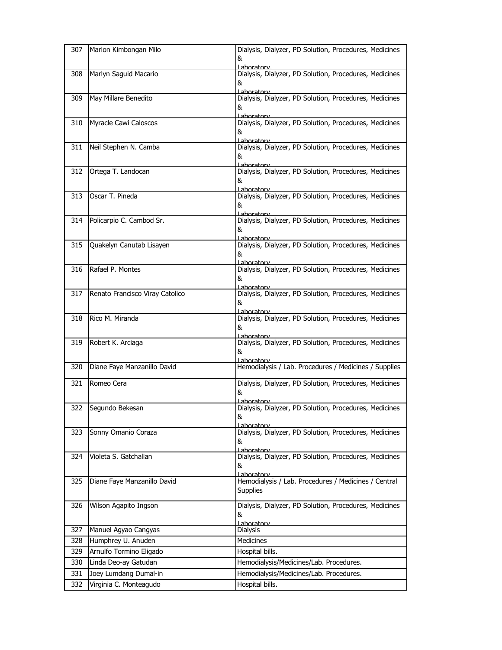| 307 | Marlon Kimbongan Milo           | Dialysis, Dialyzer, PD Solution, Procedures, Medicines<br>&                             |
|-----|---------------------------------|-----------------------------------------------------------------------------------------|
| 308 | Marlyn Saguid Macario           | aboratory<br>Dialysis, Dialyzer, PD Solution, Procedures, Medicines<br>&<br>I aboratory |
| 309 | May Millare Benedito            | Dialysis, Dialyzer, PD Solution, Procedures, Medicines<br>&<br>Lahoratory               |
| 310 | Myracle Cawi Caloscos           | Dialysis, Dialyzer, PD Solution, Procedures, Medicines<br>&<br>Laboratory               |
| 311 | Neil Stephen N. Camba           | Dialysis, Dialyzer, PD Solution, Procedures, Medicines<br>&<br>Laboratory               |
| 312 | Ortega T. Landocan              | Dialysis, Dialyzer, PD Solution, Procedures, Medicines<br>&<br><u>l aboratory</u>       |
| 313 | Oscar T. Pineda                 | Dialysis, Dialyzer, PD Solution, Procedures, Medicines<br>&<br>Laboratory               |
| 314 | Policarpio C. Cambod Sr.        | Dialysis, Dialyzer, PD Solution, Procedures, Medicines<br>&<br>Laboratory               |
| 315 | Quakelyn Canutab Lisayen        | Dialysis, Dialyzer, PD Solution, Procedures, Medicines<br>&<br>Laboratorv               |
| 316 | Rafael P. Montes                | Dialysis, Dialyzer, PD Solution, Procedures, Medicines<br>&<br><u>l aboratorv</u>       |
| 317 | Renato Francisco Viray Catolico | Dialysis, Dialyzer, PD Solution, Procedures, Medicines<br>&<br>Laboratory               |
| 318 | Rico M. Miranda                 | Dialysis, Dialyzer, PD Solution, Procedures, Medicines<br>&<br>Laboratory               |
| 319 | Robert K. Arciaga               | Dialysis, Dialyzer, PD Solution, Procedures, Medicines<br>&<br><u>l aboratorv</u>       |
| 320 | Diane Faye Manzanillo David     | Hemodialysis / Lab. Procedures / Medicines / Supplies                                   |
| 321 | Romeo Cera                      | Dialysis, Dialyzer, PD Solution, Procedures, Medicines<br>&<br>Lahoratory               |
| 322 | Segundo Bekesan                 | Dialysis, Dialyzer, PD Solution, Procedures, Medicines<br>&<br>I aboratory              |
| 323 | Sonny Omanio Coraza             | Dialysis, Dialyzer, PD Solution, Procedures, Medicines<br>&<br>Laboratory               |
| 324 | Violeta S. Gatchalian           | Dialysis, Dialyzer, PD Solution, Procedures, Medicines<br>&<br>l aboratory              |
| 325 | Diane Faye Manzanillo David     | Hemodialysis / Lab. Procedures / Medicines / Central<br>Supplies                        |
| 326 | Wilson Agapito Ingson           | Dialysis, Dialyzer, PD Solution, Procedures, Medicines<br>&<br><u>l aboratory</u>       |
| 327 | Manuel Agyao Cangyas            | <b>Dialysis</b>                                                                         |
| 328 | Humphrey U. Anuden              | Medicines                                                                               |
| 329 | Arnulfo Tormino Eligado         | Hospital bills.                                                                         |
| 330 | Linda Deo-ay Gatudan            | Hemodialysis/Medicines/Lab. Procedures.                                                 |
| 331 | Joey Lumdang Dumal-in           | Hemodialysis/Medicines/Lab. Procedures.                                                 |
| 332 | Virginia C. Monteagudo          | Hospital bills.                                                                         |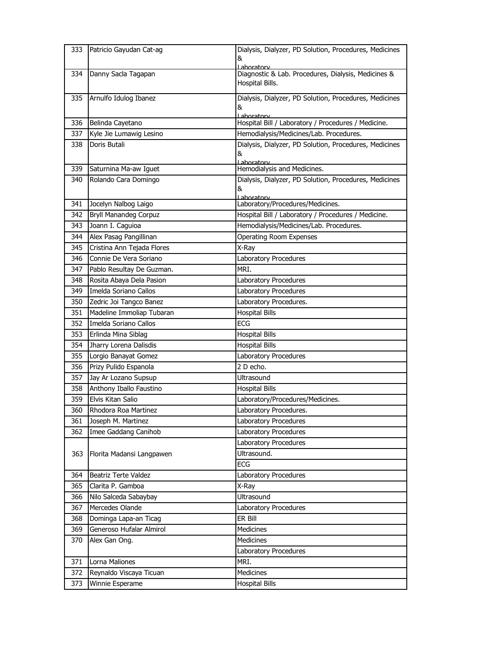| 333 | Patricio Gayudan Cat-ag      | Dialysis, Dialyzer, PD Solution, Procedures, Medicines<br>&                          |
|-----|------------------------------|--------------------------------------------------------------------------------------|
| 334 | Danny Sacla Tagapan          | Laboratory<br>Diagnostic & Lab. Procedures, Dialysis, Medicines &<br>Hospital Bills. |
| 335 | Arnulfo Idulog Ibanez        | Dialysis, Dialyzer, PD Solution, Procedures, Medicines                               |
|     |                              | &<br>Laboratory                                                                      |
| 336 | Belinda Cayetano             | Hospital Bill / Laboratory / Procedures / Medicine.                                  |
| 337 | Kyle Jie Lumawig Lesino      | Hemodialysis/Medicines/Lab. Procedures.                                              |
| 338 | Doris Butali                 | Dialysis, Dialyzer, PD Solution, Procedures, Medicines<br>&<br>Lahoratory            |
| 339 | Saturnina Ma-aw Iguet        | Hemodialysis and Medicines.                                                          |
| 340 | Rolando Cara Domingo         | Dialysis, Dialyzer, PD Solution, Procedures, Medicines<br>&<br>Laboratory            |
| 341 | Jocelyn Nalbog Laigo         | Laboratory/Procedures/Medicines.                                                     |
| 342 | <b>Bryll Manandeg Corpuz</b> | Hospital Bill / Laboratory / Procedures / Medicine.                                  |
| 343 | Joann I. Caguioa             | Hemodialysis/Medicines/Lab. Procedures.                                              |
| 344 | Alex Pasag Pangillinan       | <b>Operating Room Expenses</b>                                                       |
| 345 | Cristina Ann Tejada Flores   | X-Ray                                                                                |
| 346 | Connie De Vera Soriano       | Laboratory Procedures                                                                |
| 347 | Pablo Resultay De Guzman.    | MRI.                                                                                 |
| 348 | Rosita Abaya Dela Pasion     | Laboratory Procedures                                                                |
| 349 | Imelda Soriano Callos        | Laboratory Procedures                                                                |
| 350 | Zedric Joi Tangco Banez      | Laboratory Procedures.                                                               |
| 351 | Madeline Immoliap Tubaran    | <b>Hospital Bills</b>                                                                |
| 352 | Imelda Soriano Callos        | <b>ECG</b>                                                                           |
| 353 | Erlinda Mina Siblag          | <b>Hospital Bills</b>                                                                |
| 354 | Jharry Lorena Dalisdis       | <b>Hospital Bills</b>                                                                |
| 355 | Lorgio Banayat Gomez         | Laboratory Procedures                                                                |
| 356 | Prizy Pulido Espanola        | 2 D echo.                                                                            |
| 357 | Jay Ar Lozano Supsup         | Ultrasound                                                                           |
| 358 | Anthony Iballo Faustino      | <b>Hospital Bills</b>                                                                |
| 359 | Elvis Kitan Salio            | Laboratory/Procedures/Medicines.                                                     |
| 360 | Rhodora Roa Martinez         | Laboratory Procedures.                                                               |
| 361 | Joseph M. Martinez           | Laboratory Procedures                                                                |
| 362 | Imee Gaddang Canihob         | Laboratory Procedures                                                                |
|     |                              | Laboratory Procedures                                                                |
| 363 | Florita Madansi Langpawen    | Ultrasound.                                                                          |
|     |                              | <b>ECG</b>                                                                           |
| 364 | Beatriz Terte Valdez         | Laboratory Procedures                                                                |
| 365 | Clarita P. Gamboa            | X-Ray                                                                                |
| 366 | Nilo Salceda Sabaybay        | Ultrasound                                                                           |
| 367 | Mercedes Olande              | Laboratory Procedures                                                                |
| 368 | Dominga Lapa-an Ticag        | ER Bill                                                                              |
| 369 | Generoso Hufalar Almirol     | Medicines                                                                            |
| 370 | Alex Gan Ong.                | Medicines                                                                            |
| 371 | Lorna Maliones               | Laboratory Procedures<br>MRI.                                                        |
| 372 | Reynaldo Viscaya Ticuan      | Medicines                                                                            |
| 373 | Winnie Esperame              | <b>Hospital Bills</b>                                                                |
|     |                              |                                                                                      |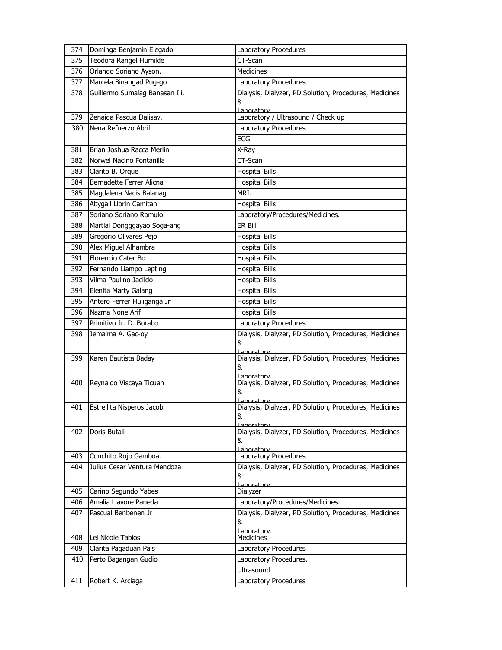| 374 | Dominga Benjamin Elegado       | Laboratory Procedures                                                 |
|-----|--------------------------------|-----------------------------------------------------------------------|
| 375 | Teodora Rangel Humilde         | CT-Scan                                                               |
| 376 | Orlando Soriano Ayson.         | <b>Medicines</b>                                                      |
| 377 | Marcela Binangad Pug-go        | Laboratory Procedures                                                 |
| 378 | Guillermo Sumalag Banasan Iii. | Dialysis, Dialyzer, PD Solution, Procedures, Medicines                |
|     |                                | &<br>Laboratory                                                       |
| 379 | Zenaida Pascua Dalisay.        | Laboratory / Ultrasound / Check up                                    |
| 380 | Nena Refuerzo Abril.           | Laboratory Procedures                                                 |
|     |                                | ECG                                                                   |
| 381 | Brian Joshua Racca Merlin      | X-Ray                                                                 |
| 382 | Norwel Nacino Fontanilla       | CT-Scan                                                               |
| 383 | Clarito B. Orque               | <b>Hospital Bills</b>                                                 |
| 384 | Bernadette Ferrer Alicna       | <b>Hospital Bills</b>                                                 |
| 385 | Magdalena Nacis Balanag        | MRI.                                                                  |
| 386 | Abygail Llorin Camitan         | <b>Hospital Bills</b>                                                 |
| 387 | Soriano Soriano Romulo         | Laboratory/Procedures/Medicines.                                      |
| 388 | Martial Dongggayao Soga-ang    | ER Bill                                                               |
| 389 | Gregorio Olivares Pejo         | <b>Hospital Bills</b>                                                 |
| 390 | Alex Miguel Alhambra           | <b>Hospital Bills</b>                                                 |
| 391 | Florencio Cater Bo             | <b>Hospital Bills</b>                                                 |
| 392 | Fernando Liampo Lepting        | <b>Hospital Bills</b>                                                 |
| 393 | Vilma Paulino Jacildo          | <b>Hospital Bills</b>                                                 |
| 394 | Elenita Marty Galang           | <b>Hospital Bills</b>                                                 |
| 395 | Antero Ferrer Huliganga Jr     | <b>Hospital Bills</b>                                                 |
| 396 | Nazma None Arif                | <b>Hospital Bills</b>                                                 |
| 397 | Primitivo Jr. D. Borabo        | Laboratory Procedures                                                 |
| 398 | Jemaima A. Gac-oy              | Dialysis, Dialyzer, PD Solution, Procedures, Medicines                |
|     |                                |                                                                       |
|     |                                | &<br>Laboratory                                                       |
| 399 | Karen Bautista Baday           | Dialysis, Dialyzer, PD Solution, Procedures, Medicines                |
|     |                                | &                                                                     |
| 400 | Reynaldo Viscaya Ticuan        | l aboratory<br>Dialysis, Dialyzer, PD Solution, Procedures, Medicines |
|     |                                | &                                                                     |
|     |                                | aboratory                                                             |
| 401 | Estrellita Nisperos Jacob      | Dialysis, Dialyzer, PD Solution, Procedures, Medicines<br>&           |
|     |                                | <u>l aboratorv</u>                                                    |
| 402 | Doris Butali                   | Dialysis, Dialyzer, PD Solution, Procedures, Medicines                |
|     |                                | &<br>Laboratory                                                       |
| 403 | Conchito Rojo Gamboa.          | Laboratory Procedures                                                 |
| 404 | Julius Cesar Ventura Mendoza   | Dialysis, Dialyzer, PD Solution, Procedures, Medicines                |
|     |                                | &<br>Laboratory                                                       |
| 405 | Carino Segundo Yabes           | Dialyzer                                                              |
| 406 | Amalia Llavore Paneda          | Laboratory/Procedures/Medicines.                                      |
| 407 | Pascual Benbenen Jr            | Dialysis, Dialyzer, PD Solution, Procedures, Medicines                |
|     |                                | &                                                                     |
| 408 | Lei Nicole Tabios              | Laboratory<br>Medicines                                               |
| 409 | Clarita Pagaduan Pais          | Laboratory Procedures                                                 |
| 410 | Perto Bagangan Gudio           | Laboratory Procedures.                                                |
|     |                                | Ultrasound                                                            |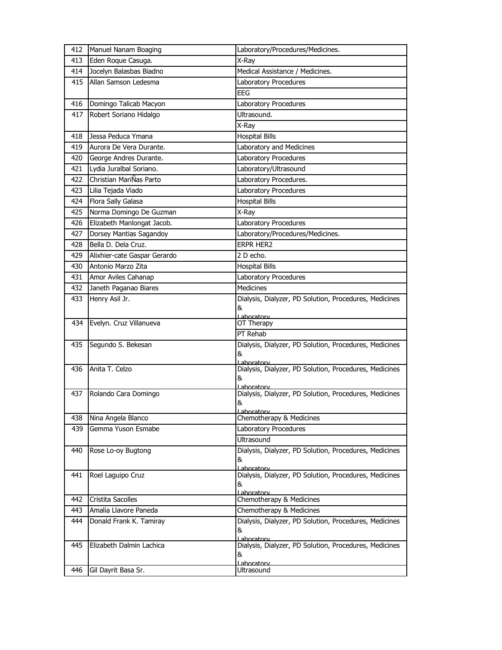| 412 | Manuel Nanam Boaging         | Laboratory/Procedures/Medicines.                                     |
|-----|------------------------------|----------------------------------------------------------------------|
| 413 | Eden Roque Casuga.           | X-Ray                                                                |
| 414 | Jocelyn Balasbas Biadno      | Medical Assistance / Medicines.                                      |
| 415 | Allan Samson Ledesma         | Laboratory Procedures                                                |
|     |                              | <b>EEG</b>                                                           |
| 416 | Domingo Talicab Macyon       | Laboratory Procedures                                                |
| 417 | Robert Soriano Hidalgo       | Ultrasound.                                                          |
|     |                              | X-Ray                                                                |
| 418 | Jessa Peduca Ymana           | <b>Hospital Bills</b>                                                |
| 419 | Aurora De Vera Durante.      | Laboratory and Medicines                                             |
| 420 | George Andres Durante.       | Laboratory Procedures                                                |
| 421 | Lydia Juralbal Soriano.      | Laboratory/Ultrasound                                                |
| 422 | Christian MariÑas Parto      | Laboratory Procedures.                                               |
| 423 | Lilia Tejada Viado           | Laboratory Procedures                                                |
| 424 | Flora Sally Galasa           | <b>Hospital Bills</b>                                                |
| 425 | Norma Domingo De Guzman      | X-Ray                                                                |
| 426 | Elizabeth Manlongat Jacob.   | Laboratory Procedures                                                |
| 427 | Dorsey Mantias Sagandoy      | Laboratory/Procedures/Medicines.                                     |
| 428 | Bella D. Dela Cruz.          | <b>ERPR HER2</b>                                                     |
| 429 | Alixhier-cate Gaspar Gerardo | 2 D echo.                                                            |
| 430 | Antonio Marzo Zita           | <b>Hospital Bills</b>                                                |
| 431 | Amor Aviles Cahanap          | Laboratory Procedures                                                |
| 432 | Janeth Paganao Biares        | <b>Medicines</b>                                                     |
| 433 | Henry Asil Jr.               | Dialysis, Dialyzer, PD Solution, Procedures, Medicines               |
|     |                              | &                                                                    |
| 434 | Evelyn. Cruz Villanueva      | Laboratory<br>OT Therapy                                             |
|     |                              | PT Rehab                                                             |
| 435 | Segundo S. Bekesan           | Dialysis, Dialyzer, PD Solution, Procedures, Medicines               |
|     |                              | &                                                                    |
| 436 | Anita T. Celzo               | Lahoratory                                                           |
|     |                              |                                                                      |
|     |                              | Dialysis, Dialyzer, PD Solution, Procedures, Medicines<br>&          |
|     |                              | Lahoratory                                                           |
| 437 | Rolando Cara Domingo         | Dialysis, Dialyzer, PD Solution, Procedures, Medicines               |
|     |                              | &<br>Laboratory                                                      |
| 438 | Nina Angela Blanco           | Chemotherapy & Medicines                                             |
| 439 | Gemma Yuson Esmabe           | Laboratory Procedures                                                |
|     |                              | Ultrasound                                                           |
| 440 | Rose Lo-oy Bugtong           | Dialysis, Dialyzer, PD Solution, Procedures, Medicines               |
|     |                              | &                                                                    |
| 441 | Roel Laquipo Cruz            | Laboratory<br>Dialysis, Dialyzer, PD Solution, Procedures, Medicines |
|     |                              | &                                                                    |
|     |                              | Laboratory                                                           |
| 442 | Cristita Sacolles            | Chemotherapy & Medicines                                             |
| 443 | Amalia Llavore Paneda        | Chemotherapy & Medicines                                             |
| 444 | Donald Frank K. Tamiray      | Dialysis, Dialyzer, PD Solution, Procedures, Medicines<br>&          |
|     |                              | Laboratory                                                           |
| 445 | Elizabeth Dalmin Lachica     | Dialysis, Dialyzer, PD Solution, Procedures, Medicines               |
| 446 | Gil Dayrit Basa Sr.          | &<br>Laboratorv<br>Ultrasound                                        |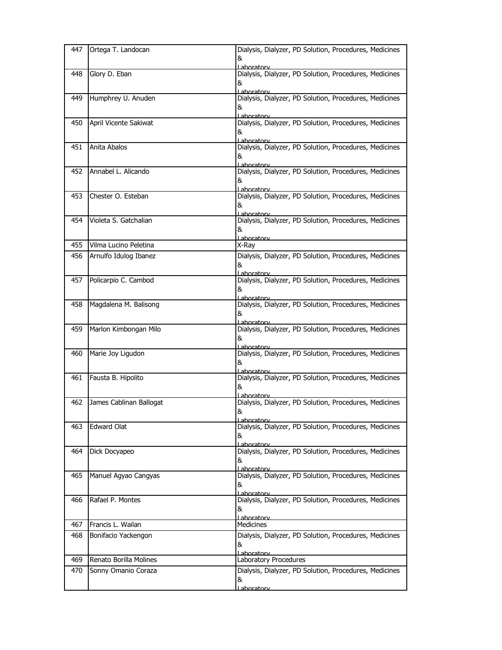| 447 | Ortega T. Landocan      | Dialysis, Dialyzer, PD Solution, Procedures, Medicines<br>&                             |
|-----|-------------------------|-----------------------------------------------------------------------------------------|
| 448 | Glory D. Eban           | Lahoratory<br>Dialysis, Dialyzer, PD Solution, Procedures, Medicines<br>&<br>Laboratory |
| 449 | Humphrey U. Anuden      | Dialysis, Dialyzer, PD Solution, Procedures, Medicines<br>&<br>Laboratory               |
| 450 | April Vicente Sakiwat   | Dialysis, Dialyzer, PD Solution, Procedures, Medicines<br>&<br>Laboratory               |
| 451 | Anita Abalos            | Dialysis, Dialyzer, PD Solution, Procedures, Medicines<br>&<br>Laboratory               |
| 452 | Annabel L. Alicando     | Dialysis, Dialyzer, PD Solution, Procedures, Medicines<br>&<br>Laboratory               |
| 453 | Chester O. Esteban      | Dialysis, Dialyzer, PD Solution, Procedures, Medicines<br>&<br>Lahoratory               |
| 454 | Violeta S. Gatchalian   | Dialysis, Dialyzer, PD Solution, Procedures, Medicines<br>&                             |
| 455 | Vilma Lucino Peletina   | Laboratory<br>X-Ray                                                                     |
| 456 | Arnulfo Idulog Ibanez   | Dialysis, Dialyzer, PD Solution, Procedures, Medicines<br>&<br>Laboratory               |
| 457 | Policarpio C. Cambod    | Dialysis, Dialyzer, PD Solution, Procedures, Medicines<br>&<br>Laboratory               |
| 458 | Magdalena M. Balisong   | Dialysis, Dialyzer, PD Solution, Procedures, Medicines<br>&<br>Laboratory               |
| 459 | Marlon Kimbongan Milo   | Dialysis, Dialyzer, PD Solution, Procedures, Medicines<br>&<br><u>Laboratorv</u>        |
| 460 | Marie Joy Ligudon       | Dialysis, Dialyzer, PD Solution, Procedures, Medicines<br>&<br>Laboratorv               |
| 461 | Fausta B. Hipolito      | Dialysis, Dialyzer, PD Solution, Procedures, Medicines<br>&<br>Laboratory               |
| 462 | James Cablinan Ballogat | Dialysis, Dialyzer, PD Solution, Procedures, Medicines<br>8<br>Laboratory               |
| 463 | <b>Edward Olat</b>      | Dialysis, Dialyzer, PD Solution, Procedures, Medicines<br>&<br><u>Laboratory</u>        |
| 464 | Dick Docyapeo           | Dialysis, Dialyzer, PD Solution, Procedures, Medicines<br>&<br>Laboratory               |
| 465 | Manuel Agyao Cangyas    | Dialysis, Dialyzer, PD Solution, Procedures, Medicines<br>&<br>Laboratorv               |
| 466 | Rafael P. Montes        | Dialysis, Dialyzer, PD Solution, Procedures, Medicines<br>&<br><u>l aboratorv</u>       |
| 467 | Francis L. Wailan       | <b>Medicines</b>                                                                        |
| 468 | Bonifacio Yackengon     | Dialysis, Dialyzer, PD Solution, Procedures, Medicines<br>&<br>Laboratory               |
| 469 | Renato Borilla Molines  | Laboratory Procedures                                                                   |
| 470 | Sonny Omanio Coraza     | Dialysis, Dialyzer, PD Solution, Procedures, Medicines<br>&<br><u>Laboratory</u>        |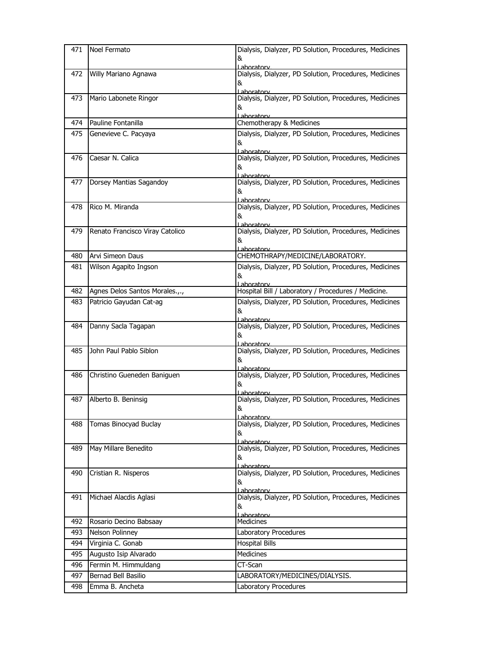| 471 | Noel Fermato                    | Dialysis, Dialyzer, PD Solution, Procedures, Medicines<br>&                             |
|-----|---------------------------------|-----------------------------------------------------------------------------------------|
| 472 | Willy Mariano Agnawa            | Lahoratory<br>Dialysis, Dialyzer, PD Solution, Procedures, Medicines<br>&<br>Laboratory |
| 473 | Mario Labonete Ringor           | Dialysis, Dialyzer, PD Solution, Procedures, Medicines<br>&<br>ahoratory                |
| 474 | Pauline Fontanilla              | Chemotherapy & Medicines                                                                |
| 475 | Genevieve C. Pacyaya            | Dialysis, Dialyzer, PD Solution, Procedures, Medicines<br>&<br>Laboratory               |
| 476 | Caesar N. Calica                | Dialysis, Dialyzer, PD Solution, Procedures, Medicines<br>&<br>Lahoratory               |
| 477 | Dorsey Mantias Sagandoy         | Dialysis, Dialyzer, PD Solution, Procedures, Medicines<br>&<br>Laboratory               |
| 478 | Rico M. Miranda                 | Dialysis, Dialyzer, PD Solution, Procedures, Medicines<br>&<br>Laboratory               |
| 479 | Renato Francisco Viray Catolico | Dialysis, Dialyzer, PD Solution, Procedures, Medicines<br>&<br>Laboratorv               |
| 480 | Arvi Simeon Daus                | CHEMOTHRAPY/MEDICINE/LABORATORY.                                                        |
| 481 | Wilson Agapito Ingson           | Dialysis, Dialyzer, PD Solution, Procedures, Medicines<br>&<br>Laboratory               |
| 482 | Agnes Delos Santos Morales.,.,  | Hospital Bill / Laboratory / Procedures / Medicine.                                     |
| 483 | Patricio Gayudan Cat-ag         | Dialysis, Dialyzer, PD Solution, Procedures, Medicines<br>&<br>Laboratory               |
| 484 | Danny Sacla Tagapan             | Dialysis, Dialyzer, PD Solution, Procedures, Medicines<br>&<br>Laboratory               |
| 485 | John Paul Pablo Siblon          | Dialysis, Dialyzer, PD Solution, Procedures, Medicines<br>&<br>Lahoratory               |
| 486 | Christino Gueneden Baniguen     | Dialysis, Dialyzer, PD Solution, Procedures, Medicines<br>&<br>Lahoratory               |
| 487 | Alberto B. Beninsig             | Dialysis, Dialyzer, PD Solution, Procedures, Medicines<br>&<br>Laboratory               |
| 488 | Tomas Binocyad Buclay           | Dialysis, Dialyzer, PD Solution, Procedures, Medicines<br>&<br>Lahoratory               |
| 489 | May Millare Benedito            | Dialysis, Dialyzer, PD Solution, Procedures, Medicines<br>&<br>Laboratory               |
| 490 | Cristian R. Nisperos            | Dialysis, Dialyzer, PD Solution, Procedures, Medicines<br>&<br>Laboratory               |
| 491 | Michael Alacdis Aglasi          | Dialysis, Dialyzer, PD Solution, Procedures, Medicines<br>&<br>Laboratorv               |
| 492 | Rosario Decino Babsaay          | Medicines                                                                               |
| 493 | Nelson Polinney                 | Laboratory Procedures                                                                   |
| 494 | Virginia C. Gonab               | <b>Hospital Bills</b>                                                                   |
| 495 | Augusto Isip Alvarado           | Medicines                                                                               |
| 496 | Fermin M. Himmuldang            | CT-Scan                                                                                 |
| 497 | Bernad Bell Basilio             | LABORATORY/MEDICINES/DIALYSIS.                                                          |
| 498 | Emma B. Ancheta                 | Laboratory Procedures                                                                   |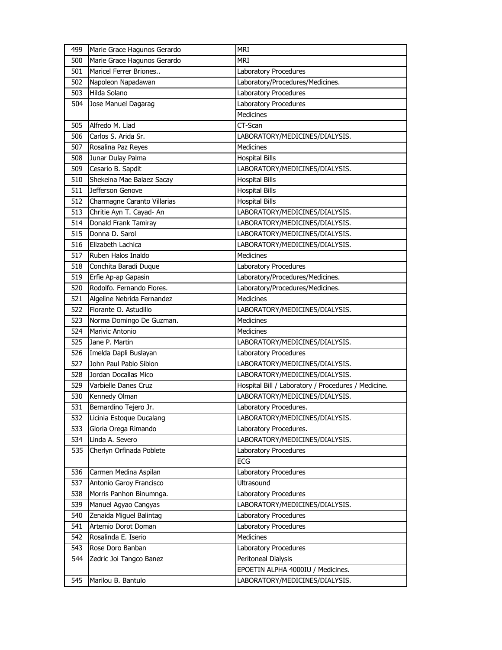| 499 | Marie Grace Hagunos Gerardo | <b>MRI</b>                                          |
|-----|-----------------------------|-----------------------------------------------------|
| 500 | Marie Grace Hagunos Gerardo | <b>MRI</b>                                          |
| 501 | Maricel Ferrer Briones      | Laboratory Procedures                               |
| 502 | Napoleon Napadawan          | Laboratory/Procedures/Medicines.                    |
| 503 | Hilda Solano                | <b>Laboratory Procedures</b>                        |
| 504 | Jose Manuel Dagarag         | Laboratory Procedures                               |
|     |                             | <b>Medicines</b>                                    |
| 505 | Alfredo M. Liad             | CT-Scan                                             |
| 506 | Carlos S. Arida Sr.         | LABORATORY/MEDICINES/DIALYSIS.                      |
| 507 | Rosalina Paz Reyes          | Medicines                                           |
| 508 | Junar Dulay Palma           | <b>Hospital Bills</b>                               |
| 509 | Cesario B. Sapdit           | LABORATORY/MEDICINES/DIALYSIS.                      |
| 510 | Shekeina Mae Balaez Sacay   | <b>Hospital Bills</b>                               |
| 511 | Jefferson Genove            | <b>Hospital Bills</b>                               |
| 512 | Charmagne Caranto Villarias | <b>Hospital Bills</b>                               |
| 513 | Chritie Ayn T. Cayad- An    | LABORATORY/MEDICINES/DIALYSIS.                      |
| 514 | Donald Frank Tamiray        | LABORATORY/MEDICINES/DIALYSIS.                      |
| 515 | Donna D. Sarol              | LABORATORY/MEDICINES/DIALYSIS.                      |
| 516 | Elizabeth Lachica           | LABORATORY/MEDICINES/DIALYSIS.                      |
| 517 | Ruben Halos Inaldo          | Medicines                                           |
| 518 | Conchita Baradi Duque       | Laboratory Procedures                               |
| 519 | Erfie Ap-ap Gapasin         | Laboratory/Procedures/Medicines.                    |
| 520 | Rodolfo. Fernando Flores.   | Laboratory/Procedures/Medicines.                    |
| 521 | Algeline Nebrida Fernandez  | <b>Medicines</b>                                    |
| 522 | Florante O. Astudillo       | LABORATORY/MEDICINES/DIALYSIS.                      |
|     |                             |                                                     |
| 523 | Norma Domingo De Guzman.    | <b>Medicines</b>                                    |
| 524 | Marivic Antonio             | <b>Medicines</b>                                    |
| 525 | Jane P. Martin              | LABORATORY/MEDICINES/DIALYSIS.                      |
| 526 | Imelda Dapli Buslayan       | Laboratory Procedures                               |
| 527 | John Paul Pablo Siblon      | LABORATORY/MEDICINES/DIALYSIS.                      |
| 528 | Jordan Docallas Mico        | LABORATORY/MEDICINES/DIALYSIS.                      |
| 529 | Varbielle Danes Cruz        | Hospital Bill / Laboratory / Procedures / Medicine. |
| 530 | Kennedy Olman               | LABORATORY/MEDICINES/DIALYSIS.                      |
| 531 | Bernardino Tejero Jr.       | Laboratory Procedures.                              |
| 532 | Licinia Estoque Ducalang    | LABORATORY/MEDICINES/DIALYSIS.                      |
| 533 | Gloria Orega Rimando        | Laboratory Procedures.                              |
| 534 | Linda A. Severo             | LABORATORY/MEDICINES/DIALYSIS.                      |
| 535 | Cherlyn Orfinada Poblete    | Laboratory Procedures                               |
|     |                             | ECG                                                 |
| 536 | Carmen Medina Aspilan       | Laboratory Procedures                               |
| 537 | Antonio Garoy Francisco     | Ultrasound                                          |
| 538 | Morris Panhon Binumnga.     | Laboratory Procedures                               |
| 539 | Manuel Agyao Cangyas        | LABORATORY/MEDICINES/DIALYSIS.                      |
| 540 | Zenaida Miguel Balintag     | Laboratory Procedures                               |
| 541 | Artemio Dorot Doman         | Laboratory Procedures                               |
| 542 | Rosalinda E. Iserio         | Medicines                                           |
| 543 | Rose Doro Banban            | Laboratory Procedures                               |
| 544 | Zedric Joi Tangco Banez     | Peritoneal Dialysis                                 |
|     |                             | EPOETIN ALPHA 4000IU / Medicines.                   |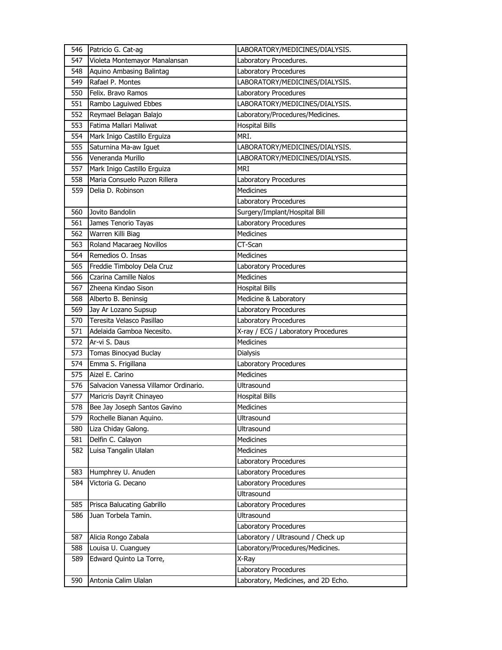| 546 | Patricio G. Cat-ag                    | LABORATORY/MEDICINES/DIALYSIS.                               |
|-----|---------------------------------------|--------------------------------------------------------------|
| 547 | Violeta Montemayor Manalansan         | Laboratory Procedures.                                       |
| 548 | Aquino Ambasing Balintag              | Laboratory Procedures                                        |
| 549 | Rafael P. Montes                      | LABORATORY/MEDICINES/DIALYSIS.                               |
| 550 | Felix. Bravo Ramos                    | Laboratory Procedures                                        |
| 551 | Rambo Laguiwed Ebbes                  | LABORATORY/MEDICINES/DIALYSIS.                               |
| 552 | Reymael Belagan Balajo                | Laboratory/Procedures/Medicines.                             |
| 553 | Fatima Mallari Maliwat                | <b>Hospital Bills</b>                                        |
| 554 | Mark Inigo Castillo Erguiza           | MRI.                                                         |
| 555 | Saturnina Ma-aw Iguet                 | LABORATORY/MEDICINES/DIALYSIS.                               |
| 556 | Veneranda Murillo                     | LABORATORY/MEDICINES/DIALYSIS.                               |
| 557 | Mark Inigo Castillo Erguiza           | <b>MRI</b>                                                   |
| 558 | Maria Consuelo Puzon Rillera          | Laboratory Procedures                                        |
| 559 | Delia D. Robinson                     | <b>Medicines</b>                                             |
|     |                                       | Laboratory Procedures                                        |
| 560 | Jovito Bandolin                       | Surgery/Implant/Hospital Bill                                |
| 561 | James Tenorio Tayas                   | Laboratory Procedures                                        |
| 562 | Warren Killi Biag                     | Medicines                                                    |
| 563 | Roland Macaraeg Novillos              | CT-Scan                                                      |
| 564 | Remedios O. Insas                     | <b>Medicines</b>                                             |
| 565 | Freddie Timboloy Dela Cruz            | Laboratory Procedures                                        |
| 566 | Czarina Camille Nalos                 | <b>Medicines</b>                                             |
| 567 | Zheena Kindao Sison                   | <b>Hospital Bills</b>                                        |
| 568 | Alberto B. Beninsig                   | Medicine & Laboratory                                        |
| 569 | Jay Ar Lozano Supsup                  | Laboratory Procedures                                        |
|     |                                       |                                                              |
| 570 | Teresita Velasco Pasillao             | Laboratory Procedures                                        |
| 571 | Adelaida Gamboa Necesito.             | X-ray / ECG / Laboratory Procedures                          |
| 572 | Ar-vi S. Daus                         | Medicines                                                    |
| 573 | Tomas Binocyad Buclay                 | <b>Dialysis</b>                                              |
| 574 | Emma S. Frigillana                    | Laboratory Procedures                                        |
| 575 | Aizel E. Carino                       | Medicines                                                    |
| 576 | Salvacion Vanessa Villamor Ordinario. | <b>Ultrasound</b>                                            |
| 577 | Maricris Dayrit Chinayeo              | <b>Hospital Bills</b>                                        |
| 578 | Bee Jay Joseph Santos Gavino          | Medicines                                                    |
| 579 | Rochelle Bianan Aquino.               | Ultrasound                                                   |
| 580 | Liza Chiday Galong.                   | Ultrasound                                                   |
| 581 | Delfin C. Calayon                     | Medicines                                                    |
| 582 | Luisa Tangalin Ulalan                 | Medicines                                                    |
|     |                                       | Laboratory Procedures                                        |
| 583 | Humphrey U. Anuden                    | Laboratory Procedures                                        |
| 584 | Victoria G. Decano                    | Laboratory Procedures                                        |
|     |                                       | Ultrasound                                                   |
| 585 | Prisca Balucating Gabrillo            | Laboratory Procedures                                        |
| 586 | Juan Torbela Tamin.                   | Ultrasound                                                   |
|     |                                       | Laboratory Procedures                                        |
| 587 | Alicia Rongo Zabala                   | Laboratory / Ultrasound / Check up                           |
| 588 | Louisa U. Cuanguey                    | Laboratory/Procedures/Medicines.                             |
| 589 | Edward Quinto La Torre,               | X-Ray                                                        |
| 590 | Antonia Calim Ulalan                  | Laboratory Procedures<br>Laboratory, Medicines, and 2D Echo. |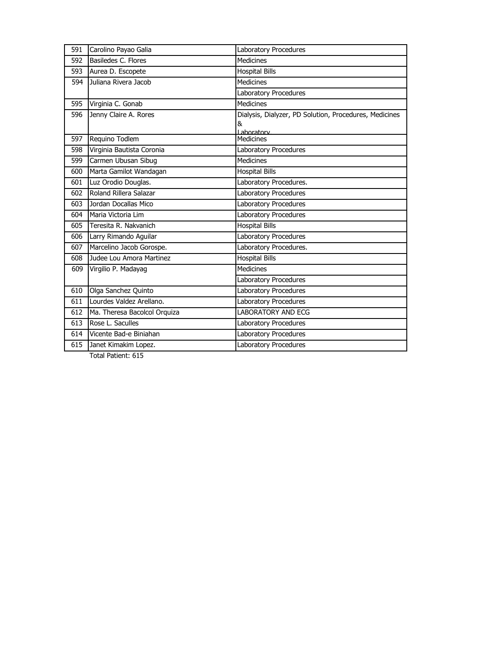| 591 | Carolino Payao Galia         | Laboratory Procedures                                  |
|-----|------------------------------|--------------------------------------------------------|
| 592 | Basiledes C. Flores          | <b>Medicines</b>                                       |
| 593 | Aurea D. Escopete            | <b>Hospital Bills</b>                                  |
| 594 | Juliana Rivera Jacob         | <b>Medicines</b>                                       |
|     |                              | Laboratory Procedures                                  |
| 595 | Virginia C. Gonab            | <b>Medicines</b>                                       |
| 596 | Jenny Claire A. Rores        | Dialysis, Dialyzer, PD Solution, Procedures, Medicines |
|     |                              | &<br>Laboratory                                        |
| 597 | Requino Todlem               | <b>Medicines</b>                                       |
| 598 | Virginia Bautista Coronia    | Laboratory Procedures                                  |
| 599 | Carmen Ubusan Sibug          | <b>Medicines</b>                                       |
| 600 | Marta Gamilot Wandagan       | <b>Hospital Bills</b>                                  |
| 601 | Luz Orodio Douglas.          | Laboratory Procedures.                                 |
| 602 | Roland Rillera Salazar       | Laboratory Procedures                                  |
| 603 | Jordan Docallas Mico         | Laboratory Procedures                                  |
| 604 | Maria Victoria Lim           | Laboratory Procedures                                  |
| 605 | Teresita R. Nakvanich        | <b>Hospital Bills</b>                                  |
| 606 | Larry Rimando Aguilar        | Laboratory Procedures                                  |
| 607 | Marcelino Jacob Gorospe.     | Laboratory Procedures.                                 |
| 608 | Judee Lou Amora Martinez     | <b>Hospital Bills</b>                                  |
| 609 | Virgilio P. Madayag          | <b>Medicines</b>                                       |
|     |                              | Laboratory Procedures                                  |
| 610 | Olga Sanchez Quinto          | Laboratory Procedures                                  |
| 611 | Lourdes Valdez Arellano.     | Laboratory Procedures                                  |
| 612 | Ma. Theresa Bacolcol Orquiza | <b>LABORATORY AND ECG</b>                              |
| 613 | Rose L. Saculles             | Laboratory Procedures                                  |
| 614 | Vicente Bad-e Biniahan       | Laboratory Procedures                                  |
| 615 | Janet Kimakim Lopez.         | Laboratory Procedures                                  |

Total Patient: 615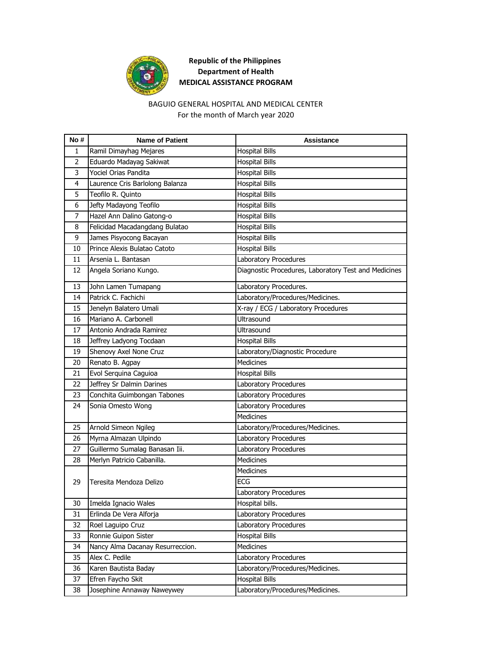

# **Republic of the Philippines Department of Health MEDICAL ASSISTANCE PROGRAM**

#### BAGUIO GENERAL HOSPITAL AND MEDICAL CENTER For the month of March year 2020

| No#            | <b>Name of Patient</b>           | Assistance                                           |
|----------------|----------------------------------|------------------------------------------------------|
| 1              | Ramil Dimayhag Mejares           | <b>Hospital Bills</b>                                |
| $\overline{2}$ | Eduardo Madayag Sakiwat          | <b>Hospital Bills</b>                                |
| 3              | Yociel Orias Pandita             | <b>Hospital Bills</b>                                |
| $\overline{4}$ | Laurence Cris Barlolong Balanza  | <b>Hospital Bills</b>                                |
| 5              | Teofilo R. Quinto                | <b>Hospital Bills</b>                                |
| 6              | Jefty Madayong Teofilo           | <b>Hospital Bills</b>                                |
| $\overline{7}$ | Hazel Ann Dalino Gatong-o        | <b>Hospital Bills</b>                                |
| 8              | Felicidad Macadangdang Bulatao   | <b>Hospital Bills</b>                                |
| 9              | James Pisyocong Bacayan          | <b>Hospital Bills</b>                                |
| 10             | Prince Alexis Bulatao Catoto     | <b>Hospital Bills</b>                                |
| 11             | Arsenia L. Bantasan              | Laboratory Procedures                                |
| 12             | Angela Soriano Kungo.            | Diagnostic Procedures, Laboratory Test and Medicines |
| 13             | John Lamen Tumapang              | Laboratory Procedures.                               |
| 14             | Patrick C. Fachichi              | Laboratory/Procedures/Medicines.                     |
| 15             | Jenelyn Balatero Umali           | X-ray / ECG / Laboratory Procedures                  |
| 16             | Mariano A. Carbonell             | Ultrasound                                           |
| 17             | Antonio Andrada Ramirez          | Ultrasound                                           |
| 18             | Jeffrey Ladyong Tocdaan          | <b>Hospital Bills</b>                                |
| 19             | Shenovy Axel None Cruz           | Laboratory/Diagnostic Procedure                      |
| 20             | Renato B. Agpay                  | Medicines                                            |
| 21             | Evol Serquina Caguioa            | <b>Hospital Bills</b>                                |
| 22             | Jeffrey Sr Dalmin Darines        | Laboratory Procedures                                |
| 23             | Conchita Guimbongan Tabones      | Laboratory Procedures                                |
| 24             | Sonia Omesto Wong                | Laboratory Procedures                                |
|                |                                  | Medicines                                            |
| 25             | Arnold Simeon Ngileg             | Laboratory/Procedures/Medicines.                     |
| 26             | Myrna Almazan Ulpindo            | Laboratory Procedures                                |
| 27             | Guillermo Sumalag Banasan Iii.   | Laboratory Procedures                                |
| 28             | Merlyn Patricio Cabanilla.       | <b>Medicines</b>                                     |
|                |                                  | Medicines                                            |
| 29             | Teresita Mendoza Delizo          | <b>ECG</b>                                           |
|                |                                  | Laboratory Procedures                                |
|                | 30 Imelda Ignacio Wales          | Hospital bills.                                      |
| 31             | Erlinda De Vera Alforja          | Laboratory Procedures                                |
| 32             | Roel Laguipo Cruz                | Laboratory Procedures                                |
| 33             | Ronnie Guipon Sister             | <b>Hospital Bills</b>                                |
| 34             | Nancy Alma Dacanay Resurreccion. | Medicines                                            |
| 35             | Alex C. Pedile                   | Laboratory Procedures                                |
| 36             | Karen Bautista Baday             | Laboratory/Procedures/Medicines.                     |
| 37             | Efren Faycho Skit                | <b>Hospital Bills</b>                                |
| 38             | Josephine Annaway Naweywey       | Laboratory/Procedures/Medicines.                     |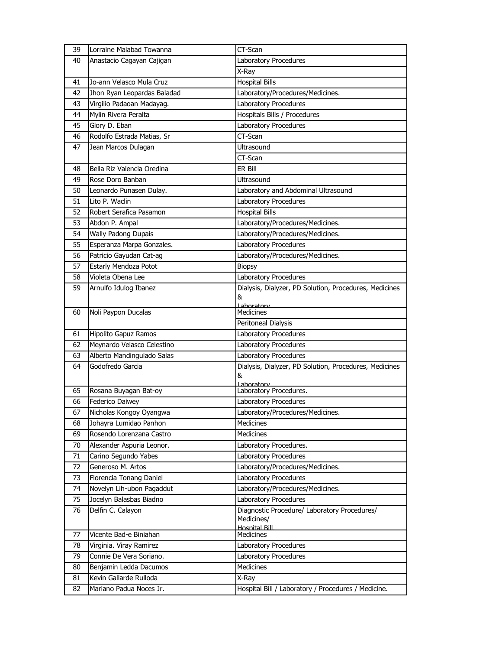| 39 | Lorraine Malabad Towanna    | CT-Scan                                                |
|----|-----------------------------|--------------------------------------------------------|
| 40 | Anastacio Cagayan Cajigan   | Laboratory Procedures                                  |
|    |                             | X-Ray                                                  |
| 41 | Jo-ann Velasco Mula Cruz    | <b>Hospital Bills</b>                                  |
| 42 | Jhon Ryan Leopardas Baladad | Laboratory/Procedures/Medicines.                       |
| 43 | Virgilio Padaoan Madayag.   | Laboratory Procedures                                  |
| 44 | Mylin Rivera Peralta        | Hospitals Bills / Procedures                           |
| 45 | Glory D. Eban               | Laboratory Procedures                                  |
| 46 | Rodolfo Estrada Matias, Sr  | CT-Scan                                                |
| 47 | Jean Marcos Dulagan         | <b>Ultrasound</b>                                      |
|    |                             | CT-Scan                                                |
| 48 | Bella Riz Valencia Oredina  | ER Bill                                                |
| 49 | Rose Doro Banban            | <b>Ultrasound</b>                                      |
| 50 | Leonardo Punasen Dulay.     | Laboratory and Abdominal Ultrasound                    |
| 51 | Lito P. Waclin              | Laboratory Procedures                                  |
| 52 | Robert Serafica Pasamon     | <b>Hospital Bills</b>                                  |
| 53 | Abdon P. Ampal              | Laboratory/Procedures/Medicines.                       |
| 54 | Wally Padong Dupais         | Laboratory/Procedures/Medicines.                       |
| 55 | Esperanza Marpa Gonzales.   | Laboratory Procedures                                  |
| 56 | Patricio Gayudan Cat-ag     | Laboratory/Procedures/Medicines.                       |
| 57 | Estarly Mendoza Potot       | <b>Biopsy</b>                                          |
| 58 | Violeta Obena Lee           | Laboratory Procedures                                  |
| 59 | Arnulfo Idulog Ibanez       | Dialysis, Dialyzer, PD Solution, Procedures, Medicines |
|    |                             | &                                                      |
| 60 | Noli Paypon Ducalas         | Laboratory<br>Medicines                                |
|    |                             | Peritoneal Dialysis                                    |
| 61 | Hipolito Gapuz Ramos        | Laboratory Procedures                                  |
| 62 | Meynardo Velasco Celestino  | Laboratory Procedures                                  |
| 63 | Alberto Mandinguiado Salas  | Laboratory Procedures                                  |
| 64 | Godofredo Garcia            | Dialysis, Dialyzer, PD Solution, Procedures, Medicines |
|    |                             | &                                                      |
| 65 | Rosana Buyagan Bat-oy       | I aboratory<br>Laboratory Procedures.                  |
| 66 | Federico Daiwey             | Laboratory Procedures                                  |
| 67 | Nicholas Kongoy Oyangwa     | Laboratory/Procedures/Medicines.                       |
| 68 | Johayra Lumidao Panhon      | <b>Medicines</b>                                       |
| 69 | Rosendo Lorenzana Castro    | Medicines                                              |
| 70 | Alexander Aspuria Leonor.   | Laboratory Procedures.                                 |
| 71 | Carino Segundo Yabes        | Laboratory Procedures                                  |
| 72 | Generoso M. Artos           | Laboratory/Procedures/Medicines.                       |
| 73 | Florencia Tonang Daniel     | Laboratory Procedures                                  |
| 74 | Novelyn Lih-ubon Pagaddut   | Laboratory/Procedures/Medicines.                       |
| 75 | Jocelyn Balasbas Biadno     | Laboratory Procedures                                  |
| 76 | Delfin C. Calayon           | Diagnostic Procedure/ Laboratory Procedures/           |
|    |                             | Medicines/<br><b>Hospital Rill</b>                     |
| 77 | Vicente Bad-e Biniahan      | <b>Medicines</b>                                       |
| 78 | Virginia. Viray Ramirez     | Laboratory Procedures                                  |
| 79 | Connie De Vera Soriano.     | Laboratory Procedures                                  |
| 80 | Benjamin Ledda Dacumos      | Medicines                                              |
| 81 | Kevin Gallarde Rulloda      | X-Ray                                                  |
| 82 | Mariano Padua Noces Jr.     | Hospital Bill / Laboratory / Procedures / Medicine.    |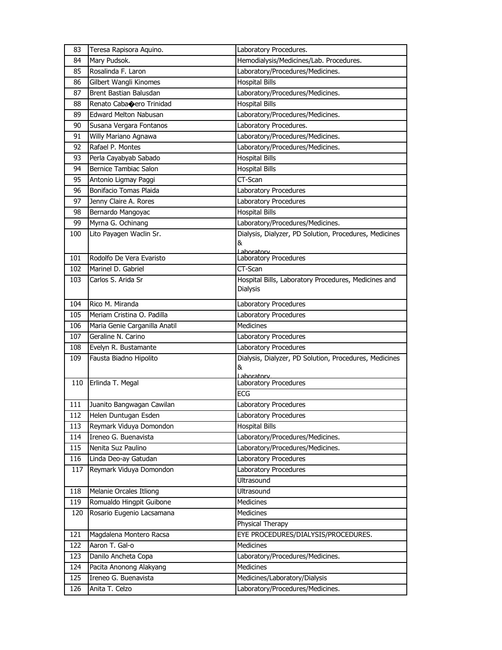| 83  | Teresa Rapisora Aquino.       | Laboratory Procedures.                                           |
|-----|-------------------------------|------------------------------------------------------------------|
| 84  | Mary Pudsok.                  | Hemodialysis/Medicines/Lab. Procedures.                          |
| 85  | Rosalinda F. Laron            | Laboratory/Procedures/Medicines.                                 |
| 86  | Gilbert Wangli Kinomes        | <b>Hospital Bills</b>                                            |
| 87  | Brent Bastian Balusdan        | Laboratory/Procedures/Medicines.                                 |
| 88  | Renato Cabacero Trinidad      | <b>Hospital Bills</b>                                            |
| 89  | <b>Edward Melton Nabusan</b>  | Laboratory/Procedures/Medicines.                                 |
| 90  | Susana Vergara Fontanos       | Laboratory Procedures.                                           |
| 91  | Willy Mariano Agnawa          | Laboratory/Procedures/Medicines.                                 |
| 92  | Rafael P. Montes              | Laboratory/Procedures/Medicines.                                 |
| 93  | Perla Cayabyab Sabado         | <b>Hospital Bills</b>                                            |
| 94  | Bernice Tambiac Salon         | <b>Hospital Bills</b>                                            |
| 95  | Antonio Ligmay Paggi          | CT-Scan                                                          |
| 96  | Bonifacio Tomas Plaida        | Laboratory Procedures                                            |
| 97  | Jenny Claire A. Rores         | Laboratory Procedures                                            |
| 98  | Bernardo Mangoyac             | <b>Hospital Bills</b>                                            |
| 99  | Myrna G. Ochinang             | Laboratory/Procedures/Medicines.                                 |
| 100 | Lito Payagen Waclin Sr.       | Dialysis, Dialyzer, PD Solution, Procedures, Medicines<br>&      |
|     |                               | Lahoratory                                                       |
| 101 | Rodolfo De Vera Evaristo      | Laboratory Procedures                                            |
| 102 | Marinel D. Gabriel            | CT-Scan                                                          |
| 103 | Carlos S. Arida Sr            | Hospital Bills, Laboratory Procedures, Medicines and<br>Dialysis |
| 104 | Rico M. Miranda               | Laboratory Procedures                                            |
| 105 | Meriam Cristina O. Padilla    | Laboratory Procedures                                            |
| 106 | Maria Genie Carganilla Anatil | Medicines                                                        |
| 107 | Geraline N. Carino            | Laboratory Procedures                                            |
| 108 | Evelyn R. Bustamante          | Laboratory Procedures                                            |
| 109 | Fausta Biadno Hipolito        | Dialysis, Dialyzer, PD Solution, Procedures, Medicines           |
|     |                               | &                                                                |
| 110 | Erlinda T. Megal              | Lahoratory<br>Laboratory Procedures                              |
|     |                               | <b>ECG</b>                                                       |
| 111 | Juanito Bangwagan Cawilan     | Laboratory Procedures                                            |
| 112 | Helen Duntugan Esden          | Laboratory Procedures                                            |
| 113 | Reymark Viduya Domondon       | <b>Hospital Bills</b>                                            |
| 114 | Ireneo G. Buenavista          | Laboratory/Procedures/Medicines.                                 |
| 115 | Nenita Suz Paulino            | Laboratory/Procedures/Medicines.                                 |
| 116 | Linda Deo-ay Gatudan          | Laboratory Procedures                                            |
| 117 | Reymark Viduya Domondon       | Laboratory Procedures                                            |
|     |                               | Ultrasound                                                       |
| 118 | Melanie Orcales Itliong       | Ultrasound                                                       |
| 119 | Romualdo Hingpit Guibone      | Medicines                                                        |
| 120 | Rosario Eugenio Lacsamana     | Medicines                                                        |
|     |                               | Physical Therapy                                                 |
| 121 | Magdalena Montero Racsa       | EYE PROCEDURES/DIALYSIS/PROCEDURES.                              |
| 122 | Aaron T. Gal-o                | Medicines                                                        |
| 123 | Danilo Ancheta Copa           | Laboratory/Procedures/Medicines.                                 |
| 124 | Pacita Anonong Alakyang       | Medicines                                                        |
| 125 | Ireneo G. Buenavista          | Medicines/Laboratory/Dialysis                                    |
| 126 | Anita T. Celzo                | Laboratory/Procedures/Medicines.                                 |
|     |                               |                                                                  |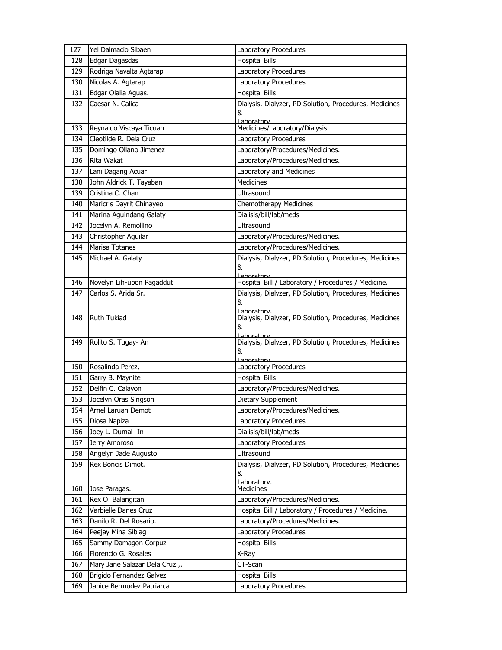| 127 | Yel Dalmacio Sibaen            | Laboratory Procedures                                             |
|-----|--------------------------------|-------------------------------------------------------------------|
| 128 | Edgar Dagasdas                 | <b>Hospital Bills</b>                                             |
| 129 | Rodriga Navalta Agtarap        | Laboratory Procedures                                             |
| 130 | Nicolas A. Agtarap             | Laboratory Procedures                                             |
| 131 | Edgar Olalia Aguas.            | <b>Hospital Bills</b>                                             |
| 132 | Caesar N. Calica               | Dialysis, Dialyzer, PD Solution, Procedures, Medicines            |
|     |                                | &                                                                 |
| 133 | Reynaldo Viscaya Ticuan        | Laboratory<br>Medicines/Laboratory/Dialysis                       |
| 134 | Cleotilde R. Dela Cruz         | Laboratory Procedures                                             |
| 135 | Domingo Ollano Jimenez         | Laboratory/Procedures/Medicines.                                  |
| 136 | Rita Wakat                     | Laboratory/Procedures/Medicines.                                  |
| 137 | Lani Dagang Acuar              | Laboratory and Medicines                                          |
| 138 | John Aldrick T. Tayaban        | <b>Medicines</b>                                                  |
| 139 | Cristina C. Chan               | Ultrasound                                                        |
| 140 | Maricris Dayrit Chinayeo       | Chemotherapy Medicines                                            |
| 141 | Marina Aguindang Galaty        | Dialisis/bill/lab/meds                                            |
| 142 | Jocelyn A. Remollino           | Ultrasound                                                        |
| 143 | Christopher Aguilar            | Laboratory/Procedures/Medicines.                                  |
| 144 | Marisa Totanes                 | Laboratory/Procedures/Medicines.                                  |
| 145 | Michael A. Galaty              | Dialysis, Dialyzer, PD Solution, Procedures, Medicines            |
|     |                                | &                                                                 |
| 146 | Novelyn Lih-ubon Pagaddut      | Laboratory<br>Hospital Bill / Laboratory / Procedures / Medicine. |
| 147 | Carlos S. Arida Sr.            | Dialysis, Dialyzer, PD Solution, Procedures, Medicines            |
|     |                                | &                                                                 |
|     |                                | <u>l aboratorv</u>                                                |
| 148 | Ruth Tukiad                    | Dialysis, Dialyzer, PD Solution, Procedures, Medicines<br>&       |
|     |                                | Laboratory                                                        |
| 149 | Rolito S. Tugay- An            | Dialysis, Dialyzer, PD Solution, Procedures, Medicines            |
|     |                                | &<br>Laboratory                                                   |
| 150 | Rosalinda Perez,               | Laboratory Procedures                                             |
| 151 | Garry B. Maynite               | <b>Hospital Bills</b>                                             |
| 152 | Delfin C. Calayon              | Laboratory/Procedures/Medicines.                                  |
| 153 | Jocelyn Oras Singson           | Dietary Supplement                                                |
| 154 | Arnel Laruan Demot             | Laboratory/Procedures/Medicines.                                  |
| 155 | Diosa Napiza                   | Laboratory Procedures                                             |
| 156 | Joey L. Dumal- In              | Dialisis/bill/lab/meds                                            |
| 157 | Jerry Amoroso                  | Laboratory Procedures                                             |
| 158 | Angelyn Jade Augusto           | Ultrasound                                                        |
| 159 | Rex Boncis Dimot.              | Dialysis, Dialyzer, PD Solution, Procedures, Medicines            |
|     |                                | &                                                                 |
| 160 | Jose Paragas.                  | Laboratory<br><b>Medicines</b>                                    |
| 161 | Rex O. Balangitan              | Laboratory/Procedures/Medicines.                                  |
| 162 | Varbielle Danes Cruz           | Hospital Bill / Laboratory / Procedures / Medicine.               |
| 163 | Danilo R. Del Rosario.         | Laboratory/Procedures/Medicines.                                  |
| 164 | Peejay Mina Siblag             | Laboratory Procedures                                             |
| 165 | Sammy Damagon Corpuz           | <b>Hospital Bills</b>                                             |
| 166 | Florencio G. Rosales           | X-Ray                                                             |
| 167 | Mary Jane Salazar Dela Cruz.,. | CT-Scan                                                           |
| 168 | Brigido Fernandez Galvez       | <b>Hospital Bills</b>                                             |
| 169 | Janice Bermudez Patriarca      | Laboratory Procedures                                             |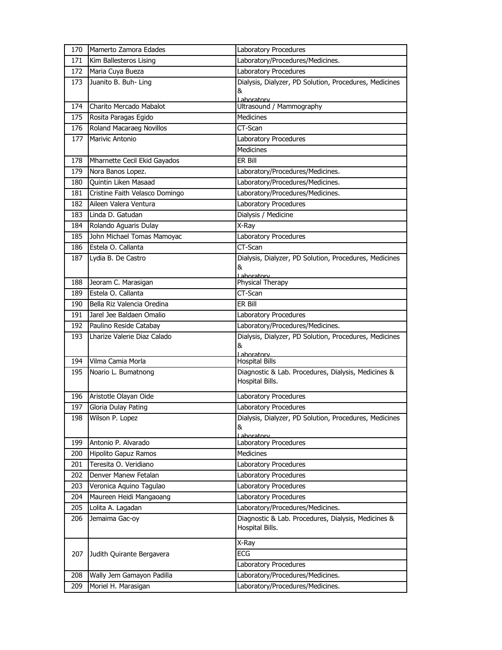| 170        | Mamerto Zamora Edades                         | Laboratory Procedures                                  |
|------------|-----------------------------------------------|--------------------------------------------------------|
| 171        | Kim Ballesteros Lising                        | Laboratory/Procedures/Medicines.                       |
| 172        | Maria Cuya Bueza                              | Laboratory Procedures                                  |
| 173        | Juanito B. Buh- Ling                          | Dialysis, Dialyzer, PD Solution, Procedures, Medicines |
|            |                                               | &                                                      |
| 174        | Charito Mercado Mabalot                       | Laboratory<br>Ultrasound / Mammography                 |
| 175        | Rosita Paragas Egido                          | <b>Medicines</b>                                       |
| 176        | Roland Macaraeg Novillos                      | CT-Scan                                                |
| 177        | Marivic Antonio                               | Laboratory Procedures                                  |
|            |                                               | <b>Medicines</b>                                       |
| 178        | Mharnette Cecil Ekid Gayados                  | ER Bill                                                |
| 179        | Nora Banos Lopez.                             | Laboratory/Procedures/Medicines.                       |
| 180        | Quintin Liken Masaad                          | Laboratory/Procedures/Medicines.                       |
| 181        | Cristine Faith Velasco Domingo                | Laboratory/Procedures/Medicines.                       |
| 182        | Aileen Valera Ventura                         | Laboratory Procedures                                  |
| 183        | Linda D. Gatudan                              | Dialysis / Medicine                                    |
| 184        | Rolando Aguaris Dulay                         | X-Ray                                                  |
| 185        | John Michael Tomas Mamoyac                    | Laboratory Procedures                                  |
| 186        | Estela O. Callanta                            | CT-Scan                                                |
| 187        | Lydia B. De Castro                            | Dialysis, Dialyzer, PD Solution, Procedures, Medicines |
|            |                                               | &                                                      |
| 188        | Jeoram C. Marasigan                           | Laboratory<br>Physical Therapy                         |
| 189        | Estela O. Callanta                            | CT-Scan                                                |
| 190        | Bella Riz Valencia Oredina                    | ER Bill                                                |
| 191        | Jarel Jee Baldaen Omalio                      | Laboratory Procedures                                  |
| 192        | Paulino Reside Catabay                        | Laboratory/Procedures/Medicines.                       |
| 193        | Lharize Valerie Diaz Calado                   | Dialysis, Dialyzer, PD Solution, Procedures, Medicines |
|            |                                               | &                                                      |
| 194        | Vilma Camia Morla                             | Laboratory<br><b>Hospital Bills</b>                    |
| 195        | Noario L. Bumatnong                           | Diagnostic & Lab. Procedures, Dialysis, Medicines &    |
|            |                                               | Hospital Bills.                                        |
| 196        | Aristotle Olayan Oide                         | Laboratory Procedures                                  |
| 197        | Gloria Dulay Pating                           | Laboratory Procedures                                  |
| 198        | Wilson P. Lopez                               | Dialysis, Dialyzer, PD Solution, Procedures, Medicines |
|            |                                               | &                                                      |
|            |                                               | Laboratory                                             |
| 199        | Antonio P. Alvarado                           | Laboratory Procedures                                  |
| 200        | Hipolito Gapuz Ramos<br>Teresita O. Veridiano | Medicines                                              |
| 201        | Denver Manew Fetalan                          | Laboratory Procedures<br>Laboratory Procedures         |
| 202<br>203 | Veronica Aquino Tagulao                       | Laboratory Procedures                                  |
| 204        | Maureen Heidi Mangaoang                       | Laboratory Procedures                                  |
| 205        | Lolita A. Lagadan                             | Laboratory/Procedures/Medicines.                       |
| 206        | Jemaima Gac-oy                                | Diagnostic & Lab. Procedures, Dialysis, Medicines &    |
|            |                                               | Hospital Bills.                                        |
|            |                                               |                                                        |
|            |                                               | X-Ray<br>ECG                                           |
| 207        | Judith Quirante Bergavera                     | Laboratory Procedures                                  |
| 208        | Wally Jem Gamayon Padilla                     | Laboratory/Procedures/Medicines.                       |
| 209        | Moriel H. Marasigan                           | Laboratory/Procedures/Medicines.                       |
|            |                                               |                                                        |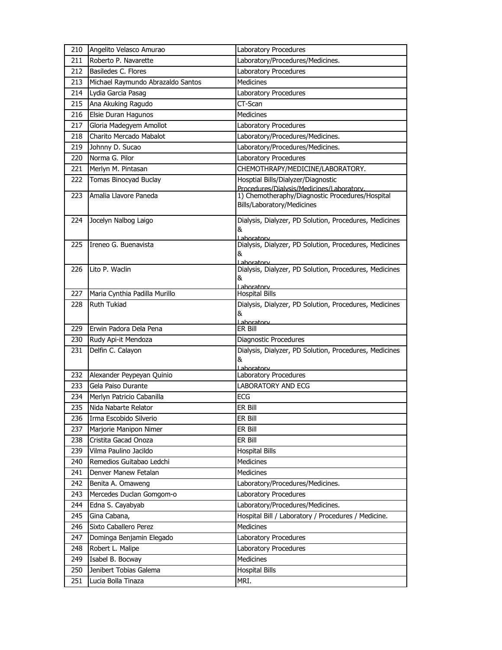| 210 | Angelito Velasco Amurao           | Laboratory Procedures                                                           |
|-----|-----------------------------------|---------------------------------------------------------------------------------|
| 211 | Roberto P. Navarette              | Laboratory/Procedures/Medicines.                                                |
| 212 | Basiledes C. Flores               | Laboratory Procedures                                                           |
| 213 | Michael Raymundo Abrazaldo Santos | <b>Medicines</b>                                                                |
| 214 | Lydia Garcia Pasag                | Laboratory Procedures                                                           |
| 215 | Ana Akuking Ragudo                | CT-Scan                                                                         |
| 216 | Elsie Duran Hagunos               | Medicines                                                                       |
| 217 | Gloria Madegyem Amollot           | Laboratory Procedures                                                           |
| 218 | Charito Mercado Mabalot           | Laboratory/Procedures/Medicines.                                                |
| 219 | Johnny D. Sucao                   | Laboratory/Procedures/Medicines.                                                |
| 220 | Norma G. Pilor                    | Laboratory Procedures                                                           |
| 221 | Merlyn M. Pintasan                | CHEMOTHRAPY/MEDICINE/LABORATORY.                                                |
| 222 | Tomas Binocyad Buclay             | Hosptial Bills/Dialyzer/Diagnostic<br>Procedures/Dialysis/Medicines/Laboratory. |
| 223 | Amalia Llavore Paneda             | 1) Chemotheraphy/Diagnostic Procedures/Hospital<br>Bills/Laboratory/Medicines   |
| 224 | Jocelyn Nalbog Laigo              | Dialysis, Dialyzer, PD Solution, Procedures, Medicines<br>&<br>Laboratory       |
| 225 | Ireneo G. Buenavista              | Dialysis, Dialyzer, PD Solution, Procedures, Medicines<br>&<br>Laboratory       |
| 226 | Lito P. Waclin                    | Dialysis, Dialyzer, PD Solution, Procedures, Medicines<br>&<br>Laboratory       |
| 227 | Maria Cynthia Padilla Murillo     | <b>Hospital Bills</b>                                                           |
| 228 | Ruth Tukiad                       | Dialysis, Dialyzer, PD Solution, Procedures, Medicines<br>&<br>Laboratory       |
| 229 | Erwin Padora Dela Pena            | ER Bill                                                                         |
| 230 | Rudy Api-it Mendoza               | Diagnostic Procedures                                                           |
| 231 | Delfin C. Calayon                 | Dialysis, Dialyzer, PD Solution, Procedures, Medicines<br>&<br>ahoratory        |
| 232 | Alexander Peypeyan Quinio         | Laboratory Procedures                                                           |
| 233 | Gela Paiso Durante                | <b>LABORATORY AND ECG</b>                                                       |
| 234 | Merlyn Patricio Cabanilla         | <b>ECG</b>                                                                      |
| 235 | Nida Nabarte Relator              | ER Bill                                                                         |
| 236 | Irma Escobido Silverio            | ER Bill                                                                         |
| 237 | Marjorie Manipon Nimer            | ER Bill                                                                         |
| 238 | Cristita Gacad Onoza              | ER Bill                                                                         |
| 239 | Vilma Paulino Jacildo             | <b>Hospital Bills</b>                                                           |
| 240 | Remedios Guitabao Ledchi          | Medicines                                                                       |
| 241 | Denver Manew Fetalan              | Medicines                                                                       |
| 242 | Benita A. Omaweng                 | Laboratory/Procedures/Medicines.                                                |
| 243 | Mercedes Duclan Gomgom-o          | Laboratory Procedures                                                           |
| 244 | Edna S. Cayabyab                  | Laboratory/Procedures/Medicines.                                                |
| 245 | Gina Cabana,                      | Hospital Bill / Laboratory / Procedures / Medicine.                             |
| 246 | Sixto Caballero Perez             | Medicines                                                                       |
| 247 | Dominga Benjamin Elegado          | Laboratory Procedures                                                           |
| 248 | Robert L. Malipe                  | Laboratory Procedures                                                           |
| 249 | Isabel B. Bocway                  | <b>Medicines</b>                                                                |
| 250 | Jenibert Tobias Galema            | <b>Hospital Bills</b>                                                           |
| 251 | Lucia Bolla Tinaza                | MRI.                                                                            |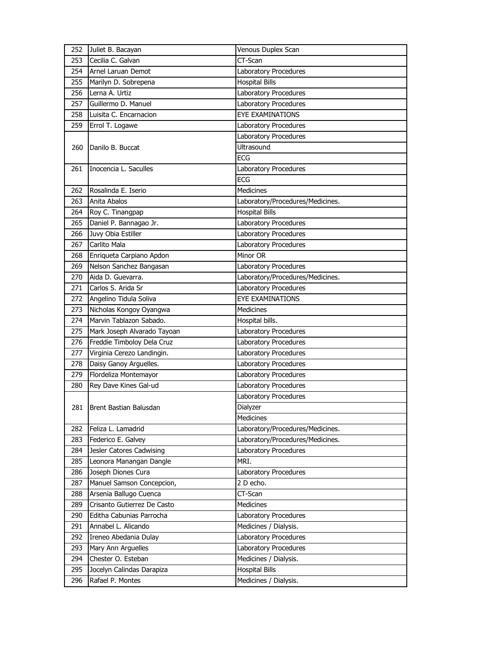| 252        | Juliet B. Bacayan                             | Venous Duplex Scan                             |
|------------|-----------------------------------------------|------------------------------------------------|
| 253        | Cecilia C. Galvan                             | $CT-Scan$                                      |
| 254        | Arnel Laruan Demot                            | Laboratory Procedures                          |
| 255        | Marilyn D. Sobrepena                          | <b>Hospital Bills</b>                          |
| 256        | Lerna A. Urtiz                                | Laboratory Procedures                          |
| 257        | Guillermo D. Manuel                           | Laboratory Procedures                          |
| 258        | Luisita C. Encarnacion                        | <b>EYE EXAMINATIONS</b>                        |
| 259        | Errol T. Logawe                               | Laboratory Procedures                          |
|            |                                               | Laboratory Procedures                          |
| 260        | Danilo B. Buccat                              | Ultrasound                                     |
|            |                                               | <b>ECG</b>                                     |
| 261        | Inocencia L. Saculles                         | Laboratory Procedures                          |
|            |                                               | <b>ECG</b>                                     |
| 262        | Rosalinda E. Iserio                           | <b>Medicines</b>                               |
| 263        | Anita Abalos                                  | Laboratory/Procedures/Medicines.               |
| 264        | Roy C. Tinangpap                              | <b>Hospital Bills</b>                          |
| 265        | Daniel P. Bannagao Jr.                        | Laboratory Procedures                          |
| 266        | Juvy Obia Estiller                            | Laboratory Procedures                          |
| 267        | Carlito Mala                                  | Laboratory Procedures                          |
| 268        | Enriqueta Carpiano Apdon                      | Minor OR                                       |
| 269        | Nelson Sanchez Bangasan                       | Laboratory Procedures                          |
| 270        | Aida D. Guevarra.                             | Laboratory/Procedures/Medicines.               |
| 271        | Carlos S. Arida Sr                            | Laboratory Procedures                          |
| 272        | Angelino Tidula Soliva                        | <b>EYE EXAMINATIONS</b>                        |
| 273        | Nicholas Kongoy Oyangwa                       | <b>Medicines</b>                               |
| 274        | Marvin Tablazon Sabado.                       | Hospital bills.                                |
|            |                                               |                                                |
| 275        | Mark Joseph Alvarado Tayoan                   | Laboratory Procedures                          |
| 276        | Freddie Timboloy Dela Cruz                    | Laboratory Procedures                          |
| 277        | Virginia Cerezo Landingin.                    | Laboratory Procedures                          |
| 278        | Daisy Ganoy Arguelles.                        | Laboratory Procedures                          |
| 279        | Flordeliza Montemayor                         | Laboratory Procedures                          |
| 280        | Rey Dave Kines Gal-ud                         | Laboratory Procedures                          |
|            |                                               | Laboratory Procedures                          |
| 281        | Brent Bastian Balusdan                        | Dialyzer                                       |
|            |                                               | Medicines                                      |
| 282        | Feliza L. Lamadrid                            | Laboratory/Procedures/Medicines.               |
| 283        | Federico E. Galvey                            | Laboratory/Procedures/Medicines.               |
| 284        | Jesler Catores Cadwising                      | Laboratory Procedures                          |
| 285        | Leonora Manangan Dangle                       | MRI.                                           |
| 286        | Joseph Diones Cura                            | Laboratory Procedures                          |
| 287        | Manuel Samson Concepcion,                     | 2 D echo.                                      |
| 288        | Arsenia Ballugo Cuenca                        | CT-Scan                                        |
| 289        | Crisanto Gutierrez De Casto                   | Medicines                                      |
| 290        | Editha Cabunias Parrocha                      | Laboratory Procedures                          |
| 291        | Annabel L. Alicando                           | Medicines / Dialysis.                          |
| 292        | Ireneo Abedania Dulay                         | Laboratory Procedures                          |
| 293        | Mary Ann Arguelles                            | Laboratory Procedures                          |
| 294        | Chester O. Esteban                            | Medicines / Dialysis.                          |
| 295<br>296 | Jocelyn Calindas Darapiza<br>Rafael P. Montes | <b>Hospital Bills</b><br>Medicines / Dialysis. |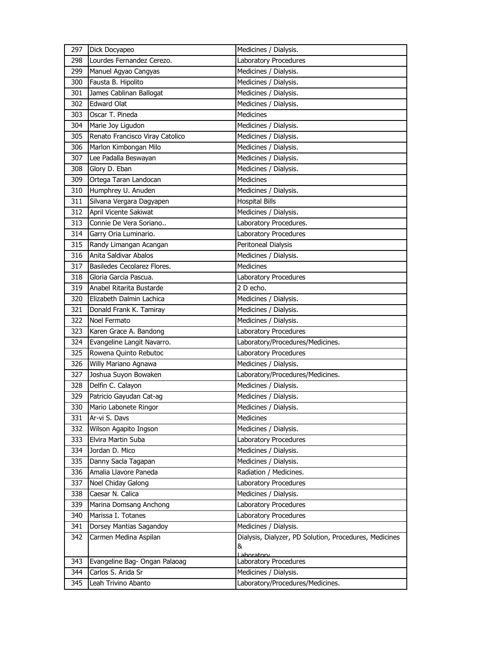| 297 | Dick Docyapeo                   | Medicines / Dialysis.                                  |
|-----|---------------------------------|--------------------------------------------------------|
| 298 | Lourdes Fernandez Cerezo.       | Laboratory Procedures                                  |
| 299 | Manuel Agyao Cangyas            | Medicines / Dialysis.                                  |
| 300 | Fausta B. Hipolito              | Medicines / Dialysis.                                  |
| 301 | James Cablinan Ballogat         | Medicines / Dialysis.                                  |
| 302 | <b>Edward Olat</b>              | Medicines / Dialysis.                                  |
| 303 | Oscar T. Pineda                 | <b>Medicines</b>                                       |
| 304 | Marie Joy Ligudon               | Medicines / Dialysis.                                  |
| 305 | Renato Francisco Viray Catolico | Medicines / Dialysis.                                  |
| 306 | Marlon Kimbongan Milo           | Medicines / Dialysis.                                  |
| 307 | Lee Padalla Beswayan            | Medicines / Dialysis.                                  |
| 308 | Glory D. Eban                   | Medicines / Dialysis.                                  |
| 309 | Ortega Taran Landocan           | Medicines                                              |
| 310 | Humphrey U. Anuden              | Medicines / Dialysis.                                  |
| 311 | Silvana Vergara Dagyapen        | <b>Hospital Bills</b>                                  |
| 312 | April Vicente Sakiwat           | Medicines / Dialysis.                                  |
| 313 | Connie De Vera Soriano          | Laboratory Procedures.                                 |
| 314 | Garry Oria Luminario.           | Laboratory Procedures                                  |
| 315 | Randy Limangan Acangan          | Peritoneal Dialysis                                    |
| 316 | Anita Saldivar Abalos           | Medicines / Dialysis.                                  |
| 317 | Basiledes Cecolarez Flores.     | <b>Medicines</b>                                       |
| 318 | Gloria Garcia Pascua.           | Laboratory Procedures                                  |
| 319 | Anabel Ritarita Bustarde        | 2 D echo.                                              |
| 320 | Elizabeth Dalmin Lachica        | Medicines / Dialysis.                                  |
| 321 | Donald Frank K. Tamiray         | Medicines / Dialysis.                                  |
| 322 | Noel Fermato                    | Medicines / Dialysis.                                  |
| 323 | Karen Grace A. Bandong          | Laboratory Procedures                                  |
| 324 | Evangeline Langit Navarro.      | Laboratory/Procedures/Medicines.                       |
| 325 | Rowena Quinto Rebutoc           | Laboratory Procedures                                  |
| 326 | Willy Mariano Agnawa            | Medicines / Dialysis.                                  |
| 327 | Joshua Suyon Bowaken            | Laboratory/Procedures/Medicines.                       |
| 328 | Delfin C. Calayon               | Medicines / Dialysis.                                  |
| 329 | Patricio Gayudan Cat-ag         | Medicines / Dialysis.                                  |
| 330 | Mario Labonete Ringor           | Medicines / Dialysis.                                  |
| 331 | Ar-vi S. Davs                   | Medicines                                              |
| 332 | Wilson Agapito Ingson           | Medicines / Dialysis.                                  |
| 333 | Elvira Martin Suba              | Laboratory Procedures                                  |
| 334 | Jordan D. Mico                  | Medicines / Dialysis.                                  |
| 335 | Danny Sacla Tagapan             | Medicines / Dialysis.                                  |
| 336 | Amalia Llavore Paneda           | Radiation / Medicines.                                 |
| 337 | Noel Chiday Galong              | Laboratory Procedures                                  |
| 338 | Caesar N. Calica                | Medicines / Dialysis.                                  |
| 339 | Marina Domsang Anchong          | Laboratory Procedures                                  |
| 340 | Marissa I. Totanes              | Laboratory Procedures                                  |
| 341 | Dorsey Mantias Sagandoy         | Medicines / Dialysis.                                  |
| 342 | Carmen Medina Aspilan           | Dialysis, Dialyzer, PD Solution, Procedures, Medicines |
|     |                                 | &                                                      |
| 343 | Evangeline Bag- Ongan Palaoag   | Laboratory<br>Laboratory Procedures                    |
| 344 | Carlos S. Arida Sr              | Medicines / Dialysis.                                  |
| 345 | Leah Trivino Abanto             | Laboratory/Procedures/Medicines.                       |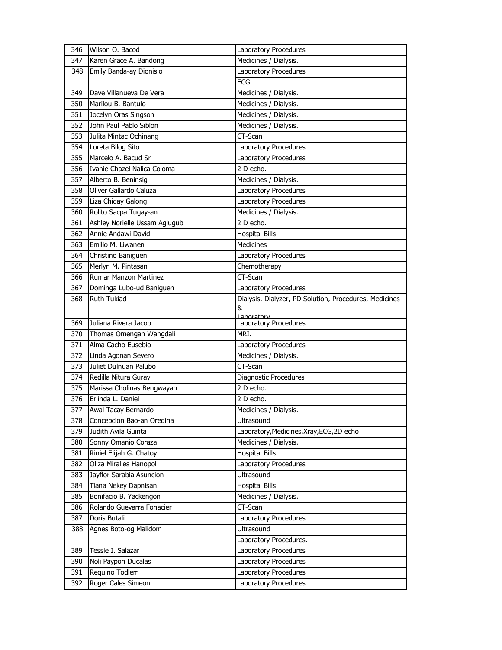| 346        | Wilson O. Bacod                      | Laboratory Procedures                                  |
|------------|--------------------------------------|--------------------------------------------------------|
| 347        | Karen Grace A. Bandong               | Medicines / Dialysis.                                  |
| 348        | Emily Banda-ay Dionisio              | Laboratory Procedures                                  |
|            |                                      | <b>ECG</b>                                             |
| 349        | Dave Villanueva De Vera              | Medicines / Dialysis.                                  |
| 350        | Marilou B. Bantulo                   | Medicines / Dialysis.                                  |
| 351        | Jocelyn Oras Singson                 | Medicines / Dialysis.                                  |
| 352        | John Paul Pablo Siblon               | Medicines / Dialysis.                                  |
| 353        | Julita Mintac Ochinang               | CT-Scan                                                |
| 354        | Loreta Bilog Sito                    | Laboratory Procedures                                  |
| 355        | Marcelo A. Bacud Sr                  | Laboratory Procedures                                  |
| 356        | Ivanie Chazel Nalica Coloma          | 2 D echo.                                              |
| 357        | Alberto B. Beninsig                  | Medicines / Dialysis.                                  |
| 358        | Oliver Gallardo Caluza               | Laboratory Procedures                                  |
| 359        | Liza Chiday Galong.                  | Laboratory Procedures                                  |
| 360        | Rolito Sacpa Tugay-an                | Medicines / Dialysis.                                  |
| 361        | Ashley Norielle Ussam Aglugub        | 2 D echo.                                              |
| 362        | Annie Andawi David                   | <b>Hospital Bills</b>                                  |
| 363        | Emilio M. Liwanen                    | <b>Medicines</b>                                       |
| 364        | Christino Baniguen                   | Laboratory Procedures                                  |
| 365        | Merlyn M. Pintasan                   | Chemotherapy                                           |
| 366        | <b>Rumar Manzon Martinez</b>         | CT-Scan                                                |
| 367        | Dominga Lubo-ud Baniguen             | Laboratory Procedures                                  |
| 368        | Ruth Tukiad                          | Dialysis, Dialyzer, PD Solution, Procedures, Medicines |
|            |                                      | &                                                      |
| 369        | Juliana Rivera Jacob                 | Laboratory<br>Laboratory Procedures                    |
| 370        | Thomas Omengan Wangdali              | MRI.                                                   |
|            | Alma Cacho Eusebio                   |                                                        |
| 371        |                                      |                                                        |
|            |                                      | Laboratory Procedures                                  |
| 372        | Linda Agonan Severo                  | Medicines / Dialysis.                                  |
| 373        | Juliet Dulnuan Palubo                | CT-Scan                                                |
| 374        | Redilla Nitura Guray                 | Diagnostic Procedures                                  |
| 375        | Marissa Cholinas Bengwayan           | $\overline{2}$ D echo.                                 |
| 376        | Erlinda L. Daniel                    | 2 D echo.                                              |
| 377        | Awal Tacay Bernardo                  | Medicines / Dialysis.                                  |
| 378        | Concepcion Bao-an Oredina            | Ultrasound                                             |
| 379        | Judith Avila Guinta                  | Laboratory, Medicines, Xray, ECG, 2D echo              |
| 380        | Sonny Omanio Coraza                  | Medicines / Dialysis.                                  |
| 381        | Riniel Elijah G. Chatoy              | <b>Hospital Bills</b>                                  |
| 382        | Oliza Miralles Hanopol               | Laboratory Procedures                                  |
| 383        | Jayflor Sarabia Asuncion             | Ultrasound                                             |
| 384        | Tiana Nekey Dapnisan.                | <b>Hospital Bills</b>                                  |
| 385        | Bonifacio B. Yackengon               | Medicines / Dialysis.                                  |
| 386        | Rolando Guevarra Fonacier            | CT-Scan                                                |
| 387        | Doris Butali                         | Laboratory Procedures                                  |
| 388        | Agnes Boto-og Malidom                | Ultrasound                                             |
|            |                                      | Laboratory Procedures.                                 |
| 389        | Tessie I. Salazar                    | Laboratory Procedures                                  |
| 390        | Noli Paypon Ducalas                  | Laboratory Procedures                                  |
| 391<br>392 | Requino Todlem<br>Roger Cales Simeon | Laboratory Procedures<br>Laboratory Procedures         |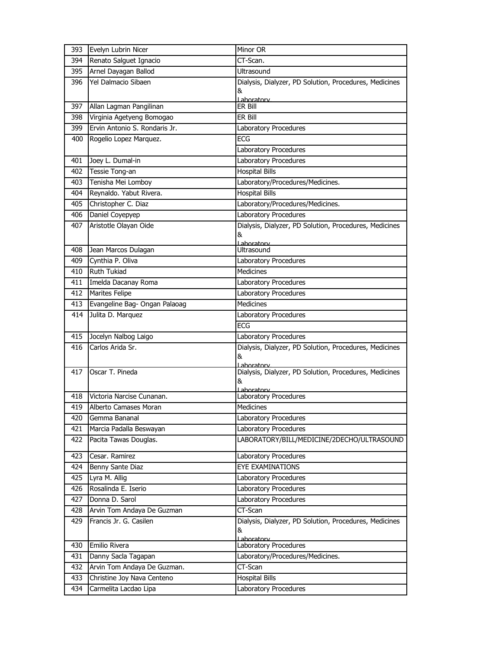| 393 | Evelyn Lubrin Nicer           | Minor OR                                                                  |
|-----|-------------------------------|---------------------------------------------------------------------------|
| 394 | Renato Salguet Ignacio        | CT-Scan.                                                                  |
| 395 | Arnel Dayagan Ballod          | <b>Ultrasound</b>                                                         |
| 396 | Yel Dalmacio Sibaen           | Dialysis, Dialyzer, PD Solution, Procedures, Medicines                    |
|     |                               | &                                                                         |
| 397 | Allan Lagman Pangilinan       | Laboratory<br>ER Bill                                                     |
| 398 | Virginia Agetyeng Bomogao     | ER Bill                                                                   |
| 399 | Ervin Antonio S. Rondaris Jr. | Laboratory Procedures                                                     |
| 400 | Rogelio Lopez Marquez.        | <b>ECG</b>                                                                |
|     |                               | Laboratory Procedures                                                     |
| 401 | Joey L. Dumal-in              | Laboratory Procedures                                                     |
| 402 | Tessie Tong-an                | Hospital Bills                                                            |
| 403 | Tenisha Mei Lomboy            | Laboratory/Procedures/Medicines.                                          |
| 404 | Reynaldo. Yabut Rivera.       | Hospital Bills                                                            |
| 405 | Christopher C. Diaz           | Laboratory/Procedures/Medicines.                                          |
| 406 | Daniel Coyepyep               | Laboratory Procedures                                                     |
| 407 | Aristotle Olayan Oide         | Dialysis, Dialyzer, PD Solution, Procedures, Medicines                    |
|     |                               | &                                                                         |
|     |                               | Laboratory                                                                |
| 408 | Jean Marcos Dulagan           | Ultrasound                                                                |
| 409 | Cynthia P. Oliva              | Laboratory Procedures                                                     |
| 410 | <b>Ruth Tukiad</b>            | <b>Medicines</b>                                                          |
| 411 | Imelda Dacanay Roma           | Laboratory Procedures                                                     |
| 412 | Marites Felipe                | Laboratory Procedures                                                     |
| 413 | Evangeline Bag- Ongan Palaoag | <b>Medicines</b>                                                          |
| 414 | Julita D. Marquez             | Laboratory Procedures                                                     |
|     |                               | <b>ECG</b>                                                                |
| 415 | Jocelyn Nalbog Laigo          | Laboratory Procedures                                                     |
| 416 | Carlos Arida Sr.              | Dialysis, Dialyzer, PD Solution, Procedures, Medicines<br>&               |
| 417 | Oscar T. Pineda               | l aboratory<br>Dialysis, Dialyzer, PD Solution, Procedures, Medicines     |
|     |                               | &                                                                         |
|     |                               | aboratory                                                                 |
| 418 | Victoria Narcise Cunanan.     | Laboratory Procedures                                                     |
| 419 | Alberto Camases Moran         | <b>Medicines</b>                                                          |
| 420 | Gemma Bananal                 | Laboratory Procedures                                                     |
| 421 | Marcia Padalla Beswayan       | Laboratory Procedures                                                     |
| 422 | Pacita Tawas Douglas.         | LABORATORY/BILL/MEDICINE/2DECHO/ULTRASOUND                                |
| 423 | Cesar. Ramirez                | Laboratory Procedures                                                     |
| 424 | Benny Sante Diaz              | EYE EXAMINATIONS                                                          |
| 425 | Lyra M. Allig                 | Laboratory Procedures                                                     |
| 426 | Rosalinda E. Iserio           | Laboratory Procedures                                                     |
| 427 | Donna D. Sarol                | Laboratory Procedures                                                     |
| 428 | Arvin Tom Andaya De Guzman    | CT-Scan                                                                   |
| 429 | Francis Jr. G. Casilen        | Dialysis, Dialyzer, PD Solution, Procedures, Medicines<br>&<br>Laboratory |
| 430 | Emilio Rivera                 | Laboratory Procedures                                                     |
| 431 | Danny Sacla Tagapan           | Laboratory/Procedures/Medicines.                                          |
| 432 | Arvin Tom Andaya De Guzman.   | $CT-Scan$                                                                 |
| 433 | Christine Joy Nava Centeno    | <b>Hospital Bills</b>                                                     |
| 434 | Carmelita Lacdao Lipa         | Laboratory Procedures                                                     |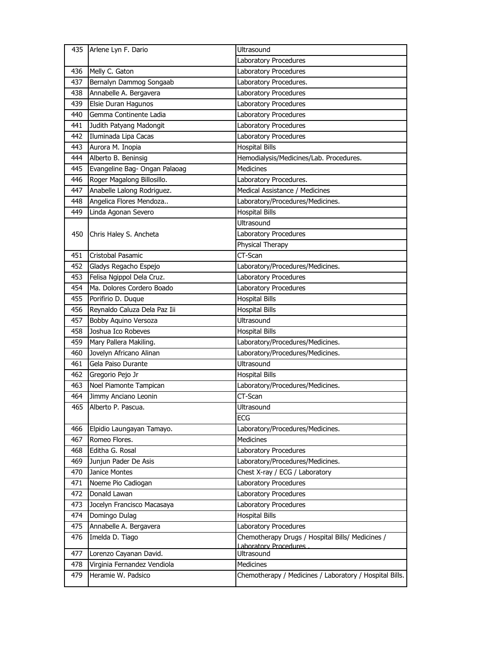|            | 435 Arlene Lyn F. Dario                           | Ultrasound                                                           |
|------------|---------------------------------------------------|----------------------------------------------------------------------|
|            |                                                   | Laboratory Procedures                                                |
| 436        | Melly C. Gaton                                    | Laboratory Procedures                                                |
| 437        | Bernalyn Dammog Songaab                           | Laboratory Procedures.                                               |
| 438        | Annabelle A. Bergavera                            | Laboratory Procedures                                                |
| 439        | Elsie Duran Hagunos                               | Laboratory Procedures                                                |
| 440        | Gemma Continente Ladia                            | Laboratory Procedures                                                |
| 441        | Judith Patyang Madongit                           | Laboratory Procedures                                                |
| 442        | Iluminada Lipa Cacas                              | Laboratory Procedures                                                |
| 443        | Aurora M. Inopia                                  | <b>Hospital Bills</b>                                                |
| 444        | Alberto B. Beninsig                               | Hemodialysis/Medicines/Lab. Procedures.                              |
| 445        | Evangeline Bag- Ongan Palaoag                     | <b>Medicines</b>                                                     |
| 446        | Roger Magalong Billosillo.                        | Laboratory Procedures.                                               |
| 447        | Anabelle Lalong Rodriguez.                        | Medical Assistance / Medicines                                       |
| 448        | Angelica Flores Mendoza                           | Laboratory/Procedures/Medicines.                                     |
| 449        | Linda Agonan Severo                               | <b>Hospital Bills</b>                                                |
|            |                                                   | <b>Ultrasound</b>                                                    |
| 450        | Chris Haley S. Ancheta                            | Laboratory Procedures                                                |
|            |                                                   | Physical Therapy                                                     |
| 451        | Cristobal Pasamic                                 | CT-Scan                                                              |
| 452        | Gladys Regacho Espejo                             | Laboratory/Procedures/Medicines.                                     |
| 453        | Felisa Ngippol Dela Cruz.                         | Laboratory Procedures                                                |
| 454        | Ma. Dolores Cordero Boado                         | Laboratory Procedures                                                |
| 455        | Porifirio D. Duque                                | <b>Hospital Bills</b>                                                |
| 456        | Reynaldo Caluza Dela Paz Iii                      | <b>Hospital Bills</b>                                                |
| 457        | Bobby Aquino Versoza                              | Ultrasound                                                           |
|            |                                                   |                                                                      |
| 458        | Joshua Ico Robeves                                | <b>Hospital Bills</b>                                                |
| 459        | Mary Pallera Makiling.                            | Laboratory/Procedures/Medicines.                                     |
| 460        | Jovelyn Africano Alinan                           | Laboratory/Procedures/Medicines.                                     |
| 461        | Gela Paiso Durante                                | <b>Ultrasound</b>                                                    |
| 462        | Gregorio Pejo Jr                                  | <b>Hospital Bills</b>                                                |
| 463        | Noel Piamonte Tampican                            | Laboratory/Procedures/Medicines.                                     |
| 464        | Jimmy Anciano Leonin                              | CT-Scan                                                              |
| 465        | Alberto P. Pascua.                                | Ultrasound                                                           |
|            |                                                   | <b>ECG</b>                                                           |
| 466        | Elpidio Laungayan Tamayo.                         | Laboratory/Procedures/Medicines.                                     |
| 467        | Romeo Flores.                                     | <b>Medicines</b>                                                     |
| 468        | Editha G. Rosal                                   | Laboratory Procedures                                                |
| 469        | Junjun Pader De Asis                              | Laboratory/Procedures/Medicines.                                     |
| 470        | Janice Montes                                     | Chest X-ray / ECG / Laboratory                                       |
| 471        | Noeme Pio Cadiogan                                | Laboratory Procedures                                                |
| 472        | Donald Lawan                                      | Laboratory Procedures                                                |
| 473        | Jocelyn Francisco Macasaya                        | Laboratory Procedures                                                |
| 474        | Domingo Dulag                                     | <b>Hospital Bills</b>                                                |
| 475        | Annabelle A. Bergavera                            | Laboratory Procedures                                                |
| 476        | Imelda D. Tiago                                   | Chemotherapy Drugs / Hospital Bills/ Medicines /                     |
|            |                                                   | Laboratory Procedures                                                |
| 477        | Lorenzo Cayanan David.                            | Ultrasound                                                           |
| 478<br>479 | Virginia Fernandez Vendiola<br>Heramie W. Padsico | Medicines<br>Chemotherapy / Medicines / Laboratory / Hospital Bills. |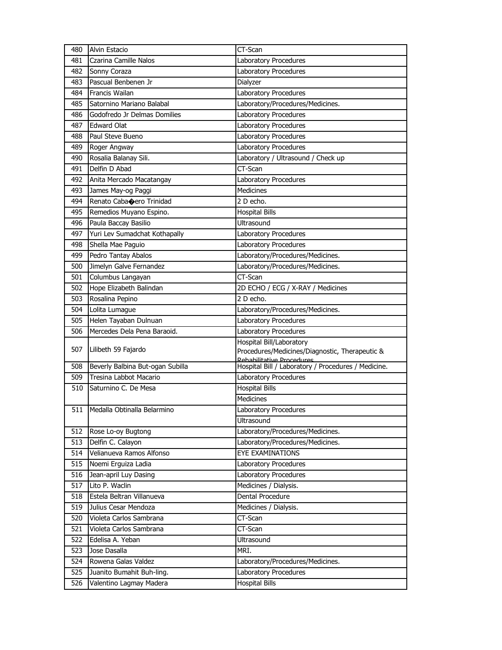| 480        | <b>Alvin Estacio</b>             | CT-Scan                                                                          |
|------------|----------------------------------|----------------------------------------------------------------------------------|
| 481        | Czarina Camille Nalos            | Laboratory Procedures                                                            |
| 482        | Sonny Coraza                     | Laboratory Procedures                                                            |
| 483        | Pascual Benbenen Jr              | Dialyzer                                                                         |
| 484        | <b>Francis Wailan</b>            | Laboratory Procedures                                                            |
| 485        | Satornino Mariano Balabal        | Laboratory/Procedures/Medicines.                                                 |
| 486        | Godofredo Jr Delmas Domilies     | Laboratory Procedures                                                            |
| 487        | <b>Edward Olat</b>               | Laboratory Procedures                                                            |
| 488        | Paul Steve Bueno                 | Laboratory Procedures                                                            |
| 489        | Roger Angway                     | Laboratory Procedures                                                            |
| 490        | Rosalia Balanay Sili.            | Laboratory / Ultrasound / Check up                                               |
| 491        | Delfin D Abad                    | CT-Scan                                                                          |
| 492        | Anita Mercado Macatangay         | Laboratory Procedures                                                            |
| 493        | James May-og Paggi               | <b>Medicines</b>                                                                 |
| 494        | Renato Cabacero Trinidad         | 2 D echo.                                                                        |
| 495        | Remedios Muyano Espino.          | <b>Hospital Bills</b>                                                            |
| 496        | Paula Baccay Basilio             | <b>Ultrasound</b>                                                                |
| 497        | Yuri Lev Sumadchat Kothapally    | Laboratory Procedures                                                            |
| 498        | Shella Mae Paguio                | Laboratory Procedures                                                            |
| 499        | Pedro Tantay Abalos              | Laboratory/Procedures/Medicines.                                                 |
| 500        | Jimelyn Galve Fernandez          | Laboratory/Procedures/Medicines.                                                 |
| 501        | Columbus Langayan                | CT-Scan                                                                          |
| 502        | Hope Elizabeth Balindan          | 2D ECHO / ECG / X-RAY / Medicines                                                |
| 503        | Rosalina Pepino                  | 2 D echo.                                                                        |
| 504        | Lolita Lumague                   | Laboratory/Procedures/Medicines.                                                 |
| 505        | Helen Tayaban Dulnuan            | Laboratory Procedures                                                            |
| 506        | Mercedes Dela Pena Baraoid.      | Laboratory Procedures                                                            |
|            |                                  | Hospital Bill/Laboratory                                                         |
| 507        | Lilibeth 59 Fajardo              | Procedures/Medicines/Diagnostic, Therapeutic &                                   |
| 508        | Beverly Balbina But-ogan Subilla | Rebabilitative Procedures<br>Hospital Bill / Laboratory / Procedures / Medicine. |
| 509        | Tresina Labbot Macario           | Laboratory Procedures                                                            |
| 510        | Saturnino C. De Mesa             | <b>Hospital Bills</b>                                                            |
|            |                                  | <b>Medicines</b>                                                                 |
|            | 511 Medalla Obtinalla Belarmino  | Laboratory Procedures                                                            |
|            |                                  | Ultrasound                                                                       |
| 512        | Rose Lo-oy Bugtong               | Laboratory/Procedures/Medicines.                                                 |
| 513        | Delfin C. Calayon                | Laboratory/Procedures/Medicines.                                                 |
| 514        | Velianueva Ramos Alfonso         | EYE EXAMINATIONS                                                                 |
| 515        | Noemi Erguiza Ladia              | Laboratory Procedures                                                            |
| 516        | Jean-april Luy Dasing            | Laboratory Procedures                                                            |
| 517        | Lito P. Waclin                   | Medicines / Dialysis.                                                            |
|            | Estela Beltran Villanueva        | Dental Procedure                                                                 |
| 518        | Julius Cesar Mendoza             |                                                                                  |
| 519<br>520 | Violeta Carlos Sambrana          | Medicines / Dialysis.<br>CT-Scan                                                 |
| 521        | Violeta Carlos Sambrana          | CT-Scan                                                                          |
| 522        | Edelisa A. Yeban                 | Ultrasound                                                                       |
|            |                                  |                                                                                  |
| 523        | Jose Dasalla                     | MRI.                                                                             |
| 524        | Rowena Galas Valdez              | Laboratory/Procedures/Medicines.                                                 |
| 525        | Juanito Bumahit Buh-ling.        | Laboratory Procedures                                                            |
| 526        | Valentino Lagmay Madera          | <b>Hospital Bills</b>                                                            |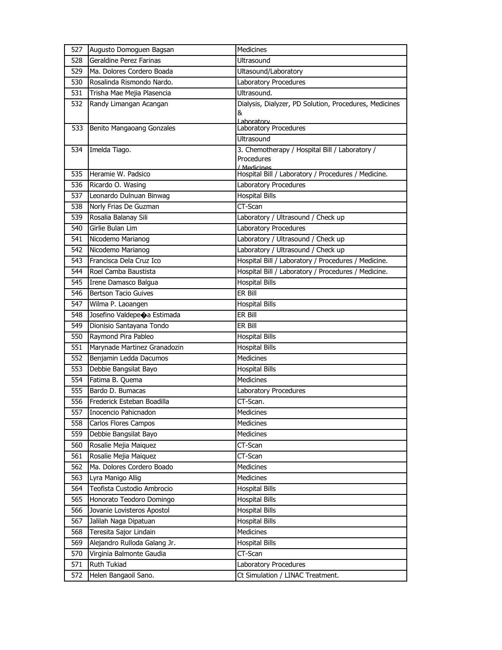| 527 | Augusto Domoguen Bagsan      | Medicines                                              |
|-----|------------------------------|--------------------------------------------------------|
| 528 | Geraldine Perez Farinas      | <b>Ultrasound</b>                                      |
| 529 | Ma. Dolores Cordero Boada    | Ultasound/Laboratory                                   |
| 530 | Rosalinda Rismondo Nardo.    | Laboratory Procedures                                  |
| 531 | Trisha Mae Mejia Plasencia   | Ultrasound.                                            |
| 532 | Randy Limangan Acangan       | Dialysis, Dialyzer, PD Solution, Procedures, Medicines |
|     |                              | &                                                      |
| 533 | Benito Mangaoang Gonzales    | Lahoratory<br>Laboratory Procedures                    |
|     |                              | Ultrasound                                             |
| 534 | Imelda Tiago.                | 3. Chemotherapy / Hospital Bill / Laboratory /         |
|     |                              | Procedures                                             |
|     |                              | / Medicines                                            |
| 535 | Heramie W. Padsico           | Hospital Bill / Laboratory / Procedures / Medicine.    |
| 536 | Ricardo O. Wasing            | Laboratory Procedures                                  |
| 537 | Leonardo Dulnuan Binwag      | <b>Hospital Bills</b>                                  |
| 538 | Norly Frias De Guzman        | CT-Scan                                                |
| 539 | Rosalia Balanay Sili         | Laboratory / Ultrasound / Check up                     |
| 540 | Girlie Bulan Lim             | Laboratory Procedures                                  |
| 541 | Nicodemo Marianog            | Laboratory / Ultrasound / Check up                     |
| 542 | Nicodemo Marianog            | Laboratory / Ultrasound / Check up                     |
| 543 | Francisca Dela Cruz Ico      | Hospital Bill / Laboratory / Procedures / Medicine.    |
| 544 | Roel Camba Baustista         | Hospital Bill / Laboratory / Procedures / Medicine.    |
| 545 | Irene Damasco Balgua         | <b>Hospital Bills</b>                                  |
| 546 | <b>Bertson Tacio Guives</b>  | ER Bill                                                |
| 547 | Wilma P. Laoangen            | <b>Hospital Bills</b>                                  |
| 548 | Josefino Valdepeoa Estimada  | ER Bill                                                |
| 549 | Dionisio Santayana Tondo     | er Bill                                                |
| 550 | Raymond Pira Pableo          | <b>Hospital Bills</b>                                  |
| 551 | Marynade Martinez Granadozin | <b>Hospital Bills</b>                                  |
| 552 | Benjamin Ledda Dacumos       | <b>Medicines</b>                                       |
| 553 | Debbie Bangsilat Bayo        | <b>Hospital Bills</b>                                  |
| 554 | Fatima B. Quema              | <b>Medicines</b>                                       |
| 555 | Bardo D. Bumacas             | Laboratory Procedures                                  |
| 556 | Frederick Esteban Boadilla   | CT-Scan.                                               |
| 557 | Inocencio Pahicnadon         | Medicines                                              |
| 558 | Carlos Flores Campos         | Medicines                                              |
| 559 | Debbie Bangsilat Bayo        | Medicines                                              |
| 560 | Rosalie Mejia Maiquez        | CT-Scan                                                |
| 561 | Rosalie Mejia Maiquez        | CT-Scan                                                |
| 562 | Ma. Dolores Cordero Boado    | Medicines                                              |
| 563 | Lyra Manigo Allig            | Medicines                                              |
| 564 | Teofista Custodio Ambrocio   | <b>Hospital Bills</b>                                  |
| 565 | Honorato Teodoro Domingo     | <b>Hospital Bills</b>                                  |
| 566 | Jovanie Lovisteros Apostol   | <b>Hospital Bills</b>                                  |
| 567 | Jalilah Naga Dipatuan        | <b>Hospital Bills</b>                                  |
| 568 | Teresita Sajor Lindain       | Medicines                                              |
| 569 | Alejandro Rulloda Galang Jr. | <b>Hospital Bills</b>                                  |
| 570 | Virginia Balmonte Gaudia     | CT-Scan                                                |
| 571 | Ruth Tukiad                  | Laboratory Procedures                                  |
| 572 | Helen Bangaoil Sano.         | Ct Simulation / LINAC Treatment.                       |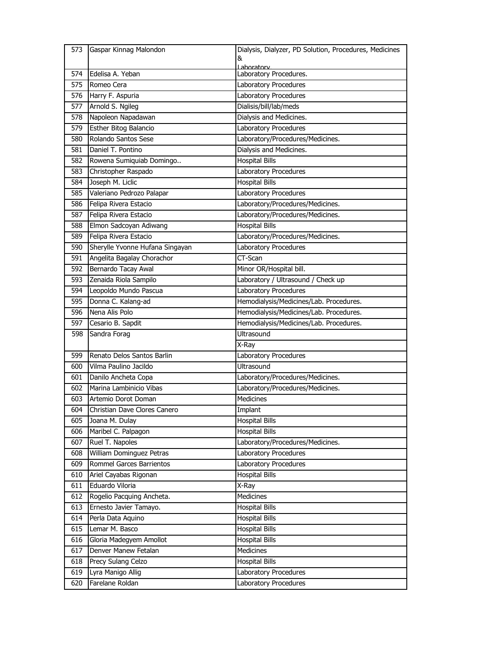| 573 | Gaspar Kinnag Malondon          | Dialysis, Dialyzer, PD Solution, Procedures, Medicines |
|-----|---------------------------------|--------------------------------------------------------|
|     |                                 | &                                                      |
| 574 | Edelisa A. Yeban                | Laboratory<br>Laboratory Procedures.                   |
| 575 | Romeo Cera                      | Laboratory Procedures                                  |
| 576 | Harry F. Aspuria                | Laboratory Procedures                                  |
| 577 | Arnold S. Ngileg                | Dialisis/bill/lab/meds                                 |
| 578 | Napoleon Napadawan              | Dialysis and Medicines.                                |
| 579 | Esther Bitog Balancio           | Laboratory Procedures                                  |
| 580 | Rolando Santos Sese             | Laboratory/Procedures/Medicines.                       |
| 581 | Daniel T. Pontino               | Dialysis and Medicines.                                |
| 582 | Rowena Sumiquiab Domingo        | <b>Hospital Bills</b>                                  |
| 583 | Christopher Raspado             | Laboratory Procedures                                  |
| 584 | Joseph M. Liclic                | <b>Hospital Bills</b>                                  |
| 585 | Valeriano Pedrozo Palapar       | Laboratory Procedures                                  |
| 586 | Felipa Rivera Estacio           | Laboratory/Procedures/Medicines.                       |
| 587 | Felipa Rivera Estacio           | Laboratory/Procedures/Medicines.                       |
| 588 | Elmon Sadcoyan Adiwang          | <b>Hospital Bills</b>                                  |
| 589 | Felipa Rivera Estacio           | Laboratory/Procedures/Medicines.                       |
| 590 | Sherylle Yvonne Hufana Singayan | Laboratory Procedures                                  |
| 591 | Angelita Bagalay Chorachor      | CT-Scan                                                |
| 592 | Bernardo Tacay Awal             | Minor OR/Hospital bill.                                |
| 593 | Zenaida Riola Sampilo           | Laboratory / Ultrasound / Check up                     |
| 594 | Leopoldo Mundo Pascua           | Laboratory Procedures                                  |
| 595 | Donna C. Kalang-ad              | Hemodialysis/Medicines/Lab. Procedures.                |
| 596 | Nena Alis Polo                  | Hemodialysis/Medicines/Lab. Procedures.                |
| 597 | Cesario B. Sapdit               | Hemodialysis/Medicines/Lab. Procedures.                |
| 598 | Sandra Forag                    | Ultrasound                                             |
|     |                                 | X-Ray                                                  |
| 599 | Renato Delos Santos Barlin      | Laboratory Procedures                                  |
| 600 | Vilma Paulino Jacildo           | <b>Ultrasound</b>                                      |
| 601 | Danilo Ancheta Copa             | Laboratory/Procedures/Medicines.                       |
| 602 | Marina Lambinicio Vibas         | Laboratory/Procedures/Medicines.                       |
| 603 | Artemio Dorot Doman             | Medicines                                              |
| 604 | Christian Dave Clores Canero    | Implant                                                |
| 605 | Joana M. Dulay                  | <b>Hospital Bills</b>                                  |
| 606 | Maribel C. Palpagon             | <b>Hospital Bills</b>                                  |
| 607 | Ruel T. Napoles                 | Laboratory/Procedures/Medicines.                       |
| 608 | William Dominguez Petras        | Laboratory Procedures                                  |
| 609 | Rommel Garces Barrientos        | Laboratory Procedures                                  |
| 610 | Ariel Cayabas Rigonan           | <b>Hospital Bills</b>                                  |
| 611 | Eduardo Viloria                 | X-Ray                                                  |
| 612 | Rogelio Pacquing Ancheta.       | Medicines                                              |
| 613 | Ernesto Javier Tamayo.          | <b>Hospital Bills</b>                                  |
| 614 | Perla Data Aquino               | <b>Hospital Bills</b>                                  |
| 615 | Lemar M. Basco                  | <b>Hospital Bills</b>                                  |
| 616 | Gloria Madegyem Amollot         | <b>Hospital Bills</b>                                  |
| 617 | Denver Manew Fetalan            | Medicines                                              |
| 618 | Precy Sulang Celzo              | <b>Hospital Bills</b>                                  |
| 619 | Lyra Manigo Allig               | Laboratory Procedures                                  |
| 620 | Farelane Roldan                 | Laboratory Procedures                                  |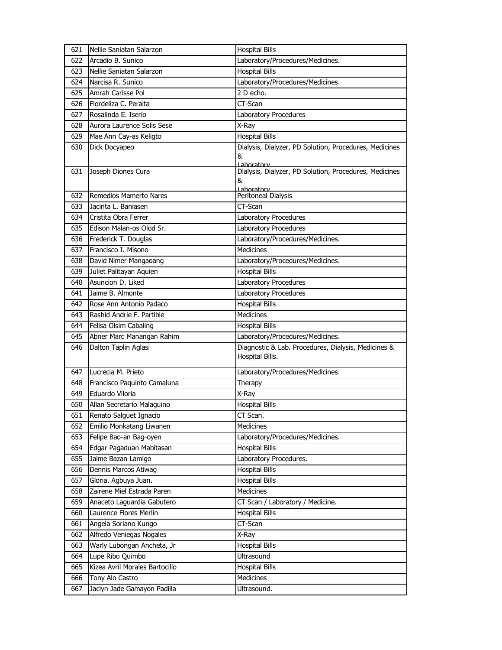| 621 | Nellie Saniatan Salarzon       | <b>Hospital Bills</b>                                                     |
|-----|--------------------------------|---------------------------------------------------------------------------|
| 622 | Arcadio B. Sunico              | Laboratory/Procedures/Medicines.                                          |
| 623 | Nellie Saniatan Salarzon       | <b>Hospital Bills</b>                                                     |
| 624 | Narcisa R. Sunico              | Laboratory/Procedures/Medicines.                                          |
| 625 | Amrah Carisse Pol              | 2 D echo.                                                                 |
| 626 | Flordeliza C. Peralta          | CT-Scan                                                                   |
| 627 | Rosalinda E. Iserio            | Laboratory Procedures                                                     |
| 628 | Aurora Laurence Solis Sese     | X-Ray                                                                     |
| 629 | Mae Ann Cay-as Keligto         | <b>Hospital Bills</b>                                                     |
| 630 | Dick Docyapeo                  | Dialysis, Dialyzer, PD Solution, Procedures, Medicines<br>&<br>Laboratory |
| 631 | Joseph Diones Cura             | Dialysis, Dialyzer, PD Solution, Procedures, Medicines<br>&<br>Laboratory |
| 632 | <b>Remedios Mamerto Nares</b>  | Peritoneal Dialysis                                                       |
| 633 | Jacinta L. Baniasen            | CT-Scan                                                                   |
| 634 | Cristita Obra Ferrer           | Laboratory Procedures                                                     |
| 635 | Edison Malan-os Olod Sr.       | Laboratory Procedures                                                     |
| 636 | Frederick T. Douglas           | Laboratory/Procedures/Medicines.                                          |
| 637 | Francisco I. Misono            | Medicines                                                                 |
| 638 | David Nimer Mangaoang          | Laboratory/Procedures/Medicines.                                          |
| 639 | Juliet Palitayan Aquien        | <b>Hospital Bills</b>                                                     |
| 640 | Asuncion D. Liked              | Laboratory Procedures                                                     |
| 641 | Jaime B. Almonte               | Laboratory Procedures                                                     |
| 642 | Rose Ann Antonio Padaco        | <b>Hospital Bills</b>                                                     |
| 643 | Rashid Andrie F. Partible      | <b>Medicines</b>                                                          |
| 644 | Felisa Olsim Cabaling          | <b>Hospital Bills</b>                                                     |
| 645 | Abner Marc Manangan Rahim      | Laboratory/Procedures/Medicines.                                          |
| 646 | Dalton Taplin Aglasi           | Diagnostic & Lab. Procedures, Dialysis, Medicines &<br>Hospital Bills.    |
| 647 | Lucrecia M. Prieto             | Laboratory/Procedures/Medicines.                                          |
| 648 | Francisco Paquinto Camaluna    | Therapy                                                                   |
| 649 | Eduardo Viloria                | X-Ray                                                                     |
| 650 | Allan Secretario Malaguino     | <b>Hospital Bills</b>                                                     |
| 651 | Renato Salguet Ignacio         | CT Scan.                                                                  |
| 652 | Emilio Monkatang Liwanen       | Medicines                                                                 |
| 653 | Felipe Bao-an Bag-oyen         | Laboratory/Procedures/Medicines.                                          |
| 654 | Edgar Pagaduan Mabitasan       | <b>Hospital Bills</b>                                                     |
| 655 | Jaime Bazan Lamigo             | Laboratory Procedures.                                                    |
| 656 | Dennis Marcos Atiwag           | <b>Hospital Bills</b>                                                     |
| 657 | Gloria. Agbuya Juan.           | <b>Hospital Bills</b>                                                     |
| 658 | Zairene Miel Estrada Paren     | <b>Medicines</b>                                                          |
| 659 | Anaceto Laguardia Gabutero     | CT Scan / Laboratory / Medicine.                                          |
| 660 | Laurence Flores Merlin         | <b>Hospital Bills</b>                                                     |
| 661 | Angela Soriano Kungo           | CT-Scan                                                                   |
| 662 | Alfredo Veniegas Nogales       | X-Ray                                                                     |
| 663 | Warly Lubongan Ancheta, Jr     | <b>Hospital Bills</b>                                                     |
| 664 | Lupe Ribo Quimbo               | Ultrasound                                                                |
| 665 | Kizea Avril Morales Bartocillo | <b>Hospital Bills</b>                                                     |
| 666 | Tony Alo Castro                | Medicines                                                                 |
| 667 | Jaclyn Jade Gamayon Padilla    | Ultrasound.                                                               |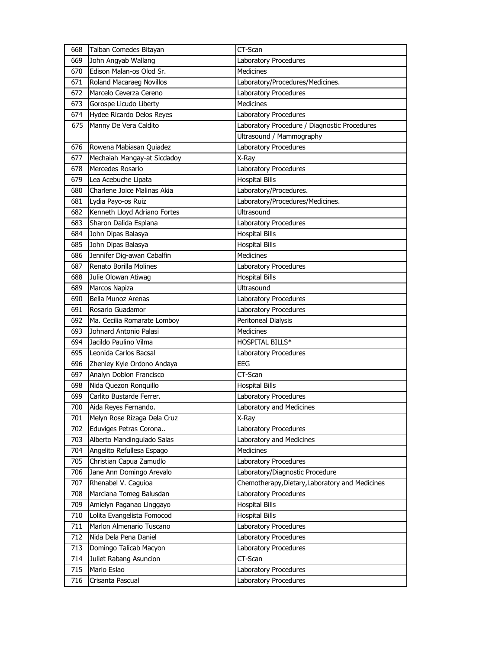|     | Talban Comedes Bitayan                                | CT-Scan                                         |
|-----|-------------------------------------------------------|-------------------------------------------------|
| 669 | John Angyab Wallang                                   | Laboratory Procedures                           |
| 670 | Edison Malan-os Olod Sr.                              | <b>Medicines</b>                                |
| 671 | Roland Macaraeg Novillos                              | Laboratory/Procedures/Medicines.                |
| 672 | Marcelo Ceverza Cereno                                | Laboratory Procedures                           |
| 673 | Gorospe Licudo Liberty                                | <b>Medicines</b>                                |
| 674 | Hydee Ricardo Delos Reyes                             | Laboratory Procedures                           |
| 675 | Manny De Vera Caldito                                 | Laboratory Procedure / Diagnostic Procedures    |
|     |                                                       | Ultrasound / Mammography                        |
| 676 | Rowena Mabiasan Quiadez                               | Laboratory Procedures                           |
| 677 | Mechaiah Mangay-at Sicdadoy                           | X-Ray                                           |
| 678 | Mercedes Rosario                                      | Laboratory Procedures                           |
| 679 | Lea Acebuche Lipata                                   | <b>Hospital Bills</b>                           |
| 680 | Charlene Joice Malinas Akia                           | Laboratory/Procedures.                          |
| 681 | Lydia Payo-os Ruiz                                    | Laboratory/Procedures/Medicines.                |
| 682 | Kenneth Lloyd Adriano Fortes                          | <b>Ultrasound</b>                               |
| 683 | Sharon Dalida Esplana                                 | Laboratory Procedures                           |
| 684 | John Dipas Balasya                                    | <b>Hospital Bills</b>                           |
| 685 | John Dipas Balasya                                    | <b>Hospital Bills</b>                           |
| 686 | Jennifer Dig-awan Cabalfin                            | <b>Medicines</b>                                |
| 687 | Renato Borilla Molines                                | Laboratory Procedures                           |
| 688 | Julie Olowan Atiwag                                   | <b>Hospital Bills</b>                           |
| 689 | Marcos Napiza                                         | Ultrasound                                      |
| 690 | Bella Munoz Arenas                                    | Laboratory Procedures                           |
| 691 | Rosario Guadamor                                      | Laboratory Procedures                           |
| 692 | Ma. Cecilia Romarate Lomboy                           | Peritoneal Dialysis                             |
|     |                                                       |                                                 |
| 693 | Johnard Antonio Palasi                                | <b>Medicines</b>                                |
| 694 | Jacildo Paulino Vilma                                 | <b>HOSPITAL BILLS*</b>                          |
| 695 | Leonida Carlos Bacsal                                 | Laboratory Procedures                           |
| 696 |                                                       | <b>EEG</b>                                      |
| 697 | Zhenley Kyle Ordono Andaya<br>Analyn Doblon Francisco | CT-Scan                                         |
| 698 | Nida Quezon Ronquillo                                 | <b>Hospital Bills</b>                           |
| 699 | Carlito Bustarde Ferrer.                              | Laboratory Procedures                           |
| 700 | Aida Reyes Fernando.                                  | Laboratory and Medicines                        |
| 701 | Melyn Rose Rizaga Dela Cruz                           | X-Ray                                           |
| 702 | Eduviges Petras Corona                                | Laboratory Procedures                           |
| 703 | Alberto Mandinguiado Salas                            | Laboratory and Medicines                        |
| 704 | Angelito Refullesa Espago                             | Medicines                                       |
| 705 | Christian Capua Zamudlo                               | Laboratory Procedures                           |
| 706 | Jane Ann Domingo Arevalo                              | Laboratory/Diagnostic Procedure                 |
| 707 | Rhenabel V. Caguioa                                   | Chemotherapy, Dietary, Laboratory and Medicines |
| 708 | Marciana Tomeg Balusdan                               | Laboratory Procedures                           |
| 709 | Amielyn Paganao Linggayo                              | <b>Hospital Bills</b>                           |
| 710 | Lolita Evangelista Fomocod                            | <b>Hospital Bills</b>                           |
| 711 | Marlon Almenario Tuscano                              | Laboratory Procedures                           |
| 712 | Nida Dela Pena Daniel                                 | Laboratory Procedures                           |
| 713 | Domingo Talicab Macyon                                | Laboratory Procedures                           |
| 714 | Juliet Rabang Asuncion                                | CT-Scan                                         |
| 715 | Mario Eslao                                           | Laboratory Procedures                           |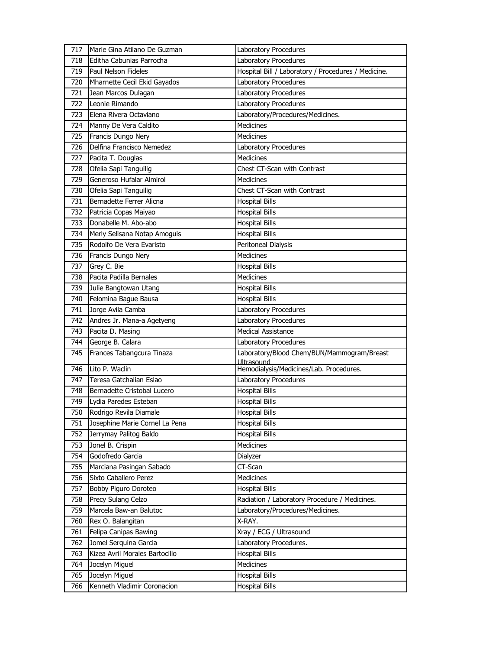| 717 | Marie Gina Atilano De Guzman   | Laboratory Procedures                               |
|-----|--------------------------------|-----------------------------------------------------|
| 718 | Editha Cabunias Parrocha       | Laboratory Procedures                               |
| 719 | Paul Nelson Fideles            | Hospital Bill / Laboratory / Procedures / Medicine. |
| 720 | Mharnette Cecil Ekid Gayados   | Laboratory Procedures                               |
| 721 | Jean Marcos Dulagan            | Laboratory Procedures                               |
| 722 | Leonie Rimando                 | Laboratory Procedures                               |
| 723 | Elena Rivera Octaviano         | Laboratory/Procedures/Medicines.                    |
| 724 | Manny De Vera Caldito          | <b>Medicines</b>                                    |
| 725 | Francis Dungo Nery             | <b>Medicines</b>                                    |
| 726 | Delfina Francisco Nemedez      | Laboratory Procedures                               |
| 727 | Pacita T. Douglas              | <b>Medicines</b>                                    |
| 728 | Ofelia Sapi Tanguilig          | Chest CT-Scan with Contrast                         |
| 729 | Generoso Hufalar Almirol       | <b>Medicines</b>                                    |
| 730 | Ofelia Sapi Tanguilig          | Chest CT-Scan with Contrast                         |
| 731 | Bernadette Ferrer Alicna       | <b>Hospital Bills</b>                               |
| 732 | Patricia Copas Maiyao          | <b>Hospital Bills</b>                               |
| 733 | Donabelle M. Abo-abo           | <b>Hospital Bills</b>                               |
| 734 | Merly Selisana Notap Amoguis   | <b>Hospital Bills</b>                               |
| 735 | Rodolfo De Vera Evaristo       | Peritoneal Dialysis                                 |
| 736 | Francis Dungo Nery             | Medicines                                           |
| 737 | Grey C. Bie                    | <b>Hospital Bills</b>                               |
| 738 | Pacita Padilla Bernales        | <b>Medicines</b>                                    |
| 739 | Julie Bangtowan Utang          | <b>Hospital Bills</b>                               |
| 740 | Felomina Bague Bausa           | <b>Hospital Bills</b>                               |
| 741 | Jorge Avila Camba              | Laboratory Procedures                               |
| 742 | Andres Jr. Mana-a Agetyeng     | Laboratory Procedures                               |
| 743 | Pacita D. Masing               | <b>Medical Assistance</b>                           |
| 744 | George B. Calara               | Laboratory Procedures                               |
| 745 | Frances Tabangcura Tinaza      | Laboratory/Blood Chem/BUN/Mammogram/Breast          |
|     |                                | Ultrasound                                          |
| 746 | Lito P. Waclin                 | Hemodialysis/Medicines/Lab. Procedures.             |
| 747 | Teresa Gatchalian Eslao        | Laboratory Procedures                               |
| 748 | Bernadette Cristobal Lucero    | <b>Hospital Bills</b>                               |
| 749 | Lydia Paredes Esteban          | <b>Hospital Bills</b>                               |
| 750 | Rodrigo Revila Diamale         | <b>Hospital Bills</b>                               |
| 751 | Josephine Marie Cornel La Pena | <b>Hospital Bills</b>                               |
| 752 | Jerrymay Palitog Baldo         | <b>Hospital Bills</b>                               |
| 753 | Jonel B. Crispin               | <b>Medicines</b>                                    |
| 754 | Godofredo Garcia               | Dialyzer                                            |
| 755 | Marciana Pasingan Sabado       | CT-Scan                                             |
| 756 | Sixto Caballero Perez          | Medicines                                           |
| 757 | Bobby Piguro Doroteo           | <b>Hospital Bills</b>                               |
| 758 | Precy Sulang Celzo             | Radiation / Laboratory Procedure / Medicines.       |
| 759 | Marcela Baw-an Balutoc         | Laboratory/Procedures/Medicines.                    |
| 760 | Rex O. Balangitan              | X-RAY.                                              |
| 761 | Felipa Canipas Bawing          | Xray / ECG / Ultrasound                             |
| 762 | Jomel Serquina Garcia          | Laboratory Procedures.                              |
| 763 | Kizea Avril Morales Bartocillo | <b>Hospital Bills</b>                               |
| 764 | Jocelyn Miguel                 | Medicines                                           |
| 765 | Jocelyn Miguel                 | <b>Hospital Bills</b>                               |
| 766 | Kenneth Vladimir Coronacion    | <b>Hospital Bills</b>                               |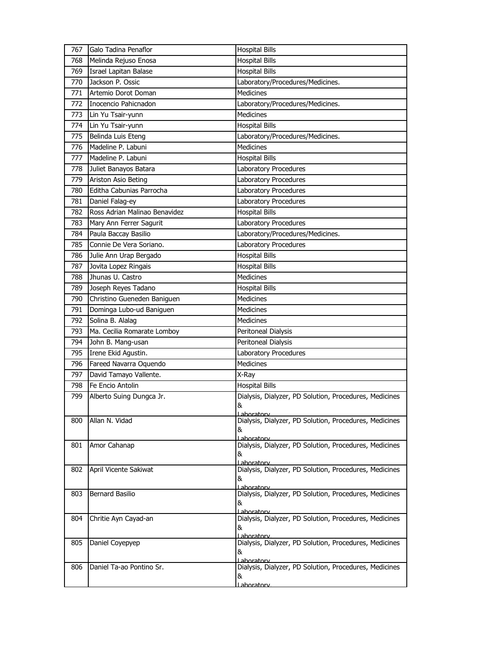| 767 | Galo Tadina Penaflor          | <b>Hospital Bills</b>                                                |
|-----|-------------------------------|----------------------------------------------------------------------|
| 768 | Melinda Rejuso Enosa          | <b>Hospital Bills</b>                                                |
| 769 | Israel Lapitan Balase         | <b>Hospital Bills</b>                                                |
| 770 | Jackson P. Ossic              | Laboratory/Procedures/Medicines.                                     |
| 771 | Artemio Dorot Doman           | <b>Medicines</b>                                                     |
| 772 | Inocencio Pahicnadon          | Laboratory/Procedures/Medicines.                                     |
| 773 | Lin Yu Tsair-yunn             | <b>Medicines</b>                                                     |
| 774 | Lin Yu Tsair-yunn             | <b>Hospital Bills</b>                                                |
| 775 | Belinda Luis Eteng            | Laboratory/Procedures/Medicines.                                     |
| 776 | Madeline P. Labuni            | Medicines                                                            |
| 777 | Madeline P. Labuni            | <b>Hospital Bills</b>                                                |
| 778 | Juliet Banayos Batara         | Laboratory Procedures                                                |
| 779 | Ariston Asio Beting           | Laboratory Procedures                                                |
| 780 | Editha Cabunias Parrocha      | Laboratory Procedures                                                |
| 781 | Daniel Falag-ey               | Laboratory Procedures                                                |
| 782 | Ross Adrian Malinao Benavidez | <b>Hospital Bills</b>                                                |
| 783 | Mary Ann Ferrer Sagurit       | Laboratory Procedures                                                |
| 784 | Paula Baccay Basilio          | Laboratory/Procedures/Medicines.                                     |
| 785 | Connie De Vera Soriano.       | Laboratory Procedures                                                |
| 786 | Julie Ann Urap Bergado        | <b>Hospital Bills</b>                                                |
| 787 | Jovita Lopez Ringais          | <b>Hospital Bills</b>                                                |
| 788 | Jhunas U. Castro              | <b>Medicines</b>                                                     |
| 789 | Joseph Reyes Tadano           | <b>Hospital Bills</b>                                                |
| 790 | Christino Gueneden Baniguen   | <b>Medicines</b>                                                     |
| 791 | Dominga Lubo-ud Baniguen      | <b>Medicines</b>                                                     |
| 792 | Solina B. Alalag              | Medicines                                                            |
| 793 | Ma. Cecilia Romarate Lomboy   | Peritoneal Dialysis                                                  |
| 794 | John B. Mang-usan             | Peritoneal Dialysis                                                  |
| 795 | Irene Ekid Agustin.           | Laboratory Procedures                                                |
| 796 | Fareed Navarra Oquendo        | Medicines                                                            |
| 797 | David Tamayo Vallente.        | X-Ray                                                                |
| 798 | Fe Encio Antolin              | <b>Hospital Bills</b>                                                |
| 799 | Alberto Suing Dungca Jr.      | Dialysis, Dialyzer, PD Solution, Procedures, Medicines               |
|     |                               | &                                                                    |
| 800 | Allan N. Vidad                | Dialysis, Dialyzer, PD Solution, Procedures, Medicines               |
|     |                               | &                                                                    |
|     |                               | l ahoratory                                                          |
| 801 | Amor Cahanap                  | Dialysis, Dialyzer, PD Solution, Procedures, Medicines<br>&          |
|     |                               | Laboratory                                                           |
| 802 | April Vicente Sakiwat         | Dialysis, Dialyzer, PD Solution, Procedures, Medicines               |
|     |                               | &<br>Laboratory                                                      |
| 803 | Bernard Basilio               | Dialysis, Dialyzer, PD Solution, Procedures, Medicines               |
|     |                               | &                                                                    |
| 804 | Chritie Ayn Cayad-an          | Lahoratory<br>Dialysis, Dialyzer, PD Solution, Procedures, Medicines |
|     |                               | &                                                                    |
|     |                               | Laboratory                                                           |
| 805 | Daniel Coyepyep               | Dialysis, Dialyzer, PD Solution, Procedures, Medicines<br>&          |
|     |                               | Laboratory                                                           |
| 806 | Daniel Ta-ao Pontino Sr.      | Dialysis, Dialyzer, PD Solution, Procedures, Medicines               |
|     |                               | &<br><u>Lahoratorv</u>                                               |
|     |                               |                                                                      |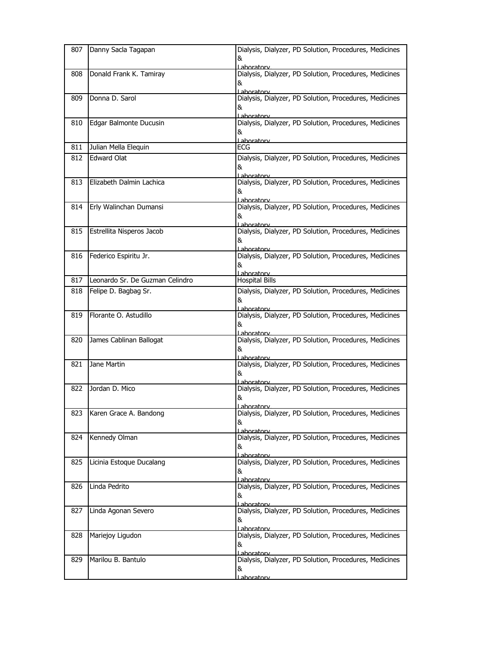| 807 | Danny Sacla Tagapan             | Dialysis, Dialyzer, PD Solution, Procedures, Medicines<br>&<br>aboratory          |
|-----|---------------------------------|-----------------------------------------------------------------------------------|
| 808 | Donald Frank K. Tamiray         | Dialysis, Dialyzer, PD Solution, Procedures, Medicines<br>&<br>Laboratory         |
| 809 | Donna D. Sarol                  | Dialysis, Dialyzer, PD Solution, Procedures, Medicines<br>&<br>Laboratory         |
| 810 | Edgar Balmonte Ducusin          | Dialysis, Dialyzer, PD Solution, Procedures, Medicines<br>&<br>Laboratory         |
| 811 | Julian Mella Elequin            | ECG                                                                               |
| 812 | <b>Edward Olat</b>              | Dialysis, Dialyzer, PD Solution, Procedures, Medicines<br>&<br>Laboratory         |
| 813 | Elizabeth Dalmin Lachica        | Dialysis, Dialyzer, PD Solution, Procedures, Medicines<br>&<br>Laboratory         |
| 814 | Erly Walinchan Dumansi          | Dialysis, Dialyzer, PD Solution, Procedures, Medicines<br>&<br>Laboratory         |
| 815 | Estrellita Nisperos Jacob       | Dialysis, Dialyzer, PD Solution, Procedures, Medicines<br>&<br>Laboratory         |
| 816 | Federico Espiritu Jr.           | Dialysis, Dialyzer, PD Solution, Procedures, Medicines<br>&<br>Laboratory         |
| 817 | Leonardo Sr. De Guzman Celindro | <b>Hospital Bills</b>                                                             |
| 818 | Felipe D. Bagbag Sr.            | Dialysis, Dialyzer, PD Solution, Procedures, Medicines<br>&<br>Laboratory         |
| 819 | Florante O. Astudillo           | Dialysis, Dialyzer, PD Solution, Procedures, Medicines<br>&<br>Lahoratory         |
| 820 | James Cablinan Ballogat         | Dialysis, Dialyzer, PD Solution, Procedures, Medicines<br>&<br>l ahoratorv        |
| 821 | Jane Martin                     | Dialysis, Dialyzer, PD Solution, Procedures, Medicines<br>&<br>Laboratory         |
| 822 | Jordan D. Mico                  | Dialysis, Dialyzer, PD Solution, Procedures, Medicines<br>&<br><u>l aboratorv</u> |
| 823 | Karen Grace A. Bandong          | Dialysis, Dialyzer, PD Solution, Procedures, Medicines<br>&<br>I aboratory        |
| 824 | Kennedy Olman                   | Dialysis, Dialyzer, PD Solution, Procedures, Medicines<br>&<br>Laboratory         |
| 825 | Licinia Estoque Ducalang        | Dialysis, Dialyzer, PD Solution, Procedures, Medicines<br>&<br>Laboratory         |
| 826 | Linda Pedrito                   | Dialysis, Dialyzer, PD Solution, Procedures, Medicines<br>&<br><u>l aboratorv</u> |
| 827 | Linda Agonan Severo             | Dialysis, Dialyzer, PD Solution, Procedures, Medicines<br>&<br>Laboratory         |
| 828 | Mariejoy Ligudon                | Dialysis, Dialyzer, PD Solution, Procedures, Medicines<br>&<br>Laboratory         |
| 829 | Marilou B. Bantulo              | Dialysis, Dialyzer, PD Solution, Procedures, Medicines<br>&<br>Laboratory         |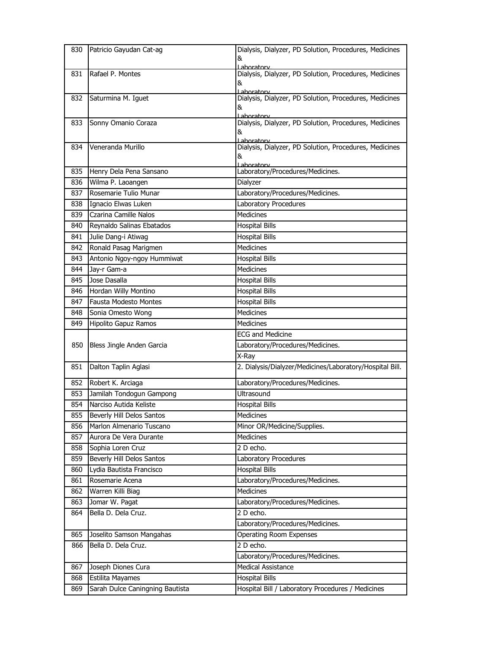| 830        | Patricio Gayudan Cat-ag                             | Dialysis, Dialyzer, PD Solution, Procedures, Medicines                     |
|------------|-----------------------------------------------------|----------------------------------------------------------------------------|
|            |                                                     | &                                                                          |
| 831        | Rafael P. Montes                                    | l aboratory<br>Dialysis, Dialyzer, PD Solution, Procedures, Medicines      |
|            |                                                     | &                                                                          |
|            |                                                     | Laboratory<br>Dialysis, Dialyzer, PD Solution, Procedures, Medicines       |
| 832        | Saturmina M. Iguet                                  | &                                                                          |
|            |                                                     | Laboratory                                                                 |
| 833        | Sonny Omanio Coraza                                 | Dialysis, Dialyzer, PD Solution, Procedures, Medicines                     |
|            |                                                     | &<br>l aboratory                                                           |
| 834        | Veneranda Murillo                                   | Dialysis, Dialyzer, PD Solution, Procedures, Medicines                     |
|            |                                                     | &                                                                          |
| 835        | Henry Dela Pena Sansano                             | Laboratory<br>Laboratory/Procedures/Medicines.                             |
| 836        | Wilma P. Laoangen                                   | Dialyzer                                                                   |
| 837        | Rosemarie Tulio Munar                               | Laboratory/Procedures/Medicines.                                           |
| 838        | Ignacio Elwas Luken                                 | Laboratory Procedures                                                      |
| 839        | Czarina Camille Nalos                               | Medicines                                                                  |
| 840        | Reynaldo Salinas Ebatados                           | <b>Hospital Bills</b>                                                      |
| 841        | Julie Dang-i Atiwag                                 | <b>Hospital Bills</b>                                                      |
| 842        | Ronald Pasag Marigmen                               | <b>Medicines</b>                                                           |
| 843        | Antonio Ngoy-ngoy Hummiwat                          | <b>Hospital Bills</b>                                                      |
| 844        | Jay-r Gam-a                                         | Medicines                                                                  |
| 845        | Jose Dasalla                                        | <b>Hospital Bills</b>                                                      |
| 846        | Hordan Willy Montino                                | <b>Hospital Bills</b>                                                      |
| 847        | Fausta Modesto Montes                               | <b>Hospital Bills</b>                                                      |
| 848        | Sonia Omesto Wong                                   | <b>Medicines</b>                                                           |
| 849        | Hipolito Gapuz Ramos                                | <b>Medicines</b>                                                           |
|            |                                                     | <b>ECG and Medicine</b>                                                    |
|            |                                                     |                                                                            |
|            |                                                     |                                                                            |
| 850        | Bless Jingle Anden Garcia                           | Laboratory/Procedures/Medicines.                                           |
|            |                                                     | X-Ray                                                                      |
| 851        | Dalton Taplin Aglasi                                | 2. Dialysis/Dialyzer/Medicines/Laboratory/Hospital Bill.                   |
| 852        | Robert K. Arciaga                                   | Laboratory/Procedures/Medicines.                                           |
| 853        | Jamilah Tondogun Gampong                            | <b>Ultrasound</b>                                                          |
| 854        | Narciso Autida Keliste                              | <b>Hospital Bills</b>                                                      |
| 855        | Beverly Hill Delos Santos                           | Medicines                                                                  |
| 856        | Marlon Almenario Tuscano                            | Minor OR/Medicine/Supplies.                                                |
| 857        | Aurora De Vera Durante                              | Medicines                                                                  |
| 858        | Sophia Loren Cruz                                   | 2 D echo.                                                                  |
| 859        | Beverly Hill Delos Santos                           | Laboratory Procedures                                                      |
| 860        | Lydia Bautista Francisco                            | <b>Hospital Bills</b>                                                      |
| 861        | Rosemarie Acena                                     | Laboratory/Procedures/Medicines.                                           |
| 862        | Warren Killi Biag                                   | Medicines                                                                  |
| 863        | Jomar W. Pagat                                      | Laboratory/Procedures/Medicines.                                           |
| 864        | Bella D. Dela Cruz.                                 | 2 D echo.                                                                  |
|            |                                                     | Laboratory/Procedures/Medicines.                                           |
| 865        | Joselito Samson Mangahas                            | <b>Operating Room Expenses</b>                                             |
| 866        | Bella D. Dela Cruz.                                 | 2 D echo.                                                                  |
|            |                                                     | Laboratory/Procedures/Medicines.                                           |
| 867        | Joseph Diones Cura                                  | <b>Medical Assistance</b>                                                  |
| 868<br>869 | Estilita Mayames<br>Sarah Dulce Caningning Bautista | <b>Hospital Bills</b><br>Hospital Bill / Laboratory Procedures / Medicines |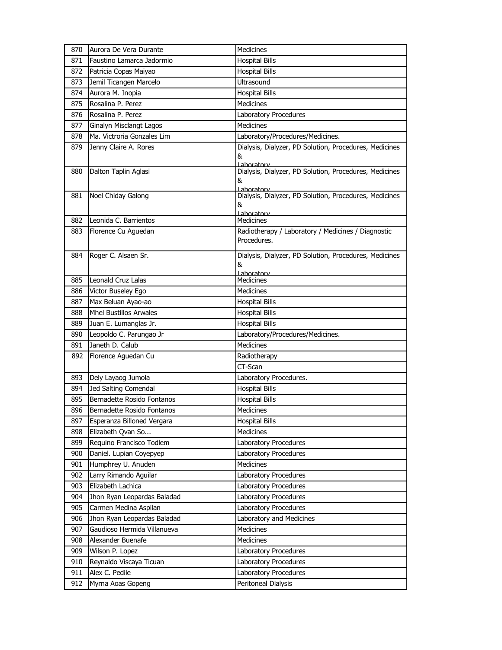| 870 | Aurora De Vera Durante        | Medicines                                                                  |
|-----|-------------------------------|----------------------------------------------------------------------------|
| 871 | Faustino Lamarca Jadormio     | <b>Hospital Bills</b>                                                      |
| 872 | Patricia Copas Maiyao         | <b>Hospital Bills</b>                                                      |
| 873 | Jemil Ticangen Marcelo        | <b>Ultrasound</b>                                                          |
| 874 | Aurora M. Inopia              | <b>Hospital Bills</b>                                                      |
| 875 | Rosalina P. Perez             | <b>Medicines</b>                                                           |
| 876 | Rosalina P. Perez             | Laboratory Procedures                                                      |
| 877 | Ginalyn Misclangt Lagos       | Medicines                                                                  |
| 878 | Ma. Victroria Gonzales Lim    | Laboratory/Procedures/Medicines.                                           |
| 879 | Jenny Claire A. Rores         | Dialysis, Dialyzer, PD Solution, Procedures, Medicines<br>&<br>Laboratory  |
| 880 | Dalton Taplin Aglasi          | Dialysis, Dialyzer, PD Solution, Procedures, Medicines<br>&<br>l aboratory |
| 881 | Noel Chiday Galong            | Dialysis, Dialyzer, PD Solution, Procedures, Medicines<br>&<br>Laboratory  |
| 882 | Leonida C. Barrientos         | Medicines                                                                  |
| 883 | Florence Cu Aguedan           | Radiotherapy / Laboratory / Medicines / Diagnostic<br>Procedures.          |
| 884 | Roger C. Alsaen Sr.           | Dialysis, Dialyzer, PD Solution, Procedures, Medicines<br>&<br>Lahoratory  |
| 885 | Leonald Cruz Lalas            | <b>Medicines</b>                                                           |
| 886 | Victor Buseley Ego            | Medicines                                                                  |
| 887 | Max Beluan Ayao-ao            | <b>Hospital Bills</b>                                                      |
| 888 | <b>Mhel Bustillos Arwales</b> | <b>Hospital Bills</b>                                                      |
| 889 | Juan E. Lumanglas Jr.         | <b>Hospital Bills</b>                                                      |
| 890 | Leopoldo C. Parungao Jr       | Laboratory/Procedures/Medicines.                                           |
| 891 | Janeth D. Calub               | Medicines                                                                  |
| 892 | Florence Aguedan Cu           | Radiotherapy                                                               |
|     |                               | CT-Scan                                                                    |
| 893 | Dely Layaog Jumola            | Laboratory Procedures.                                                     |
| 894 | Jed Salting Comendal          | <b>Hospital Bills</b>                                                      |
| 895 | Bernadette Rosido Fontanos    | <b>Hospital Bills</b>                                                      |
| 896 | Bernadette Rosido Fontanos    | Medicines                                                                  |
| 897 | Esperanza Billoned Vergara    | <b>Hospital Bills</b>                                                      |
| 898 | Elizabeth Qvan So             | <b>Medicines</b>                                                           |
| 899 | Requino Francisco Todlem      | Laboratory Procedures                                                      |
| 900 | Daniel. Lupian Coyepyep       | Laboratory Procedures                                                      |
| 901 | Humphrey U. Anuden            | Medicines                                                                  |
| 902 | Larry Rimando Aguilar         | Laboratory Procedures                                                      |
| 903 | Elizabeth Lachica             | Laboratory Procedures                                                      |
| 904 | Jhon Ryan Leopardas Baladad   | Laboratory Procedures                                                      |
| 905 | Carmen Medina Aspilan         | Laboratory Procedures                                                      |
| 906 | Jhon Ryan Leopardas Baladad   | Laboratory and Medicines                                                   |
| 907 | Gaudioso Hermida Villanueva   | Medicines                                                                  |
| 908 | Alexander Buenafe             | Medicines                                                                  |
| 909 | Wilson P. Lopez               | Laboratory Procedures                                                      |
| 910 | Reynaldo Viscaya Ticuan       | Laboratory Procedures                                                      |
| 911 | Alex C. Pedile                | Laboratory Procedures                                                      |
| 912 | Myrna Aoas Gopeng             | Peritoneal Dialysis                                                        |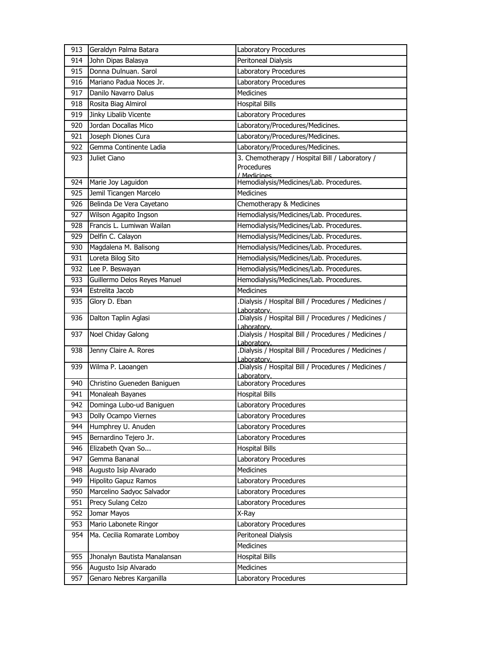| 913 | Geraldyn Palma Batara        | Laboratory Procedures                                                       |
|-----|------------------------------|-----------------------------------------------------------------------------|
| 914 | John Dipas Balasya           | Peritoneal Dialysis                                                         |
| 915 | Donna Dulnuan, Sarol         | Laboratory Procedures                                                       |
| 916 | Mariano Padua Noces Jr.      | Laboratory Procedures                                                       |
| 917 | Danilo Navarro Dalus         | <b>Medicines</b>                                                            |
| 918 | Rosita Biag Almirol          | <b>Hospital Bills</b>                                                       |
| 919 | Jinky Libalib Vicente        | Laboratory Procedures                                                       |
| 920 | Jordan Docallas Mico         | Laboratory/Procedures/Medicines.                                            |
| 921 | Joseph Diones Cura           | Laboratory/Procedures/Medicines.                                            |
| 922 | Gemma Continente Ladia       | Laboratory/Procedures/Medicines.                                            |
| 923 | Juliet Ciano                 | 3. Chemotherapy / Hospital Bill / Laboratory /<br>Procedures<br>/ Medicines |
| 924 | Marie Joy Laguidon           | Hemodialysis/Medicines/Lab. Procedures.                                     |
| 925 | Jemil Ticangen Marcelo       | <b>Medicines</b>                                                            |
| 926 | Belinda De Vera Cayetano     | Chemotherapy & Medicines                                                    |
| 927 | Wilson Agapito Ingson        | Hemodialysis/Medicines/Lab. Procedures.                                     |
| 928 | Francis L. Lumiwan Wailan    | Hemodialysis/Medicines/Lab. Procedures.                                     |
| 929 | Delfin C. Calayon            | Hemodialysis/Medicines/Lab. Procedures.                                     |
| 930 | Magdalena M. Balisong        | Hemodialysis/Medicines/Lab. Procedures.                                     |
| 931 | Loreta Bilog Sito            | Hemodialysis/Medicines/Lab. Procedures.                                     |
| 932 | Lee P. Beswayan              | Hemodialysis/Medicines/Lab. Procedures.                                     |
| 933 | Guillermo Delos Reyes Manuel | Hemodialysis/Medicines/Lab. Procedures.                                     |
| 934 | Estrelita Jacob              | <b>Medicines</b>                                                            |
| 935 | Glory D. Eban                | Dialysis / Hospital Bill / Procedures / Medicines /<br>Laboratory.          |
| 936 | Dalton Taplin Aglasi         | .Dialysis / Hospital Bill / Procedures / Medicines /<br>Laboratorv.         |
| 937 | Noel Chiday Galong           | Dialysis / Hospital Bill / Procedures / Medicines /<br>Laboratory.          |
| 938 | Jenny Claire A. Rores        | Dialysis / Hospital Bill / Procedures / Medicines /<br>I aboratory.         |
| 939 | Wilma P. Laoangen            | .Dialysis / Hospital Bill / Procedures / Medicines /<br>I aboratory.        |
| 940 | Christino Gueneden Baniguen  | Laboratory Procedures                                                       |
| 941 | Monaleah Bayanes             | <b>Hospital Bills</b>                                                       |
| 942 | Dominga Lubo-ud Baniguen     | Laboratory Procedures                                                       |
| 943 | Dolly Ocampo Viernes         | Laboratory Procedures                                                       |
| 944 | Humphrey U. Anuden           | Laboratory Procedures                                                       |
| 945 | Bernardino Tejero Jr.        | Laboratory Procedures                                                       |
| 946 | Elizabeth Qvan So            | <b>Hospital Bills</b>                                                       |
| 947 | Gemma Bananal                | Laboratory Procedures                                                       |
| 948 | Augusto Isip Alvarado        | <b>Medicines</b>                                                            |
| 949 | Hipolito Gapuz Ramos         | Laboratory Procedures                                                       |
| 950 | Marcelino Sadyoc Salvador    | Laboratory Procedures                                                       |
| 951 | Precy Sulang Celzo           | Laboratory Procedures                                                       |
| 952 | Jomar Mayos                  | X-Ray                                                                       |
| 953 | Mario Labonete Ringor        | Laboratory Procedures                                                       |
| 954 | Ma. Cecilia Romarate Lomboy  | Peritoneal Dialysis                                                         |
|     |                              | Medicines                                                                   |
| 955 | Jhonalyn Bautista Manalansan | Hospital Bills                                                              |
| 956 | Augusto Isip Alvarado        | Medicines                                                                   |
| 957 | Genaro Nebres Karganilla     | Laboratory Procedures                                                       |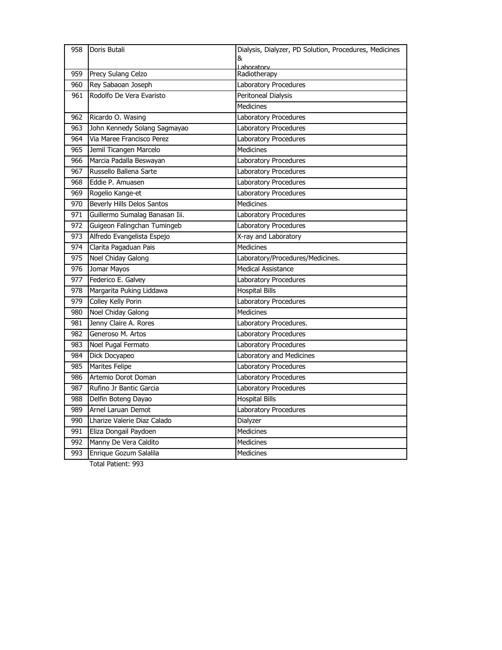| 958             | Doris Butali                   | Dialysis, Dialyzer, PD Solution, Procedures, Medicines<br>& |
|-----------------|--------------------------------|-------------------------------------------------------------|
|                 |                                | Lahoratory                                                  |
| 959             | Precy Sulang Celzo             | Radiotherapy                                                |
| 960             | Rey Sabaoan Joseph             | Laboratory Procedures                                       |
| 961             | Rodolfo De Vera Evaristo       | Peritoneal Dialysis                                         |
|                 |                                | Medicines                                                   |
| 962             | Ricardo O. Wasing              | Laboratory Procedures                                       |
| 963             | John Kennedy Solang Sagmayao   | Laboratory Procedures                                       |
| 964             | Via Maree Francisco Perez      | Laboratory Procedures                                       |
| 965             | Jemil Ticangen Marcelo         | <b>Medicines</b>                                            |
| 966             | Marcia Padalla Beswayan        | Laboratory Procedures                                       |
| 967             | Russello Ballena Sarte         | Laboratory Procedures                                       |
| 968             | Eddie P. Amuasen               | Laboratory Procedures                                       |
| 969             | Rogelio Kange-et               | Laboratory Procedures                                       |
| 970             | Beverly Hills Delos Santos     | <b>Medicines</b>                                            |
| 971             | Guillermo Sumalag Banasan Iii. | Laboratory Procedures                                       |
| 972             | Guigeon Falingchan Tumingeb    | Laboratory Procedures                                       |
| 973             | Alfredo Evangelista Espejo     | X-ray and Laboratory                                        |
| 974             | Clarita Pagaduan Pais          | Medicines                                                   |
| 975             | Noel Chiday Galong             | Laboratory/Procedures/Medicines.                            |
| 976             | Jomar Mayos                    | <b>Medical Assistance</b>                                   |
| 977             | Federico E. Galvey             | Laboratory Procedures                                       |
| 978             | Margarita Puking Liddawa       | <b>Hospital Bills</b>                                       |
| $\frac{979}{ }$ | <b>Colley Kelly Porin</b>      | Laboratory Procedures                                       |
| 980             | Noel Chiday Galong             | <b>Medicines</b>                                            |
| 981             | Jenny Claire A. Rores          | Laboratory Procedures.                                      |
| 982             | Generoso M. Artos              | Laboratory Procedures                                       |
| 983             | Noel Pugal Fermato             | Laboratory Procedures                                       |
| 984             | Dick Docyapeo                  | Laboratory and Medicines                                    |
| 985             | Marites Felipe                 | Laboratory Procedures                                       |
| 986             | Artemio Dorot Doman            | Laboratory Procedures                                       |
| 987             | Rufino Jr Bantic Garcia        | Laboratory Procedures                                       |
| 988             | Delfin Boteng Dayao            | <b>Hospital Bills</b>                                       |
| 989             | Arnel Laruan Demot             | Laboratory Procedures                                       |
| 990             | Lharize Valerie Diaz Calado    | Dialyzer                                                    |
| 991             | Eliza Dongail Paydoen          | Medicines                                                   |
| 992             | Manny De Vera Caldito          | Medicines                                                   |
| 993             | Enrique Gozum Salalila         | Medicines                                                   |
|                 | Total Patient: 993             |                                                             |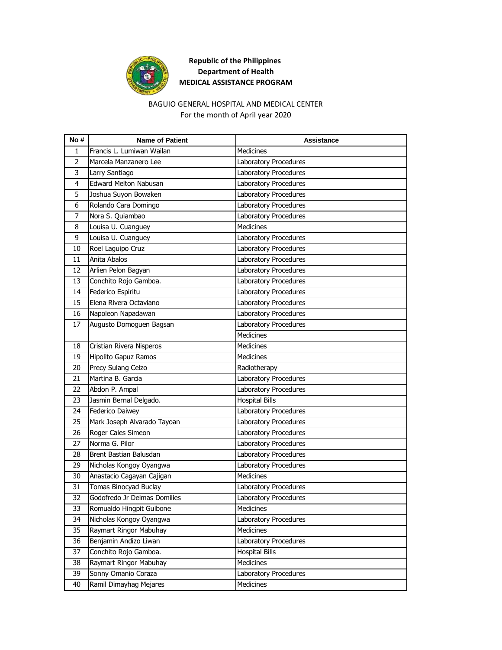

# **Republic of the Philippines Department of Health MEDICAL ASSISTANCE PROGRAM**

### BAGUIO GENERAL HOSPITAL AND MEDICAL CENTER For the month of April year 2020

| No#            | <b>Name of Patient</b>       | <b>Assistance</b>     |
|----------------|------------------------------|-----------------------|
| 1              | Francis L. Lumiwan Wailan    | <b>Medicines</b>      |
| $\overline{2}$ | Marcela Manzanero Lee        | Laboratory Procedures |
| 3              | Larry Santiago               | Laboratory Procedures |
| 4              | Edward Melton Nabusan        | Laboratory Procedures |
| 5              | Joshua Suyon Bowaken         | Laboratory Procedures |
| 6              | Rolando Cara Domingo         | Laboratory Procedures |
| 7              | Nora S. Quiambao             | Laboratory Procedures |
| 8              | Louisa U. Cuanguey           | <b>Medicines</b>      |
| 9              | Louisa U. Cuanguey           | Laboratory Procedures |
| 10             | Roel Laguipo Cruz            | Laboratory Procedures |
| 11             | Anita Abalos                 | Laboratory Procedures |
| 12             | Arlien Pelon Bagyan          | Laboratory Procedures |
| 13             | Conchito Rojo Gamboa.        | Laboratory Procedures |
| 14             | Federico Espiritu            | Laboratory Procedures |
| 15             | Elena Rivera Octaviano       | Laboratory Procedures |
| 16             | Napoleon Napadawan           | Laboratory Procedures |
| 17             | Augusto Domoguen Bagsan      | Laboratory Procedures |
|                |                              | <b>Medicines</b>      |
| 18             | Cristian Rivera Nisperos     | <b>Medicines</b>      |
| 19             | Hipolito Gapuz Ramos         | <b>Medicines</b>      |
| 20             | Precy Sulang Celzo           | Radiotherapy          |
| 21             | Martina B. Garcia            | Laboratory Procedures |
| 22             | Abdon P. Ampal               | Laboratory Procedures |
| 23             | Jasmin Bernal Delgado.       | <b>Hospital Bills</b> |
| 24             | Federico Daiwey              | Laboratory Procedures |
| 25             | Mark Joseph Alvarado Tayoan  | Laboratory Procedures |
| 26             | Roger Cales Simeon           | Laboratory Procedures |
| 27             | Norma G. Pilor               | Laboratory Procedures |
| 28             | Brent Bastian Balusdan       | Laboratory Procedures |
| 29             | Nicholas Kongoy Oyangwa      | Laboratory Procedures |
| 30             | Anastacio Cagayan Cajigan    | <b>Medicines</b>      |
| 31             | Tomas Binocyad Buclay        | Laboratory Procedures |
| 32             | Godofredo Jr Delmas Domilies | Laboratory Procedures |
| 33             | Romualdo Hingpit Guibone     | Medicines             |
| 34             | Nicholas Kongoy Oyangwa      | Laboratory Procedures |
| 35             | Raymart Ringor Mabuhay       | Medicines             |
| 36             | Benjamin Andizo Liwan        | Laboratory Procedures |
| 37             | Conchito Rojo Gamboa.        | <b>Hospital Bills</b> |
| 38             | Raymart Ringor Mabuhay       | Medicines             |
| 39             | Sonny Omanio Coraza          | Laboratory Procedures |
| 40             | Ramil Dimayhag Mejares       | Medicines             |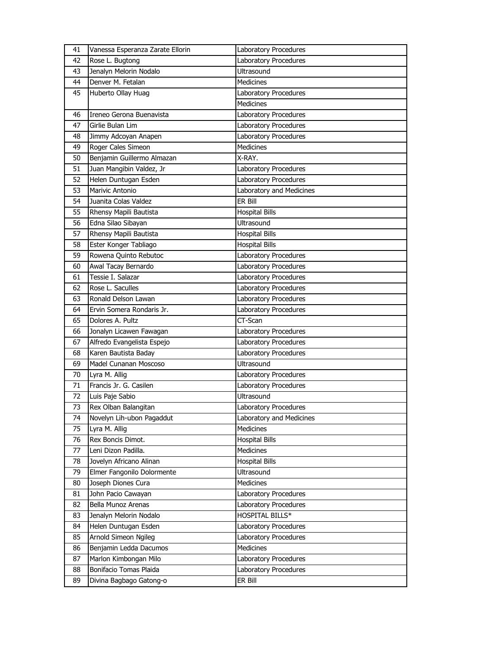| 41 | Vanessa Esperanza Zarate Ellorin | Laboratory Procedures    |
|----|----------------------------------|--------------------------|
| 42 | Rose L. Bugtong                  | Laboratory Procedures    |
| 43 | Jenalyn Melorin Nodalo           | Ultrasound               |
| 44 | Denver M. Fetalan                | <b>Medicines</b>         |
| 45 | Huberto Ollay Huag               | Laboratory Procedures    |
|    |                                  | <b>Medicines</b>         |
| 46 | Ireneo Gerona Buenavista         | Laboratory Procedures    |
| 47 | Girlie Bulan Lim                 | Laboratory Procedures    |
| 48 | Jimmy Adcoyan Anapen             | Laboratory Procedures    |
| 49 | Roger Cales Simeon               | <b>Medicines</b>         |
| 50 | Benjamin Guillermo Almazan       | X-RAY.                   |
| 51 | Juan Mangibin Valdez, Jr         | Laboratory Procedures    |
| 52 | Helen Duntugan Esden             | Laboratory Procedures    |
| 53 | Marivic Antonio                  | Laboratory and Medicines |
| 54 | Juanita Colas Valdez             | ER Bill                  |
| 55 | Rhensy Mapili Bautista           | <b>Hospital Bills</b>    |
| 56 | Edna Silao Sibayan               | Ultrasound               |
| 57 | Rhensy Mapili Bautista           | <b>Hospital Bills</b>    |
| 58 | Ester Konger Tabliago            | <b>Hospital Bills</b>    |
| 59 | Rowena Quinto Rebutoc            | Laboratory Procedures    |
| 60 | Awal Tacay Bernardo              | Laboratory Procedures    |
| 61 | Tessie I. Salazar                | Laboratory Procedures    |
| 62 | Rose L. Saculles                 | Laboratory Procedures    |
| 63 | Ronald Delson Lawan              | Laboratory Procedures    |
| 64 | Ervin Somera Rondaris Jr.        | Laboratory Procedures    |
| 65 | Dolores A. Pultz                 | CT-Scan                  |
| 66 | Jonalyn Licawen Fawagan          | Laboratory Procedures    |
| 67 | Alfredo Evangelista Espejo       | Laboratory Procedures    |
| 68 | Karen Bautista Baday             | Laboratory Procedures    |
| 69 | Madel Cunanan Moscoso            | <b>Ultrasound</b>        |
| 70 | Lyra M. Allig                    | Laboratory Procedures    |
| 71 | Francis Jr. G. Casilen           | Laboratory Procedures    |
| 72 | Luis Paje Sabio                  | <b>Ultrasound</b>        |
| 73 | Rex Olban Balangitan             | Laboratory Procedures    |
| 74 | Novelyn Lih-ubon Pagaddut        | Laboratory and Medicines |
| 75 | Lyra M. Allig                    | Medicines                |
| 76 | Rex Boncis Dimot.                | <b>Hospital Bills</b>    |
| 77 | Leni Dizon Padilla.              | Medicines                |
| 78 | Jovelyn Africano Alinan          | <b>Hospital Bills</b>    |
| 79 | Elmer Fangonilo Dolormente       | Ultrasound               |
| 80 | Joseph Diones Cura               | Medicines                |
| 81 | John Pacio Cawayan               | Laboratory Procedures    |
| 82 | Bella Munoz Arenas               | Laboratory Procedures    |
| 83 | Jenalyn Melorin Nodalo           | HOSPITAL BILLS*          |
| 84 | Helen Duntugan Esden             | Laboratory Procedures    |
| 85 | Arnold Simeon Ngileg             | Laboratory Procedures    |
| 86 | Benjamin Ledda Dacumos           | Medicines                |
| 87 | Marlon Kimbongan Milo            | Laboratory Procedures    |
| 88 | Bonifacio Tomas Plaida           | Laboratory Procedures    |
| 89 | Divina Bagbago Gatong-o          | ER Bill                  |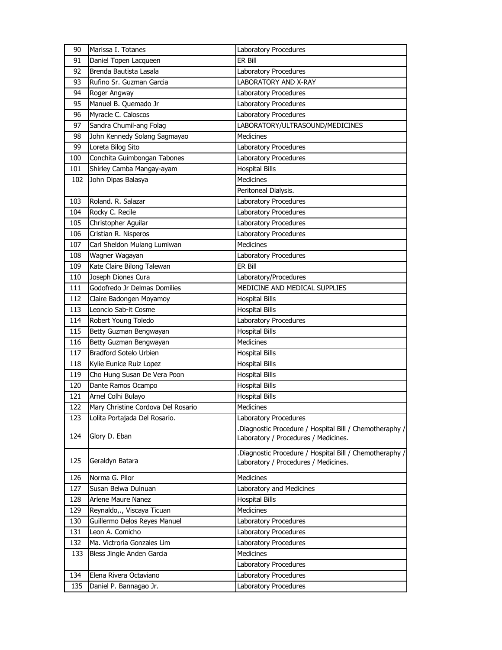| 90  | Marissa I. Totanes                 | Laboratory Procedures                                                                          |
|-----|------------------------------------|------------------------------------------------------------------------------------------------|
| 91  | Daniel Topen Lacqueen              | ER Bill                                                                                        |
| 92  | Brenda Bautista Lasala             | Laboratory Procedures                                                                          |
| 93  | Rufino Sr. Guzman Garcia           | <b>LABORATORY AND X-RAY</b>                                                                    |
| 94  | Roger Angway                       | Laboratory Procedures                                                                          |
| 95  | Manuel B. Quemado Jr               | Laboratory Procedures                                                                          |
| 96  | Myracle C. Caloscos                | Laboratory Procedures                                                                          |
| 97  | Sandra Chumil-ang Folag            | LABORATORY/ULTRASOUND/MEDICINES                                                                |
| 98  | John Kennedy Solang Sagmayao       | <b>Medicines</b>                                                                               |
| 99  | Loreta Bilog Sito                  | Laboratory Procedures                                                                          |
| 100 | Conchita Guimbongan Tabones        | Laboratory Procedures                                                                          |
| 101 | Shirley Camba Mangay-ayam          | <b>Hospital Bills</b>                                                                          |
| 102 | John Dipas Balasya                 | <b>Medicines</b>                                                                               |
|     |                                    | Peritoneal Dialysis.                                                                           |
| 103 | Roland. R. Salazar                 | Laboratory Procedures                                                                          |
| 104 | Rocky C. Recile                    | Laboratory Procedures                                                                          |
| 105 | Christopher Aguilar                | Laboratory Procedures                                                                          |
| 106 | Cristian R. Nisperos               | Laboratory Procedures                                                                          |
| 107 | Carl Sheldon Mulang Lumiwan        | <b>Medicines</b>                                                                               |
| 108 | Wagner Wagayan                     | Laboratory Procedures                                                                          |
| 109 | Kate Claire Bilong Talewan         | ER Bill                                                                                        |
| 110 | Joseph Diones Cura                 | Laboratory/Procedures                                                                          |
| 111 | Godofredo Jr Delmas Domilies       | MEDICINE AND MEDICAL SUPPLIES                                                                  |
| 112 | Claire Badongen Moyamoy            | <b>Hospital Bills</b>                                                                          |
| 113 | Leoncio Sab-it Cosme               | <b>Hospital Bills</b>                                                                          |
| 114 | Robert Young Toledo                | Laboratory Procedures                                                                          |
| 115 | Betty Guzman Bengwayan             | <b>Hospital Bills</b>                                                                          |
| 116 | Betty Guzman Bengwayan             | Medicines                                                                                      |
| 117 | Bradford Sotelo Urbien             | <b>Hospital Bills</b>                                                                          |
| 118 | Kylie Eunice Ruiz Lopez            | <b>Hospital Bills</b>                                                                          |
| 119 | Cho Hung Susan De Vera Poon        | <b>Hospital Bills</b>                                                                          |
| 120 | Dante Ramos Ocampo                 | <b>Hospital Bills</b>                                                                          |
| 121 | Arnel Colhi Bulayo                 | <b>Hospital Bills</b>                                                                          |
| 122 | Mary Christine Cordova Del Rosario | <b>Medicines</b>                                                                               |
| 123 | Lolita Portajada Del Rosario.      | Laboratory Procedures                                                                          |
| 124 | Glory D. Eban                      | Diagnostic Procedure / Hospital Bill / Chemotheraphy /<br>Laboratory / Procedures / Medicines. |
| 125 | Geraldyn Batara                    | Diagnostic Procedure / Hospital Bill / Chemotheraphy /<br>Laboratory / Procedures / Medicines. |
| 126 | Norma G. Pilor                     | <b>Medicines</b>                                                                               |
| 127 | Susan Belwa Dulnuan                | Laboratory and Medicines                                                                       |
| 128 | Arlene Maure Nanez                 | <b>Hospital Bills</b>                                                                          |
| 129 | Reynaldo,., Viscaya Ticuan         | Medicines                                                                                      |
| 130 | Guillermo Delos Reyes Manuel       | Laboratory Procedures                                                                          |
| 131 | Leon A. Comicho                    | Laboratory Procedures                                                                          |
| 132 | Ma. Victroria Gonzales Lim         | Laboratory Procedures                                                                          |
| 133 | Bless Jingle Anden Garcia          | <b>Medicines</b>                                                                               |
|     |                                    | Laboratory Procedures                                                                          |
| 134 | Elena Rivera Octaviano             | Laboratory Procedures                                                                          |
| 135 | Daniel P. Bannagao Jr.             | Laboratory Procedures                                                                          |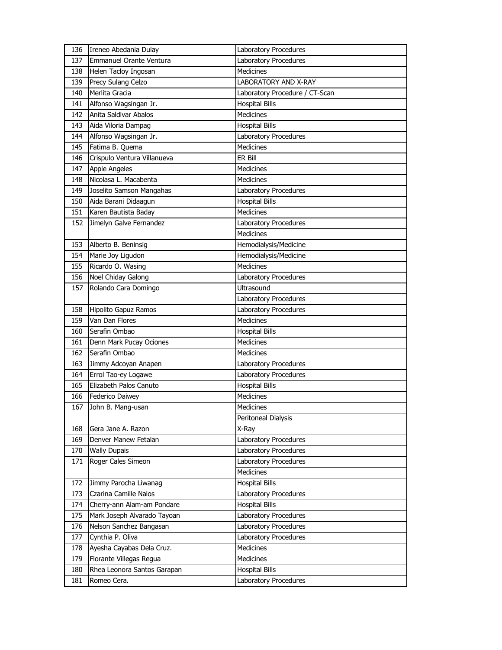| 136 | Ireneo Abedania Dulay       | Laboratory Procedures          |
|-----|-----------------------------|--------------------------------|
| 137 | Emmanuel Orante Ventura     | Laboratory Procedures          |
| 138 | Helen Tacloy Ingosan        | <b>Medicines</b>               |
| 139 | Precy Sulang Celzo          | LABORATORY AND X-RAY           |
| 140 | Merlita Gracia              | Laboratory Procedure / CT-Scan |
| 141 | Alfonso Wagsingan Jr.       | <b>Hospital Bills</b>          |
| 142 | Anita Saldivar Abalos       | <b>Medicines</b>               |
| 143 | Aida Viloria Dampag         | <b>Hospital Bills</b>          |
| 144 | Alfonso Wagsingan Jr.       | Laboratory Procedures          |
| 145 | Fatima B. Quema             | <b>Medicines</b>               |
| 146 | Crispulo Ventura Villanueva | ER Bill                        |
| 147 | Apple Angeles               | Medicines                      |
| 148 | Nicolasa L. Macabenta       | <b>Medicines</b>               |
| 149 | Joselito Samson Mangahas    | Laboratory Procedures          |
| 150 | Aida Barani Didaagun        | <b>Hospital Bills</b>          |
| 151 | Karen Bautista Baday        | <b>Medicines</b>               |
| 152 | Jimelyn Galve Fernandez     | Laboratory Procedures          |
|     |                             | <b>Medicines</b>               |
| 153 | Alberto B. Beninsig         | Hemodialysis/Medicine          |
| 154 | Marie Joy Ligudon           | Hemodialysis/Medicine          |
| 155 | Ricardo O. Wasing           | <b>Medicines</b>               |
| 156 | Noel Chiday Galong          | Laboratory Procedures          |
| 157 | Rolando Cara Domingo        | Ultrasound                     |
|     |                             | Laboratory Procedures          |
| 158 | Hipolito Gapuz Ramos        | Laboratory Procedures          |
| 159 | Van Dan Flores              | <b>Medicines</b>               |
| 160 | Serafin Ombao               | <b>Hospital Bills</b>          |
| 161 | Denn Mark Pucay Ociones     | <b>Medicines</b>               |
| 162 | Serafin Ombao               | <b>Medicines</b>               |
| 163 | Jimmy Adcoyan Anapen        | Laboratory Procedures          |
| 164 | Errol Tao-ey Logawe         | Laboratory Procedures          |
| 165 | Elizabeth Palos Canuto      | <b>Hospital Bills</b>          |
| 166 | Federico Daiwey             | Medicines                      |
| 167 | John B. Mang-usan           | Medicines                      |
|     |                             | Peritoneal Dialysis            |
| 168 | Gera Jane A. Razon          | X-Ray                          |
| 169 | Denver Manew Fetalan        | Laboratory Procedures          |
| 170 | <b>Wally Dupais</b>         | Laboratory Procedures          |
| 171 | Roger Cales Simeon          | Laboratory Procedures          |
|     |                             | Medicines                      |
| 172 | Jimmy Parocha Liwanag       | <b>Hospital Bills</b>          |
| 173 | Czarina Camille Nalos       | Laboratory Procedures          |
| 174 | Cherry-ann Alam-am Pondare  | <b>Hospital Bills</b>          |
| 175 | Mark Joseph Alvarado Tayoan | Laboratory Procedures          |
| 176 | Nelson Sanchez Bangasan     | Laboratory Procedures          |
| 177 | Cynthia P. Oliva            | Laboratory Procedures          |
| 178 | Ayesha Cayabas Dela Cruz.   | Medicines                      |
| 179 | Florante Villegas Regua     | Medicines                      |
| 180 | Rhea Leonora Santos Garapan | <b>Hospital Bills</b>          |
| 181 | Romeo Cera.                 | Laboratory Procedures          |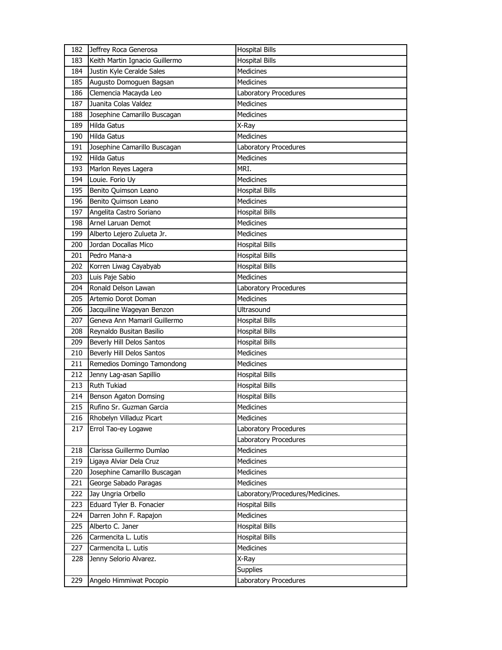| 182 | Jeffrey Roca Generosa          | <b>Hospital Bills</b>            |
|-----|--------------------------------|----------------------------------|
| 183 | Keith Martin Ignacio Guillermo | <b>Hospital Bills</b>            |
| 184 | Justin Kyle Ceralde Sales      | Medicines                        |
| 185 | Augusto Domoguen Bagsan        | <b>Medicines</b>                 |
| 186 | Clemencia Macayda Leo          | Laboratory Procedures            |
| 187 | Juanita Colas Valdez           | <b>Medicines</b>                 |
| 188 | Josephine Camarillo Buscagan   | Medicines                        |
| 189 | <b>Hilda Gatus</b>             | X-Ray                            |
| 190 | <b>Hilda Gatus</b>             | Medicines                        |
| 191 | Josephine Camarillo Buscagan   | Laboratory Procedures            |
| 192 | <b>Hilda Gatus</b>             | <b>Medicines</b>                 |
| 193 | Marlon Reyes Lagera            | MRI.                             |
| 194 | Louie. Forio Uy                | Medicines                        |
| 195 | Benito Quimson Leano           | <b>Hospital Bills</b>            |
| 196 | Benito Quimson Leano           | <b>Medicines</b>                 |
| 197 | Angelita Castro Soriano        | <b>Hospital Bills</b>            |
| 198 | Arnel Laruan Demot             | <b>Medicines</b>                 |
| 199 | Alberto Lejero Zulueta Jr.     | Medicines                        |
| 200 | Jordan Docallas Mico           | <b>Hospital Bills</b>            |
| 201 | Pedro Mana-a                   | <b>Hospital Bills</b>            |
| 202 | Korren Liwag Cayabyab          | <b>Hospital Bills</b>            |
| 203 | Luis Paje Sabio                | <b>Medicines</b>                 |
| 204 | Ronald Delson Lawan            | Laboratory Procedures            |
| 205 | Artemio Dorot Doman            | <b>Medicines</b>                 |
| 206 | Jacquiline Wageyan Benzon      | <b>Ultrasound</b>                |
| 207 | Geneva Ann Mamaril Guillermo   | <b>Hospital Bills</b>            |
| 208 | Reynaldo Busitan Basilio       | <b>Hospital Bills</b>            |
| 209 | Beverly Hill Delos Santos      | <b>Hospital Bills</b>            |
| 210 | Beverly Hill Delos Santos      | Medicines                        |
| 211 | Remedios Domingo Tamondong     | Medicines                        |
| 212 | Jenny Lag-asan Sapillio        | <b>Hospital Bills</b>            |
| 213 | <b>Ruth Tukiad</b>             | <b>Hospital Bills</b>            |
| 214 | Benson Agaton Domsing          | <b>Hospital Bills</b>            |
| 215 | Rufino Sr. Guzman Garcia       | Medicines                        |
| 216 | Rhobelyn Villaduz Picart       | Medicines                        |
| 217 | Errol Tao-ey Logawe            | Laboratory Procedures            |
|     |                                | Laboratory Procedures            |
| 218 | Clarissa Guillermo Dumlao      | Medicines                        |
| 219 | Ligaya Alviar Dela Cruz        | Medicines                        |
| 220 | Josephine Camarillo Buscagan   | Medicines                        |
| 221 | George Sabado Paragas          | Medicines                        |
| 222 | Jay Ungria Orbello             | Laboratory/Procedures/Medicines. |
| 223 | Eduard Tyler B. Fonacier       | <b>Hospital Bills</b>            |
| 224 | Darren John F. Rapajon         | Medicines                        |
| 225 | Alberto C. Janer               | <b>Hospital Bills</b>            |
| 226 | Carmencita L. Lutis            | <b>Hospital Bills</b>            |
| 227 | Carmencita L. Lutis            | Medicines                        |
| 228 | Jenny Selorio Alvarez.         | X-Ray                            |
|     |                                | <b>Supplies</b>                  |
| 229 | Angelo Himmiwat Pocopio        | Laboratory Procedures            |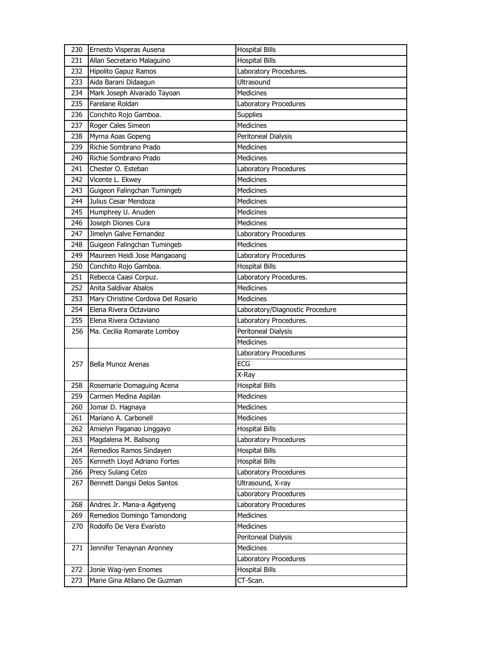| 230        | Ernesto Visperas Ausena                               | <b>Hospital Bills</b>                          |
|------------|-------------------------------------------------------|------------------------------------------------|
| 231        | Allan Secretario Malaguino                            | <b>Hospital Bills</b>                          |
| 232        | Hipolito Gapuz Ramos                                  | Laboratory Procedures.                         |
| 233        | Aida Barani Didaagun                                  | Ultrasound                                     |
| 234        | Mark Joseph Alvarado Tayoan                           | <b>Medicines</b>                               |
| 235        | Farelane Roldan                                       | Laboratory Procedures                          |
| 236        | Conchito Rojo Gamboa.                                 | Supplies                                       |
| 237        | Roger Cales Simeon                                    | <b>Medicines</b>                               |
| 238        | Myrna Aoas Gopeng                                     | Peritoneal Dialysis                            |
| 239        | Richie Sombrano Prado                                 | <b>Medicines</b>                               |
| 240        | Richie Sombrano Prado                                 | <b>Medicines</b>                               |
| 241        | Chester O. Esteban                                    | Laboratory Procedures                          |
| 242        | Vicente L. Ekwey                                      | <b>Medicines</b>                               |
| 243        | Guigeon Falingchan Tumingeb                           | Medicines                                      |
| 244        | Julius Cesar Mendoza                                  | <b>Medicines</b>                               |
| 245        | Humphrey U. Anuden                                    | <b>Medicines</b>                               |
| 246        | Joseph Diones Cura                                    | <b>Medicines</b>                               |
| 247        | Jimelyn Galve Fernandez                               | Laboratory Procedures                          |
| 248        | Guigeon Falingchan Tumingeb                           | <b>Medicines</b>                               |
| 249        | Maureen Heidi Jose Mangaoang                          | Laboratory Procedures                          |
| 250        | Conchito Rojo Gamboa.                                 | <b>Hospital Bills</b>                          |
| 251        | Rebecca Caasi Corpuz.                                 | Laboratory Procedures.                         |
| 252        | Anita Saldivar Abalos                                 | <b>Medicines</b>                               |
| 253        | Mary Christine Cordova Del Rosario                    | Medicines                                      |
| 254        | Elena Rivera Octaviano                                | Laboratory/Diagnostic Procedure                |
| 255        | Elena Rivera Octaviano                                | Laboratory Procedures.                         |
|            |                                                       |                                                |
| 256        |                                                       |                                                |
|            | Ma. Cecilia Romarate Lomboy                           | Peritoneal Dialysis<br><b>Medicines</b>        |
|            |                                                       |                                                |
| 257        | Bella Munoz Arenas                                    | Laboratory Procedures<br><b>ECG</b>            |
|            |                                                       |                                                |
|            |                                                       | X-Ray                                          |
| 258        | Rosemarie Domaguing Acena                             | <b>Hospital Bills</b>                          |
| 259        | Carmen Medina Aspilan                                 | Medicines<br>Medicines                         |
| 260        | Jomar D. Hagnaya                                      |                                                |
| 261<br>262 | Mariano A. Carbonell                                  | Medicines                                      |
|            | Amielyn Paganao Linggayo                              | <b>Hospital Bills</b>                          |
| 263<br>264 | Magdalena M. Balisong<br>Remedios Ramos Sindayen      | Laboratory Procedures                          |
|            |                                                       | <b>Hospital Bills</b><br><b>Hospital Bills</b> |
| 265        | Kenneth Lloyd Adriano Fortes                          |                                                |
| 266<br>267 | Precy Sulang Celzo                                    | Laboratory Procedures<br>Ultrasound, X-ray     |
|            | Bennett Dangsi Delos Santos                           | Laboratory Procedures                          |
| 268        | Andres Jr. Mana-a Agetyeng                            | Laboratory Procedures                          |
| 269        | Remedios Domingo Tamondong                            | <b>Medicines</b>                               |
| 270        | Rodolfo De Vera Evaristo                              | Medicines                                      |
|            |                                                       | Peritoneal Dialysis                            |
| 271        |                                                       | Medicines                                      |
|            | Jennifer Tenaynan Aronney                             |                                                |
| 272        |                                                       | Laboratory Procedures<br><b>Hospital Bills</b> |
| 273        | Jonie Wag-iyen Enomes<br>Marie Gina Atilano De Guzman | CT-Scan.                                       |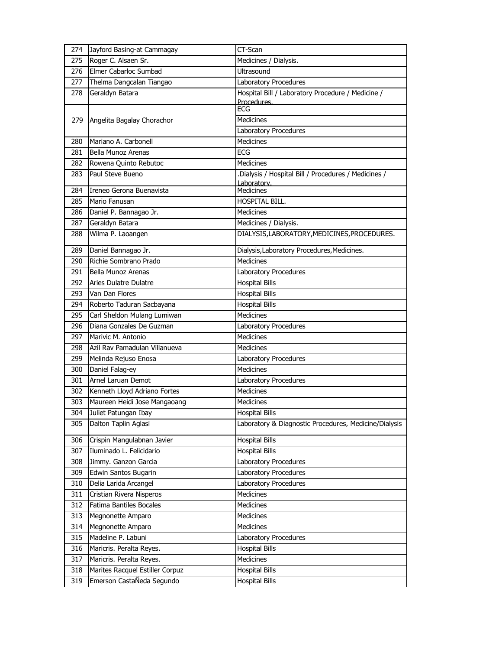| 274 | Jayford Basing-at Cammagay      | CT-Scan                                                          |
|-----|---------------------------------|------------------------------------------------------------------|
| 275 | Roger C. Alsaen Sr.             | Medicines / Dialysis.                                            |
| 276 | Elmer Cabarloc Sumbad           | Ultrasound                                                       |
| 277 | Thelma Dangcalan Tiangao        | Laboratory Procedures                                            |
| 278 | Geraldyn Batara                 | Hospital Bill / Laboratory Procedure / Medicine /<br>Procedures. |
|     |                                 | ECG                                                              |
| 279 | Angelita Bagalay Chorachor      | <b>Medicines</b>                                                 |
|     |                                 | Laboratory Procedures                                            |
| 280 | Mariano A. Carbonell            | Medicines                                                        |
| 281 | Bella Munoz Arenas              | ECG                                                              |
| 282 | Rowena Quinto Rebutoc           | Medicines                                                        |
| 283 | Paul Steve Bueno                | .Dialysis / Hospital Bill / Procedures / Medicines /             |
| 284 | Ireneo Gerona Buenavista        | Laboratory.<br><b>Medicines</b>                                  |
| 285 | Mario Fanusan                   | HOSPITAL BILL.                                                   |
| 286 | Daniel P. Bannagao Jr.          | Medicines                                                        |
| 287 | Geraldyn Batara                 | Medicines / Dialysis.                                            |
| 288 | Wilma P. Laoangen               | DIALYSIS, LABORATORY, MEDICINES, PROCEDURES.                     |
|     |                                 |                                                                  |
| 289 | Daniel Bannagao Jr.             | Dialysis, Laboratory Procedures, Medicines.                      |
| 290 | Richie Sombrano Prado           | <b>Medicines</b>                                                 |
| 291 | Bella Munoz Arenas              | Laboratory Procedures                                            |
| 292 | Aries Dulatre Dulatre           | <b>Hospital Bills</b>                                            |
| 293 | Van Dan Flores                  | <b>Hospital Bills</b>                                            |
| 294 | Roberto Taduran Sacbayana       | <b>Hospital Bills</b>                                            |
| 295 | Carl Sheldon Mulang Lumiwan     | <b>Medicines</b>                                                 |
| 296 | Diana Gonzales De Guzman        | Laboratory Procedures                                            |
| 297 | Marivic M. Antonio              | <b>Medicines</b>                                                 |
| 298 | Azil Rav Pamadulan Villanueva   | Medicines                                                        |
| 299 | Melinda Rejuso Enosa            | Laboratory Procedures                                            |
| 300 | Daniel Falag-ey                 | <b>Medicines</b>                                                 |
| 301 | Arnel Laruan Demot              | Laboratory Procedures                                            |
| 302 | Kenneth Lloyd Adriano Fortes    | <b>Medicines</b>                                                 |
| 303 | Maureen Heidi Jose Mangaoang    | <b>Medicines</b>                                                 |
| 304 | Juliet Patungan Ibay            | <b>Hospital Bills</b>                                            |
| 305 | Dalton Taplin Aglasi            | Laboratory & Diagnostic Procedures, Medicine/Dialysis            |
| 306 | Crispin Mangulabnan Javier      | <b>Hospital Bills</b>                                            |
| 307 | Iluminado L. Felicidario        | <b>Hospital Bills</b>                                            |
| 308 | Jimmy. Ganzon Garcia            | Laboratory Procedures                                            |
| 309 | Edwin Santos Bugarin            | Laboratory Procedures                                            |
| 310 | Delia Larida Arcangel           | Laboratory Procedures                                            |
| 311 | Cristian Rivera Nisperos        | Medicines                                                        |
| 312 | Fatima Bantiles Bocales         | Medicines                                                        |
| 313 | Megnonette Amparo               | Medicines                                                        |
| 314 | Megnonette Amparo               | Medicines                                                        |
| 315 | Madeline P. Labuni              | Laboratory Procedures                                            |
| 316 | Maricris. Peralta Reyes.        | <b>Hospital Bills</b>                                            |
| 317 | Maricris. Peralta Reyes.        | Medicines                                                        |
| 318 | Marites Racquel Estiller Corpuz | <b>Hospital Bills</b>                                            |
| 319 | Emerson CastaÑeda Segundo       | <b>Hospital Bills</b>                                            |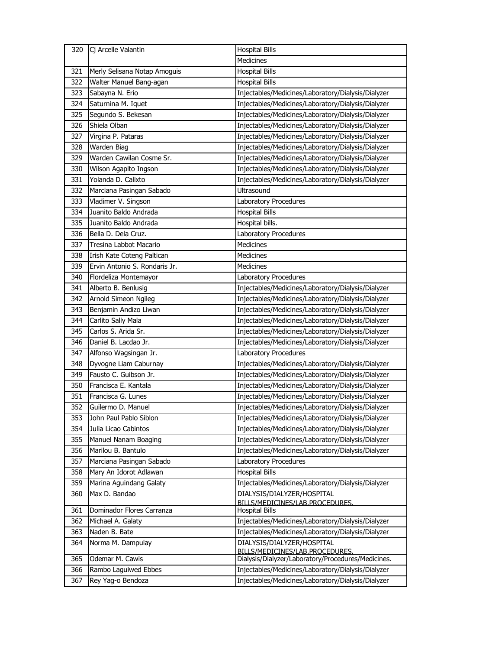|     | 320 Cj Arcelle Valantin                 | <b>Hospital Bills</b>                                                                 |
|-----|-----------------------------------------|---------------------------------------------------------------------------------------|
|     |                                         | Medicines                                                                             |
| 321 | Merly Selisana Notap Amoguis            | <b>Hospital Bills</b>                                                                 |
| 322 | Walter Manuel Bang-agan                 | <b>Hospital Bills</b>                                                                 |
| 323 | Sabayna N. Erio                         | Injectables/Medicines/Laboratory/Dialysis/Dialyzer                                    |
| 324 | Saturnina M. Iquet                      | Injectables/Medicines/Laboratory/Dialysis/Dialyzer                                    |
| 325 | Segundo S. Bekesan                      | Injectables/Medicines/Laboratory/Dialysis/Dialyzer                                    |
| 326 | Shiela Olban                            | Injectables/Medicines/Laboratory/Dialysis/Dialyzer                                    |
| 327 | Virgina P. Pataras                      | Injectables/Medicines/Laboratory/Dialysis/Dialyzer                                    |
| 328 | Warden Biag                             | Injectables/Medicines/Laboratory/Dialysis/Dialyzer                                    |
| 329 | Warden Cawilan Cosme Sr.                | Injectables/Medicines/Laboratory/Dialysis/Dialyzer                                    |
| 330 | Wilson Agapito Ingson                   | Injectables/Medicines/Laboratory/Dialysis/Dialyzer                                    |
| 331 | Yolanda D. Calixto                      | Injectables/Medicines/Laboratory/Dialysis/Dialyzer                                    |
| 332 | Marciana Pasingan Sabado                | <b>Ultrasound</b>                                                                     |
| 333 | Vladimer V. Singson                     | Laboratory Procedures                                                                 |
| 334 | Juanito Baldo Andrada                   | <b>Hospital Bills</b>                                                                 |
| 335 | Juanito Baldo Andrada                   | Hospital bills.                                                                       |
| 336 | Bella D. Dela Cruz.                     | Laboratory Procedures                                                                 |
| 337 | Tresina Labbot Macario                  | <b>Medicines</b>                                                                      |
| 338 | Irish Kate Coteng Paltican              | <b>Medicines</b>                                                                      |
| 339 | Ervin Antonio S. Rondaris Jr.           | Medicines                                                                             |
| 340 | Flordeliza Montemayor                   | Laboratory Procedures                                                                 |
| 341 | Alberto B. Benlusig                     | Injectables/Medicines/Laboratory/Dialysis/Dialyzer                                    |
| 342 | Arnold Simeon Ngileg                    | Injectables/Medicines/Laboratory/Dialysis/Dialyzer                                    |
| 343 | Benjamin Andizo Liwan                   | Injectables/Medicines/Laboratory/Dialysis/Dialyzer                                    |
| 344 | Carlito Sally Mala                      | Injectables/Medicines/Laboratory/Dialysis/Dialyzer                                    |
| 345 | Carlos S. Arida Sr.                     | Injectables/Medicines/Laboratory/Dialysis/Dialyzer                                    |
| 346 | Daniel B. Lacdao Jr.                    | Injectables/Medicines/Laboratory/Dialysis/Dialyzer                                    |
| 347 | Alfonso Wagsingan Jr.                   | Laboratory Procedures                                                                 |
| 348 | Dyvogne Liam Caburnay                   | Injectables/Medicines/Laboratory/Dialysis/Dialyzer                                    |
| 349 | Fausto C. Guibson Jr.                   | Injectables/Medicines/Laboratory/Dialysis/Dialyzer                                    |
| 350 | Francisca E. Kantala                    | Injectables/Medicines/Laboratory/Dialysis/Dialyzer                                    |
| 351 | Francisca G. Lunes                      | Injectables/Medicines/Laboratory/Dialysis/Dialyzer                                    |
| 352 | Guilermo D. Manuel                      | Injectables/Medicines/Laboratory/Dialysis/Dialyzer                                    |
| 353 | John Paul Pablo Siblon                  | Injectables/Medicines/Laboratory/Dialysis/Dialyzer                                    |
| 354 | Julia Licao Cabintos                    | Injectables/Medicines/Laboratory/Dialysis/Dialyzer                                    |
| 355 | Manuel Nanam Boaging                    | Injectables/Medicines/Laboratory/Dialysis/Dialyzer                                    |
| 356 | Marilou B. Bantulo                      | Injectables/Medicines/Laboratory/Dialysis/Dialyzer                                    |
| 357 | Marciana Pasingan Sabado                | Laboratory Procedures                                                                 |
| 358 | Mary An Idorot Adlawan                  | <b>Hospital Bills</b>                                                                 |
| 359 | Marina Aguindang Galaty                 | Injectables/Medicines/Laboratory/Dialysis/Dialyzer                                    |
| 360 | Max D. Bandao                           | DIALYSIS/DIALYZER/HOSPITAL                                                            |
|     |                                         | BILLS/MEDICINES/LAB.PROCEDURES.                                                       |
| 361 | Dominador Flores Carranza               | <b>Hospital Bills</b>                                                                 |
| 362 | Michael A. Galaty                       | Injectables/Medicines/Laboratory/Dialysis/Dialyzer                                    |
| 363 | Naden B. Bate                           | Injectables/Medicines/Laboratory/Dialysis/Dialyzer                                    |
| 364 | Norma M. Dampulay                       | DIALYSIS/DIALYZER/HOSPITAL                                                            |
|     |                                         | BILLS/MEDICINES/LAB.PROCEDURES.<br>Dialysis/Dialyzer/Laboratory/Procedures/Medicines. |
| 365 | Odemar M. Cawis<br>Rambo Laguiwed Ebbes | Injectables/Medicines/Laboratory/Dialysis/Dialyzer                                    |
| 366 |                                         |                                                                                       |
| 367 | Rey Yag-o Bendoza                       | Injectables/Medicines/Laboratory/Dialysis/Dialyzer                                    |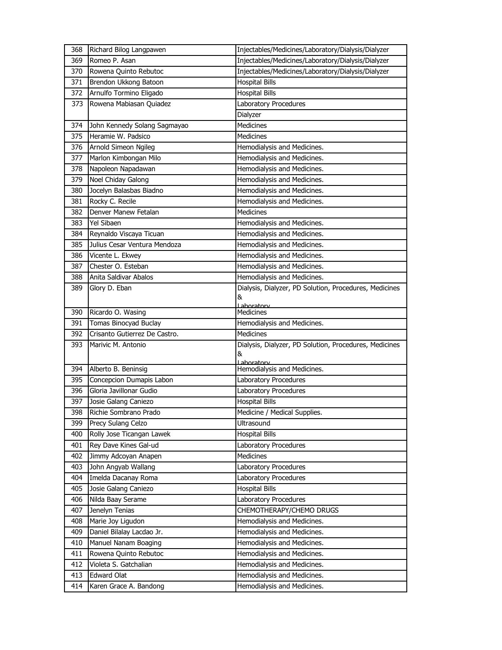| 368 | Richard Bilog Langpawen       | Injectables/Medicines/Laboratory/Dialysis/Dialyzer     |
|-----|-------------------------------|--------------------------------------------------------|
| 369 | Romeo P. Asan                 | Injectables/Medicines/Laboratory/Dialysis/Dialyzer     |
| 370 | Rowena Quinto Rebutoc         | Injectables/Medicines/Laboratory/Dialysis/Dialyzer     |
| 371 | Brendon Ukkong Batoon         | <b>Hospital Bills</b>                                  |
| 372 | Arnulfo Tormino Eligado       | <b>Hospital Bills</b>                                  |
| 373 | Rowena Mabiasan Quiadez       | Laboratory Procedures                                  |
|     |                               | Dialyzer                                               |
| 374 | John Kennedy Solang Sagmayao  | <b>Medicines</b>                                       |
| 375 | Heramie W. Padsico            | <b>Medicines</b>                                       |
| 376 | Arnold Simeon Ngileg          | Hemodialysis and Medicines.                            |
| 377 | Marlon Kimbongan Milo         | Hemodialysis and Medicines.                            |
| 378 | Napoleon Napadawan            | Hemodialysis and Medicines.                            |
| 379 | Noel Chiday Galong            | Hemodialysis and Medicines.                            |
| 380 | Jocelyn Balasbas Biadno       | Hemodialysis and Medicines.                            |
| 381 | Rocky C. Recile               | Hemodialysis and Medicines.                            |
| 382 | Denver Manew Fetalan          | Medicines                                              |
| 383 | Yel Sibaen                    | Hemodialysis and Medicines.                            |
| 384 | Reynaldo Viscaya Ticuan       | Hemodialysis and Medicines.                            |
| 385 | Julius Cesar Ventura Mendoza  | Hemodialysis and Medicines.                            |
| 386 | Vicente L. Ekwey              | Hemodialysis and Medicines.                            |
| 387 | Chester O. Esteban            | Hemodialysis and Medicines.                            |
| 388 | Anita Saldivar Abalos         | Hemodialysis and Medicines.                            |
| 389 | Glory D. Eban                 | Dialysis, Dialyzer, PD Solution, Procedures, Medicines |
|     |                               | &                                                      |
| 390 | Ricardo O. Wasing             | Laboratory<br>Medicines                                |
| 391 | Tomas Binocyad Buclay         | Hemodialysis and Medicines.                            |
|     |                               |                                                        |
|     |                               |                                                        |
| 392 | Crisanto Gutierrez De Castro. | <b>Medicines</b>                                       |
| 393 | Marivic M. Antonio            | Dialysis, Dialyzer, PD Solution, Procedures, Medicines |
|     |                               | &<br>Laboratory                                        |
| 394 | Alberto B. Beninsig           | Hemodialysis and Medicines.                            |
| 395 | Concepcion Dumapis Labon      | Laboratory Procedures                                  |
| 396 | Gloria Javillonar Gudio       | Laboratory Procedures                                  |
| 397 | Josie Galang Caniezo          | <b>Hospital Bills</b>                                  |
| 398 | Richie Sombrano Prado         | Medicine / Medical Supplies.                           |
| 399 | Precy Sulang Celzo            | Ultrasound                                             |
| 400 | Rolly Jose Ticangan Lawek     | <b>Hospital Bills</b>                                  |
| 401 | Rey Dave Kines Gal-ud         | Laboratory Procedures                                  |
| 402 | Jimmy Adcoyan Anapen          | Medicines                                              |
| 403 | John Angyab Wallang           | Laboratory Procedures                                  |
| 404 | Imelda Dacanay Roma           | Laboratory Procedures                                  |
| 405 | Josie Galang Caniezo          | <b>Hospital Bills</b>                                  |
| 406 | Nilda Baay Serame             | Laboratory Procedures                                  |
| 407 | Jenelyn Tenias                | CHEMOTHERAPY/CHEMO DRUGS                               |
| 408 | Marie Joy Ligudon             | Hemodialysis and Medicines.                            |
| 409 | Daniel Bilalay Lacdao Jr.     | Hemodialysis and Medicines.                            |
| 410 | Manuel Nanam Boaging          | Hemodialysis and Medicines.                            |
| 411 | Rowena Quinto Rebutoc         | Hemodialysis and Medicines.                            |
| 412 | Violeta S. Gatchalian         | Hemodialysis and Medicines.                            |
| 413 | <b>Edward Olat</b>            | Hemodialysis and Medicines.                            |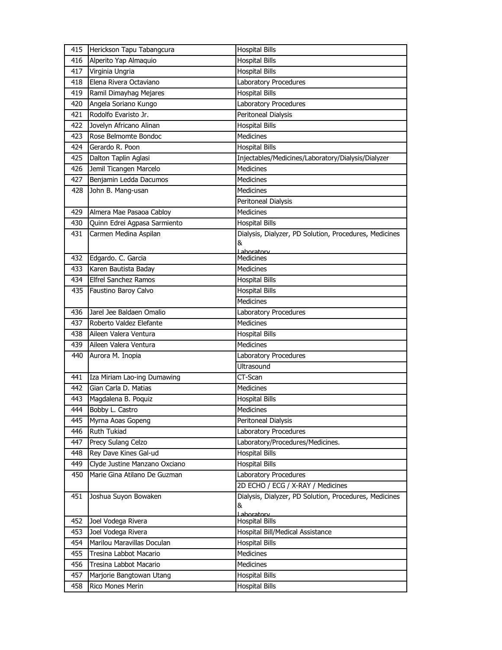| 415 | Herickson Tapu Tabangcura     | <b>Hospital Bills</b>                                       |
|-----|-------------------------------|-------------------------------------------------------------|
| 416 | Alperito Yap Almaquio         | <b>Hospital Bills</b>                                       |
| 417 | Virginia Ungria               | <b>Hospital Bills</b>                                       |
| 418 | Elena Rivera Octaviano        | Laboratory Procedures                                       |
| 419 | Ramil Dimayhag Mejares        | <b>Hospital Bills</b>                                       |
| 420 | Angela Soriano Kungo          | Laboratory Procedures                                       |
| 421 | Rodolfo Evaristo Jr.          | Peritoneal Dialysis                                         |
| 422 | Jovelyn Africano Alinan       | Hospital Bills                                              |
| 423 | Rose Belmomte Bondoc          | Medicines                                                   |
| 424 | Gerardo R. Poon               | <b>Hospital Bills</b>                                       |
| 425 | Dalton Taplin Aglasi          | Injectables/Medicines/Laboratory/Dialysis/Dialyzer          |
| 426 | Jemil Ticangen Marcelo        | <b>Medicines</b>                                            |
| 427 | Benjamin Ledda Dacumos        | <b>Medicines</b>                                            |
| 428 | John B. Mang-usan             | Medicines                                                   |
|     |                               | Peritoneal Dialysis                                         |
| 429 | Almera Mae Pasaoa Cabloy      | Medicines                                                   |
| 430 | Quinn Edrei Agpasa Sarmiento  | <b>Hospital Bills</b>                                       |
| 431 | Carmen Medina Aspilan         | Dialysis, Dialyzer, PD Solution, Procedures, Medicines      |
|     |                               | &<br>Laboratory                                             |
| 432 | Edgardo. C. Garcia            | Medicines                                                   |
| 433 | Karen Bautista Baday          | <b>Medicines</b>                                            |
| 434 | <b>Elfrel Sanchez Ramos</b>   | <b>Hospital Bills</b>                                       |
| 435 | Faustino Baroy Calvo          | <b>Hospital Bills</b>                                       |
|     |                               | <b>Medicines</b>                                            |
| 436 | Jarel Jee Baldaen Omalio      | Laboratory Procedures                                       |
| 437 | Roberto Valdez Elefante       | <b>Medicines</b>                                            |
| 438 | Aileen Valera Ventura         | <b>Hospital Bills</b>                                       |
| 439 | Aileen Valera Ventura         | <b>Medicines</b>                                            |
| 440 | Aurora M. Inopia              | Laboratory Procedures                                       |
|     |                               | Ultrasound                                                  |
| 441 | Iza Miriam Lao-ing Dumawing   | CT-Scan                                                     |
| 442 | Gian Carla D. Matias          | <b>Medicines</b>                                            |
| 443 | Magdalena B. Poquiz           | <b>Hospital Bills</b>                                       |
| 444 | Bobby L. Castro               | Medicines                                                   |
| 445 | Myrna Aoas Gopeng             | Peritoneal Dialysis                                         |
| 446 | Ruth Tukiad                   | Laboratory Procedures                                       |
| 447 | Precy Sulang Celzo            | Laboratory/Procedures/Medicines.                            |
| 448 | Rey Dave Kines Gal-ud         | <b>Hospital Bills</b>                                       |
| 449 | Clyde Justine Manzano Oxciano | <b>Hospital Bills</b>                                       |
| 450 | Marie Gina Atilano De Guzman  | Laboratory Procedures                                       |
|     |                               | 2D ECHO / ECG / X-RAY / Medicines                           |
| 451 | Joshua Suyon Bowaken          | Dialysis, Dialyzer, PD Solution, Procedures, Medicines<br>& |
|     |                               | Laboratory                                                  |
| 452 | Joel Vodega Rivera            | <b>Hospital Bills</b>                                       |
| 453 | Joel Vodega Rivera            | Hospital Bill/Medical Assistance                            |
| 454 | Marilou Maravillas Doculan    | <b>Hospital Bills</b>                                       |
| 455 | Tresina Labbot Macario        | Medicines                                                   |
| 456 | Tresina Labbot Macario        | Medicines                                                   |
| 457 | Marjorie Bangtowan Utang      | <b>Hospital Bills</b>                                       |
| 458 | Rico Mones Merin              | <b>Hospital Bills</b>                                       |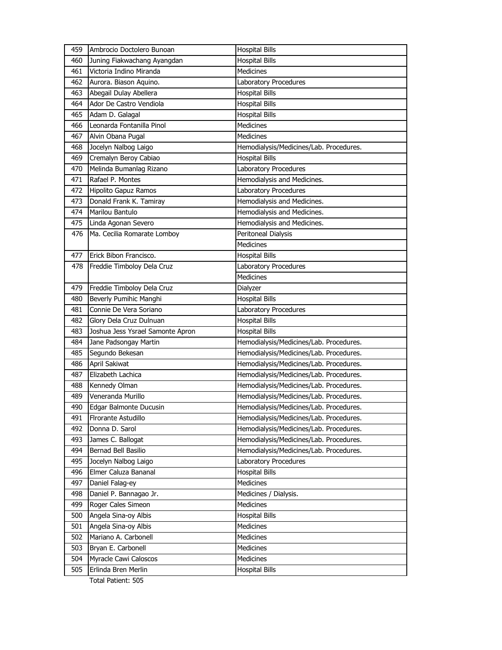| 459 | Ambrocio Doctolero Bunoan        | <b>Hospital Bills</b>                   |
|-----|----------------------------------|-----------------------------------------|
| 460 | Juning Fiakwachang Ayangdan      | <b>Hospital Bills</b>                   |
| 461 | Victoria Indino Miranda          | <b>Medicines</b>                        |
| 462 | Aurora. Biason Aquino.           | Laboratory Procedures                   |
| 463 | Abegail Dulay Abellera           | <b>Hospital Bills</b>                   |
| 464 | Ador De Castro Vendiola          | <b>Hospital Bills</b>                   |
| 465 | Adam D. Galagal                  | <b>Hospital Bills</b>                   |
| 466 | Leonarda Fontanilla Pinol        | Medicines                               |
| 467 | Alvin Obana Pugal                | <b>Medicines</b>                        |
| 468 | Jocelyn Nalbog Laigo             | Hemodialysis/Medicines/Lab. Procedures. |
| 469 | Cremalyn Beroy Cabiao            | <b>Hospital Bills</b>                   |
| 470 | Melinda Bumanlag Rizano          | Laboratory Procedures                   |
| 471 | Rafael P. Montes                 | Hemodialysis and Medicines.             |
| 472 | Hipolito Gapuz Ramos             | Laboratory Procedures                   |
| 473 | Donald Frank K. Tamiray          | Hemodialysis and Medicines.             |
| 474 | Marilou Bantulo                  | Hemodialysis and Medicines.             |
| 475 | Linda Agonan Severo              | Hemodialysis and Medicines.             |
| 476 | Ma. Cecilia Romarate Lomboy      | Peritoneal Dialysis                     |
|     |                                  | <b>Medicines</b>                        |
| 477 | Erick Bibon Francisco.           | <b>Hospital Bills</b>                   |
| 478 | Freddie Timboloy Dela Cruz       | Laboratory Procedures                   |
|     |                                  | <b>Medicines</b>                        |
| 479 | Freddie Timboloy Dela Cruz       | Dialyzer                                |
| 480 | Beverly Pumihic Manghi           | <b>Hospital Bills</b>                   |
| 481 | Connie De Vera Soriano           | Laboratory Procedures                   |
| 482 | Glory Dela Cruz Dulnuan          | <b>Hospital Bills</b>                   |
| 483 | Joshua Jess Ysrael Samonte Apron | <b>Hospital Bills</b>                   |
| 484 | Jane Padsongay Martin            | Hemodialysis/Medicines/Lab. Procedures. |
| 485 | Segundo Bekesan                  | Hemodialysis/Medicines/Lab. Procedures. |
| 486 | April Sakiwat                    | Hemodialysis/Medicines/Lab. Procedures. |
| 487 | Elizabeth Lachica                | Hemodialysis/Medicines/Lab. Procedures. |
| 488 | Kennedy Olman                    | Hemodialysis/Medicines/Lab. Procedures. |
| 489 | Veneranda Murillo                | Hemodialysis/Medicines/Lab. Procedures. |
| 490 | Edgar Balmonte Ducusin           | Hemodialysis/Medicines/Lab. Procedures. |
| 491 | Firorante Astudillo              | Hemodialysis/Medicines/Lab. Procedures. |
| 492 | Donna D. Sarol                   | Hemodialysis/Medicines/Lab. Procedures. |
| 493 | James C. Ballogat                | Hemodialysis/Medicines/Lab. Procedures. |
| 494 | Bernad Bell Basilio              | Hemodialysis/Medicines/Lab. Procedures. |
| 495 | Jocelyn Nalbog Laigo             | Laboratory Procedures                   |
| 496 | Elmer Caluza Bananal             | <b>Hospital Bills</b>                   |
| 497 | Daniel Falag-ey                  | <b>Medicines</b>                        |
| 498 | Daniel P. Bannagao Jr.           | Medicines / Dialysis.                   |
| 499 | Roger Cales Simeon               | <b>Medicines</b>                        |
| 500 | Angela Sina-oy Albis             | <b>Hospital Bills</b>                   |
| 501 | Angela Sina-oy Albis             | Medicines                               |
| 502 | Mariano A. Carbonell             | Medicines                               |
| 503 | Bryan E. Carbonell               | <b>Medicines</b>                        |
| 504 | Myracle Cawi Caloscos            | <b>Medicines</b>                        |
| 505 | Erlinda Bren Merlin              | <b>Hospital Bills</b>                   |

Total Patient: 505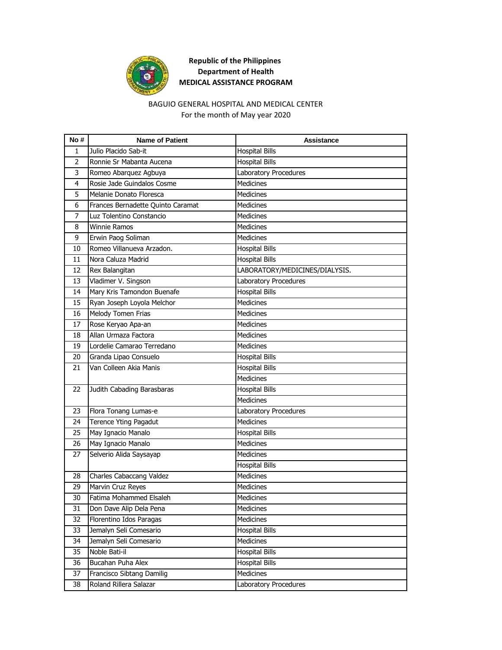

# **Republic of the Philippines Department of Health MEDICAL ASSISTANCE PROGRAM**

### For the month of May year 2020 BAGUIO GENERAL HOSPITAL AND MEDICAL CENTER

| No#            | <b>Name of Patient</b>            | Assistance                     |
|----------------|-----------------------------------|--------------------------------|
| 1              | Julio Placido Sab-it              | <b>Hospital Bills</b>          |
| $\overline{2}$ | Ronnie Sr Mabanta Aucena          | <b>Hospital Bills</b>          |
| 3              | Romeo Abarquez Agbuya             | Laboratory Procedures          |
| 4              | Rosie Jade Guindalos Cosme        | <b>Medicines</b>               |
| 5              | Melanie Donato Floresca           | <b>Medicines</b>               |
| 6              | Frances Bernadette Quinto Caramat | <b>Medicines</b>               |
| 7              | Luz Tolentino Constancio          | <b>Medicines</b>               |
| 8              | <b>Winnie Ramos</b>               | <b>Medicines</b>               |
| 9              | Erwin Paog Soliman                | <b>Medicines</b>               |
| 10             | Romeo Villanueva Arzadon.         | <b>Hospital Bills</b>          |
| 11             | Nora Caluza Madrid                | <b>Hospital Bills</b>          |
| 12             | Rex Balangitan                    | LABORATORY/MEDICINES/DIALYSIS. |
| 13             | Vladimer V. Singson               | Laboratory Procedures          |
| 14             | Mary Kris Tamondon Buenafe        | <b>Hospital Bills</b>          |
| 15             | Ryan Joseph Loyola Melchor        | <b>Medicines</b>               |
| 16             | Melody Tomen Frias                | <b>Medicines</b>               |
| 17             | Rose Keryao Apa-an                | <b>Medicines</b>               |
| 18             | Allan Urmaza Factora              | <b>Medicines</b>               |
| 19             | Lordelie Camarao Terredano        | <b>Medicines</b>               |
| 20             | Granda Lipao Consuelo             | <b>Hospital Bills</b>          |
| 21             | Van Colleen Akia Manis            | <b>Hospital Bills</b>          |
|                |                                   | <b>Medicines</b>               |
| 22             | Judith Cabading Barasbaras        | <b>Hospital Bills</b>          |
|                |                                   | <b>Medicines</b>               |
| 23             | Flora Tonang Lumas-e              | Laboratory Procedures          |
| 24             | Terence Yting Pagadut             | <b>Medicines</b>               |
| 25             | May Ignacio Manalo                | <b>Hospital Bills</b>          |
| 26             | May Ignacio Manalo                | <b>Medicines</b>               |
| 27             | Selverio Alida Saysayap           | <b>Medicines</b>               |
|                |                                   | <b>Hospital Bills</b>          |
| 28             | Charles Cabaccang Valdez          | <b>Medicines</b>               |
| 29             | Marvin Cruz Reyes                 | Medicines                      |
| 30             | Fatima Mohammed Elsaleh           | Medicines                      |
| 31             | Don Dave Alip Dela Pena           | Medicines                      |
| 32             | Florentino Idos Paragas           | Medicines                      |
| 33             | Jemalyn Seli Comesario            | <b>Hospital Bills</b>          |
| 34             | Jemalyn Seli Comesario            | Medicines                      |
| 35             | Noble Bati-il                     | <b>Hospital Bills</b>          |
| 36             | Bucahan Puha Alex                 | <b>Hospital Bills</b>          |
| 37             | Francisco Sibtang Damilig         | Medicines                      |
| 38             | Roland Rillera Salazar            | Laboratory Procedures          |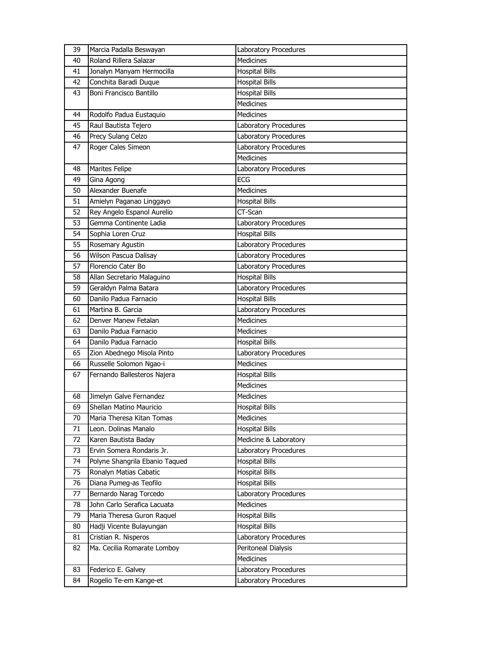| 39 | Marcia Padalla Beswayan        | Laboratory Procedures        |
|----|--------------------------------|------------------------------|
| 40 | Roland Rillera Salazar         | <b>Medicines</b>             |
| 41 | Jonalyn Manyam Hermocilla      | <b>Hospital Bills</b>        |
| 42 | Conchita Baradi Duque          | <b>Hospital Bills</b>        |
| 43 | Boni Francisco Bantillo        | <b>Hospital Bills</b>        |
|    |                                | <b>Medicines</b>             |
| 44 | Rodolfo Padua Eustaquio        | <b>Medicines</b>             |
| 45 | Raul Bautista Tejero           | Laboratory Procedures        |
| 46 | Precy Sulang Celzo             | Laboratory Procedures        |
| 47 | Roger Cales Simeon             | Laboratory Procedures        |
|    |                                | <b>Medicines</b>             |
| 48 | Marites Felipe                 | Laboratory Procedures        |
| 49 | Gina Agong                     | <b>ECG</b>                   |
| 50 | Alexander Buenafe              | <b>Medicines</b>             |
| 51 | Amielyn Paganao Linggayo       | <b>Hospital Bills</b>        |
| 52 | Rey Angelo Espanol Aurelio     | CT-Scan                      |
| 53 | Gemma Continente Ladia         | Laboratory Procedures        |
| 54 | Sophia Loren Cruz              | <b>Hospital Bills</b>        |
| 55 | Rosemary Agustin               | Laboratory Procedures        |
| 56 | Wilson Pascua Dalisay          | Laboratory Procedures        |
| 57 | Florencio Cater Bo             | Laboratory Procedures        |
| 58 | Allan Secretario Malaguino     | Hospital Bills               |
| 59 | Geraldyn Palma Batara          | Laboratory Procedures        |
| 60 | Danilo Padua Farnacio          | <b>Hospital Bills</b>        |
| 61 | Martina B. Garcia              | Laboratory Procedures        |
|    |                                |                              |
| 62 | Denver Manew Fetalan           | <b>Medicines</b>             |
| 63 | Danilo Padua Farnacio          | Medicines                    |
| 64 | Danilo Padua Farnacio          | <b>Hospital Bills</b>        |
| 65 | Zion Abednego Misola Pinto     | Laboratory Procedures        |
| 66 | Russelle Solomon Ngao-i        | <b>Medicines</b>             |
| 67 | Fernando Ballesteros Najera    | <b>Hospital Bills</b>        |
|    |                                | <b>Medicines</b>             |
| 68 | Jimelyn Galve Fernandez        | <b>Medicines</b>             |
| 69 | Shellan Matino Mauricio        | <b>Hospital Bills</b>        |
| 70 | Maria Theresa Kitan Tomas      | Medicines                    |
| 71 | Leon. Dolinas Manalo           | <b>Hospital Bills</b>        |
| 72 | Karen Bautista Baday           | Medicine & Laboratory        |
| 73 | Ervin Somera Rondaris Jr.      | <b>Laboratory Procedures</b> |
| 74 | Polyne Shangrila Ebanio Taqued | <b>Hospital Bills</b>        |
| 75 | Ronalyn Matias Cabatic         | <b>Hospital Bills</b>        |
| 76 | Diana Pumeg-as Teofilo         | <b>Hospital Bills</b>        |
| 77 | Bernardo Narag Torcedo         | Laboratory Procedures        |
| 78 | John Carlo Serafica Lacuata    | Medicines                    |
| 79 | Maria Theresa Guron Raquel     | <b>Hospital Bills</b>        |
| 80 | Hadji Vicente Bulayungan       | <b>Hospital Bills</b>        |
| 81 | Cristian R. Nisperos           | Laboratory Procedures        |
| 82 | Ma. Cecilia Romarate Lomboy    | Peritoneal Dialysis          |
|    |                                | Medicines                    |
| 83 | Federico E. Galvey             | Laboratory Procedures        |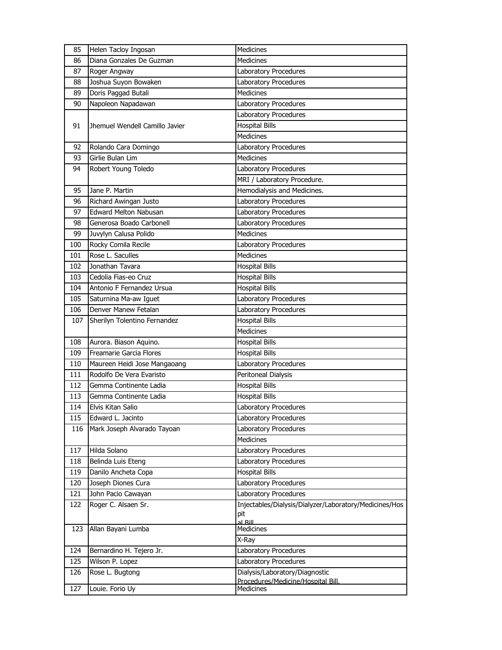| 85  | Helen Tacloy Ingosan           | Medicines                                              |
|-----|--------------------------------|--------------------------------------------------------|
| 86  | Diana Gonzales De Guzman       | <b>Medicines</b>                                       |
| 87  | Roger Angway                   | Laboratory Procedures                                  |
| 88  | Joshua Suyon Bowaken           | Laboratory Procedures                                  |
| 89  | Doris Paggad Butali            | <b>Medicines</b>                                       |
| 90  | Napoleon Napadawan             | Laboratory Procedures                                  |
|     |                                | Laboratory Procedures                                  |
| 91  | Jhemuel Wendell Camillo Javier | <b>Hospital Bills</b>                                  |
|     |                                | <b>Medicines</b>                                       |
| 92  | Rolando Cara Domingo           | Laboratory Procedures                                  |
| 93  | Girlie Bulan Lim               | <b>Medicines</b>                                       |
| 94  | Robert Young Toledo            | Laboratory Procedures                                  |
|     |                                | MRI / Laboratory Procedure.                            |
| 95  | Jane P. Martin                 | Hemodialysis and Medicines.                            |
| 96  | Richard Awingan Justo          | Laboratory Procedures                                  |
| 97  | <b>Edward Melton Nabusan</b>   | Laboratory Procedures                                  |
| 98  | Generosa Boado Carbonell       | Laboratory Procedures                                  |
| 99  | Juvylyn Calusa Polido          | <b>Medicines</b>                                       |
| 100 | Rocky Comila Recile            | Laboratory Procedures                                  |
| 101 | Rose L. Saculles               | <b>Medicines</b>                                       |
| 102 | Jonathan Tavara                | <b>Hospital Bills</b>                                  |
| 103 | Cedolia Fias-eo Cruz           | <b>Hospital Bills</b>                                  |
| 104 | Antonio F Fernandez Ursua      | <b>Hospital Bills</b>                                  |
| 105 | Saturnina Ma-aw Iguet          | Laboratory Procedures                                  |
| 106 | Denver Manew Fetalan           | Laboratory Procedures                                  |
| 107 | Sherilyn Tolentino Fernandez   | <b>Hospital Bills</b>                                  |
|     |                                | Medicines                                              |
| 108 | Aurora. Biason Aquino.         | <b>Hospital Bills</b>                                  |
| 109 | Freamarie Garcia Flores        | <b>Hospital Bills</b>                                  |
| 110 | Maureen Heidi Jose Mangaoang   | <b>Laboratory Procedures</b>                           |
| 111 | Rodolfo De Vera Evaristo       | Peritoneal Dialysis                                    |
| 112 | Gemma Continente Ladia         | <b>Hospital Bills</b>                                  |
| 113 | Gemma Continente Ladia         | <b>Hospital Bills</b>                                  |
| 114 | Elvis Kitan Salio              | Laboratory Procedures                                  |
| 115 | Edward L. Jacinto              | Laboratory Procedures                                  |
| 116 | Mark Joseph Alvarado Tayoan    | Laboratory Procedures                                  |
|     |                                | <b>Medicines</b>                                       |
| 117 | Hilda Solano                   | Laboratory Procedures                                  |
| 118 | Belinda Luis Eteng             | Laboratory Procedures                                  |
| 119 | Danilo Ancheta Copa            | <b>Hospital Bills</b>                                  |
| 120 | Joseph Diones Cura             | Laboratory Procedures                                  |
| 121 | John Pacio Cawayan             | Laboratory Procedures                                  |
| 122 | Roger C. Alsaen Sr.            | Injectables/Dialysis/Dialyzer/Laboratory/Medicines/Hos |
|     |                                | pit<br>al Rill                                         |
| 123 | Allan Bayani Lumba             | <b>Medicines</b>                                       |
|     |                                | X-Ray                                                  |
| 124 | Bernardino H. Tejero Jr.       | Laboratory Procedures                                  |
| 125 | Wilson P. Lopez                | Laboratory Procedures                                  |
| 126 | Rose L. Bugtong                | Dialysis/Laboratory/Diagnostic                         |
|     |                                | Procedures/Medicine/Hospital Bill                      |
| 127 | Louie. Forio Uy                | Medicines                                              |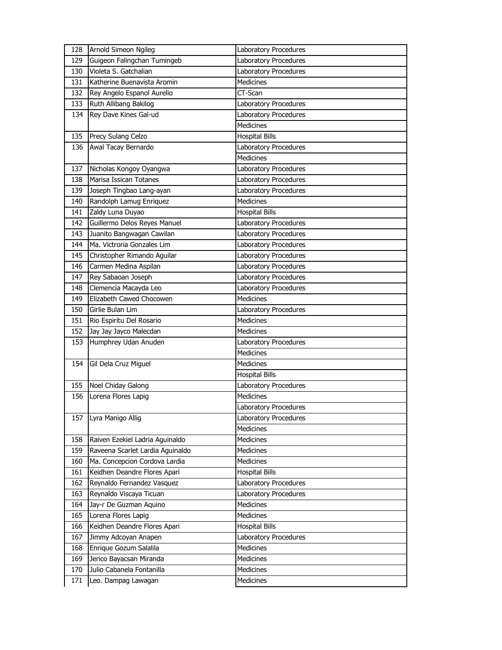| 128 | Arnold Simeon Ngileg             | Laboratory Procedures |
|-----|----------------------------------|-----------------------|
| 129 | Guigeon Falingchan Tumingeb      | Laboratory Procedures |
| 130 | Violeta S. Gatchalian            | Laboratory Procedures |
| 131 | Katherine Buenavista Aromin      | <b>Medicines</b>      |
| 132 | Rey Angelo Espanol Aurelio       | $\overline{CT}$ -Scan |
| 133 | Ruth Allibang Bakilog            | Laboratory Procedures |
| 134 | Rey Dave Kines Gal-ud            | Laboratory Procedures |
|     |                                  | <b>Medicines</b>      |
| 135 | Precy Sulang Celzo               | <b>Hospital Bills</b> |
| 136 | Awal Tacay Bernardo              | Laboratory Procedures |
|     |                                  | <b>Medicines</b>      |
| 137 | Nicholas Kongoy Oyangwa          | Laboratory Procedures |
| 138 | Marisa Issican Totanes           | Laboratory Procedures |
| 139 | Joseph Tingbao Lang-ayan         | Laboratory Procedures |
| 140 | Randolph Lamug Enriquez          | <b>Medicines</b>      |
| 141 | Zaldy Luna Duyao                 | <b>Hospital Bills</b> |
| 142 | Guillermo Delos Reyes Manuel     | Laboratory Procedures |
| 143 | Juanito Bangwagan Cawilan        | Laboratory Procedures |
| 144 | Ma. Victroria Gonzales Lim       | Laboratory Procedures |
| 145 | Christopher Rimando Aguilar      | Laboratory Procedures |
| 146 | Carmen Medina Aspilan            | Laboratory Procedures |
| 147 | Rey Sabaoan Joseph               | Laboratory Procedures |
| 148 | Clemencia Macayda Leo            | Laboratory Procedures |
| 149 | Elizabeth Cawed Chocowen         | <b>Medicines</b>      |
| 150 | Girlie Bulan Lim                 | Laboratory Procedures |
|     |                                  |                       |
| 151 | Rio Espiritu Del Rosario         | <b>Medicines</b>      |
| 152 | Jay Jay Jayco Malecdan           | <b>Medicines</b>      |
| 153 | Humphrey Udan Anuden             | Laboratory Procedures |
|     |                                  | <b>Medicines</b>      |
| 154 | Gil Dela Cruz Miguel             | Medicines             |
|     |                                  | <b>Hospital Bills</b> |
| 155 | Noel Chiday Galong               | Laboratory Procedures |
| 156 | Lorena Flores Lapig              | <b>Medicines</b>      |
|     |                                  | Laboratory Procedures |
|     | 157 Lyra Manigo Allig            | Laboratory Procedures |
|     |                                  | Medicines             |
| 158 | Raiven Ezekiel Ladria Aguinaldo  | Medicines             |
| 159 | Raveena Scarlet Lardia Aguinaldo | Medicines             |
| 160 | Ma. Concepcion Cordova Lardia    | Medicines             |
| 161 | Keidhen Deandre Flores Apari     | <b>Hospital Bills</b> |
| 162 | Reynaldo Fernandez Vasquez       | Laboratory Procedures |
| 163 | Reynaldo Viscaya Ticuan          | Laboratory Procedures |
| 164 | Jay-r De Guzman Aquino           | Medicines             |
| 165 | Lorena Flores Lapig              | Medicines             |
| 166 | Keidhen Deandre Flores Apari     | <b>Hospital Bills</b> |
| 167 | Jimmy Adcoyan Anapen             | Laboratory Procedures |
| 168 | Enrique Gozum Salalila           | Medicines             |
| 169 | Jerico Bayacsan Miranda          | Medicines             |
| 170 | Julio Cabanela Fontanilla        | Medicines             |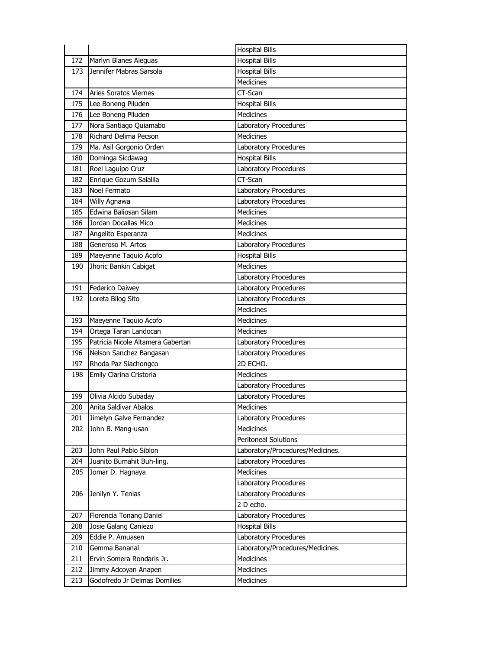| <b>Hospital Bills</b><br>172<br>Marlyn Blanes Aleguas<br>Jennifer Mabras Sarsola<br><b>Hospital Bills</b><br>173<br><b>Medicines</b><br><b>Aries Soratos Viernes</b><br>CT-Scan<br>174<br>175<br>Lee Boneng Piluden<br><b>Hospital Bills</b><br>176<br>Lee Boneng Piluden<br><b>Medicines</b><br>Nora Santiago Quiamabo<br>Laboratory Procedures<br>177<br>Richard Delima Pecson<br>Medicines<br>178<br>Ma. Asil Gorgonio Orden<br>Laboratory Procedures<br>179<br><b>Hospital Bills</b><br>180<br>Dominga Sicdawag<br>Laboratory Procedures<br>181<br>Roel Laguipo Cruz<br>Enrique Gozum Salalila<br>CT-Scan<br>182<br>Noel Fermato<br>Laboratory Procedures<br>183<br>Willy Agnawa<br>Laboratory Procedures<br>184<br>Edwina Baliosan Silam<br>185<br><b>Medicines</b> |
|--------------------------------------------------------------------------------------------------------------------------------------------------------------------------------------------------------------------------------------------------------------------------------------------------------------------------------------------------------------------------------------------------------------------------------------------------------------------------------------------------------------------------------------------------------------------------------------------------------------------------------------------------------------------------------------------------------------------------------------------------------------------------|
|                                                                                                                                                                                                                                                                                                                                                                                                                                                                                                                                                                                                                                                                                                                                                                          |
|                                                                                                                                                                                                                                                                                                                                                                                                                                                                                                                                                                                                                                                                                                                                                                          |
|                                                                                                                                                                                                                                                                                                                                                                                                                                                                                                                                                                                                                                                                                                                                                                          |
|                                                                                                                                                                                                                                                                                                                                                                                                                                                                                                                                                                                                                                                                                                                                                                          |
|                                                                                                                                                                                                                                                                                                                                                                                                                                                                                                                                                                                                                                                                                                                                                                          |
|                                                                                                                                                                                                                                                                                                                                                                                                                                                                                                                                                                                                                                                                                                                                                                          |
|                                                                                                                                                                                                                                                                                                                                                                                                                                                                                                                                                                                                                                                                                                                                                                          |
|                                                                                                                                                                                                                                                                                                                                                                                                                                                                                                                                                                                                                                                                                                                                                                          |
|                                                                                                                                                                                                                                                                                                                                                                                                                                                                                                                                                                                                                                                                                                                                                                          |
|                                                                                                                                                                                                                                                                                                                                                                                                                                                                                                                                                                                                                                                                                                                                                                          |
|                                                                                                                                                                                                                                                                                                                                                                                                                                                                                                                                                                                                                                                                                                                                                                          |
|                                                                                                                                                                                                                                                                                                                                                                                                                                                                                                                                                                                                                                                                                                                                                                          |
|                                                                                                                                                                                                                                                                                                                                                                                                                                                                                                                                                                                                                                                                                                                                                                          |
|                                                                                                                                                                                                                                                                                                                                                                                                                                                                                                                                                                                                                                                                                                                                                                          |
|                                                                                                                                                                                                                                                                                                                                                                                                                                                                                                                                                                                                                                                                                                                                                                          |
| 186<br>Jordan Docallas Mico<br><b>Medicines</b>                                                                                                                                                                                                                                                                                                                                                                                                                                                                                                                                                                                                                                                                                                                          |
| <b>Medicines</b><br>187<br>Angelito Esperanza                                                                                                                                                                                                                                                                                                                                                                                                                                                                                                                                                                                                                                                                                                                            |
| Generoso M. Artos<br>188<br>Laboratory Procedures                                                                                                                                                                                                                                                                                                                                                                                                                                                                                                                                                                                                                                                                                                                        |
| <b>Hospital Bills</b><br>189<br>Maeyenne Taquio Acofo                                                                                                                                                                                                                                                                                                                                                                                                                                                                                                                                                                                                                                                                                                                    |
| Jhoric Bankin Cabigat<br><b>Medicines</b><br>190                                                                                                                                                                                                                                                                                                                                                                                                                                                                                                                                                                                                                                                                                                                         |
| Laboratory Procedures                                                                                                                                                                                                                                                                                                                                                                                                                                                                                                                                                                                                                                                                                                                                                    |
| 191<br>Federico Daiwey<br>Laboratory Procedures                                                                                                                                                                                                                                                                                                                                                                                                                                                                                                                                                                                                                                                                                                                          |
|                                                                                                                                                                                                                                                                                                                                                                                                                                                                                                                                                                                                                                                                                                                                                                          |
| Laboratory Procedures<br>Loreta Bilog Sito<br>192                                                                                                                                                                                                                                                                                                                                                                                                                                                                                                                                                                                                                                                                                                                        |
| <b>Medicines</b>                                                                                                                                                                                                                                                                                                                                                                                                                                                                                                                                                                                                                                                                                                                                                         |
| Maeyenne Taquio Acofo<br>Medicines<br>193                                                                                                                                                                                                                                                                                                                                                                                                                                                                                                                                                                                                                                                                                                                                |
| 194<br>Ortega Taran Landocan<br>Medicines                                                                                                                                                                                                                                                                                                                                                                                                                                                                                                                                                                                                                                                                                                                                |
| Patricia Nicole Altamera Gabertan<br>195<br>Laboratory Procedures                                                                                                                                                                                                                                                                                                                                                                                                                                                                                                                                                                                                                                                                                                        |
| Laboratory Procedures<br>196<br>Nelson Sanchez Bangasan                                                                                                                                                                                                                                                                                                                                                                                                                                                                                                                                                                                                                                                                                                                  |
| Rhoda Paz Siachongco<br>2D ECHO.<br>197                                                                                                                                                                                                                                                                                                                                                                                                                                                                                                                                                                                                                                                                                                                                  |
| Emily Clarina Cristoria<br><b>Medicines</b><br>198                                                                                                                                                                                                                                                                                                                                                                                                                                                                                                                                                                                                                                                                                                                       |
| Laboratory Procedures                                                                                                                                                                                                                                                                                                                                                                                                                                                                                                                                                                                                                                                                                                                                                    |
| Olivia Alcido Subaday<br>Laboratory Procedures<br>199                                                                                                                                                                                                                                                                                                                                                                                                                                                                                                                                                                                                                                                                                                                    |
| 200<br>Anita Saldivar Abalos<br>Medicines                                                                                                                                                                                                                                                                                                                                                                                                                                                                                                                                                                                                                                                                                                                                |
| Jimelyn Galve Fernandez<br>201<br>Laboratory Procedures                                                                                                                                                                                                                                                                                                                                                                                                                                                                                                                                                                                                                                                                                                                  |
| <b>Medicines</b><br>John B. Mang-usan<br>202                                                                                                                                                                                                                                                                                                                                                                                                                                                                                                                                                                                                                                                                                                                             |
| <b>Peritoneal Solutions</b>                                                                                                                                                                                                                                                                                                                                                                                                                                                                                                                                                                                                                                                                                                                                              |
| John Paul Pablo Siblon<br>203<br>Laboratory/Procedures/Medicines.                                                                                                                                                                                                                                                                                                                                                                                                                                                                                                                                                                                                                                                                                                        |
| 204<br>Juanito Bumahit Buh-ling.<br>Laboratory Procedures                                                                                                                                                                                                                                                                                                                                                                                                                                                                                                                                                                                                                                                                                                                |
| Medicines<br>205<br>Jomar D. Hagnaya                                                                                                                                                                                                                                                                                                                                                                                                                                                                                                                                                                                                                                                                                                                                     |
| Laboratory Procedures                                                                                                                                                                                                                                                                                                                                                                                                                                                                                                                                                                                                                                                                                                                                                    |
| Jenilyn Y. Tenias<br>Laboratory Procedures<br>206                                                                                                                                                                                                                                                                                                                                                                                                                                                                                                                                                                                                                                                                                                                        |
| 2 D echo.                                                                                                                                                                                                                                                                                                                                                                                                                                                                                                                                                                                                                                                                                                                                                                |
| 207<br>Florencia Tonang Daniel<br>Laboratory Procedures                                                                                                                                                                                                                                                                                                                                                                                                                                                                                                                                                                                                                                                                                                                  |
| <b>Hospital Bills</b><br>208<br>Josie Galang Caniezo                                                                                                                                                                                                                                                                                                                                                                                                                                                                                                                                                                                                                                                                                                                     |
| 209<br>Eddie P. Amuasen<br>Laboratory Procedures                                                                                                                                                                                                                                                                                                                                                                                                                                                                                                                                                                                                                                                                                                                         |
| Laboratory/Procedures/Medicines.<br>210<br>Gemma Bananal                                                                                                                                                                                                                                                                                                                                                                                                                                                                                                                                                                                                                                                                                                                 |
| Medicines<br>211<br>Ervin Somera Rondaris Jr.                                                                                                                                                                                                                                                                                                                                                                                                                                                                                                                                                                                                                                                                                                                            |
| 212<br>Jimmy Adcoyan Anapen<br>Medicines                                                                                                                                                                                                                                                                                                                                                                                                                                                                                                                                                                                                                                                                                                                                 |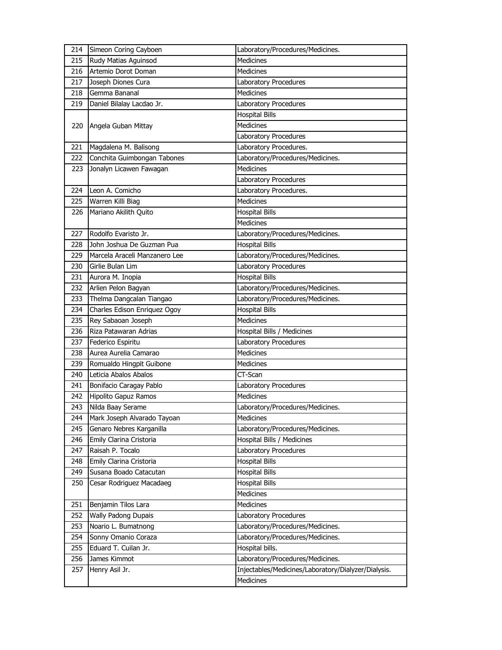| 214        | Simeon Coring Cayboen                             | Laboratory/Procedures/Medicines.                                     |
|------------|---------------------------------------------------|----------------------------------------------------------------------|
| 215        | Rudy Matias Aguinsod                              | <b>Medicines</b>                                                     |
| 216        | Artemio Dorot Doman                               | <b>Medicines</b>                                                     |
| 217        | Joseph Diones Cura                                | Laboratory Procedures                                                |
| 218        | Gemma Bananal                                     | <b>Medicines</b>                                                     |
| 219        | Daniel Bilalay Lacdao Jr.                         | Laboratory Procedures                                                |
|            |                                                   | <b>Hospital Bills</b>                                                |
| 220        | Angela Guban Mittay                               | <b>Medicines</b>                                                     |
|            |                                                   | Laboratory Procedures                                                |
| 221        | Magdalena M. Balisong                             | Laboratory Procedures.                                               |
| 222        | Conchita Guimbongan Tabones                       | Laboratory/Procedures/Medicines.                                     |
| 223        | Jonalyn Licawen Fawagan                           | Medicines                                                            |
|            |                                                   | Laboratory Procedures                                                |
| 224        | Leon A. Comicho                                   | Laboratory Procedures.                                               |
| 225        | Warren Killi Biag                                 | <b>Medicines</b>                                                     |
| 226        | Mariano Akilith Quito                             | <b>Hospital Bills</b>                                                |
|            |                                                   | <b>Medicines</b>                                                     |
| 227        | Rodolfo Evaristo Jr.                              | Laboratory/Procedures/Medicines.                                     |
| 228        | John Joshua De Guzman Pua                         | <b>Hospital Bills</b>                                                |
| 229        | Marcela Araceli Manzanero Lee                     | Laboratory/Procedures/Medicines.                                     |
| 230        | Girlie Bulan Lim                                  | Laboratory Procedures                                                |
| 231        | Aurora M. Inopia                                  | <b>Hospital Bills</b>                                                |
| 232        | Arlien Pelon Bagyan                               | Laboratory/Procedures/Medicines.                                     |
| 233        | Thelma Dangcalan Tiangao                          | Laboratory/Procedures/Medicines.                                     |
| 234        | Charles Edison Enriquez Ogoy                      | <b>Hospital Bills</b>                                                |
| 235        | Rey Sabaoan Joseph                                | <b>Medicines</b>                                                     |
|            |                                                   |                                                                      |
| 236        |                                                   |                                                                      |
|            | Riza Patawaran Adrias                             | Hospital Bills / Medicines                                           |
| 237        | Federico Espiritu                                 | Laboratory Procedures<br><b>Medicines</b>                            |
| 238        | Aurea Aurelia Camarao                             | <b>Medicines</b>                                                     |
| 239<br>240 | Romualdo Hingpit Guibone<br>Leticia Abalos Abalos | CT-Scan                                                              |
|            |                                                   |                                                                      |
| 241<br>242 | Bonifacio Caragay Pablo                           | Laboratory Procedures<br><b>Medicines</b>                            |
|            | Hipolito Gapuz Ramos                              |                                                                      |
| 243        | Nilda Baay Serame                                 | Laboratory/Procedures/Medicines.                                     |
| 244        | Mark Joseph Alvarado Tayoan                       | Medicines                                                            |
| 245        | Genaro Nebres Karganilla                          | Laboratory/Procedures/Medicines.                                     |
| 246        | Emily Clarina Cristoria                           | Hospital Bills / Medicines                                           |
| 247        | Raisah P. Tocalo                                  | Laboratory Procedures                                                |
| 248        | Emily Clarina Cristoria                           | <b>Hospital Bills</b>                                                |
| 249        | Susana Boado Catacutan                            | <b>Hospital Bills</b><br><b>Hospital Bills</b>                       |
| 250        | Cesar Rodriguez Macadaeg                          |                                                                      |
|            |                                                   | Medicines                                                            |
| 251<br>252 | Benjamin Tilos Lara                               | Medicines                                                            |
|            | Wally Padong Dupais                               | Laboratory Procedures                                                |
| 253<br>254 | Noario L. Bumatnong                               | Laboratory/Procedures/Medicines.<br>Laboratory/Procedures/Medicines. |
|            | Sonny Omanio Coraza                               |                                                                      |
| 255        | Eduard T. Cuilan Jr.                              | Hospital bills.                                                      |
| 256        | James Kimmot                                      | Laboratory/Procedures/Medicines.                                     |
| 257        | Henry Asil Jr.                                    | Injectables/Medicines/Laboratory/Dialyzer/Dialysis.<br>Medicines     |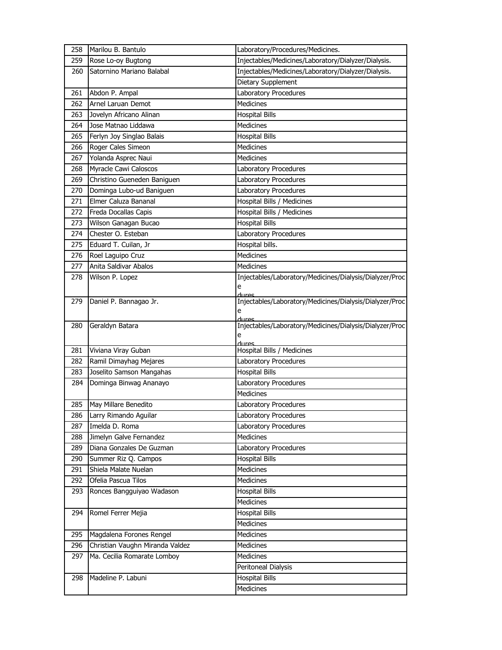| 258 | Marilou B. Bantulo              | Laboratory/Procedures/Medicines.                                 |
|-----|---------------------------------|------------------------------------------------------------------|
| 259 | Rose Lo-oy Bugtong              | Injectables/Medicines/Laboratory/Dialyzer/Dialysis.              |
| 260 | Satornino Mariano Balabal       | Injectables/Medicines/Laboratory/Dialyzer/Dialysis.              |
|     |                                 | Dietary Supplement                                               |
| 261 | Abdon P. Ampal                  | Laboratory Procedures                                            |
| 262 | Arnel Laruan Demot              | <b>Medicines</b>                                                 |
| 263 | Jovelyn Africano Alinan         | <b>Hospital Bills</b>                                            |
| 264 | Jose Matnao Liddawa             | Medicines                                                        |
| 265 | Ferlyn Joy Singlao Balais       | <b>Hospital Bills</b>                                            |
| 266 | Roger Cales Simeon              | Medicines                                                        |
| 267 | Yolanda Asprec Naui             | <b>Medicines</b>                                                 |
| 268 | Myracle Cawi Caloscos           | Laboratory Procedures                                            |
| 269 | Christino Gueneden Baniguen     | Laboratory Procedures                                            |
| 270 | Dominga Lubo-ud Baniguen        | Laboratory Procedures                                            |
| 271 | Elmer Caluza Bananal            | Hospital Bills / Medicines                                       |
| 272 | Freda Docallas Capis            | Hospital Bills / Medicines                                       |
| 273 | Wilson Ganagan Bucao            | <b>Hospital Bills</b>                                            |
| 274 | Chester O. Esteban              | Laboratory Procedures                                            |
| 275 | Eduard T. Cuilan, Jr            | Hospital bills.                                                  |
| 276 | Roel Laguipo Cruz               | Medicines                                                        |
| 277 | Anita Saldivar Abalos           | <b>Medicines</b>                                                 |
| 278 | Wilson P. Lopez                 | Injectables/Laboratory/Medicines/Dialysis/Dialyzer/Proc          |
|     |                                 | e                                                                |
| 279 | Daniel P. Bannagao Jr.          | dures<br>Injectables/Laboratory/Medicines/Dialysis/Dialyzer/Proc |
|     |                                 | е                                                                |
|     |                                 |                                                                  |
| 280 | Geraldyn Batara                 | Injectables/Laboratory/Medicines/Dialysis/Dialyzer/Proc          |
|     |                                 | е<br>dures                                                       |
| 281 | Viviana Viray Guban             | Hospital Bills / Medicines                                       |
| 282 | Ramil Dimayhag Mejares          | Laboratory Procedures                                            |
| 283 | Joselito Samson Mangahas        | <b>Hospital Bills</b>                                            |
| 284 | Dominga Binwag Ananayo          | Laboratory Procedures                                            |
|     |                                 | <b>Medicines</b>                                                 |
| 285 | May Millare Benedito            | Laboratory Procedures                                            |
| 286 | Larry Rimando Aguilar           | Laboratory Procedures                                            |
| 287 | Imelda D. Roma                  | Laboratory Procedures                                            |
| 288 | Jimelyn Galve Fernandez         | Medicines                                                        |
| 289 | Diana Gonzales De Guzman        | Laboratory Procedures                                            |
| 290 | Summer Riz Q. Campos            | <b>Hospital Bills</b>                                            |
| 291 | Shiela Malate Nuelan            | Medicines                                                        |
| 292 | Ofelia Pascua Tilos             | <b>Medicines</b>                                                 |
| 293 | Ronces Bangguiyao Wadason       | <b>Hospital Bills</b>                                            |
|     |                                 | Medicines                                                        |
| 294 | Romel Ferrer Mejia              | <b>Hospital Bills</b>                                            |
|     |                                 | Medicines                                                        |
| 295 | Magdalena Forones Rengel        | Medicines                                                        |
| 296 | Christian Vaughn Miranda Valdez | Medicines                                                        |
| 297 | Ma. Cecilia Romarate Lomboy     | Medicines                                                        |
|     |                                 | Peritoneal Dialysis                                              |
| 298 | Madeline P. Labuni              | <b>Hospital Bills</b>                                            |
|     |                                 | Medicines                                                        |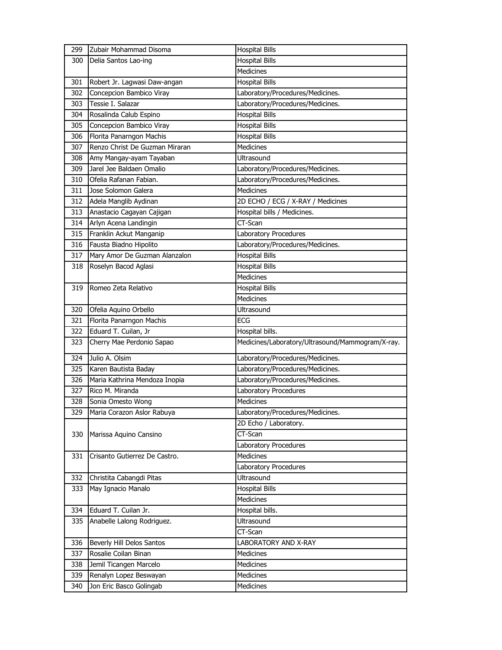| 299 | Zubair Mohammad Disoma         | <b>Hospital Bills</b>                            |
|-----|--------------------------------|--------------------------------------------------|
| 300 | Delia Santos Lao-ing           | <b>Hospital Bills</b>                            |
|     |                                | Medicines                                        |
| 301 | Robert Jr. Lagwasi Daw-angan   | <b>Hospital Bills</b>                            |
| 302 | Concepcion Bambico Viray       | Laboratory/Procedures/Medicines.                 |
| 303 | Tessie I. Salazar              | Laboratory/Procedures/Medicines.                 |
| 304 | Rosalinda Calub Espino         | <b>Hospital Bills</b>                            |
| 305 | Concepcion Bambico Viray       | <b>Hospital Bills</b>                            |
| 306 | Florita Panarngon Machis       | <b>Hospital Bills</b>                            |
| 307 | Renzo Christ De Guzman Miraran | Medicines                                        |
| 308 | Amy Mangay-ayam Tayaban        | Ultrasound                                       |
| 309 | Jarel Jee Baldaen Omalio       | Laboratory/Procedures/Medicines.                 |
| 310 | Ofelia Rafanan Fabian.         | Laboratory/Procedures/Medicines.                 |
| 311 | Jose Solomon Galera            | Medicines                                        |
| 312 | Adela Manglib Aydinan          | 2D ECHO / ECG / X-RAY / Medicines                |
| 313 | Anastacio Cagayan Cajigan      | Hospital bills / Medicines.                      |
| 314 | Arlyn Acena Landingin          | CT-Scan                                          |
| 315 | Franklin Ackut Manganip        | Laboratory Procedures                            |
| 316 | Fausta Biadno Hipolito         | Laboratory/Procedures/Medicines.                 |
| 317 | Mary Amor De Guzman Alanzalon  | <b>Hospital Bills</b>                            |
| 318 | Roselyn Bacod Aglasi           | <b>Hospital Bills</b>                            |
|     |                                | <b>Medicines</b>                                 |
| 319 | Romeo Zeta Relativo            | <b>Hospital Bills</b>                            |
|     |                                | Medicines                                        |
| 320 | Ofelia Aquino Orbello          | <b>Ultrasound</b>                                |
| 321 | Florita Panarngon Machis       | ECG                                              |
| 322 | Eduard T. Cuilan, Jr           | Hospital bills.                                  |
| 323 | Cherry Mae Perdonio Sapao      | Medicines/Laboratory/Ultrasound/Mammogram/X-ray. |
| 324 | Julio A. Olsim                 | Laboratory/Procedures/Medicines.                 |
| 325 | Karen Bautista Baday           | Laboratory/Procedures/Medicines.                 |
| 326 | Maria Kathrina Mendoza Inopia  | Laboratory/Procedures/Medicines.                 |
| 327 | Rico M. Miranda                | Laboratory Procedures                            |
| 328 | Sonia Omesto Wong              | Medicines                                        |
| 329 | Maria Corazon Aslor Rabuya     | Laboratory/Procedures/Medicines.                 |
|     |                                | 2D Echo / Laboratory.                            |
| 330 | Marissa Aquino Cansino         | CT-Scan                                          |
|     |                                | Laboratory Procedures                            |
| 331 | Crisanto Gutierrez De Castro.  | <b>Medicines</b>                                 |
|     |                                | Laboratory Procedures                            |
| 332 | Christita Cabangdi Pitas       | Ultrasound                                       |
| 333 | May Ignacio Manalo             | <b>Hospital Bills</b>                            |
|     |                                | Medicines                                        |
| 334 | Eduard T. Cuilan Jr.           | Hospital bills.                                  |
| 335 | Anabelle Lalong Rodriguez.     | Ultrasound                                       |
|     |                                | CT-Scan                                          |
| 336 | Beverly Hill Delos Santos      | LABORATORY AND X-RAY                             |
| 337 | Rosalie Coilan Binan           | Medicines                                        |
| 338 | Jemil Ticangen Marcelo         | Medicines                                        |
| 339 | Renalyn Lopez Beswayan         | Medicines                                        |
| 340 | Jon Eric Basco Golingab        | Medicines                                        |
|     |                                |                                                  |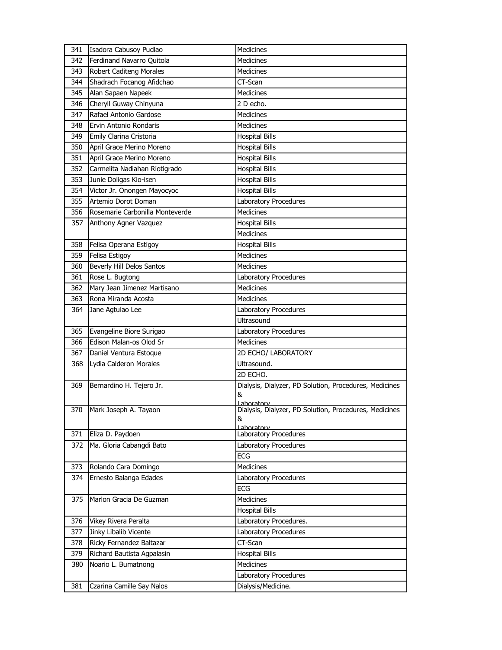| 341 | Isadora Cabusoy Pudlao          | Medicines                                                            |
|-----|---------------------------------|----------------------------------------------------------------------|
| 342 | Ferdinand Navarro Quitola       | <b>Medicines</b>                                                     |
| 343 | <b>Robert Caditeng Morales</b>  | Medicines                                                            |
| 344 | Shadrach Focanog Afidchao       | CT-Scan                                                              |
| 345 | Alan Sapaen Napeek              | Medicines                                                            |
| 346 | Cheryll Guway Chinyuna          | 2 D echo.                                                            |
| 347 | Rafael Antonio Gardose          | Medicines                                                            |
| 348 | Ervin Antonio Rondaris          | Medicines                                                            |
| 349 | Emily Clarina Cristoria         | <b>Hospital Bills</b>                                                |
| 350 | April Grace Merino Moreno       | <b>Hospital Bills</b>                                                |
| 351 | April Grace Merino Moreno       | <b>Hospital Bills</b>                                                |
| 352 | Carmelita Nadiahan Riotigrado   | <b>Hospital Bills</b>                                                |
| 353 | Junie Doligas Kio-isen          | <b>Hospital Bills</b>                                                |
| 354 | Victor Jr. Onongen Mayocyoc     | <b>Hospital Bills</b>                                                |
| 355 | Artemio Dorot Doman             | Laboratory Procedures                                                |
| 356 | Rosemarie Carbonilla Monteverde | <b>Medicines</b>                                                     |
| 357 | Anthony Agner Vazquez           | <b>Hospital Bills</b>                                                |
|     |                                 | <b>Medicines</b>                                                     |
| 358 | Felisa Operana Estigoy          | <b>Hospital Bills</b>                                                |
| 359 | Felisa Estigoy                  | Medicines                                                            |
| 360 | Beverly Hill Delos Santos       | <b>Medicines</b>                                                     |
| 361 | Rose L. Bugtong                 | Laboratory Procedures                                                |
| 362 | Mary Jean Jimenez Martisano     | <b>Medicines</b>                                                     |
| 363 | Rona Miranda Acosta             | <b>Medicines</b>                                                     |
| 364 | Jane Agtulao Lee                | Laboratory Procedures                                                |
|     |                                 | <b>Ultrasound</b>                                                    |
| 365 | Evangeline Biore Surigao        | Laboratory Procedures                                                |
| 366 | Edison Malan-os Olod Sr         | <b>Medicines</b>                                                     |
| 367 | Daniel Ventura Estoque          | 2D ECHO/ LABORATORY                                                  |
| 368 | Lydia Calderon Morales          | Ultrasound.                                                          |
|     |                                 | 2D ECHO.                                                             |
| 369 | Bernardino H. Tejero Jr.        | Dialysis, Dialyzer, PD Solution, Procedures, Medicines               |
|     |                                 | &                                                                    |
| 370 | Mark Joseph A. Tayaon           | Laboratory<br>Dialysis, Dialyzer, PD Solution, Procedures, Medicines |
|     |                                 | &                                                                    |
|     |                                 | ahoratory                                                            |
| 371 | Eliza D. Paydoen                | Laboratory Procedures                                                |
| 372 | Ma. Gloria Cabangdi Bato        | Laboratory Procedures                                                |
|     |                                 | ECG                                                                  |
| 373 | Rolando Cara Domingo            | <b>Medicines</b>                                                     |
| 374 | Ernesto Balanga Edades          | Laboratory Procedures                                                |
|     |                                 | ECG                                                                  |
| 375 | Marlon Gracia De Guzman         | Medicines                                                            |
|     |                                 | <b>Hospital Bills</b>                                                |
| 376 | Vikey Rivera Peralta            | Laboratory Procedures.                                               |
| 377 | Jinky Libalib Vicente           | Laboratory Procedures                                                |
| 378 | Ricky Fernandez Baltazar        | CT-Scan                                                              |
| 379 | Richard Bautista Agpalasin      | <b>Hospital Bills</b>                                                |
| 380 | Noario L. Bumatnong             | Medicines                                                            |
|     |                                 | Laboratory Procedures                                                |
| 381 | Czarina Camille Say Nalos       | Dialysis/Medicine.                                                   |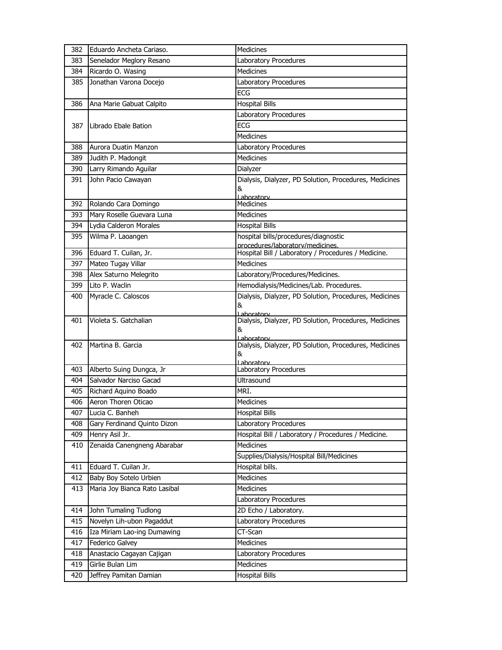| 382 | Eduardo Ancheta Cariaso.      | <b>Medicines</b>                                                                        |
|-----|-------------------------------|-----------------------------------------------------------------------------------------|
| 383 | Senelador Meglory Resano      | Laboratory Procedures                                                                   |
| 384 | Ricardo O. Wasing             | <b>Medicines</b>                                                                        |
| 385 | Jonathan Varona Docejo        | Laboratory Procedures                                                                   |
|     |                               | <b>ECG</b>                                                                              |
| 386 | Ana Marie Gabuat Calpito      | <b>Hospital Bills</b>                                                                   |
|     |                               | Laboratory Procedures                                                                   |
| 387 | Librado Ebale Bation          | <b>ECG</b>                                                                              |
|     |                               | <b>Medicines</b>                                                                        |
| 388 | Aurora Duatin Manzon          | Laboratory Procedures                                                                   |
| 389 | Judith P. Madongit            | <b>Medicines</b>                                                                        |
| 390 | Larry Rimando Aguilar         | Dialyzer                                                                                |
| 391 | John Pacio Cawayan            | Dialysis, Dialyzer, PD Solution, Procedures, Medicines                                  |
|     |                               | &                                                                                       |
|     |                               | Laboratory                                                                              |
| 392 | Rolando Cara Domingo          | <b>Medicines</b>                                                                        |
| 393 | Mary Roselle Guevara Luna     | <b>Medicines</b>                                                                        |
| 394 | Lydia Calderon Morales        | Hospital Bills                                                                          |
| 395 | Wilma P. Laoangen             | hospital bills/procedures/diagnostic                                                    |
| 396 | Eduard T. Cuilan, Jr.         | procedures/laboratory/medicines.<br>Hospital Bill / Laboratory / Procedures / Medicine. |
| 397 | Mateo Tugay Villar            | Medicines                                                                               |
| 398 | Alex Saturno Melegrito        | Laboratory/Procedures/Medicines.                                                        |
| 399 | Lito P. Waclin                | Hemodialysis/Medicines/Lab. Procedures.                                                 |
| 400 | Myracle C. Caloscos           | Dialysis, Dialyzer, PD Solution, Procedures, Medicines                                  |
|     |                               | &                                                                                       |
|     |                               | Laboratory                                                                              |
| 401 | Violeta S. Gatchalian         | Dialysis, Dialyzer, PD Solution, Procedures, Medicines<br>&                             |
|     |                               | Lahoratory                                                                              |
| 402 | Martina B. Garcia             | Dialysis, Dialyzer, PD Solution, Procedures, Medicines                                  |
|     |                               | &<br>Laboratory                                                                         |
| 403 | Alberto Suing Dungca, Jr      | Laboratory Procedures                                                                   |
| 404 | Salvador Narciso Gacad        | Ultrasound                                                                              |
| 405 | Richard Aquino Boado          | MRI.                                                                                    |
| 406 | Aeron Thoren Oticao           | Medicines                                                                               |
| 407 | Lucia C. Banheh               | <b>Hospital Bills</b>                                                                   |
| 408 | Gary Ferdinand Quinto Dizon   | Laboratory Procedures                                                                   |
| 409 | Henry Asil Jr.                | Hospital Bill / Laboratory / Procedures / Medicine.                                     |
| 410 | Zenaida Canengneng Abarabar   | <b>Medicines</b>                                                                        |
|     |                               | Supplies/Dialysis/Hospital Bill/Medicines                                               |
| 411 | Eduard T. Cuilan Jr.          | Hospital bills.                                                                         |
| 412 | Baby Boy Sotelo Urbien        | Medicines                                                                               |
| 413 | Maria Joy Bianca Rato Lasibal | Medicines                                                                               |
|     |                               | Laboratory Procedures                                                                   |
| 414 | John Tumaling Tudlong         | 2D Echo / Laboratory.                                                                   |
| 415 | Novelyn Lih-ubon Pagaddut     | Laboratory Procedures                                                                   |
| 416 | Iza Miriam Lao-ing Dumawing   | CT-Scan                                                                                 |
| 417 | Federico Galvey               | Medicines                                                                               |
| 418 | Anastacio Cagayan Cajigan     | Laboratory Procedures                                                                   |
| 419 | Girlie Bulan Lim              | Medicines                                                                               |
| 420 | Jeffrey Pamitan Damian        | <b>Hospital Bills</b>                                                                   |
|     |                               |                                                                                         |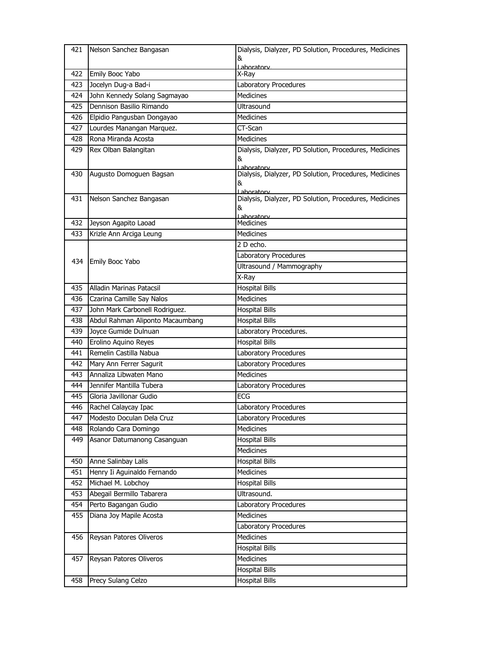|     | 421 Nelson Sanchez Bangasan      | Dialysis, Dialyzer, PD Solution, Procedures, Medicines               |
|-----|----------------------------------|----------------------------------------------------------------------|
|     |                                  | &<br>Laboratory                                                      |
| 422 | Emily Booc Yabo                  | X-Ray                                                                |
| 423 | Jocelyn Dug-a Bad-i              | Laboratory Procedures                                                |
| 424 | John Kennedy Solang Sagmayao     | <b>Medicines</b>                                                     |
| 425 | Dennison Basilio Rimando         | Ultrasound                                                           |
| 426 | Elpidio Pangusban Dongayao       | <b>Medicines</b>                                                     |
| 427 | Lourdes Manangan Marquez.        | CT-Scan                                                              |
| 428 | Rona Miranda Acosta              | <b>Medicines</b>                                                     |
| 429 | Rex Olban Balangitan             | Dialysis, Dialyzer, PD Solution, Procedures, Medicines               |
|     |                                  | &                                                                    |
| 430 | Augusto Domoguen Bagsan          | Laboratory<br>Dialysis, Dialyzer, PD Solution, Procedures, Medicines |
|     |                                  | &                                                                    |
|     |                                  | Lahoratory                                                           |
| 431 | Nelson Sanchez Bangasan          | Dialysis, Dialyzer, PD Solution, Procedures, Medicines<br>&          |
|     |                                  | Laboratory                                                           |
| 432 | Jeyson Agapito Laoad             | <b>Medicines</b>                                                     |
| 433 | Krizle Ann Arciga Leung          | Medicines                                                            |
|     |                                  | 2 D echo.                                                            |
| 434 | Emily Booc Yabo                  | Laboratory Procedures                                                |
|     |                                  | Ultrasound / Mammography                                             |
|     |                                  | X-Ray                                                                |
| 435 | Alladin Marinas Patacsil         | <b>Hospital Bills</b>                                                |
| 436 | Czarina Camille Say Nalos        | <b>Medicines</b>                                                     |
| 437 | John Mark Carbonell Rodriguez.   | <b>Hospital Bills</b>                                                |
|     |                                  |                                                                      |
| 438 | Abdul Rahman Aliponto Macaumbang | <b>Hospital Bills</b>                                                |
| 439 | Joyce Gumide Dulnuan             | Laboratory Procedures.                                               |
| 440 | Erolino Aquino Reyes             | <b>Hospital Bills</b>                                                |
| 441 | Remelin Castilla Nabua           | Laboratory Procedures                                                |
| 442 | Mary Ann Ferrer Sagurit          | Laboratory Procedures                                                |
| 443 | Annaliza Libwaten Mano           | <b>Medicines</b>                                                     |
| 444 | Jennifer Mantilla Tubera         | Laboratory Procedures                                                |
| 445 | Gloria Javillonar Gudio          | <b>ECG</b>                                                           |
| 446 | Rachel Calaycay Ipac             | Laboratory Procedures                                                |
| 447 | Modesto Doculan Dela Cruz        | Laboratory Procedures                                                |
| 448 | Rolando Cara Domingo             | Medicines                                                            |
| 449 | Asanor Datumanong Casanguan      | <b>Hospital Bills</b>                                                |
|     |                                  | Medicines                                                            |
| 450 | Anne Salinbay Lalis              | <b>Hospital Bills</b>                                                |
| 451 | Henry Ii Aguinaldo Fernando      | <b>Medicines</b>                                                     |
| 452 | Michael M. Lobchoy               | <b>Hospital Bills</b>                                                |
| 453 | Abegail Bermillo Tabarera        | Ultrasound.                                                          |
| 454 | Perto Bagangan Gudio             | Laboratory Procedures                                                |
| 455 | Diana Joy Mapile Acosta          | Medicines                                                            |
|     |                                  | Laboratory Procedures                                                |
| 456 | Reysan Patores Oliveros          | Medicines                                                            |
|     |                                  | <b>Hospital Bills</b>                                                |
| 457 | Reysan Patores Oliveros          | Medicines                                                            |
|     | Precy Sulang Celzo               | <b>Hospital Bills</b><br><b>Hospital Bills</b>                       |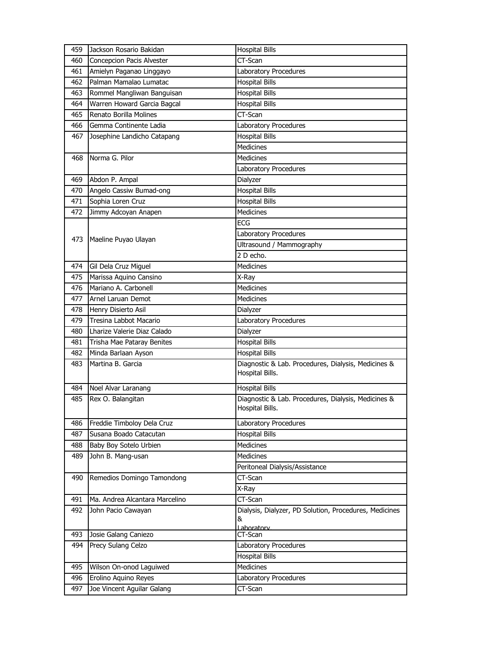| 459 | Jackson Rosario Bakidan                    | <b>Hospital Bills</b>                                  |
|-----|--------------------------------------------|--------------------------------------------------------|
| 460 | <b>Concepcion Pacis Alvester</b>           | CT-Scan                                                |
| 461 | Amielyn Paganao Linggayo                   | Laboratory Procedures                                  |
| 462 | Palman Mamalao Lumatac                     | <b>Hospital Bills</b>                                  |
| 463 | Rommel Mangliwan Banguisan                 | <b>Hospital Bills</b>                                  |
| 464 | Warren Howard Garcia Bagcal                | <b>Hospital Bills</b>                                  |
| 465 | Renato Borilla Molines                     | CT-Scan                                                |
| 466 | Gemma Continente Ladia                     | Laboratory Procedures                                  |
| 467 | Josephine Landicho Catapang                | <b>Hospital Bills</b>                                  |
|     |                                            | <b>Medicines</b>                                       |
| 468 | Norma G. Pilor                             | Medicines                                              |
|     |                                            | Laboratory Procedures                                  |
| 469 | Abdon P. Ampal                             | Dialyzer                                               |
| 470 | Angelo Cassiw Bumad-ong                    | <b>Hospital Bills</b>                                  |
| 471 | Sophia Loren Cruz                          | <b>Hospital Bills</b>                                  |
| 472 | Jimmy Adcoyan Anapen                       | <b>Medicines</b>                                       |
|     |                                            | ECG                                                    |
|     |                                            | Laboratory Procedures                                  |
| 473 | Maeline Puyao Ulayan                       | Ultrasound / Mammography                               |
|     |                                            | 2 D echo.                                              |
| 474 | Gil Dela Cruz Miguel                       | <b>Medicines</b>                                       |
| 475 | Marissa Aquino Cansino                     | X-Ray                                                  |
| 476 | Mariano A. Carbonell                       | <b>Medicines</b>                                       |
| 477 | Arnel Laruan Demot                         | <b>Medicines</b>                                       |
| 478 | Henry Disierto Asil                        | Dialyzer                                               |
| 479 | Tresina Labbot Macario                     | Laboratory Procedures                                  |
| 480 | Lharize Valerie Diaz Calado                | Dialyzer                                               |
| 481 | Trisha Mae Pataray Benites                 | <b>Hospital Bills</b>                                  |
| 482 | Minda Barlaan Ayson                        | <b>Hospital Bills</b>                                  |
| 483 | Martina B. Garcia                          | Diagnostic & Lab. Procedures, Dialysis, Medicines &    |
|     |                                            | Hospital Bills.                                        |
| 484 | Noel Alvar Laranang                        | <b>Hospital Bills</b>                                  |
| 485 | Rex O. Balangitan                          | Diagnostic & Lab. Procedures, Dialysis, Medicines &    |
|     |                                            | Hospital Bills.                                        |
| 486 | Freddie Timboloy Dela Cruz                 | Laboratory Procedures                                  |
| 487 | Susana Boado Catacutan                     | <b>Hospital Bills</b>                                  |
| 488 | Baby Boy Sotelo Urbien                     | <b>Medicines</b>                                       |
| 489 | John B. Mang-usan                          | Medicines                                              |
|     |                                            | Peritoneal Dialysis/Assistance                         |
| 490 | Remedios Domingo Tamondong                 | CT-Scan                                                |
|     |                                            | X-Ray                                                  |
| 491 | Ma. Andrea Alcantara Marcelino             | CT-Scan                                                |
| 492 | John Pacio Cawayan                         | Dialysis, Dialyzer, PD Solution, Procedures, Medicines |
|     |                                            | &                                                      |
| 493 |                                            | Laboratory<br>CT-Scan                                  |
| 494 | Josie Galang Caniezo<br>Precy Sulang Celzo | Laboratory Procedures                                  |
|     |                                            | <b>Hospital Bills</b>                                  |
| 495 | Wilson On-onod Laguiwed                    | Medicines                                              |
| 496 | Erolino Aquino Reyes                       | Laboratory Procedures                                  |
| 497 | Joe Vincent Aguilar Galang                 | CT-Scan                                                |
|     |                                            |                                                        |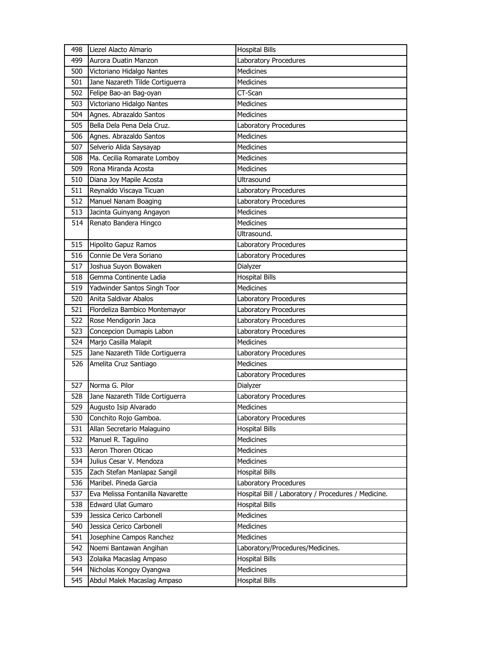| 498        | Liezel Alacto Almario                                  | <b>Hospital Bills</b>                               |
|------------|--------------------------------------------------------|-----------------------------------------------------|
| 499        | Aurora Duatin Manzon                                   | Laboratory Procedures                               |
| 500        | Victoriano Hidalgo Nantes                              | <b>Medicines</b>                                    |
| 501        | Jane Nazareth Tilde Cortiguerra                        | Medicines                                           |
| 502        | Felipe Bao-an Bag-oyan                                 | CT-Scan                                             |
| 503        | Victoriano Hidalgo Nantes                              | <b>Medicines</b>                                    |
| 504        | Agnes. Abrazaldo Santos                                | <b>Medicines</b>                                    |
| 505        | Bella Dela Pena Dela Cruz.                             | Laboratory Procedures                               |
| 506        | Agnes. Abrazaldo Santos                                | <b>Medicines</b>                                    |
| 507        | Selverio Alida Saysayap                                | <b>Medicines</b>                                    |
| 508        | Ma. Cecilia Romarate Lomboy                            | <b>Medicines</b>                                    |
| 509        | Rona Miranda Acosta                                    | <b>Medicines</b>                                    |
| 510        | Diana Joy Mapile Acosta                                | <b>Ultrasound</b>                                   |
| 511        | Reynaldo Viscaya Ticuan                                | Laboratory Procedures                               |
| 512        | Manuel Nanam Boaging                                   | Laboratory Procedures                               |
| 513        | Jacinta Guinyang Angayon                               | <b>Medicines</b>                                    |
| 514        | Renato Bandera Hingco                                  | <b>Medicines</b>                                    |
|            |                                                        | Ultrasound.                                         |
| 515        | Hipolito Gapuz Ramos                                   | Laboratory Procedures                               |
| 516        | Connie De Vera Soriano                                 | Laboratory Procedures                               |
| 517        | Joshua Suyon Bowaken                                   | Dialyzer                                            |
| 518        | Gemma Continente Ladia                                 | <b>Hospital Bills</b>                               |
| 519        | Yadwinder Santos Singh Toor                            | <b>Medicines</b>                                    |
| 520        | Anita Saldivar Abalos                                  | Laboratory Procedures                               |
| 521        | Flordeliza Bambico Montemayor                          | Laboratory Procedures                               |
| 522        | Rose Mendigorin Jaca                                   | Laboratory Procedures                               |
|            |                                                        |                                                     |
|            |                                                        |                                                     |
| 523        | Concepcion Dumapis Labon                               | Laboratory Procedures                               |
| 524        | Marjo Casilla Malapit                                  | <b>Medicines</b>                                    |
| 525        | Jane Nazareth Tilde Cortiguerra                        | Laboratory Procedures                               |
| 526        | Amelita Cruz Santiago                                  | <b>Medicines</b>                                    |
|            |                                                        | Laboratory Procedures                               |
| 527        | Norma G. Pilor                                         | Dialyzer                                            |
| 528        | Jane Nazareth Tilde Cortiguerra                        | Laboratory Procedures                               |
| 529        | Augusto Isip Alvarado                                  | Medicines                                           |
| 530        | Conchito Rojo Gamboa.                                  | Laboratory Procedures                               |
| 531        | Allan Secretario Malaguino                             | <b>Hospital Bills</b>                               |
| 532        | Manuel R. Tagulino                                     | Medicines                                           |
| 533        | Aeron Thoren Oticao                                    | Medicines                                           |
| 534        | Julius Cesar V. Mendoza                                | Medicines                                           |
| 535        | Zach Stefan Manlapaz Sangil                            | <b>Hospital Bills</b>                               |
| 536        | Maribel. Pineda Garcia                                 | Laboratory Procedures                               |
| 537        | Eva Melissa Fontanilla Navarette                       | Hospital Bill / Laboratory / Procedures / Medicine. |
| 538        | <b>Edward Ulat Gumaro</b>                              | <b>Hospital Bills</b>                               |
| 539        | Jessica Cerico Carbonell                               | Medicines                                           |
| 540        | Jessica Cerico Carbonell                               | Medicines                                           |
| 541        | Josephine Campos Ranchez                               | <b>Medicines</b>                                    |
| 542        | Noemi Bantawan Angihan                                 | Laboratory/Procedures/Medicines.                    |
| 543        | Zolaika Macaslag Ampaso                                | <b>Hospital Bills</b>                               |
| 544<br>545 | Nicholas Kongoy Oyangwa<br>Abdul Malek Macaslag Ampaso | Medicines<br><b>Hospital Bills</b>                  |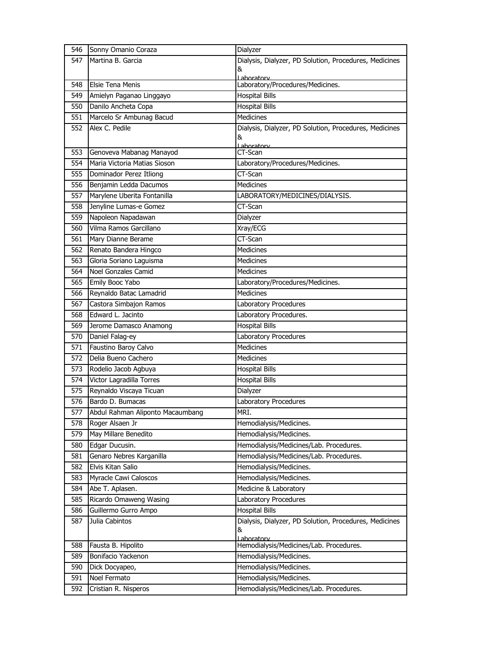| 546 | Sonny Omanio Coraza              | Dialyzer                                               |
|-----|----------------------------------|--------------------------------------------------------|
| 547 | Martina B. Garcia                | Dialysis, Dialyzer, PD Solution, Procedures, Medicines |
|     |                                  | &                                                      |
| 548 | <b>Elsie Tena Menis</b>          | Laboratory<br>Laboratory/Procedures/Medicines.         |
| 549 | Amielyn Paganao Linggayo         | <b>Hospital Bills</b>                                  |
| 550 | Danilo Ancheta Copa              | <b>Hospital Bills</b>                                  |
| 551 | Marcelo Sr Ambunag Bacud         | Medicines                                              |
| 552 | Alex C. Pedile                   | Dialysis, Dialyzer, PD Solution, Procedures, Medicines |
|     |                                  | &                                                      |
|     |                                  | Laboratory                                             |
| 553 | Genoveva Mabanag Manayod         | CT-Scan                                                |
| 554 | Maria Victoria Matias Sioson     | Laboratory/Procedures/Medicines.                       |
| 555 | Dominador Perez Itliong          | CT-Scan                                                |
| 556 | Benjamin Ledda Dacumos           | <b>Medicines</b>                                       |
| 557 | Marylene Uberita Fontanilla      | LABORATORY/MEDICINES/DIALYSIS.                         |
| 558 | Jenyline Lumas-e Gomez           | CT-Scan                                                |
| 559 | Napoleon Napadawan               | Dialyzer                                               |
| 560 | Vilma Ramos Garcillano           | Xray/ECG                                               |
| 561 | Mary Dianne Berame               | CT-Scan                                                |
| 562 | Renato Bandera Hingco            | Medicines                                              |
| 563 | Gloria Soriano Laguisma          | Medicines                                              |
| 564 | Noel Gonzales Camid              | <b>Medicines</b>                                       |
| 565 | Emily Booc Yabo                  | Laboratory/Procedures/Medicines.                       |
| 566 | Reynaldo Batac Lamadrid          | <b>Medicines</b>                                       |
| 567 | Castora Simbajon Ramos           | Laboratory Procedures                                  |
| 568 | Edward L. Jacinto                | Laboratory Procedures.                                 |
| 569 | Jerome Damasco Anamong           | <b>Hospital Bills</b>                                  |
| 570 | Daniel Falag-ey                  | Laboratory Procedures                                  |
| 571 | Faustino Baroy Calvo             | <b>Medicines</b>                                       |
| 572 | Delia Bueno Cachero              | Medicines                                              |
| 573 | Rodelio Jacob Agbuya             | <b>Hospital Bills</b>                                  |
| 574 | Victor Lagradilla Torres         | <b>Hospital Bills</b>                                  |
| 575 | Reynaldo Viscaya Ticuan          | Dialyzer                                               |
| 576 | Bardo D. Bumacas                 | Laboratory Procedures                                  |
| 577 | Abdul Rahman Aliponto Macaumbang | MRI.                                                   |
| 578 | Roger Alsaen Jr                  | Hemodialysis/Medicines.                                |
| 579 | May Millare Benedito             | Hemodialysis/Medicines.                                |
| 580 | Edgar Ducusin.                   | Hemodialysis/Medicines/Lab. Procedures.                |
| 581 | Genaro Nebres Karganilla         | Hemodialysis/Medicines/Lab. Procedures.                |
| 582 | Elvis Kitan Salio                | Hemodialysis/Medicines.                                |
| 583 | Myracle Cawi Caloscos            | Hemodialysis/Medicines.                                |
| 584 | Abe T. Aplasen.                  | Medicine & Laboratory                                  |
| 585 | Ricardo Omaweng Wasing           | Laboratory Procedures                                  |
| 586 | Guillermo Gurro Ampo             | <b>Hospital Bills</b>                                  |
| 587 | Julia Cabintos                   | Dialysis, Dialyzer, PD Solution, Procedures, Medicines |
|     |                                  | &                                                      |
| 588 | Fausta B. Hipolito               | Laboratory<br>Hemodialysis/Medicines/Lab. Procedures.  |
| 589 | Bonifacio Yackenon               | Hemodialysis/Medicines.                                |
| 590 | Dick Docyapeo,                   | Hemodialysis/Medicines.                                |
| 591 | Noel Fermato                     | Hemodialysis/Medicines.                                |
| 592 | Cristian R. Nisperos             | Hemodialysis/Medicines/Lab. Procedures.                |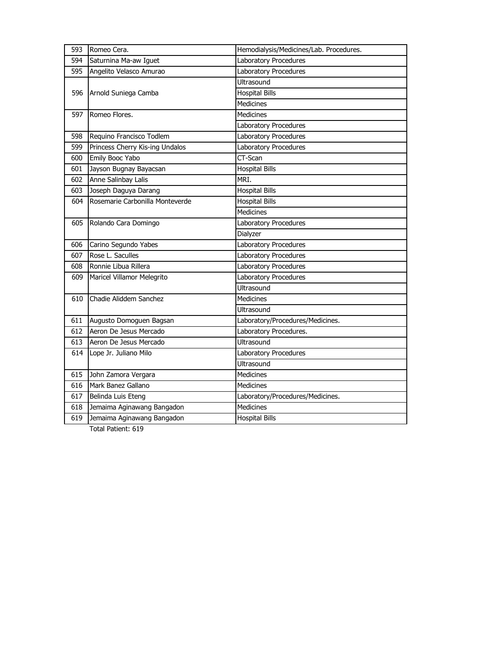| 593 | Romeo Cera.                     | Hemodialysis/Medicines/Lab. Procedures. |
|-----|---------------------------------|-----------------------------------------|
| 594 | Saturnina Ma-aw Iguet           | Laboratory Procedures                   |
| 595 | Angelito Velasco Amurao         | Laboratory Procedures                   |
|     |                                 | Ultrasound                              |
| 596 | Arnold Suniega Camba            | <b>Hospital Bills</b>                   |
|     |                                 | Medicines                               |
| 597 | Romeo Flores.                   | <b>Medicines</b>                        |
|     |                                 | Laboratory Procedures                   |
| 598 | Requino Francisco Todlem        | Laboratory Procedures                   |
| 599 | Princess Cherry Kis-ing Undalos | Laboratory Procedures                   |
| 600 | Emily Booc Yabo                 | CT-Scan                                 |
| 601 | Jayson Bugnay Bayacsan          | <b>Hospital Bills</b>                   |
| 602 | Anne Salinbay Lalis             | MRI.                                    |
| 603 | Joseph Daguya Darang            | <b>Hospital Bills</b>                   |
| 604 | Rosemarie Carbonilla Monteverde | <b>Hospital Bills</b>                   |
|     |                                 | Medicines                               |
| 605 | Rolando Cara Domingo            | Laboratory Procedures                   |
|     |                                 | Dialyzer                                |
| 606 | Carino Segundo Yabes            | Laboratory Procedures                   |
| 607 | Rose L. Saculles                | Laboratory Procedures                   |
| 608 | Ronnie Libua Rillera            | Laboratory Procedures                   |
| 609 | Maricel Villamor Melegrito      | Laboratory Procedures                   |
|     |                                 | <b>Ultrasound</b>                       |
| 610 | Chadie Aliddem Sanchez          | <b>Medicines</b>                        |
|     |                                 | Ultrasound                              |
| 611 | Augusto Domoguen Bagsan         | Laboratory/Procedures/Medicines.        |
| 612 | Aeron De Jesus Mercado          | Laboratory Procedures.                  |
| 613 | Aeron De Jesus Mercado          | Ultrasound                              |
| 614 | Lope Jr. Juliano Milo           | Laboratory Procedures                   |
|     |                                 | Ultrasound                              |
| 615 | John Zamora Vergara             | <b>Medicines</b>                        |
| 616 | Mark Banez Gallano              | <b>Medicines</b>                        |
| 617 | Belinda Luis Eteng              | Laboratory/Procedures/Medicines.        |
| 618 | Jemaima Aginawang Bangadon      | <b>Medicines</b>                        |
| 619 | Jemaima Aginawang Bangadon      | <b>Hospital Bills</b>                   |
|     |                                 |                                         |

Total Patient: 619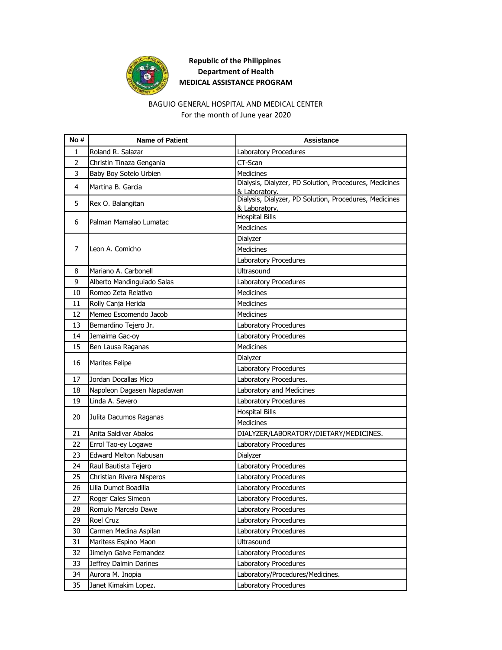

# **Republic of the Philippines Department of Health MEDICAL ASSISTANCE PROGRAM**

### BAGUIO GENERAL HOSPITAL AND MEDICAL CENTER For the month of June year 2020

| No# | <b>Name of Patient</b>     | Assistance                                                              |
|-----|----------------------------|-------------------------------------------------------------------------|
| 1   | Roland R. Salazar          | Laboratory Procedures                                                   |
| 2   | Christin Tinaza Gengania   | CT-Scan                                                                 |
| 3   | Baby Boy Sotelo Urbien     | <b>Medicines</b>                                                        |
| 4   | Martina B. Garcia          | Dialysis, Dialyzer, PD Solution, Procedures, Medicines<br>& Laboratory. |
| 5   | Rex O. Balangitan          | Dialysis, Dialyzer, PD Solution, Procedures, Medicines<br>& Laboratory. |
| 6   | Palman Mamalao Lumatac     | <b>Hospital Bills</b>                                                   |
|     |                            | Medicines                                                               |
|     |                            | Dialyzer                                                                |
| 7   | Leon A. Comicho            | <b>Medicines</b>                                                        |
|     |                            | Laboratory Procedures                                                   |
| 8   | Mariano A. Carbonell       | Ultrasound                                                              |
| 9   | Alberto Mandinguiado Salas | Laboratory Procedures                                                   |
| 10  | Romeo Zeta Relativo        | Medicines                                                               |
| 11  | Rolly Canja Herida         | <b>Medicines</b>                                                        |
| 12  | Memeo Escomendo Jacob      | <b>Medicines</b>                                                        |
| 13  | Bernardino Tejero Jr.      | Laboratory Procedures                                                   |
| 14  | Jemaima Gac-oy             | Laboratory Procedures                                                   |
| 15  | Ben Lausa Raganas          | <b>Medicines</b>                                                        |
|     |                            | Dialyzer                                                                |
| 16  | <b>Marites Felipe</b>      | Laboratory Procedures                                                   |
| 17  | Jordan Docallas Mico       | Laboratory Procedures.                                                  |
| 18  | Napoleon Dagasen Napadawan | Laboratory and Medicines                                                |
| 19  | Linda A. Severo            | Laboratory Procedures                                                   |
|     |                            | <b>Hospital Bills</b>                                                   |
| 20  | Julita Dacumos Raganas     | Medicines                                                               |
| 21  | Anita Saldivar Abalos      | DIALYZER/LABORATORY/DIETARY/MEDICINES.                                  |
| 22  | Errol Tao-ey Logawe        | Laboratory Procedures                                                   |
| 23  | Edward Melton Nabusan      | Dialyzer                                                                |
| 24  | Raul Bautista Tejero       | Laboratory Procedures                                                   |
| 25  | Christian Rivera Nisperos  | Laboratory Procedures                                                   |
| 26  | Lilia Dumot Boadilla       | Laboratory Procedures                                                   |
| 27  | Roger Cales Simeon         | Laboratory Procedures.                                                  |
| 28  | Romulo Marcelo Dawe        | Laboratory Procedures                                                   |
| 29  | Roel Cruz                  | Laboratory Procedures                                                   |
| 30  | Carmen Medina Aspilan      | Laboratory Procedures                                                   |
| 31  | Maritess Espino Maon       | Ultrasound                                                              |
| 32  | Jimelyn Galve Fernandez    | Laboratory Procedures                                                   |
| 33  | Jeffrey Dalmin Darines     | Laboratory Procedures                                                   |
| 34  | Aurora M. Inopia           | Laboratory/Procedures/Medicines.                                        |
| 35  | Janet Kimakim Lopez.       | Laboratory Procedures                                                   |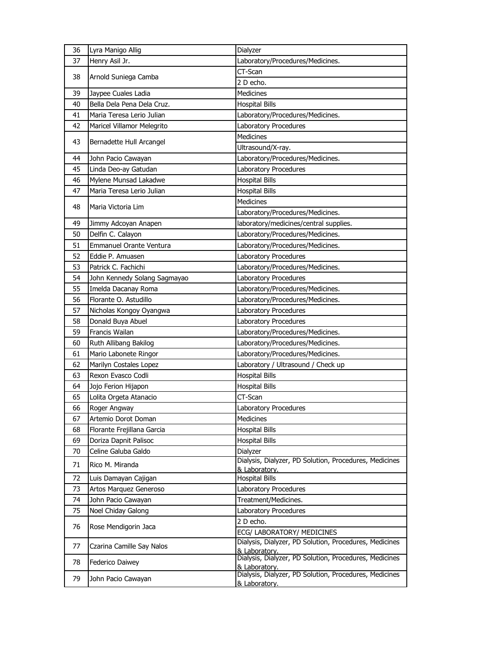| 36 | Lyra Manigo Allig            | Dialyzer                                                                |
|----|------------------------------|-------------------------------------------------------------------------|
| 37 | Henry Asil Jr.               | Laboratory/Procedures/Medicines.                                        |
| 38 |                              | CT-Scan                                                                 |
|    | Arnold Suniega Camba         | 2 D echo.                                                               |
| 39 | Jaypee Cuales Ladia          | <b>Medicines</b>                                                        |
| 40 | Bella Dela Pena Dela Cruz.   | <b>Hospital Bills</b>                                                   |
| 41 | Maria Teresa Lerio Julian    | Laboratory/Procedures/Medicines.                                        |
| 42 | Maricel Villamor Melegrito   | Laboratory Procedures                                                   |
| 43 | Bernadette Hull Arcangel     | Medicines                                                               |
|    |                              | Ultrasound/X-ray.                                                       |
| 44 | John Pacio Cawayan           | Laboratory/Procedures/Medicines.                                        |
| 45 | Linda Deo-ay Gatudan         | Laboratory Procedures                                                   |
| 46 | Mylene Munsad Lakadwe        | <b>Hospital Bills</b>                                                   |
| 47 | Maria Teresa Lerio Julian    | <b>Hospital Bills</b>                                                   |
| 48 | Maria Victoria Lim           | <b>Medicines</b>                                                        |
|    |                              | Laboratory/Procedures/Medicines.                                        |
| 49 | Jimmy Adcoyan Anapen         | laboratory/medicines/central supplies.                                  |
| 50 | Delfin C. Calayon            | Laboratory/Procedures/Medicines.                                        |
| 51 | Emmanuel Orante Ventura      | Laboratory/Procedures/Medicines.                                        |
| 52 | Eddie P. Amuasen             | Laboratory Procedures                                                   |
| 53 | Patrick C. Fachichi          | Laboratory/Procedures/Medicines.                                        |
| 54 | John Kennedy Solang Sagmayao | Laboratory Procedures                                                   |
| 55 | Imelda Dacanay Roma          | Laboratory/Procedures/Medicines.                                        |
| 56 | Florante O. Astudillo        | Laboratory/Procedures/Medicines.                                        |
| 57 | Nicholas Kongoy Oyangwa      | Laboratory Procedures                                                   |
| 58 | Donald Buya Abuel            | Laboratory Procedures                                                   |
| 59 | Francis Wailan               | Laboratory/Procedures/Medicines.                                        |
| 60 | Ruth Allibang Bakilog        | Laboratory/Procedures/Medicines.                                        |
| 61 | Mario Labonete Ringor        | Laboratory/Procedures/Medicines.                                        |
| 62 | Marilyn Costales Lopez       | Laboratory / Ultrasound / Check up                                      |
| 63 | Rexon Evasco Codli           | <b>Hospital Bills</b>                                                   |
| 64 | Jojo Ferion Hijapon          |                                                                         |
| 65 |                              | <b>Hospital Bills</b>                                                   |
|    | Lolita Orgeta Atanacio       | CT-Scan                                                                 |
| 66 | Roger Angway                 | Laboratory Procedures                                                   |
| 67 | Artemio Dorot Doman          | Medicines                                                               |
| 68 | Florante Frejillana Garcia   | <b>Hospital Bills</b>                                                   |
| 69 | Doriza Dapnit Palisoc        | <b>Hospital Bills</b>                                                   |
| 70 | Celine Galuba Galdo          | Dialyzer                                                                |
| 71 | Rico M. Miranda              | Dialysis, Dialyzer, PD Solution, Procedures, Medicines                  |
|    |                              | & Laboratory.                                                           |
| 72 | Luis Damayan Cajigan         | <b>Hospital Bills</b>                                                   |
| 73 | Artos Marquez Generoso       | Laboratory Procedures                                                   |
| 74 | John Pacio Cawayan           | Treatment/Medicines.                                                    |
| 75 | Noel Chiday Galong           | Laboratory Procedures                                                   |
| 76 | Rose Mendigorin Jaca         | 2 D echo.                                                               |
|    |                              | ECG/ LABORATORY/ MEDICINES                                              |
| 77 | Czarina Camille Say Nalos    | Dialysis, Dialyzer, PD Solution, Procedures, Medicines<br>& Laboratory. |
| 78 | Federico Daiwey              | Dialysis, Dialyzer, PD Solution, Procedures, Medicines                  |
| 79 | John Pacio Cawayan           | & Laboratory.<br>Dialysis, Dialyzer, PD Solution, Procedures, Medicines |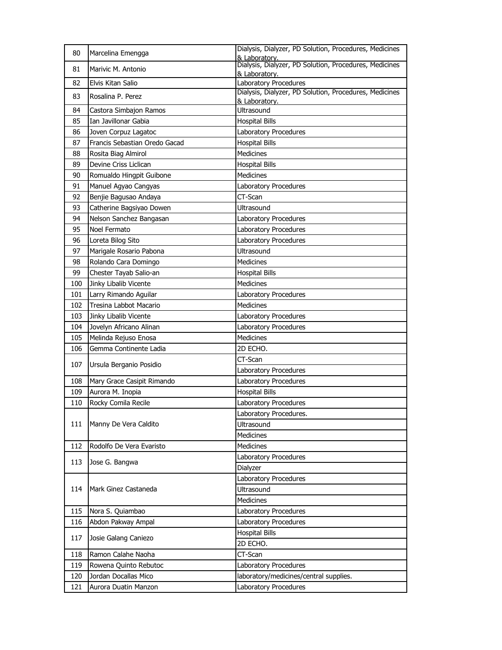| 80  | Marcelina Emengga             | Dialysis, Dialyzer, PD Solution, Procedures, Medicines<br>& Laboratory. |
|-----|-------------------------------|-------------------------------------------------------------------------|
| 81  | Marivic M. Antonio            | Dialysis, Dialyzer, PD Solution, Procedures, Medicines<br>& Laboratory. |
| 82  | Elvis Kitan Salio             | Laboratory Procedures                                                   |
| 83  | Rosalina P. Perez             | Dialysis, Dialyzer, PD Solution, Procedures, Medicines<br>& Laboratory. |
| 84  | Castora Simbajon Ramos        | Ultrasound                                                              |
| 85  | Ian Javillonar Gabia          | <b>Hospital Bills</b>                                                   |
| 86  | Joven Corpuz Lagatoc          | Laboratory Procedures                                                   |
| 87  | Francis Sebastian Oredo Gacad | <b>Hospital Bills</b>                                                   |
| 88  | Rosita Biag Almirol           | <b>Medicines</b>                                                        |
| 89  | Devine Criss Liclican         | <b>Hospital Bills</b>                                                   |
| 90  | Romualdo Hingpit Guibone      | <b>Medicines</b>                                                        |
| 91  | Manuel Agyao Cangyas          | Laboratory Procedures                                                   |
| 92  | Benjie Bagusao Andaya         | CT-Scan                                                                 |
| 93  | Catherine Bagsiyao Dowen      | Ultrasound                                                              |
| 94  | Nelson Sanchez Bangasan       | Laboratory Procedures                                                   |
| 95  | Noel Fermato                  | Laboratory Procedures                                                   |
| 96  | Loreta Bilog Sito             | Laboratory Procedures                                                   |
| 97  | Marigale Rosario Pabona       | <b>Ultrasound</b>                                                       |
| 98  | Rolando Cara Domingo          | <b>Medicines</b>                                                        |
| 99  | Chester Tayab Salio-an        | <b>Hospital Bills</b>                                                   |
| 100 | Jinky Libalib Vicente         | <b>Medicines</b>                                                        |
| 101 | Larry Rimando Aguilar         | Laboratory Procedures                                                   |
| 102 | Tresina Labbot Macario        | <b>Medicines</b>                                                        |
| 103 | Jinky Libalib Vicente         | Laboratory Procedures                                                   |
| 104 | Jovelyn Africano Alinan       | Laboratory Procedures                                                   |
| 105 | Melinda Rejuso Enosa          | <b>Medicines</b>                                                        |
| 106 | Gemma Continente Ladia        | 2D ECHO.                                                                |
|     |                               | CT-Scan                                                                 |
| 107 | Ursula Berganio Posidio       | Laboratory Procedures                                                   |
| 108 | Mary Grace Casipit Rimando    | Laboratory Procedures                                                   |
| 109 | Aurora M. Inopia              | <b>Hospital Bills</b>                                                   |
| 110 | Rocky Comila Recile           | Laboratory Procedures                                                   |
|     |                               | Laboratory Procedures.                                                  |
| 111 | Manny De Vera Caldito         | Ultrasound                                                              |
|     |                               | Medicines                                                               |
| 112 | Rodolfo De Vera Evaristo      | Medicines                                                               |
|     |                               | Laboratory Procedures                                                   |
| 113 | Jose G. Bangwa                | Dialyzer                                                                |
|     |                               | Laboratory Procedures                                                   |
| 114 | Mark Ginez Castaneda          | Ultrasound                                                              |
|     |                               | Medicines                                                               |
| 115 | Nora S. Quiambao              | Laboratory Procedures                                                   |
| 116 | Abdon Pakway Ampal            | Laboratory Procedures                                                   |
|     |                               | <b>Hospital Bills</b>                                                   |
| 117 | Josie Galang Caniezo          | 2D ECHO.                                                                |
| 118 | Ramon Calahe Naoha            | CT-Scan                                                                 |
| 119 | Rowena Quinto Rebutoc         | Laboratory Procedures                                                   |
| 120 | Jordan Docallas Mico          | laboratory/medicines/central supplies.                                  |
| 121 | Aurora Duatin Manzon          | Laboratory Procedures                                                   |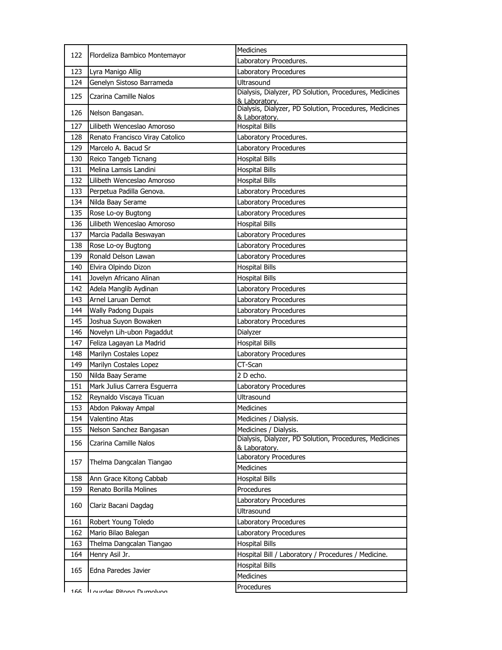| 122 | Flordeliza Bambico Montemayor   | Medicines                                                               |
|-----|---------------------------------|-------------------------------------------------------------------------|
|     |                                 | Laboratory Procedures.                                                  |
| 123 | Lyra Manigo Allig               | Laboratory Procedures                                                   |
| 124 | Genelyn Sistoso Barrameda       | <b>Ultrasound</b>                                                       |
| 125 | Czarina Camille Nalos           | Dialysis, Dialyzer, PD Solution, Procedures, Medicines<br>& Laboratory. |
| 126 | Nelson Bangasan.                | Dialysis, Dialyzer, PD Solution, Procedures, Medicines<br>& Laboratory. |
| 127 | Lilibeth Wenceslao Amoroso      | <b>Hospital Bills</b>                                                   |
| 128 | Renato Francisco Viray Catolico | Laboratory Procedures.                                                  |
| 129 | Marcelo A. Bacud Sr             | Laboratory Procedures                                                   |
| 130 | Reico Tangeb Ticnang            | <b>Hospital Bills</b>                                                   |
| 131 | Melina Lamsis Landini           | <b>Hospital Bills</b>                                                   |
| 132 | Lilibeth Wenceslao Amoroso      | <b>Hospital Bills</b>                                                   |
| 133 | Perpetua Padilla Genova.        | Laboratory Procedures                                                   |
| 134 | Nilda Baay Serame               | Laboratory Procedures                                                   |
| 135 | Rose Lo-oy Bugtong              | Laboratory Procedures                                                   |
| 136 | Lilibeth Wenceslao Amoroso      | <b>Hospital Bills</b>                                                   |
| 137 | Marcia Padalla Beswayan         | Laboratory Procedures                                                   |
| 138 | Rose Lo-oy Bugtong              | Laboratory Procedures                                                   |
| 139 | Ronald Delson Lawan             | Laboratory Procedures                                                   |
| 140 | Elvira Olpindo Dizon            | <b>Hospital Bills</b>                                                   |
| 141 | Jovelyn Africano Alinan         | <b>Hospital Bills</b>                                                   |
| 142 | Adela Manglib Aydinan           | Laboratory Procedures                                                   |
| 143 | Arnel Laruan Demot              | Laboratory Procedures                                                   |
| 144 | Wally Padong Dupais             | Laboratory Procedures                                                   |
| 145 | Joshua Suyon Bowaken            | Laboratory Procedures                                                   |
| 146 | Novelyn Lih-ubon Pagaddut       | Dialyzer                                                                |
| 147 | Feliza Lagayan La Madrid        | <b>Hospital Bills</b>                                                   |
| 148 | Marilyn Costales Lopez          | Laboratory Procedures                                                   |
| 149 | Marilyn Costales Lopez          | CT-Scan                                                                 |
| 150 | Nilda Baay Serame               | 2 D echo.                                                               |
| 151 | Mark Julius Carrera Esguerra    | Laboratory Procedures                                                   |
| 152 | Reynaldo Viscaya Ticuan         | Ultrasound                                                              |
| 153 | Abdon Pakway Ampal              | Medicines                                                               |
| 154 | Valentino Atas                  | Medicines / Dialysis.                                                   |
| 155 | Nelson Sanchez Bangasan         | Medicines / Dialysis.                                                   |
| 156 | Czarina Camille Nalos           | Dialysis, Dialyzer, PD Solution, Procedures, Medicines<br>& Laboratory. |
| 157 | Thelma Dangcalan Tiangao        | Laboratory Procedures<br>Medicines                                      |
| 158 | Ann Grace Kitong Cabbab         | <b>Hospital Bills</b>                                                   |
| 159 | Renato Borilla Molines          | Procedures                                                              |
|     |                                 | Laboratory Procedures                                                   |
| 160 | Clariz Bacani Dagdag            | Ultrasound                                                              |
| 161 | Robert Young Toledo             | Laboratory Procedures                                                   |
| 162 | Mario Bilao Balegan             | Laboratory Procedures                                                   |
| 163 | Thelma Dangcalan Tiangao        | <b>Hospital Bills</b>                                                   |
| 164 | Henry Asil Jr.                  | Hospital Bill / Laboratory / Procedures / Medicine.                     |
| 165 | Edna Paredes Javier             | <b>Hospital Bills</b>                                                   |
|     |                                 | Medicines                                                               |
| 166 | I ourdee Ditona Dumolyon        | Procedures                                                              |
|     |                                 |                                                                         |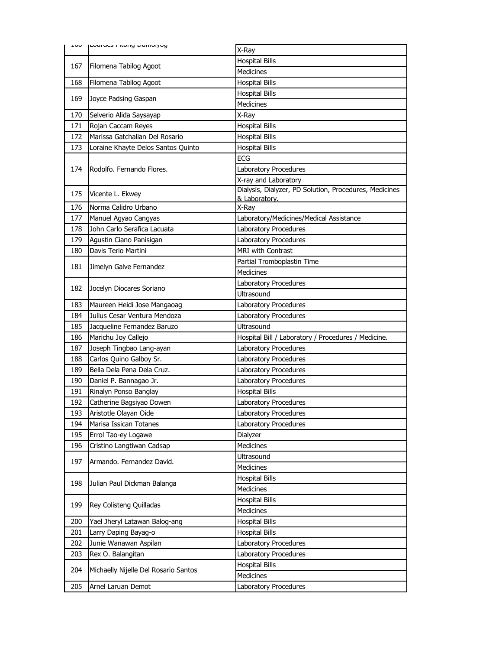| שט⊥ | Louited Fitchly Durinoryog           | X-Ray                                                  |
|-----|--------------------------------------|--------------------------------------------------------|
|     |                                      | <b>Hospital Bills</b>                                  |
| 167 | Filomena Tabilog Agoot               | <b>Medicines</b>                                       |
| 168 | Filomena Tabilog Agoot               | <b>Hospital Bills</b>                                  |
|     |                                      | <b>Hospital Bills</b>                                  |
| 169 | Joyce Padsing Gaspan                 | <b>Medicines</b>                                       |
| 170 | Selverio Alida Saysayap              | X-Ray                                                  |
| 171 | Rojan Caccam Reyes                   | <b>Hospital Bills</b>                                  |
| 172 | Marissa Gatchalian Del Rosario       | <b>Hospital Bills</b>                                  |
| 173 | Loraine Khayte Delos Santos Quinto   | <b>Hospital Bills</b>                                  |
|     |                                      | ECG                                                    |
| 174 | Rodolfo. Fernando Flores.            | Laboratory Procedures                                  |
|     |                                      | X-ray and Laboratory                                   |
| 175 | Vicente L. Ekwey                     | Dialysis, Dialyzer, PD Solution, Procedures, Medicines |
| 176 | Norma Calidro Urbano                 | & Laboratory.<br>X-Ray                                 |
| 177 | Manuel Agyao Cangyas                 | Laboratory/Medicines/Medical Assistance                |
| 178 | John Carlo Serafica Lacuata          | Laboratory Procedures                                  |
| 179 | Agustin Ciano Panisigan              | Laboratory Procedures                                  |
| 180 | Davis Terio Martini                  | MRI with Contrast                                      |
|     |                                      | Partial Tromboplastin Time                             |
| 181 | Jimelyn Galve Fernandez              | Medicines                                              |
|     |                                      | Laboratory Procedures                                  |
| 182 | Jocelyn Diocares Soriano             | <b>Ultrasound</b>                                      |
| 183 | Maureen Heidi Jose Mangaoag          | Laboratory Procedures                                  |
| 184 | Julius Cesar Ventura Mendoza         | Laboratory Procedures                                  |
| 185 | Jacqueline Fernandez Baruzo          | <b>Ultrasound</b>                                      |
| 186 | Marichu Joy Callejo                  | Hospital Bill / Laboratory / Procedures / Medicine.    |
| 187 | Joseph Tingbao Lang-ayan             | Laboratory Procedures                                  |
| 188 | Carlos Quino Galboy Sr.              | Laboratory Procedures                                  |
| 189 | Bella Dela Pena Dela Cruz.           | <b>Laboratory Procedures</b>                           |
| 190 | Daniel P. Bannagao Jr.               | Laboratory Procedures                                  |
| 191 | Rinalyn Ponso Banglay                | <b>Hospital Bills</b>                                  |
| 192 | Catherine Bagsiyao Dowen             | Laboratory Procedures                                  |
| 193 | Aristotle Olayan Oide                | Laboratory Procedures                                  |
| 194 | Marisa Issican Totanes               | Laboratory Procedures                                  |
| 195 | Errol Tao-ey Logawe                  | Dialyzer                                               |
| 196 | Cristino Langtiwan Cadsap            | Medicines                                              |
| 197 | Armando. Fernandez David.            | Ultrasound                                             |
|     |                                      | Medicines                                              |
| 198 | Julian Paul Dickman Balanga          | <b>Hospital Bills</b>                                  |
|     |                                      | Medicines                                              |
| 199 | Rey Colisteng Quilladas              | <b>Hospital Bills</b>                                  |
|     |                                      | Medicines                                              |
| 200 | Yael Jheryl Latawan Balog-ang        | <b>Hospital Bills</b>                                  |
| 201 | Larry Daping Bayag-o                 | <b>Hospital Bills</b>                                  |
| 202 | Junie Wanawan Aspilan                | Laboratory Procedures                                  |
| 203 | Rex O. Balangitan                    | Laboratory Procedures                                  |
| 204 | Michaelly Nijelle Del Rosario Santos | <b>Hospital Bills</b>                                  |
|     |                                      | Medicines                                              |
| 205 | Arnel Laruan Demot                   | Laboratory Procedures                                  |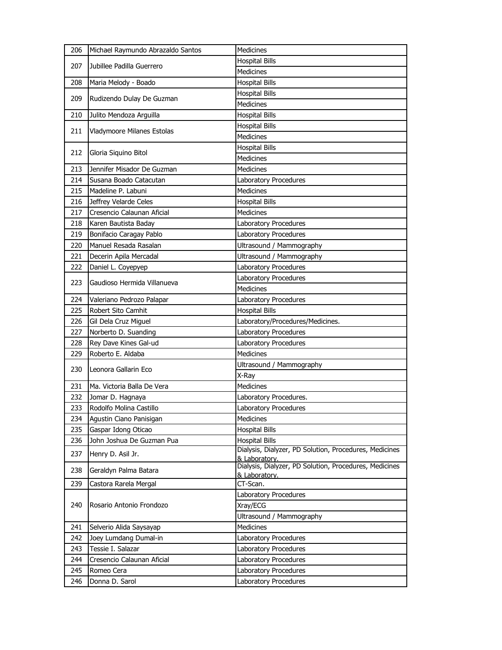| <b>Hospital Bills</b><br>207<br>Jubillee Padilla Guerrero<br><b>Medicines</b><br>208<br><b>Hospital Bills</b><br>Maria Melody - Boado<br><b>Hospital Bills</b><br>209<br>Rudizendo Dulay De Guzman<br><b>Medicines</b><br>210<br>Julito Mendoza Arguilla<br><b>Hospital Bills</b><br><b>Hospital Bills</b><br>211<br>Vladymoore Milanes Estolas<br><b>Medicines</b><br><b>Hospital Bills</b><br>212<br>Gloria Siquino Bitol<br>Medicines<br><b>Medicines</b><br>213<br>Jennifer Misador De Guzman<br>214<br>Susana Boado Catacutan<br>Laboratory Procedures<br><b>Medicines</b><br>Madeline P. Labuni<br>215<br>Jeffrey Velarde Celes<br><b>Hospital Bills</b><br>216<br>217<br>Cresencio Calaunan Aficial<br>Medicines | 206 | Michael Raymundo Abrazaldo Santos | Medicines             |
|-------------------------------------------------------------------------------------------------------------------------------------------------------------------------------------------------------------------------------------------------------------------------------------------------------------------------------------------------------------------------------------------------------------------------------------------------------------------------------------------------------------------------------------------------------------------------------------------------------------------------------------------------------------------------------------------------------------------------|-----|-----------------------------------|-----------------------|
|                                                                                                                                                                                                                                                                                                                                                                                                                                                                                                                                                                                                                                                                                                                         |     |                                   |                       |
|                                                                                                                                                                                                                                                                                                                                                                                                                                                                                                                                                                                                                                                                                                                         |     |                                   |                       |
|                                                                                                                                                                                                                                                                                                                                                                                                                                                                                                                                                                                                                                                                                                                         |     |                                   |                       |
|                                                                                                                                                                                                                                                                                                                                                                                                                                                                                                                                                                                                                                                                                                                         |     |                                   |                       |
|                                                                                                                                                                                                                                                                                                                                                                                                                                                                                                                                                                                                                                                                                                                         |     |                                   |                       |
|                                                                                                                                                                                                                                                                                                                                                                                                                                                                                                                                                                                                                                                                                                                         |     |                                   |                       |
|                                                                                                                                                                                                                                                                                                                                                                                                                                                                                                                                                                                                                                                                                                                         |     |                                   |                       |
|                                                                                                                                                                                                                                                                                                                                                                                                                                                                                                                                                                                                                                                                                                                         |     |                                   |                       |
|                                                                                                                                                                                                                                                                                                                                                                                                                                                                                                                                                                                                                                                                                                                         |     |                                   |                       |
|                                                                                                                                                                                                                                                                                                                                                                                                                                                                                                                                                                                                                                                                                                                         |     |                                   |                       |
|                                                                                                                                                                                                                                                                                                                                                                                                                                                                                                                                                                                                                                                                                                                         |     |                                   |                       |
|                                                                                                                                                                                                                                                                                                                                                                                                                                                                                                                                                                                                                                                                                                                         |     |                                   |                       |
|                                                                                                                                                                                                                                                                                                                                                                                                                                                                                                                                                                                                                                                                                                                         |     |                                   |                       |
|                                                                                                                                                                                                                                                                                                                                                                                                                                                                                                                                                                                                                                                                                                                         |     |                                   |                       |
|                                                                                                                                                                                                                                                                                                                                                                                                                                                                                                                                                                                                                                                                                                                         |     |                                   |                       |
|                                                                                                                                                                                                                                                                                                                                                                                                                                                                                                                                                                                                                                                                                                                         | 218 | Karen Bautista Baday              | Laboratory Procedures |
| Bonifacio Caragay Pablo<br>219<br>Laboratory Procedures                                                                                                                                                                                                                                                                                                                                                                                                                                                                                                                                                                                                                                                                 |     |                                   |                       |
| Manuel Resada Rasalan<br>Ultrasound / Mammography<br>220                                                                                                                                                                                                                                                                                                                                                                                                                                                                                                                                                                                                                                                                |     |                                   |                       |
| 221<br>Decerin Apila Mercadal<br>Ultrasound / Mammography                                                                                                                                                                                                                                                                                                                                                                                                                                                                                                                                                                                                                                                               |     |                                   |                       |
| Laboratory Procedures<br>222<br>Daniel L. Coyepyep                                                                                                                                                                                                                                                                                                                                                                                                                                                                                                                                                                                                                                                                      |     |                                   |                       |
| Laboratory Procedures                                                                                                                                                                                                                                                                                                                                                                                                                                                                                                                                                                                                                                                                                                   |     |                                   |                       |
| 223<br>Gaudioso Hermida Villanueva<br><b>Medicines</b>                                                                                                                                                                                                                                                                                                                                                                                                                                                                                                                                                                                                                                                                  |     |                                   |                       |
| 224<br>Laboratory Procedures<br>Valeriano Pedrozo Palapar                                                                                                                                                                                                                                                                                                                                                                                                                                                                                                                                                                                                                                                               |     |                                   |                       |
| 225<br>Robert Sito Camhit<br><b>Hospital Bills</b>                                                                                                                                                                                                                                                                                                                                                                                                                                                                                                                                                                                                                                                                      |     |                                   |                       |
| 226<br>Gil Dela Cruz Miguel<br>Laboratory/Procedures/Medicines.                                                                                                                                                                                                                                                                                                                                                                                                                                                                                                                                                                                                                                                         |     |                                   |                       |
| Norberto D. Suanding<br>Laboratory Procedures<br>227                                                                                                                                                                                                                                                                                                                                                                                                                                                                                                                                                                                                                                                                    |     |                                   |                       |
| Rey Dave Kines Gal-ud<br>228<br>Laboratory Procedures                                                                                                                                                                                                                                                                                                                                                                                                                                                                                                                                                                                                                                                                   |     |                                   |                       |
| Roberto E. Aldaba<br><b>Medicines</b><br>229                                                                                                                                                                                                                                                                                                                                                                                                                                                                                                                                                                                                                                                                            |     |                                   |                       |
| Ultrasound / Mammography                                                                                                                                                                                                                                                                                                                                                                                                                                                                                                                                                                                                                                                                                                |     |                                   |                       |
| 230<br>Leonora Gallarin Eco<br>X-Ray                                                                                                                                                                                                                                                                                                                                                                                                                                                                                                                                                                                                                                                                                    |     |                                   |                       |
| 231<br>Ma. Victoria Balla De Vera<br><b>Medicines</b>                                                                                                                                                                                                                                                                                                                                                                                                                                                                                                                                                                                                                                                                   |     |                                   |                       |
| 232<br>Jomar D. Hagnaya<br>Laboratory Procedures.                                                                                                                                                                                                                                                                                                                                                                                                                                                                                                                                                                                                                                                                       |     |                                   |                       |
| 233<br>Rodolfo Molina Castillo<br>Laboratory Procedures                                                                                                                                                                                                                                                                                                                                                                                                                                                                                                                                                                                                                                                                 |     |                                   |                       |
| 234<br>Agustin Ciano Panisigan<br>Medicines                                                                                                                                                                                                                                                                                                                                                                                                                                                                                                                                                                                                                                                                             |     |                                   |                       |
| 235<br>Gaspar Idong Oticao<br><b>Hospital Bills</b>                                                                                                                                                                                                                                                                                                                                                                                                                                                                                                                                                                                                                                                                     |     |                                   |                       |
| John Joshua De Guzman Pua<br><b>Hospital Bills</b><br>236                                                                                                                                                                                                                                                                                                                                                                                                                                                                                                                                                                                                                                                               |     |                                   |                       |
| Dialysis, Dialyzer, PD Solution, Procedures, Medicines<br>237<br>Henry D. Asil Jr.                                                                                                                                                                                                                                                                                                                                                                                                                                                                                                                                                                                                                                      |     |                                   |                       |
| & Laboratory.<br>Dialysis, Dialyzer, PD Solution, Procedures, Medicines                                                                                                                                                                                                                                                                                                                                                                                                                                                                                                                                                                                                                                                 |     |                                   |                       |
| 238<br>Geraldyn Palma Batara<br>& Laboratory.                                                                                                                                                                                                                                                                                                                                                                                                                                                                                                                                                                                                                                                                           |     |                                   |                       |
| CT-Scan.<br>239<br>Castora Rarela Mergal                                                                                                                                                                                                                                                                                                                                                                                                                                                                                                                                                                                                                                                                                |     |                                   |                       |
| Laboratory Procedures                                                                                                                                                                                                                                                                                                                                                                                                                                                                                                                                                                                                                                                                                                   |     |                                   |                       |
| 240<br>Rosario Antonio Frondozo<br>Xray/ECG                                                                                                                                                                                                                                                                                                                                                                                                                                                                                                                                                                                                                                                                             |     |                                   |                       |
| Ultrasound / Mammography                                                                                                                                                                                                                                                                                                                                                                                                                                                                                                                                                                                                                                                                                                |     |                                   |                       |
| Medicines<br>241<br>Selverio Alida Saysayap                                                                                                                                                                                                                                                                                                                                                                                                                                                                                                                                                                                                                                                                             |     |                                   |                       |
| Laboratory Procedures<br>242<br>Joey Lumdang Dumal-in                                                                                                                                                                                                                                                                                                                                                                                                                                                                                                                                                                                                                                                                   |     |                                   |                       |
| 243<br>Tessie I. Salazar<br>Laboratory Procedures                                                                                                                                                                                                                                                                                                                                                                                                                                                                                                                                                                                                                                                                       |     |                                   |                       |
| Cresencio Calaunan Aficial<br>244<br>Laboratory Procedures                                                                                                                                                                                                                                                                                                                                                                                                                                                                                                                                                                                                                                                              |     |                                   |                       |
| 245<br>Romeo Cera<br>Laboratory Procedures                                                                                                                                                                                                                                                                                                                                                                                                                                                                                                                                                                                                                                                                              |     |                                   |                       |
| 246<br>Donna D. Sarol<br>Laboratory Procedures                                                                                                                                                                                                                                                                                                                                                                                                                                                                                                                                                                                                                                                                          |     |                                   |                       |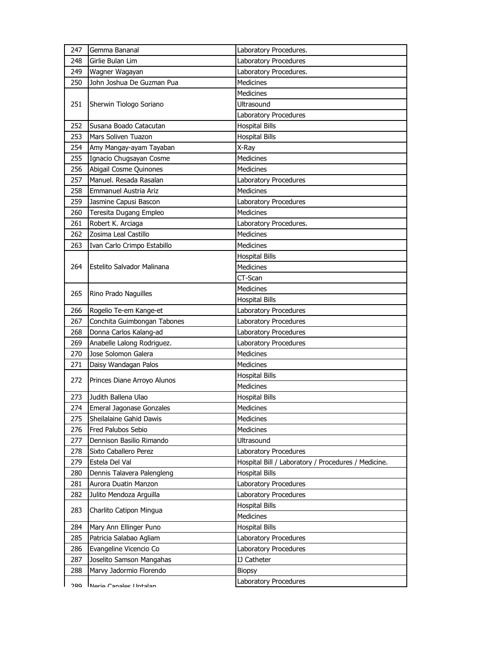| 247 | Gemma Bananal                   | Laboratory Procedures.                              |
|-----|---------------------------------|-----------------------------------------------------|
| 248 | Girlie Bulan Lim                | Laboratory Procedures                               |
| 249 | Wagner Wagayan                  | Laboratory Procedures.                              |
| 250 | John Joshua De Guzman Pua       | <b>Medicines</b>                                    |
|     |                                 | Medicines                                           |
| 251 | Sherwin Tiologo Soriano         | Ultrasound                                          |
|     |                                 | Laboratory Procedures                               |
| 252 | Susana Boado Catacutan          | <b>Hospital Bills</b>                               |
| 253 | Mars Soliven Tuazon             | <b>Hospital Bills</b>                               |
| 254 | Amy Mangay-ayam Tayaban         | X-Ray                                               |
| 255 | Ignacio Chugsayan Cosme         | <b>Medicines</b>                                    |
| 256 | Abigail Cosme Quinones          | <b>Medicines</b>                                    |
| 257 | Manuel, Resada Rasalan          | Laboratory Procedures                               |
| 258 | Emmanuel Austria Ariz           | <b>Medicines</b>                                    |
| 259 | Jasmine Capusi Bascon           | Laboratory Procedures                               |
| 260 | Teresita Dugang Empleo          | <b>Medicines</b>                                    |
| 261 | Robert K. Arciaga               | Laboratory Procedures.                              |
| 262 | Zosima Leal Castillo            | Medicines                                           |
| 263 | Ivan Carlo Crimpo Estabillo     | <b>Medicines</b>                                    |
|     |                                 | <b>Hospital Bills</b>                               |
| 264 | Estelito Salvador Malinana      | <b>Medicines</b>                                    |
|     |                                 | CT-Scan                                             |
|     |                                 | <b>Medicines</b>                                    |
| 265 | Rino Prado Naguilles            | <b>Hospital Bills</b>                               |
| 266 | Rogelio Te-em Kange-et          | Laboratory Procedures                               |
| 267 | Conchita Guimbongan Tabones     | Laboratory Procedures                               |
| 268 | Donna Carlos Kalang-ad          | Laboratory Procedures                               |
| 269 | Anabelle Lalong Rodriguez.      | Laboratory Procedures                               |
| 270 | Jose Solomon Galera             | <b>Medicines</b>                                    |
| 271 | Daisy Wandagan Palos            | Medicines                                           |
| 272 | Princes Diane Arroyo Alunos     | <b>Hospital Bills</b>                               |
|     |                                 | <b>Medicines</b>                                    |
| 273 | Judith Ballena Ulao             | <b>Hospital Bills</b>                               |
| 274 | <b>Emeral Jagonase Gonzales</b> | Medicines                                           |
| 275 | Sheilalaine Gahid Dawis         | Medicines                                           |
| 276 | Fred Palubos Sebio              | Medicines                                           |
| 277 | Dennison Basilio Rimando        | Ultrasound                                          |
| 278 | Sixto Caballero Perez           | Laboratory Procedures                               |
| 279 | Estela Del Val                  | Hospital Bill / Laboratory / Procedures / Medicine. |
| 280 | Dennis Talavera Palengleng      | <b>Hospital Bills</b>                               |
| 281 | Aurora Duatin Manzon            | Laboratory Procedures                               |
| 282 | Julito Mendoza Arguilla         | Laboratory Procedures                               |
| 283 | Charlito Catipon Mingua         | <b>Hospital Bills</b>                               |
|     |                                 | Medicines                                           |
| 284 | Mary Ann Ellinger Puno          | <b>Hospital Bills</b>                               |
| 285 | Patricia Salabao Agliam         | Laboratory Procedures                               |
| 286 | Evangeline Vicencio Co          | Laboratory Procedures                               |
| 287 | Joselito Samson Mangahas        | <b>IJ Catheter</b>                                  |
| 288 | Marvy Jadormio Florendo         | <b>Biopsy</b>                                       |
| ገՋዐ | Naria Canalac Hntalan           | Laboratory Procedures                               |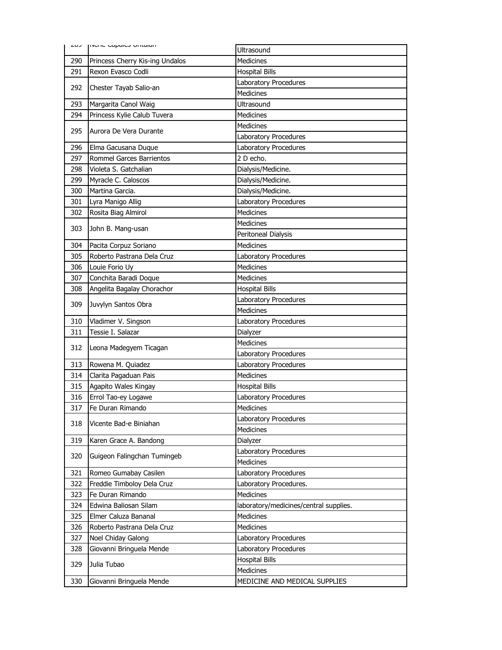| כטב        | <b>INCITE Capaics UTILGIQIT</b> | Ultrasound                                 |
|------------|---------------------------------|--------------------------------------------|
| 290        | Princess Cherry Kis-ing Undalos | <b>Medicines</b>                           |
| 291        | Rexon Evasco Codli              | <b>Hospital Bills</b>                      |
|            |                                 | Laboratory Procedures                      |
| 292        | Chester Tayab Salio-an          | <b>Medicines</b>                           |
| 293        | Margarita Canol Waig            | Ultrasound                                 |
| 294        | Princess Kylie Calub Tuvera     | <b>Medicines</b>                           |
|            |                                 | <b>Medicines</b>                           |
| 295        | Aurora De Vera Durante          | Laboratory Procedures                      |
| 296        | Elma Gacusana Duque             | Laboratory Procedures                      |
| 297        | Rommel Garces Barrientos        | 2 D echo.                                  |
| 298        | Violeta S. Gatchalian           | Dialysis/Medicine.                         |
| 299        | Myracle C. Caloscos             | Dialysis/Medicine.                         |
| 300        | Martina Garcia.                 | Dialysis/Medicine.                         |
| 301        | Lyra Manigo Allig               | Laboratory Procedures                      |
| 302        | Rosita Biag Almirol             | <b>Medicines</b>                           |
|            |                                 | <b>Medicines</b>                           |
| 303        | John B. Mang-usan               | Peritoneal Dialysis                        |
| 304        | Pacita Corpuz Soriano           | <b>Medicines</b>                           |
| 305        | Roberto Pastrana Dela Cruz      | Laboratory Procedures                      |
| 306        | Louie Forio Uy                  | <b>Medicines</b>                           |
| 307        | Conchita Baradi Doque           | <b>Medicines</b>                           |
| 308        | Angelita Bagalay Chorachor      | <b>Hospital Bills</b>                      |
|            |                                 | Laboratory Procedures                      |
| 309        | Juvylyn Santos Obra             | <b>Medicines</b>                           |
|            |                                 |                                            |
| 310        | Vladimer V. Singson             | Laboratory Procedures                      |
| 311        | Tessie I. Salazar               | Dialyzer                                   |
|            |                                 | Medicines                                  |
| 312        | Leona Madegyem Ticagan          | Laboratory Procedures                      |
| 313        | Rowena M. Quiadez               | Laboratory Procedures                      |
| 314        | Clarita Pagaduan Pais           | <b>Medicines</b>                           |
| 315        | Agapito Wales Kingay            | <b>Hospital Bills</b>                      |
| 316        | Errol Tao-ey Logawe             | Laboratory Procedures                      |
| 317        | Fe Duran Rimando                | Medicines                                  |
|            |                                 | Laboratory Procedures                      |
| 318        | Vicente Bad-e Biniahan          | <b>Medicines</b>                           |
| 319        | Karen Grace A. Bandong          | Dialyzer                                   |
|            |                                 | Laboratory Procedures                      |
| 320        | Guigeon Falingchan Tumingeb     | <b>Medicines</b>                           |
| 321        | Romeo Gumabay Casilen           | Laboratory Procedures                      |
| 322        | Freddie Timboloy Dela Cruz      | Laboratory Procedures.                     |
| 323        | Fe Duran Rimando                | <b>Medicines</b>                           |
| 324        | Edwina Baliosan Silam           | laboratory/medicines/central supplies.     |
| 325        | Elmer Caluza Bananal            | Medicines                                  |
| 326        | Roberto Pastrana Dela Cruz      | Medicines                                  |
| 327        | Noel Chiday Galong              | Laboratory Procedures                      |
| 328        | Giovanni Bringuela Mende        | Laboratory Procedures                      |
|            |                                 | <b>Hospital Bills</b>                      |
| 329<br>330 | Julia Tubao                     | Medicines<br>MEDICINE AND MEDICAL SUPPLIES |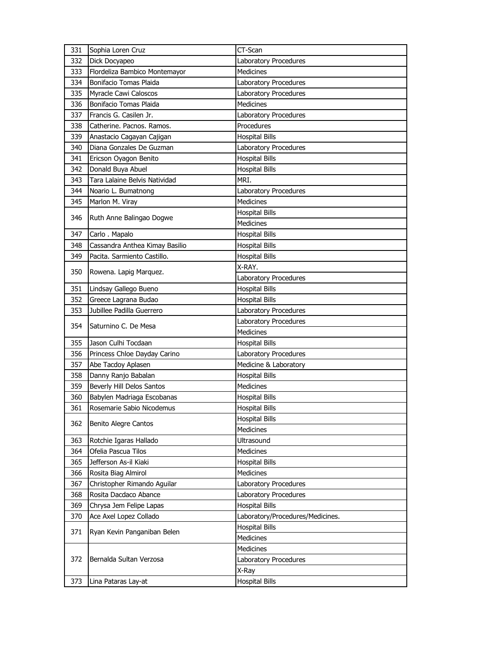| 331 | Sophia Loren Cruz              | CT-Scan                          |
|-----|--------------------------------|----------------------------------|
| 332 | Dick Docyapeo                  | Laboratory Procedures            |
| 333 | Flordeliza Bambico Montemayor  | <b>Medicines</b>                 |
| 334 | Bonifacio Tomas Plaida         | Laboratory Procedures            |
| 335 | Myracle Cawi Caloscos          | Laboratory Procedures            |
| 336 | Bonifacio Tomas Plaida         | <b>Medicines</b>                 |
| 337 | Francis G. Casilen Jr.         | Laboratory Procedures            |
| 338 | Catherine, Pacnos, Ramos,      | Procedures                       |
| 339 | Anastacio Cagayan Cajigan      | <b>Hospital Bills</b>            |
| 340 | Diana Gonzales De Guzman       | Laboratory Procedures            |
| 341 | Ericson Oyagon Benito          | <b>Hospital Bills</b>            |
| 342 | Donald Buya Abuel              | <b>Hospital Bills</b>            |
| 343 | Tara Lalaine Belvis Natividad  | MRI.                             |
| 344 | Noario L. Bumatnong            | Laboratory Procedures            |
| 345 | Marlon M. Viray                | <b>Medicines</b>                 |
| 346 |                                | <b>Hospital Bills</b>            |
|     | Ruth Anne Balingao Dogwe       | <b>Medicines</b>                 |
| 347 | Carlo. Mapalo                  | <b>Hospital Bills</b>            |
| 348 | Cassandra Anthea Kimay Basilio | <b>Hospital Bills</b>            |
| 349 | Pacita. Sarmiento Castillo.    | <b>Hospital Bills</b>            |
|     |                                | X-RAY.                           |
| 350 | Rowena. Lapig Marquez.         | Laboratory Procedures            |
| 351 | Lindsay Gallego Bueno          | <b>Hospital Bills</b>            |
| 352 | Greece Lagrana Budao           | <b>Hospital Bills</b>            |
| 353 | Jubillee Padilla Guerrero      | Laboratory Procedures            |
| 354 | Saturnino C. De Mesa           | Laboratory Procedures            |
|     |                                | <b>Medicines</b>                 |
| 355 | Jason Culhi Tocdaan            | <b>Hospital Bills</b>            |
| 356 | Princess Chloe Dayday Carino   | Laboratory Procedures            |
| 357 | Abe Tacdoy Aplasen             | Medicine & Laboratory            |
| 358 | Danny Ranjo Babalan            | <b>Hospital Bills</b>            |
| 359 | Beverly Hill Delos Santos      | <b>Medicines</b>                 |
| 360 | Babylen Madriaga Escobanas     | <b>Hospital Bills</b>            |
| 361 | Rosemarie Sabio Nicodemus      | <b>Hospital Bills</b>            |
| 362 | <b>Benito Alegre Cantos</b>    | <b>Hospital Bills</b>            |
|     |                                | Medicines                        |
| 363 | Rotchie Igaras Hallado         | <b>Ultrasound</b>                |
| 364 | Ofelia Pascua Tilos            | Medicines                        |
| 365 | Jefferson As-il Kiaki          | <b>Hospital Bills</b>            |
| 366 | Rosita Biag Almirol            | <b>Medicines</b>                 |
| 367 | Christopher Rimando Aguilar    | Laboratory Procedures            |
| 368 | Rosita Dacdaco Abance          | Laboratory Procedures            |
| 369 | Chrysa Jem Felipe Lapas        | <b>Hospital Bills</b>            |
| 370 | Ace Axel Lopez Collado         | Laboratory/Procedures/Medicines. |
| 371 | Ryan Kevin Panganiban Belen    | <b>Hospital Bills</b>            |
|     |                                | <b>Medicines</b>                 |
|     |                                | Medicines                        |
| 372 | Bernalda Sultan Verzosa        | Laboratory Procedures            |
|     |                                | X-Ray                            |
| 373 | Lina Pataras Lay-at            | <b>Hospital Bills</b>            |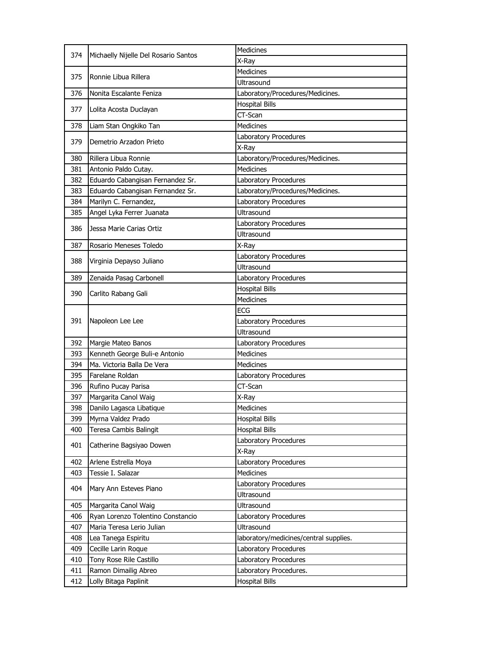| <b>Medicines</b><br>374<br>Michaelly Nijelle Del Rosario Santos<br>X-Ray<br><b>Medicines</b><br>375<br>Ronnie Libua Rillera<br><b>Ultrasound</b><br>Nonita Escalante Feniza<br>Laboratory/Procedures/Medicines.<br>376<br><b>Hospital Bills</b><br>377<br>Lolita Acosta Duclayan<br>CT-Scan<br>Medicines<br>378<br>Liam Stan Ongkiko Tan<br>Laboratory Procedures<br>379<br>Demetrio Arzadon Prieto<br>X-Ray<br>Rillera Libua Ronnie<br>Laboratory/Procedures/Medicines.<br>380<br>Medicines<br>381<br>Antonio Paldo Cutay.<br>382<br>Eduardo Cabangisan Fernandez Sr.<br>Laboratory Procedures<br>Eduardo Cabangisan Fernandez Sr.<br>Laboratory/Procedures/Medicines.<br>383<br>Marilyn C. Fernandez,<br>Laboratory Procedures<br>384<br>Ultrasound<br>385<br>Angel Lyka Ferrer Juanata<br>Laboratory Procedures<br>386<br>Jessa Marie Carias Ortiz<br>Ultrasound<br>387<br>Rosario Meneses Toledo<br>X-Ray<br>Laboratory Procedures<br>388<br>Virginia Depayso Juliano<br>Ultrasound<br>389<br>Zenaida Pasag Carbonell<br>Laboratory Procedures<br><b>Hospital Bills</b><br>390<br>Carlito Rabang Gali<br><b>Medicines</b><br><b>ECG</b><br>391<br>Napoleon Lee Lee<br>Laboratory Procedures<br>Ultrasound<br>392<br>Laboratory Procedures<br>Margie Mateo Banos<br>Kenneth George Buli-e Antonio<br><b>Medicines</b><br>393<br>Ma. Victoria Balla De Vera<br>394<br><b>Medicines</b><br>Farelane Roldan<br>395<br>Laboratory Procedures<br>CT-Scan<br>396<br>Rufino Pucay Parisa<br>397<br>Margarita Canol Waig<br>X-Ray<br>398<br>Danilo Lagasca Libatique<br>Medicines<br>399<br>Myrna Valdez Prado<br><b>Hospital Bills</b><br><b>Hospital Bills</b><br>400<br>Teresa Cambis Balingit<br>Laboratory Procedures<br>401<br>Catherine Bagsiyao Dowen<br>X-Ray<br>402<br>Laboratory Procedures<br>Arlene Estrella Moya<br>Medicines<br>403<br>Tessie I. Salazar<br>Laboratory Procedures<br>404<br>Mary Ann Esteves Piano<br>Ultrasound<br>405<br>Margarita Canol Waig<br>Ultrasound<br>406<br>Ryan Lorenzo Tolentino Constancio<br>Laboratory Procedures<br>407<br>Maria Teresa Lerio Julian<br>Ultrasound<br>408<br>Lea Tanega Espiritu<br>laboratory/medicines/central supplies. |
|----------------------------------------------------------------------------------------------------------------------------------------------------------------------------------------------------------------------------------------------------------------------------------------------------------------------------------------------------------------------------------------------------------------------------------------------------------------------------------------------------------------------------------------------------------------------------------------------------------------------------------------------------------------------------------------------------------------------------------------------------------------------------------------------------------------------------------------------------------------------------------------------------------------------------------------------------------------------------------------------------------------------------------------------------------------------------------------------------------------------------------------------------------------------------------------------------------------------------------------------------------------------------------------------------------------------------------------------------------------------------------------------------------------------------------------------------------------------------------------------------------------------------------------------------------------------------------------------------------------------------------------------------------------------------------------------------------------------------------------------------------------------------------------------------------------------------------------------------------------------------------------------------------------------------------------------------------------------------------------------------------------------------------------------------------------------------------------------------------------------------------------------------------------------------------------|
|                                                                                                                                                                                                                                                                                                                                                                                                                                                                                                                                                                                                                                                                                                                                                                                                                                                                                                                                                                                                                                                                                                                                                                                                                                                                                                                                                                                                                                                                                                                                                                                                                                                                                                                                                                                                                                                                                                                                                                                                                                                                                                                                                                                        |
|                                                                                                                                                                                                                                                                                                                                                                                                                                                                                                                                                                                                                                                                                                                                                                                                                                                                                                                                                                                                                                                                                                                                                                                                                                                                                                                                                                                                                                                                                                                                                                                                                                                                                                                                                                                                                                                                                                                                                                                                                                                                                                                                                                                        |
|                                                                                                                                                                                                                                                                                                                                                                                                                                                                                                                                                                                                                                                                                                                                                                                                                                                                                                                                                                                                                                                                                                                                                                                                                                                                                                                                                                                                                                                                                                                                                                                                                                                                                                                                                                                                                                                                                                                                                                                                                                                                                                                                                                                        |
|                                                                                                                                                                                                                                                                                                                                                                                                                                                                                                                                                                                                                                                                                                                                                                                                                                                                                                                                                                                                                                                                                                                                                                                                                                                                                                                                                                                                                                                                                                                                                                                                                                                                                                                                                                                                                                                                                                                                                                                                                                                                                                                                                                                        |
|                                                                                                                                                                                                                                                                                                                                                                                                                                                                                                                                                                                                                                                                                                                                                                                                                                                                                                                                                                                                                                                                                                                                                                                                                                                                                                                                                                                                                                                                                                                                                                                                                                                                                                                                                                                                                                                                                                                                                                                                                                                                                                                                                                                        |
|                                                                                                                                                                                                                                                                                                                                                                                                                                                                                                                                                                                                                                                                                                                                                                                                                                                                                                                                                                                                                                                                                                                                                                                                                                                                                                                                                                                                                                                                                                                                                                                                                                                                                                                                                                                                                                                                                                                                                                                                                                                                                                                                                                                        |
|                                                                                                                                                                                                                                                                                                                                                                                                                                                                                                                                                                                                                                                                                                                                                                                                                                                                                                                                                                                                                                                                                                                                                                                                                                                                                                                                                                                                                                                                                                                                                                                                                                                                                                                                                                                                                                                                                                                                                                                                                                                                                                                                                                                        |
|                                                                                                                                                                                                                                                                                                                                                                                                                                                                                                                                                                                                                                                                                                                                                                                                                                                                                                                                                                                                                                                                                                                                                                                                                                                                                                                                                                                                                                                                                                                                                                                                                                                                                                                                                                                                                                                                                                                                                                                                                                                                                                                                                                                        |
|                                                                                                                                                                                                                                                                                                                                                                                                                                                                                                                                                                                                                                                                                                                                                                                                                                                                                                                                                                                                                                                                                                                                                                                                                                                                                                                                                                                                                                                                                                                                                                                                                                                                                                                                                                                                                                                                                                                                                                                                                                                                                                                                                                                        |
|                                                                                                                                                                                                                                                                                                                                                                                                                                                                                                                                                                                                                                                                                                                                                                                                                                                                                                                                                                                                                                                                                                                                                                                                                                                                                                                                                                                                                                                                                                                                                                                                                                                                                                                                                                                                                                                                                                                                                                                                                                                                                                                                                                                        |
|                                                                                                                                                                                                                                                                                                                                                                                                                                                                                                                                                                                                                                                                                                                                                                                                                                                                                                                                                                                                                                                                                                                                                                                                                                                                                                                                                                                                                                                                                                                                                                                                                                                                                                                                                                                                                                                                                                                                                                                                                                                                                                                                                                                        |
|                                                                                                                                                                                                                                                                                                                                                                                                                                                                                                                                                                                                                                                                                                                                                                                                                                                                                                                                                                                                                                                                                                                                                                                                                                                                                                                                                                                                                                                                                                                                                                                                                                                                                                                                                                                                                                                                                                                                                                                                                                                                                                                                                                                        |
|                                                                                                                                                                                                                                                                                                                                                                                                                                                                                                                                                                                                                                                                                                                                                                                                                                                                                                                                                                                                                                                                                                                                                                                                                                                                                                                                                                                                                                                                                                                                                                                                                                                                                                                                                                                                                                                                                                                                                                                                                                                                                                                                                                                        |
|                                                                                                                                                                                                                                                                                                                                                                                                                                                                                                                                                                                                                                                                                                                                                                                                                                                                                                                                                                                                                                                                                                                                                                                                                                                                                                                                                                                                                                                                                                                                                                                                                                                                                                                                                                                                                                                                                                                                                                                                                                                                                                                                                                                        |
|                                                                                                                                                                                                                                                                                                                                                                                                                                                                                                                                                                                                                                                                                                                                                                                                                                                                                                                                                                                                                                                                                                                                                                                                                                                                                                                                                                                                                                                                                                                                                                                                                                                                                                                                                                                                                                                                                                                                                                                                                                                                                                                                                                                        |
|                                                                                                                                                                                                                                                                                                                                                                                                                                                                                                                                                                                                                                                                                                                                                                                                                                                                                                                                                                                                                                                                                                                                                                                                                                                                                                                                                                                                                                                                                                                                                                                                                                                                                                                                                                                                                                                                                                                                                                                                                                                                                                                                                                                        |
|                                                                                                                                                                                                                                                                                                                                                                                                                                                                                                                                                                                                                                                                                                                                                                                                                                                                                                                                                                                                                                                                                                                                                                                                                                                                                                                                                                                                                                                                                                                                                                                                                                                                                                                                                                                                                                                                                                                                                                                                                                                                                                                                                                                        |
|                                                                                                                                                                                                                                                                                                                                                                                                                                                                                                                                                                                                                                                                                                                                                                                                                                                                                                                                                                                                                                                                                                                                                                                                                                                                                                                                                                                                                                                                                                                                                                                                                                                                                                                                                                                                                                                                                                                                                                                                                                                                                                                                                                                        |
|                                                                                                                                                                                                                                                                                                                                                                                                                                                                                                                                                                                                                                                                                                                                                                                                                                                                                                                                                                                                                                                                                                                                                                                                                                                                                                                                                                                                                                                                                                                                                                                                                                                                                                                                                                                                                                                                                                                                                                                                                                                                                                                                                                                        |
|                                                                                                                                                                                                                                                                                                                                                                                                                                                                                                                                                                                                                                                                                                                                                                                                                                                                                                                                                                                                                                                                                                                                                                                                                                                                                                                                                                                                                                                                                                                                                                                                                                                                                                                                                                                                                                                                                                                                                                                                                                                                                                                                                                                        |
|                                                                                                                                                                                                                                                                                                                                                                                                                                                                                                                                                                                                                                                                                                                                                                                                                                                                                                                                                                                                                                                                                                                                                                                                                                                                                                                                                                                                                                                                                                                                                                                                                                                                                                                                                                                                                                                                                                                                                                                                                                                                                                                                                                                        |
|                                                                                                                                                                                                                                                                                                                                                                                                                                                                                                                                                                                                                                                                                                                                                                                                                                                                                                                                                                                                                                                                                                                                                                                                                                                                                                                                                                                                                                                                                                                                                                                                                                                                                                                                                                                                                                                                                                                                                                                                                                                                                                                                                                                        |
|                                                                                                                                                                                                                                                                                                                                                                                                                                                                                                                                                                                                                                                                                                                                                                                                                                                                                                                                                                                                                                                                                                                                                                                                                                                                                                                                                                                                                                                                                                                                                                                                                                                                                                                                                                                                                                                                                                                                                                                                                                                                                                                                                                                        |
|                                                                                                                                                                                                                                                                                                                                                                                                                                                                                                                                                                                                                                                                                                                                                                                                                                                                                                                                                                                                                                                                                                                                                                                                                                                                                                                                                                                                                                                                                                                                                                                                                                                                                                                                                                                                                                                                                                                                                                                                                                                                                                                                                                                        |
|                                                                                                                                                                                                                                                                                                                                                                                                                                                                                                                                                                                                                                                                                                                                                                                                                                                                                                                                                                                                                                                                                                                                                                                                                                                                                                                                                                                                                                                                                                                                                                                                                                                                                                                                                                                                                                                                                                                                                                                                                                                                                                                                                                                        |
|                                                                                                                                                                                                                                                                                                                                                                                                                                                                                                                                                                                                                                                                                                                                                                                                                                                                                                                                                                                                                                                                                                                                                                                                                                                                                                                                                                                                                                                                                                                                                                                                                                                                                                                                                                                                                                                                                                                                                                                                                                                                                                                                                                                        |
|                                                                                                                                                                                                                                                                                                                                                                                                                                                                                                                                                                                                                                                                                                                                                                                                                                                                                                                                                                                                                                                                                                                                                                                                                                                                                                                                                                                                                                                                                                                                                                                                                                                                                                                                                                                                                                                                                                                                                                                                                                                                                                                                                                                        |
|                                                                                                                                                                                                                                                                                                                                                                                                                                                                                                                                                                                                                                                                                                                                                                                                                                                                                                                                                                                                                                                                                                                                                                                                                                                                                                                                                                                                                                                                                                                                                                                                                                                                                                                                                                                                                                                                                                                                                                                                                                                                                                                                                                                        |
|                                                                                                                                                                                                                                                                                                                                                                                                                                                                                                                                                                                                                                                                                                                                                                                                                                                                                                                                                                                                                                                                                                                                                                                                                                                                                                                                                                                                                                                                                                                                                                                                                                                                                                                                                                                                                                                                                                                                                                                                                                                                                                                                                                                        |
|                                                                                                                                                                                                                                                                                                                                                                                                                                                                                                                                                                                                                                                                                                                                                                                                                                                                                                                                                                                                                                                                                                                                                                                                                                                                                                                                                                                                                                                                                                                                                                                                                                                                                                                                                                                                                                                                                                                                                                                                                                                                                                                                                                                        |
|                                                                                                                                                                                                                                                                                                                                                                                                                                                                                                                                                                                                                                                                                                                                                                                                                                                                                                                                                                                                                                                                                                                                                                                                                                                                                                                                                                                                                                                                                                                                                                                                                                                                                                                                                                                                                                                                                                                                                                                                                                                                                                                                                                                        |
|                                                                                                                                                                                                                                                                                                                                                                                                                                                                                                                                                                                                                                                                                                                                                                                                                                                                                                                                                                                                                                                                                                                                                                                                                                                                                                                                                                                                                                                                                                                                                                                                                                                                                                                                                                                                                                                                                                                                                                                                                                                                                                                                                                                        |
|                                                                                                                                                                                                                                                                                                                                                                                                                                                                                                                                                                                                                                                                                                                                                                                                                                                                                                                                                                                                                                                                                                                                                                                                                                                                                                                                                                                                                                                                                                                                                                                                                                                                                                                                                                                                                                                                                                                                                                                                                                                                                                                                                                                        |
|                                                                                                                                                                                                                                                                                                                                                                                                                                                                                                                                                                                                                                                                                                                                                                                                                                                                                                                                                                                                                                                                                                                                                                                                                                                                                                                                                                                                                                                                                                                                                                                                                                                                                                                                                                                                                                                                                                                                                                                                                                                                                                                                                                                        |
|                                                                                                                                                                                                                                                                                                                                                                                                                                                                                                                                                                                                                                                                                                                                                                                                                                                                                                                                                                                                                                                                                                                                                                                                                                                                                                                                                                                                                                                                                                                                                                                                                                                                                                                                                                                                                                                                                                                                                                                                                                                                                                                                                                                        |
|                                                                                                                                                                                                                                                                                                                                                                                                                                                                                                                                                                                                                                                                                                                                                                                                                                                                                                                                                                                                                                                                                                                                                                                                                                                                                                                                                                                                                                                                                                                                                                                                                                                                                                                                                                                                                                                                                                                                                                                                                                                                                                                                                                                        |
|                                                                                                                                                                                                                                                                                                                                                                                                                                                                                                                                                                                                                                                                                                                                                                                                                                                                                                                                                                                                                                                                                                                                                                                                                                                                                                                                                                                                                                                                                                                                                                                                                                                                                                                                                                                                                                                                                                                                                                                                                                                                                                                                                                                        |
|                                                                                                                                                                                                                                                                                                                                                                                                                                                                                                                                                                                                                                                                                                                                                                                                                                                                                                                                                                                                                                                                                                                                                                                                                                                                                                                                                                                                                                                                                                                                                                                                                                                                                                                                                                                                                                                                                                                                                                                                                                                                                                                                                                                        |
|                                                                                                                                                                                                                                                                                                                                                                                                                                                                                                                                                                                                                                                                                                                                                                                                                                                                                                                                                                                                                                                                                                                                                                                                                                                                                                                                                                                                                                                                                                                                                                                                                                                                                                                                                                                                                                                                                                                                                                                                                                                                                                                                                                                        |
|                                                                                                                                                                                                                                                                                                                                                                                                                                                                                                                                                                                                                                                                                                                                                                                                                                                                                                                                                                                                                                                                                                                                                                                                                                                                                                                                                                                                                                                                                                                                                                                                                                                                                                                                                                                                                                                                                                                                                                                                                                                                                                                                                                                        |
|                                                                                                                                                                                                                                                                                                                                                                                                                                                                                                                                                                                                                                                                                                                                                                                                                                                                                                                                                                                                                                                                                                                                                                                                                                                                                                                                                                                                                                                                                                                                                                                                                                                                                                                                                                                                                                                                                                                                                                                                                                                                                                                                                                                        |
|                                                                                                                                                                                                                                                                                                                                                                                                                                                                                                                                                                                                                                                                                                                                                                                                                                                                                                                                                                                                                                                                                                                                                                                                                                                                                                                                                                                                                                                                                                                                                                                                                                                                                                                                                                                                                                                                                                                                                                                                                                                                                                                                                                                        |
|                                                                                                                                                                                                                                                                                                                                                                                                                                                                                                                                                                                                                                                                                                                                                                                                                                                                                                                                                                                                                                                                                                                                                                                                                                                                                                                                                                                                                                                                                                                                                                                                                                                                                                                                                                                                                                                                                                                                                                                                                                                                                                                                                                                        |
|                                                                                                                                                                                                                                                                                                                                                                                                                                                                                                                                                                                                                                                                                                                                                                                                                                                                                                                                                                                                                                                                                                                                                                                                                                                                                                                                                                                                                                                                                                                                                                                                                                                                                                                                                                                                                                                                                                                                                                                                                                                                                                                                                                                        |
|                                                                                                                                                                                                                                                                                                                                                                                                                                                                                                                                                                                                                                                                                                                                                                                                                                                                                                                                                                                                                                                                                                                                                                                                                                                                                                                                                                                                                                                                                                                                                                                                                                                                                                                                                                                                                                                                                                                                                                                                                                                                                                                                                                                        |
|                                                                                                                                                                                                                                                                                                                                                                                                                                                                                                                                                                                                                                                                                                                                                                                                                                                                                                                                                                                                                                                                                                                                                                                                                                                                                                                                                                                                                                                                                                                                                                                                                                                                                                                                                                                                                                                                                                                                                                                                                                                                                                                                                                                        |
| 409<br>Cecille Larin Roque<br>Laboratory Procedures                                                                                                                                                                                                                                                                                                                                                                                                                                                                                                                                                                                                                                                                                                                                                                                                                                                                                                                                                                                                                                                                                                                                                                                                                                                                                                                                                                                                                                                                                                                                                                                                                                                                                                                                                                                                                                                                                                                                                                                                                                                                                                                                    |
| Tony Rose Rile Castillo<br>Laboratory Procedures<br>410                                                                                                                                                                                                                                                                                                                                                                                                                                                                                                                                                                                                                                                                                                                                                                                                                                                                                                                                                                                                                                                                                                                                                                                                                                                                                                                                                                                                                                                                                                                                                                                                                                                                                                                                                                                                                                                                                                                                                                                                                                                                                                                                |
| 411<br>Ramon Dimailig Abreo<br>Laboratory Procedures.                                                                                                                                                                                                                                                                                                                                                                                                                                                                                                                                                                                                                                                                                                                                                                                                                                                                                                                                                                                                                                                                                                                                                                                                                                                                                                                                                                                                                                                                                                                                                                                                                                                                                                                                                                                                                                                                                                                                                                                                                                                                                                                                  |
| 412<br>Lolly Bitaga Paplinit<br><b>Hospital Bills</b>                                                                                                                                                                                                                                                                                                                                                                                                                                                                                                                                                                                                                                                                                                                                                                                                                                                                                                                                                                                                                                                                                                                                                                                                                                                                                                                                                                                                                                                                                                                                                                                                                                                                                                                                                                                                                                                                                                                                                                                                                                                                                                                                  |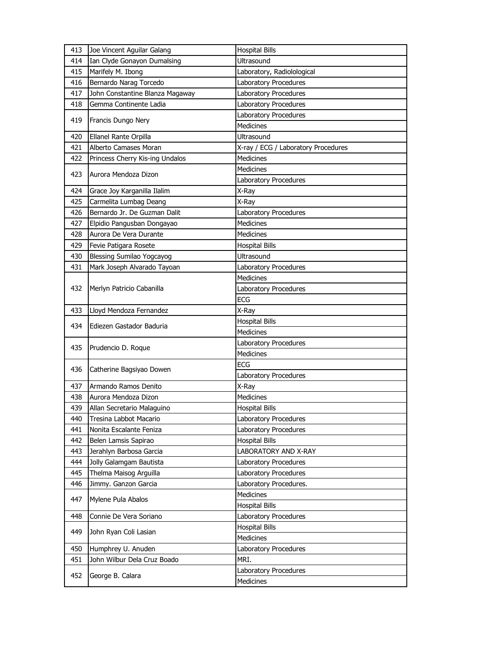| 413 | Joe Vincent Aguilar Galang      | <b>Hospital Bills</b>               |
|-----|---------------------------------|-------------------------------------|
| 414 | Ian Clyde Gonayon Dumalsing     | Ultrasound                          |
| 415 | Marifely M. Ibong               | Laboratory, Radiolological          |
| 416 | Bernardo Narag Torcedo          | Laboratory Procedures               |
| 417 | John Constantine Blanza Magaway | Laboratory Procedures               |
| 418 | Gemma Continente Ladia          | Laboratory Procedures               |
|     |                                 | Laboratory Procedures               |
| 419 | Francis Dungo Nery              | <b>Medicines</b>                    |
| 420 | Ellanel Rante Orpilla           | <b>Ultrasound</b>                   |
| 421 | Alberto Camases Moran           | X-ray / ECG / Laboratory Procedures |
| 422 | Princess Cherry Kis-ing Undalos | Medicines                           |
|     |                                 | <b>Medicines</b>                    |
| 423 | Aurora Mendoza Dizon            | Laboratory Procedures               |
| 424 | Grace Joy Karganilla Ilalim     | X-Ray                               |
| 425 | Carmelita Lumbag Deang          | X-Ray                               |
| 426 | Bernardo Jr. De Guzman Dalit    | Laboratory Procedures               |
| 427 | Elpidio Pangusban Dongayao      | <b>Medicines</b>                    |
| 428 | Aurora De Vera Durante          | <b>Medicines</b>                    |
| 429 | Fevie Patigara Rosete           | <b>Hospital Bills</b>               |
| 430 | Blessing Sumilao Yogcayog       | Ultrasound                          |
| 431 | Mark Joseph Alvarado Tayoan     | Laboratory Procedures               |
|     |                                 | <b>Medicines</b>                    |
| 432 | Merlyn Patricio Cabanilla       | Laboratory Procedures               |
|     |                                 | ECG                                 |
| 433 | Lloyd Mendoza Fernandez         | X-Ray                               |
|     |                                 | <b>Hospital Bills</b>               |
|     |                                 |                                     |
| 434 | Ediezen Gastador Baduria        | Medicines                           |
|     |                                 | Laboratory Procedures               |
| 435 | Prudencio D. Roque              | Medicines                           |
|     |                                 | <b>ECG</b>                          |
| 436 | Catherine Bagsiyao Dowen        | Laboratory Procedures               |
| 437 | Armando Ramos Denito            | X-Ray                               |
| 438 | Aurora Mendoza Dizon            | Medicines                           |
| 439 | Allan Secretario Malaguino      | <b>Hospital Bills</b>               |
| 440 | Tresina Labbot Macario          | Laboratory Procedures               |
| 441 | Nonita Escalante Feniza         | Laboratory Procedures               |
| 442 | Belen Lamsis Sapirao            | <b>Hospital Bills</b>               |
| 443 | Jerahlyn Barbosa Garcia         | LABORATORY AND X-RAY                |
| 444 | Jolly Galamgam Bautista         | Laboratory Procedures               |
| 445 | Thelma Maisog Arguilla          | Laboratory Procedures               |
| 446 | Jimmy. Ganzon Garcia            | Laboratory Procedures.              |
|     |                                 | Medicines                           |
| 447 | Mylene Pula Abalos              | <b>Hospital Bills</b>               |
| 448 | Connie De Vera Soriano          | Laboratory Procedures               |
|     |                                 | <b>Hospital Bills</b>               |
| 449 | John Ryan Coli Lasian           | Medicines                           |
| 450 | Humphrey U. Anuden              | Laboratory Procedures               |
| 451 | John Wilbur Dela Cruz Boado     | MRI.                                |
| 452 | George B. Calara                | Laboratory Procedures               |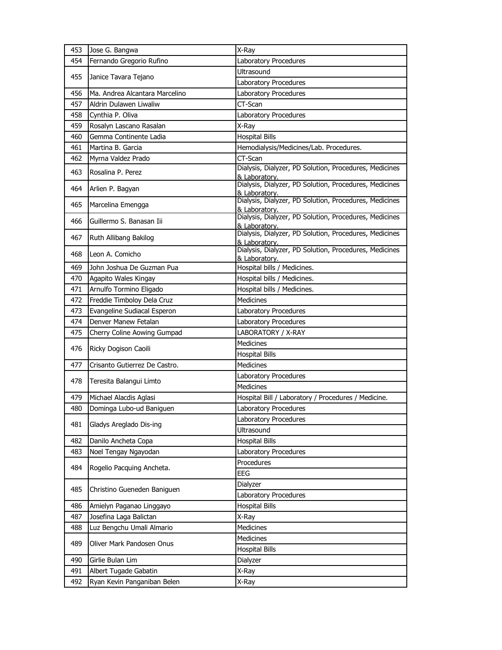| 453        | Jose G. Bangwa                                       | X-Ray                                                                   |
|------------|------------------------------------------------------|-------------------------------------------------------------------------|
| 454        | Fernando Gregorio Rufino                             | Laboratory Procedures                                                   |
|            |                                                      | Ultrasound                                                              |
| 455        | Janice Tavara Tejano                                 | Laboratory Procedures                                                   |
| 456        | Ma. Andrea Alcantara Marcelino                       | Laboratory Procedures                                                   |
| 457        | Aldrin Dulawen Liwaliw                               | CT-Scan                                                                 |
| 458        | Cynthia P. Oliva                                     | Laboratory Procedures                                                   |
| 459        | Rosalyn Lascano Rasalan                              | X-Ray                                                                   |
| 460        | Gemma Continente Ladia                               | <b>Hospital Bills</b>                                                   |
| 461        | Martina B. Garcia                                    | Hemodialysis/Medicines/Lab. Procedures.                                 |
| 462        | Myrna Valdez Prado                                   | CT-Scan                                                                 |
| 463        | Rosalina P. Perez                                    | Dialysis, Dialyzer, PD Solution, Procedures, Medicines<br>& Laboratory. |
| 464        | Arlien P. Bagyan                                     | Dialysis, Dialyzer, PD Solution, Procedures, Medicines<br>& Laboratory. |
| 465        | Marcelina Emengga                                    | Dialysis, Dialyzer, PD Solution, Procedures, Medicines<br>& Laboratory. |
| 466        | Guillermo S. Banasan Iii                             | Dialysis, Dialyzer, PD Solution, Procedures, Medicines<br>& Laboratory. |
| 467        | Ruth Allibang Bakilog                                | Dialysis, Dialyzer, PD Solution, Procedures, Medicines<br>& Laboratory. |
| 468        | Leon A. Comicho                                      | Dialysis, Dialyzer, PD Solution, Procedures, Medicines<br>& Laboratory. |
| 469        | John Joshua De Guzman Pua                            | Hospital bills / Medicines.                                             |
| 470        | Agapito Wales Kingay                                 | Hospital bills / Medicines.                                             |
| 471        | Arnulfo Tormino Eligado                              | Hospital bills / Medicines.                                             |
| 472        | Freddie Timboloy Dela Cruz                           | <b>Medicines</b>                                                        |
| 473        | Evangeline Sudiacal Esperon                          | Laboratory Procedures                                                   |
|            |                                                      |                                                                         |
| 474        | Denver Manew Fetalan                                 | Laboratory Procedures                                                   |
| 475        | Cherry Coline Aowing Gumpad                          | LABORATORY / X-RAY                                                      |
|            |                                                      | <b>Medicines</b>                                                        |
| 476        | Ricky Dogison Caoili                                 | <b>Hospital Bills</b>                                                   |
| 477        | Crisanto Gutierrez De Castro.                        | Medicines                                                               |
|            |                                                      | Laboratory Procedures                                                   |
| 478        | Teresita Balangui Limto                              | Medicines                                                               |
| 479        | Michael Alacdis Aglasi                               | Hospital Bill / Laboratory / Procedures / Medicine.                     |
| 480        | Dominga Lubo-ud Baniguen                             | Laboratory Procedures                                                   |
|            |                                                      | Laboratory Procedures                                                   |
| 481        | Gladys Areglado Dis-ing                              | Ultrasound                                                              |
| 482        | Danilo Ancheta Copa                                  | <b>Hospital Bills</b>                                                   |
| 483        | Noel Tengay Ngayodan                                 | Laboratory Procedures                                                   |
|            |                                                      | Procedures                                                              |
| 484        | Rogelio Pacquing Ancheta.                            | <b>EEG</b>                                                              |
|            |                                                      | Dialyzer                                                                |
| 485        | Christino Gueneden Baniguen                          | Laboratory Procedures                                                   |
| 486        | Amielyn Paganao Linggayo                             | <b>Hospital Bills</b>                                                   |
| 487        | Josefina Laga Balictan                               | X-Ray                                                                   |
| 488        | Luz Bengchu Umali Almario                            | Medicines                                                               |
| 489        | Oliver Mark Pandosen Onus                            | Medicines                                                               |
|            |                                                      | <b>Hospital Bills</b>                                                   |
| 490        | Girlie Bulan Lim                                     | Dialyzer                                                                |
| 491<br>492 | Albert Tugade Gabatin<br>Ryan Kevin Panganiban Belen | X-Ray<br>X-Ray                                                          |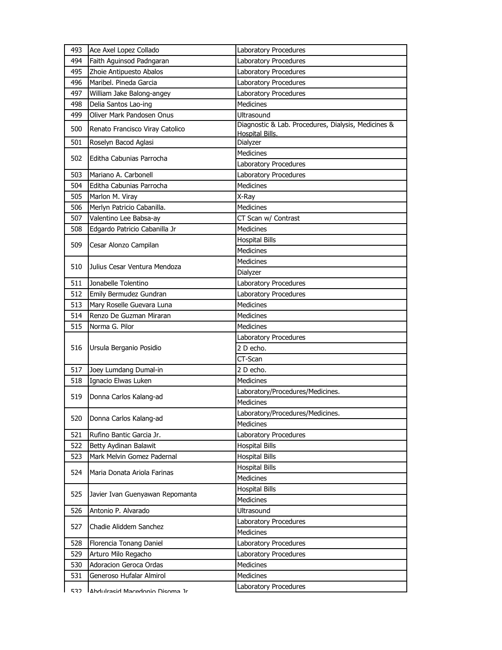| 493 | Ace Axel Lopez Collado          | Laboratory Procedures                                                         |
|-----|---------------------------------|-------------------------------------------------------------------------------|
| 494 | Faith Aguinsod Padngaran        | Laboratory Procedures                                                         |
| 495 | Zhoie Antipuesto Abalos         | Laboratory Procedures                                                         |
| 496 | Maribel, Pineda Garcia          | Laboratory Procedures                                                         |
| 497 | William Jake Balong-angey       | Laboratory Procedures                                                         |
| 498 | Delia Santos Lao-ing            | <b>Medicines</b>                                                              |
| 499 | Oliver Mark Pandosen Onus       | Ultrasound                                                                    |
| 500 | Renato Francisco Viray Catolico | Diagnostic & Lab. Procedures, Dialysis, Medicines &<br><b>Hospital Bills.</b> |
| 501 | Roselyn Bacod Aglasi            | Dialyzer                                                                      |
| 502 | Editha Cabunias Parrocha        | <b>Medicines</b>                                                              |
|     |                                 | Laboratory Procedures                                                         |
| 503 | Mariano A. Carbonell            | Laboratory Procedures                                                         |
| 504 | Editha Cabunias Parrocha        | <b>Medicines</b>                                                              |
| 505 | Marlon M. Viray                 | X-Ray                                                                         |
| 506 | Merlyn Patricio Cabanilla.      | Medicines                                                                     |
| 507 | Valentino Lee Babsa-ay          | CT Scan w/ Contrast                                                           |
| 508 | Edgardo Patricio Cabanilla Jr   | <b>Medicines</b>                                                              |
| 509 | Cesar Alonzo Campilan           | <b>Hospital Bills</b>                                                         |
|     |                                 | Medicines                                                                     |
| 510 | Julius Cesar Ventura Mendoza    | Medicines                                                                     |
|     |                                 | Dialyzer                                                                      |
| 511 | Jonabelle Tolentino             | Laboratory Procedures                                                         |
| 512 | Emily Bermudez Gundran          | Laboratory Procedures                                                         |
| 513 | Mary Roselle Guevara Luna       | <b>Medicines</b>                                                              |
| 514 | Renzo De Guzman Miraran         | Medicines                                                                     |
|     |                                 |                                                                               |
| 515 | Norma G. Pilor                  | <b>Medicines</b>                                                              |
|     |                                 | Laboratory Procedures                                                         |
| 516 | Ursula Berganio Posidio         | 2 D echo.                                                                     |
|     |                                 | CT-Scan                                                                       |
| 517 | Joey Lumdang Dumal-in           | 2 D echo.                                                                     |
| 518 | Ignacio Elwas Luken             | <b>Medicines</b>                                                              |
|     |                                 | Laboratory/Procedures/Medicines.                                              |
| 519 | Donna Carlos Kalang-ad          | <b>Medicines</b>                                                              |
|     |                                 | Laboratory/Procedures/Medicines.                                              |
| 520 | Donna Carlos Kalang-ad          | Medicines                                                                     |
| 521 | Rufino Bantic Garcia Jr.        | Laboratory Procedures                                                         |
| 522 | Betty Aydinan Balawit           | <b>Hospital Bills</b>                                                         |
| 523 | Mark Melvin Gomez Padernal      | <b>Hospital Bills</b>                                                         |
|     |                                 | <b>Hospital Bills</b>                                                         |
| 524 | Maria Donata Ariola Farinas     | <b>Medicines</b>                                                              |
| 525 | Javier Ivan Guenyawan Repomanta | <b>Hospital Bills</b>                                                         |
|     |                                 | <b>Medicines</b>                                                              |
| 526 | Antonio P. Alvarado             | Ultrasound                                                                    |
| 527 | Chadie Aliddem Sanchez          | Laboratory Procedures                                                         |
|     |                                 | <b>Medicines</b>                                                              |
| 528 | Florencia Tonang Daniel         | Laboratory Procedures                                                         |
| 529 | Arturo Milo Regacho             | Laboratory Procedures                                                         |
| 530 | Adoracion Geroca Ordas          | Medicines                                                                     |
| 531 | Generoso Hufalar Almirol        | Medicines<br>Laboratory Procedures                                            |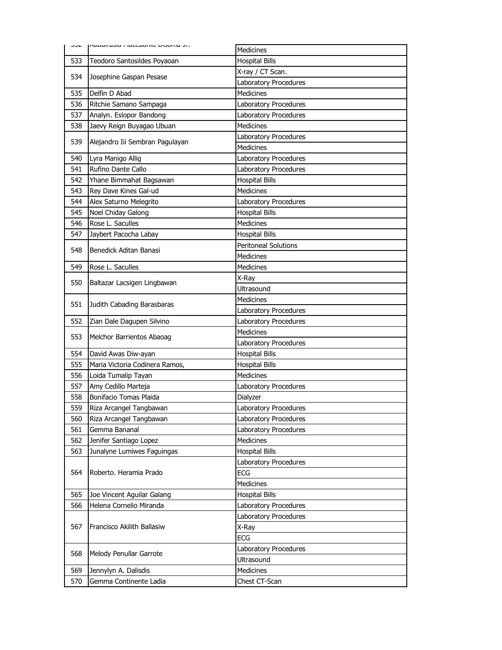| ے ں ر | . ונ סוווטכוש טוווטוסויו טוכס וואטרון | <b>Medicines</b>            |
|-------|---------------------------------------|-----------------------------|
| 533   | Teodoro Santosildes Poyaoan           | <b>Hospital Bills</b>       |
|       |                                       | X-ray / CT Scan.            |
| 534   | Josephine Gaspan Pesase               | Laboratory Procedures       |
| 535   | Delfin D Abad                         | <b>Medicines</b>            |
| 536   | Ritchie Samano Sampaga                | Laboratory Procedures       |
| 537   | Analyn. Eslopor Bandong               | Laboratory Procedures       |
| 538   | Jaevy Reign Buyagao Ubuan             | <b>Medicines</b>            |
|       |                                       | Laboratory Procedures       |
| 539   | Alejandro Iii Sembran Pagulayan       | <b>Medicines</b>            |
| 540   | Lyra Manigo Allig                     | Laboratory Procedures       |
| 541   | Rufino Dante Callo                    | Laboratory Procedures       |
| 542   | Yhane Bimmahat Bagsawan               | <b>Hospital Bills</b>       |
| 543   | Rey Dave Kines Gal-ud                 | <b>Medicines</b>            |
| 544   | Alex Saturno Melegrito                | Laboratory Procedures       |
| 545   | Noel Chiday Galong                    | <b>Hospital Bills</b>       |
| 546   | Rose L. Saculles                      | Medicines                   |
| 547   | Jaybert Pacocha Labay                 | <b>Hospital Bills</b>       |
| 548   | Benedick Aditan Banasi                | <b>Peritoneal Solutions</b> |
|       |                                       | <b>Medicines</b>            |
| 549   | Rose L. Saculles                      | Medicines                   |
| 550   | Baltazar Lacsigen Lingbawan           | X-Ray                       |
|       |                                       | <b>Ultrasound</b>           |
| 551   | Judith Cabading Barasbaras            | <b>Medicines</b>            |
|       |                                       | Laboratory Procedures       |
| 552   | Zian Dale Dagupen Silvino             | Laboratory Procedures       |
| 553   | Melchor Barrientos Abaoag             | <b>Medicines</b>            |
|       |                                       | Laboratory Procedures       |
| 554   | David Awas Diw-ayan                   | <b>Hospital Bills</b>       |
| 555   | Maria Victoria Codinera Ramos,        | <b>Hospital Bills</b>       |
| 556   | Loida Tumalip Tayan                   | <b>Medicines</b>            |
| 557   | Amy Cedillo Marteja                   | Laboratory Procedures       |
| 558   | Bonifacio Tomas Plaida                | Dialyzer                    |
| 559   | Riza Arcangel Tangbawan               | Laboratory Procedures       |
| 560   | Riza Arcangel Tangbawan               | Laboratory Procedures       |
| 561   | Gemma Bananal                         | Laboratory Procedures       |
| 562   | Jenifer Santiago Lopez                | <b>Medicines</b>            |
| 563   | Junalyne Lumiwes Faguingas            | <b>Hospital Bills</b>       |
|       |                                       | Laboratory Procedures       |
| 564   | Roberto. Heramia Prado                | ECG                         |
|       |                                       | <b>Medicines</b>            |
| 565   | Joe Vincent Aguilar Galang            | <b>Hospital Bills</b>       |
| 566   | Helena Cornelio Miranda               | Laboratory Procedures       |
|       |                                       | Laboratory Procedures       |
| 567   | Francisco Akilith Ballasiw            | X-Ray                       |
|       |                                       | <b>ECG</b>                  |
| 568   | Melody Penullar Garrote               | Laboratory Procedures       |
|       |                                       | Ultrasound                  |
| 569   | Jennylyn A. Dalisdis                  | Medicines                   |
| 570   | Gemma Continente Ladia                | Chest CT-Scan               |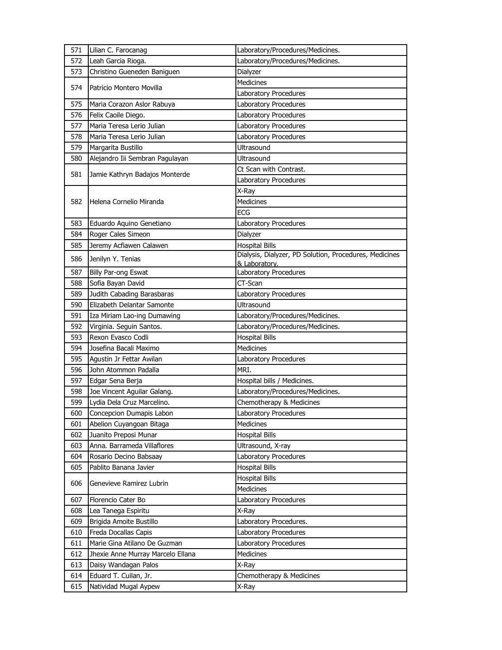| 571 | Lilian C. Farocanag               | Laboratory/Procedures/Medicines.                       |
|-----|-----------------------------------|--------------------------------------------------------|
| 572 | Leah Garcia Rioga.                | Laboratory/Procedures/Medicines.                       |
| 573 | Christino Gueneden Baniguen       | Dialyzer                                               |
|     |                                   | Medicines                                              |
| 574 | Patricio Montero Movilla          | Laboratory Procedures                                  |
| 575 | Maria Corazon Aslor Rabuya        | Laboratory Procedures                                  |
| 576 | Felix Caoile Diego.               | Laboratory Procedures                                  |
| 577 | Maria Teresa Lerio Julian         | Laboratory Procedures                                  |
| 578 | Maria Teresa Lerio Julian         | Laboratory Procedures                                  |
| 579 | Margarita Bustillo                | Ultrasound                                             |
| 580 | Alejandro Iii Sembran Pagulayan   | Ultrasound                                             |
|     |                                   | Ct Scan with Contrast.                                 |
| 581 | Jamie Kathryn Badajos Monterde    | Laboratory Procedures                                  |
|     |                                   | X-Ray                                                  |
| 582 | Helena Cornelio Miranda           | <b>Medicines</b>                                       |
|     |                                   | ECG                                                    |
| 583 | Eduardo Aquino Genetiano          | Laboratory Procedures                                  |
| 584 | Roger Cales Simeon                | Dialyzer                                               |
| 585 | Jeremy Acfiawen Calawen           | <b>Hospital Bills</b>                                  |
| 586 | Jenilyn Y. Tenias                 | Dialysis, Dialyzer, PD Solution, Procedures, Medicines |
|     |                                   | & Laboratory.                                          |
| 587 | Billy Par-ong Eswat               | Laboratory Procedures                                  |
| 588 | Sofia Bayan David                 | CT-Scan                                                |
| 589 | Judith Cabading Barasbaras        | Laboratory Procedures                                  |
| 590 | Elizabeth Delantar Samonte        | Ultrasound                                             |
| 591 | Iza Miriam Lao-ing Dumawing       | Laboratory/Procedures/Medicines.                       |
| 592 | Virginia. Seguin Santos.          | Laboratory/Procedures/Medicines.                       |
| 593 | Rexon Evasco Codli                | <b>Hospital Bills</b>                                  |
| 594 | Josefina Bacali Maximo            | Medicines                                              |
| 595 | Agustin Jr Fettar Awilan          | Laboratory Procedures                                  |
| 596 | John Atommon Padalla              | MRI.                                                   |
| 597 | Edgar Sena Berja                  | Hospital bills / Medicines.                            |
| 598 | Joe Vincent Aguilar Galang.       | Laboratory/Procedures/Medicines.                       |
| 599 | Lydia Dela Cruz Marcelino.        | Chemotherapy & Medicines                               |
| 600 | Concepcion Dumapis Labon          | Laboratory Procedures                                  |
| 601 | Abelion Cuyangoan Bitaga          | Medicines                                              |
| 602 | Juanito Preposi Munar             | <b>Hospital Bills</b>                                  |
| 603 | Anna. Barrameda Villaflores       | Ultrasound, X-ray                                      |
| 604 | Rosario Decino Babsaay            | Laboratory Procedures                                  |
| 605 | Pablito Banana Javier             | <b>Hospital Bills</b>                                  |
| 606 | Genevieve Ramirez Lubrin          | <b>Hospital Bills</b>                                  |
|     |                                   | Medicines                                              |
| 607 | Florencio Cater Bo                | Laboratory Procedures                                  |
| 608 | Lea Tanega Espiritu               | X-Ray                                                  |
| 609 | Brigida Amoite Bustillo           | Laboratory Procedures.                                 |
| 610 | Freda Docallas Capis              | Laboratory Procedures                                  |
| 611 | Marie Gina Atilano De Guzman      | Laboratory Procedures                                  |
| 612 | Jhexie Anne Murray Marcelo Ellana | Medicines                                              |
| 613 | Daisy Wandagan Palos              | X-Ray                                                  |
| 614 | Eduard T. Cuilan, Jr.             | Chemotherapy & Medicines                               |
| 615 | Natividad Mugal Aypew             | X-Ray                                                  |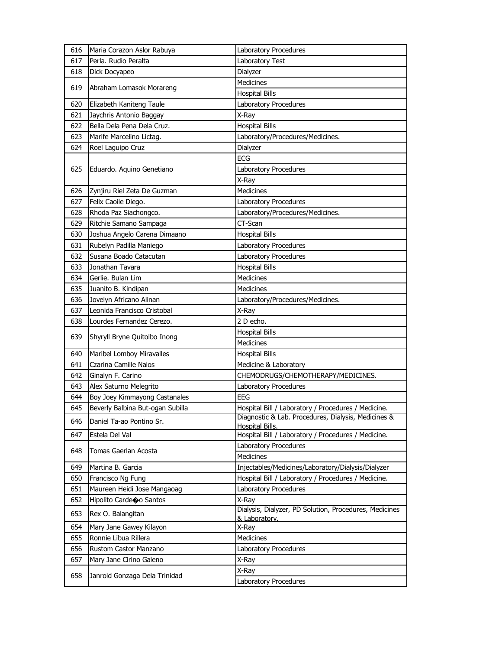| 616 | Maria Corazon Aslor Rabuya       | Laboratory Procedures                                                   |
|-----|----------------------------------|-------------------------------------------------------------------------|
| 617 | Perla. Rudio Peralta             | Laboratory Test                                                         |
| 618 | Dick Docyapeo                    | Dialyzer                                                                |
|     |                                  | Medicines                                                               |
| 619 | Abraham Lomasok Morareng         | <b>Hospital Bills</b>                                                   |
| 620 | Elizabeth Kaniteng Taule         | Laboratory Procedures                                                   |
| 621 | Jaychris Antonio Baggay          | X-Ray                                                                   |
| 622 | Bella Dela Pena Dela Cruz.       | <b>Hospital Bills</b>                                                   |
| 623 | Marife Marcelino Lictag.         | Laboratory/Procedures/Medicines.                                        |
| 624 | Roel Laguipo Cruz                | Dialyzer                                                                |
|     |                                  | ECG                                                                     |
| 625 | Eduardo. Aquino Genetiano        | Laboratory Procedures                                                   |
|     |                                  | X-Ray                                                                   |
| 626 | Zynjiru Riel Zeta De Guzman      | Medicines                                                               |
| 627 | Felix Caoile Diego.              | Laboratory Procedures                                                   |
| 628 | Rhoda Paz Siachongco.            | Laboratory/Procedures/Medicines.                                        |
| 629 | Ritchie Samano Sampaga           | CT-Scan                                                                 |
| 630 | Joshua Angelo Carena Dimaano     | <b>Hospital Bills</b>                                                   |
| 631 | Rubelyn Padilla Maniego          | Laboratory Procedures                                                   |
| 632 | Susana Boado Catacutan           | Laboratory Procedures                                                   |
| 633 | Jonathan Tavara                  | <b>Hospital Bills</b>                                                   |
| 634 | Gerlie. Bulan Lim                | <b>Medicines</b>                                                        |
| 635 | Juanito B. Kindipan              | <b>Medicines</b>                                                        |
| 636 | Jovelyn Africano Alinan          | Laboratory/Procedures/Medicines.                                        |
| 637 | Leonida Francisco Cristobal      | X-Ray                                                                   |
| 638 | Lourdes Fernandez Cerezo.        | 2 D echo.                                                               |
| 639 | Shyryll Bryne Quitolbo Inong     | <b>Hospital Bills</b>                                                   |
|     |                                  | Medicines                                                               |
| 640 | Maribel Lomboy Miravalles        | <b>Hospital Bills</b>                                                   |
| 641 | Czarina Camille Nalos            | Medicine & Laboratory                                                   |
| 642 | Ginalyn F. Carino                | CHEMODRUGS/CHEMOTHERAPY/MEDICINES.                                      |
| 643 | Alex Saturno Melegrito           | Laboratory Procedures                                                   |
| 644 | Boy Joey Kimmayong Castanales    | <b>EEG</b>                                                              |
| 645 | Beverly Balbina But-ogan Subilla | Hospital Bill / Laboratory / Procedures / Medicine.                     |
| 646 | Daniel Ta-ao Pontino Sr.         | Diagnostic & Lab. Procedures, Dialysis, Medicines &<br>Hospital Bills.  |
| 647 | Estela Del Val                   | Hospital Bill / Laboratory / Procedures / Medicine.                     |
|     |                                  | Laboratory Procedures                                                   |
| 648 | Tomas Gaerlan Acosta             | Medicines                                                               |
| 649 | Martina B. Garcia                | Injectables/Medicines/Laboratory/Dialysis/Dialyzer                      |
| 650 | Francisco Ng Fung                | Hospital Bill / Laboratory / Procedures / Medicine.                     |
| 651 | Maureen Heidi Jose Mangaoag      | Laboratory Procedures                                                   |
| 652 | Hipolito Cardeoo Santos          | X-Ray                                                                   |
| 653 | Rex O. Balangitan                | Dialysis, Dialyzer, PD Solution, Procedures, Medicines<br>& Laboratory. |
| 654 | Mary Jane Gawey Kilayon          | X-Ray                                                                   |
| 655 | Ronnie Libua Rillera             | Medicines                                                               |
| 656 | Rustom Castor Manzano            | Laboratory Procedures                                                   |
| 657 | Mary Jane Cirino Galeno          | X-Ray                                                                   |
|     |                                  | X-Ray                                                                   |
| 658 | Janrold Gonzaga Dela Trinidad    | Laboratory Procedures                                                   |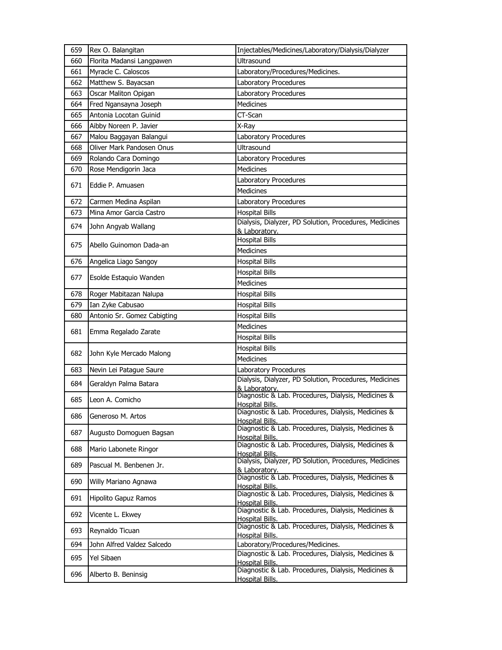| 659 | Rex O. Balangitan           | Injectables/Medicines/Laboratory/Dialysis/Dialyzer                            |
|-----|-----------------------------|-------------------------------------------------------------------------------|
| 660 | Florita Madansi Langpawen   | Ultrasound                                                                    |
| 661 | Myracle C. Caloscos         | Laboratory/Procedures/Medicines.                                              |
| 662 | Matthew S. Bayacsan         | Laboratory Procedures                                                         |
| 663 | Oscar Maliton Opigan        | Laboratory Procedures                                                         |
| 664 | Fred Ngansayna Joseph       | Medicines                                                                     |
| 665 | Antonia Locotan Guinid      | CT-Scan                                                                       |
| 666 | Aibby Noreen P. Javier      | X-Ray                                                                         |
| 667 | Malou Baggayan Balangui     | Laboratory Procedures                                                         |
| 668 | Oliver Mark Pandosen Onus   | <b>Ultrasound</b>                                                             |
| 669 | Rolando Cara Domingo        | Laboratory Procedures                                                         |
| 670 | Rose Mendigorin Jaca        | <b>Medicines</b>                                                              |
| 671 | Eddie P. Amuasen            | Laboratory Procedures                                                         |
|     |                             | <b>Medicines</b>                                                              |
| 672 | Carmen Medina Aspilan       | Laboratory Procedures                                                         |
| 673 | Mina Amor Garcia Castro     | <b>Hospital Bills</b>                                                         |
| 674 | John Angyab Wallang         | Dialysis, Dialyzer, PD Solution, Procedures, Medicines                        |
|     |                             | & Laboratory.<br><b>Hospital Bills</b>                                        |
| 675 | Abello Guinomon Dada-an     | <b>Medicines</b>                                                              |
| 676 | Angelica Liago Sangoy       | <b>Hospital Bills</b>                                                         |
|     |                             | <b>Hospital Bills</b>                                                         |
| 677 | Esolde Estaquio Wanden      | <b>Medicines</b>                                                              |
| 678 | Roger Mabitazan Nalupa      | <b>Hospital Bills</b>                                                         |
| 679 | Ian Zyke Cabusao            | <b>Hospital Bills</b>                                                         |
| 680 | Antonio Sr. Gomez Cabigting | <b>Hospital Bills</b>                                                         |
|     |                             | <b>Medicines</b>                                                              |
| 681 | Emma Regalado Zarate        | <b>Hospital Bills</b>                                                         |
|     |                             | <b>Hospital Bills</b>                                                         |
| 682 | John Kyle Mercado Malong    | <b>Medicines</b>                                                              |
| 683 | Nevin Lei Patague Saure     | Laboratory Procedures                                                         |
|     |                             | Dialysis, Dialyzer, PD Solution, Procedures, Medicines                        |
| 684 | Geraldyn Palma Batara       | & Laboratory.                                                                 |
| 685 | Leon A. Comicho             | Diagnostic & Lab. Procedures, Dialysis, Medicines &<br><b>Hospital Bills.</b> |
|     |                             | Diagnostic & Lab. Procedures, Dialysis, Medicines &                           |
| 686 | Generoso M. Artos           | <b>Hospital Bills.</b>                                                        |
| 687 | Augusto Domoguen Bagsan     | Diagnostic & Lab. Procedures, Dialysis, Medicines &<br>Hospital Bills.        |
|     |                             | Diagnostic & Lab. Procedures, Dialysis, Medicines &                           |
| 688 | Mario Labonete Ringor       | Hospital Bills.                                                               |
| 689 | Pascual M. Benbenen Jr.     | Dialysis, Dialyzer, PD Solution, Procedures, Medicines                        |
|     |                             | & Laboratory.<br>Diagnostic & Lab. Procedures, Dialysis, Medicines &          |
| 690 | Willy Mariano Agnawa        | Hospital Bills.                                                               |
| 691 | Hipolito Gapuz Ramos        | Diagnostic & Lab. Procedures, Dialysis, Medicines &                           |
|     |                             | Hospital Bills.<br>Diagnostic & Lab. Procedures, Dialysis, Medicines &        |
| 692 | Vicente L. Ekwey            | Hospital Bills.                                                               |
| 693 | Reynaldo Ticuan             | Diagnostic & Lab. Procedures, Dialysis, Medicines &                           |
| 694 | John Alfred Valdez Salcedo  | Hospital Bills.<br>Laboratory/Procedures/Medicines.                           |
|     |                             | Diagnostic & Lab. Procedures, Dialysis, Medicines &                           |
| 695 | Yel Sibaen                  | <b>Hospital Bills.</b>                                                        |
| 696 | Alberto B. Beninsig         | Diagnostic & Lab. Procedures, Dialysis, Medicines &                           |
|     |                             | Hospital Bills.                                                               |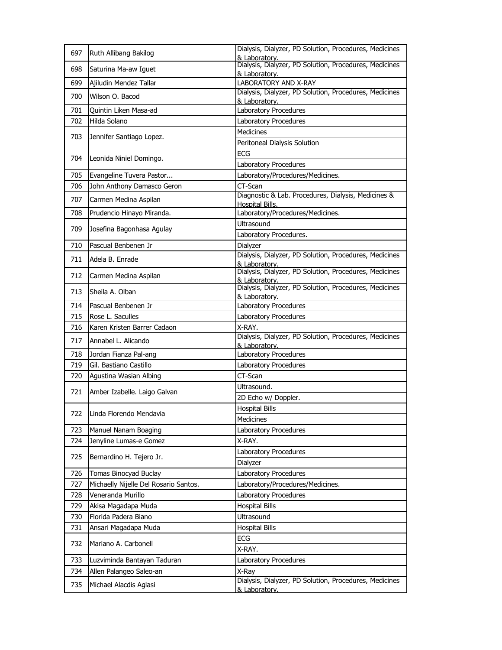| 697 | Ruth Allibang Bakilog                 | Dialysis, Dialyzer, PD Solution, Procedures, Medicines<br>& Laboratory. |
|-----|---------------------------------------|-------------------------------------------------------------------------|
| 698 | Saturina Ma-aw Iguet                  | Dialysis, Dialyzer, PD Solution, Procedures, Medicines<br>& Laboratory. |
| 699 | Ajiludin Mendez Tallar                | LABORATORY AND X-RAY                                                    |
| 700 | Wilson O. Bacod                       | Dialysis, Dialyzer, PD Solution, Procedures, Medicines<br>& Laboratory. |
| 701 | Quintin Liken Masa-ad                 | Laboratory Procedures                                                   |
| 702 | Hilda Solano                          | Laboratory Procedures                                                   |
|     |                                       | <b>Medicines</b>                                                        |
| 703 | Jennifer Santiago Lopez.              | Peritoneal Dialysis Solution                                            |
|     |                                       | <b>ECG</b>                                                              |
| 704 | Leonida Niniel Domingo.               | Laboratory Procedures                                                   |
| 705 | Evangeline Tuvera Pastor              | Laboratory/Procedures/Medicines.                                        |
| 706 | John Anthony Damasco Geron            | CT-Scan                                                                 |
| 707 | Carmen Medina Aspilan                 | Diagnostic & Lab. Procedures, Dialysis, Medicines &                     |
|     |                                       | <b>Hospital Bills.</b>                                                  |
| 708 | Prudencio Hinayo Miranda.             | Laboratory/Procedures/Medicines.                                        |
| 709 | Josefina Bagonhasa Agulay             | <b>Ultrasound</b>                                                       |
|     |                                       | Laboratory Procedures.                                                  |
| 710 | Pascual Benbenen Jr                   | Dialyzer<br>Dialysis, Dialyzer, PD Solution, Procedures, Medicines      |
| 711 | Adela B. Enrade                       | & Laboratory.                                                           |
| 712 | Carmen Medina Aspilan                 | Dialysis, Dialyzer, PD Solution, Procedures, Medicines<br>& Laboratory. |
| 713 | Sheila A. Olban                       | Dialysis, Dialyzer, PD Solution, Procedures, Medicines<br>& Laboratory. |
| 714 | Pascual Benbenen Jr                   | Laboratory Procedures                                                   |
| 715 | Rose L. Saculles                      | Laboratory Procedures                                                   |
| 716 | Karen Kristen Barrer Cadaon           | X-RAY.                                                                  |
| 717 | Annabel L. Alicando                   | Dialysis, Dialyzer, PD Solution, Procedures, Medicines<br>& Laboratory. |
| 718 | Jordan Fianza Pal-ang                 | Laboratory Procedures                                                   |
| 719 | Gil. Bastiano Castillo                | Laboratory Procedures                                                   |
| 720 | Agustina Wasian Albing                | CT-Scan                                                                 |
| 721 | Amber Izabelle. Laigo Galvan          | Ultrasound.                                                             |
|     |                                       | 2D Echo w/ Doppler.                                                     |
| 722 | Linda Florendo Mendavia               | <b>Hospital Bills</b>                                                   |
|     |                                       | Medicines                                                               |
| 723 | Manuel Nanam Boaging                  | Laboratory Procedures                                                   |
| 724 | Jenyline Lumas-e Gomez                | X-RAY.                                                                  |
| 725 | Bernardino H. Tejero Jr.              | Laboratory Procedures                                                   |
|     |                                       | Dialyzer                                                                |
| 726 | Tomas Binocyad Buclay                 | Laboratory Procedures                                                   |
| 727 | Michaelly Nijelle Del Rosario Santos. | Laboratory/Procedures/Medicines.                                        |
| 728 | Veneranda Murillo                     | Laboratory Procedures                                                   |
| 729 | Akisa Magadapa Muda                   | <b>Hospital Bills</b>                                                   |
| 730 | Florida Padera Biano                  | Ultrasound                                                              |
| 731 | Ansari Magadapa Muda                  | <b>Hospital Bills</b>                                                   |
| 732 | Mariano A. Carbonell                  | ECG                                                                     |
|     |                                       | X-RAY.                                                                  |
| 733 | Luzviminda Bantayan Taduran           | Laboratory Procedures                                                   |
| 734 | Allen Palangeo Saleo-an               | X-Ray                                                                   |
| 735 | Michael Alacdis Aglasi                | Dialysis, Dialyzer, PD Solution, Procedures, Medicines<br>& Laboratory. |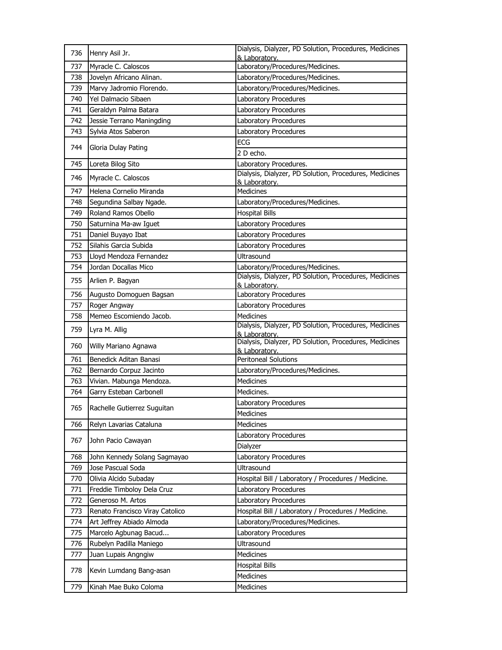| 736 | Henry Asil Jr.                  | Dialysis, Dialyzer, PD Solution, Procedures, Medicines                  |
|-----|---------------------------------|-------------------------------------------------------------------------|
|     |                                 | & Laboratory.                                                           |
| 737 | Myracle C. Caloscos             | Laboratory/Procedures/Medicines.                                        |
| 738 | Jovelyn Africano Alinan.        | Laboratory/Procedures/Medicines.                                        |
| 739 | Marvy Jadromio Florendo.        | Laboratory/Procedures/Medicines.                                        |
| 740 | Yel Dalmacio Sibaen             | Laboratory Procedures                                                   |
| 741 | Geraldyn Palma Batara           | Laboratory Procedures                                                   |
| 742 | Jessie Terrano Maningding       | Laboratory Procedures                                                   |
| 743 | Sylvia Atos Saberon             | Laboratory Procedures                                                   |
| 744 | Gloria Dulay Pating             | ECG                                                                     |
|     |                                 | 2 D echo.                                                               |
| 745 | Loreta Bilog Sito               | Laboratory Procedures.                                                  |
| 746 | Myracle C. Caloscos             | Dialysis, Dialyzer, PD Solution, Procedures, Medicines<br>& Laboratory. |
| 747 | Helena Cornelio Miranda         | <b>Medicines</b>                                                        |
| 748 | Segundina Salbay Ngade.         | Laboratory/Procedures/Medicines.                                        |
| 749 | Roland Ramos Obello             | <b>Hospital Bills</b>                                                   |
| 750 | Saturnina Ma-aw Iguet           | Laboratory Procedures                                                   |
| 751 | Daniel Buyayo Ibat              | Laboratory Procedures                                                   |
| 752 | Silahis Garcia Subida           | Laboratory Procedures                                                   |
| 753 | Lloyd Mendoza Fernandez         | <b>Ultrasound</b>                                                       |
| 754 | Jordan Docallas Mico            | Laboratory/Procedures/Medicines.                                        |
| 755 | Arlien P. Bagyan                | Dialysis, Dialyzer, PD Solution, Procedures, Medicines<br>& Laboratory. |
| 756 | Augusto Domoguen Bagsan         | Laboratory Procedures                                                   |
| 757 | Roger Angway                    | Laboratory Procedures                                                   |
| 758 | Memeo Escomiendo Jacob.         | <b>Medicines</b>                                                        |
| 759 | Lyra M. Allig                   | Dialysis, Dialyzer, PD Solution, Procedures, Medicines<br>& Laboratory. |
| 760 | Willy Mariano Agnawa            | Dialysis, Dialyzer, PD Solution, Procedures, Medicines<br>& Laboratory. |
| 761 | Benedick Aditan Banasi          | <b>Peritoneal Solutions</b>                                             |
| 762 | Bernardo Corpuz Jacinto         | Laboratory/Procedures/Medicines.                                        |
| 763 | Vivian. Mabunga Mendoza.        | Medicines                                                               |
| 764 | Garry Esteban Carbonell         | Medicines.                                                              |
|     |                                 | Laboratory Procedures                                                   |
| 765 | Rachelle Gutierrez Suguitan     | Medicines                                                               |
| 766 | Relyn Lavarias Cataluna         | Medicines                                                               |
|     |                                 |                                                                         |
| 767 | John Pacio Cawayan              | Laboratory Procedures<br>Dialyzer                                       |
|     |                                 |                                                                         |
| 768 | John Kennedy Solang Sagmayao    | Laboratory Procedures                                                   |
| 769 | Jose Pascual Soda               | Ultrasound                                                              |
| 770 | Olivia Alcido Subaday           | Hospital Bill / Laboratory / Procedures / Medicine.                     |
| 771 | Freddie Timboloy Dela Cruz      | Laboratory Procedures                                                   |
| 772 | Generoso M. Artos               | Laboratory Procedures                                                   |
| 773 | Renato Francisco Viray Catolico | Hospital Bill / Laboratory / Procedures / Medicine.                     |
| 774 | Art Jeffrey Abiado Almoda       | Laboratory/Procedures/Medicines.                                        |
| 775 | Marcelo Agbunag Bacud           | Laboratory Procedures                                                   |
| 776 | Rubelyn Padilla Maniego         | Ultrasound                                                              |
| 777 | Juan Lupais Angngiw             | Medicines                                                               |
| 778 | Kevin Lumdang Bang-asan         | <b>Hospital Bills</b>                                                   |
|     |                                 | Medicines                                                               |
| 779 | Kinah Mae Buko Coloma           | Medicines                                                               |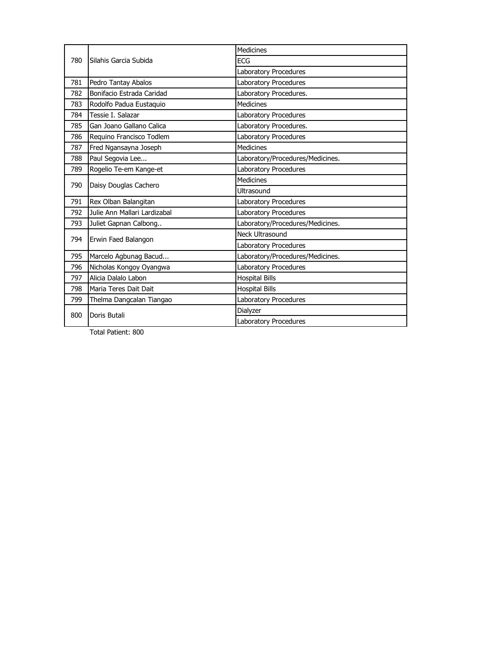| 780 | Silahis Garcia Subida        | <b>Medicines</b>                 |
|-----|------------------------------|----------------------------------|
|     |                              | ECG                              |
|     |                              | Laboratory Procedures            |
| 781 | Pedro Tantay Abalos          | Laboratory Procedures            |
| 782 | Bonifacio Estrada Caridad    | Laboratory Procedures.           |
| 783 | Rodolfo Padua Eustaquio      | <b>Medicines</b>                 |
| 784 | Tessie I. Salazar            | Laboratory Procedures            |
| 785 | Gan Joano Gallano Calica     | Laboratory Procedures.           |
| 786 | Requino Francisco Todlem     | Laboratory Procedures            |
| 787 | Fred Ngansayna Joseph        | <b>Medicines</b>                 |
| 788 | Paul Segovia Lee             | Laboratory/Procedures/Medicines. |
| 789 | Rogelio Te-em Kange-et       | Laboratory Procedures            |
| 790 | Daisy Douglas Cachero        | Medicines                        |
|     |                              | Ultrasound                       |
| 791 | Rex Olban Balangitan         | Laboratory Procedures            |
| 792 | Julie Ann Mallari Lardizabal | Laboratory Procedures            |
| 793 | Juliet Gapnan Calbong        | Laboratory/Procedures/Medicines. |
| 794 | Erwin Faed Balangon          | Neck Ultrasound                  |
|     |                              | Laboratory Procedures            |
| 795 | Marcelo Agbunag Bacud        | Laboratory/Procedures/Medicines. |
| 796 | Nicholas Kongoy Oyangwa      | Laboratory Procedures            |
| 797 | Alicia Dalalo Labon          | <b>Hospital Bills</b>            |
| 798 | Maria Teres Dait Dait        | <b>Hospital Bills</b>            |
| 799 | Thelma Dangcalan Tiangao     | Laboratory Procedures            |
|     | Doris Butali                 | Dialyzer                         |
| 800 |                              | Laboratory Procedures            |

Total Patient: 800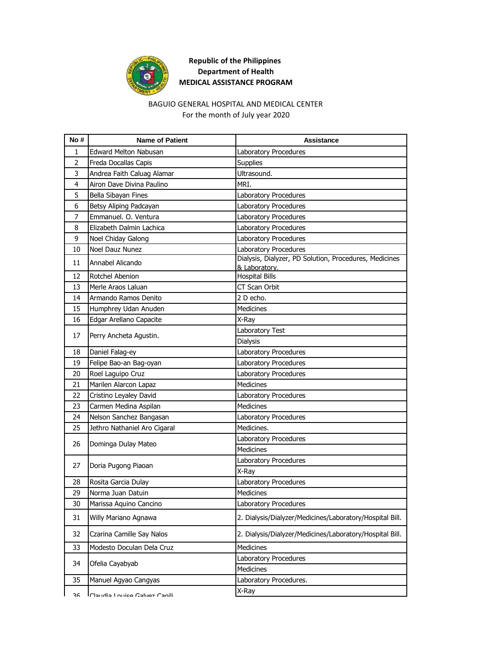

## **Republic of the Philippines Department of Health MEDICAL ASSISTANCE PROGRAM**

## BAGUIO GENERAL HOSPITAL AND MEDICAL CENTER For the month of July year 2020

| No#            | <b>Name of Patient</b>          | Assistance                                                              |
|----------------|---------------------------------|-------------------------------------------------------------------------|
| 1              | <b>Edward Melton Nabusan</b>    | Laboratory Procedures                                                   |
| $\overline{2}$ | Freda Docallas Capis            | Supplies                                                                |
| 3              | Andrea Faith Caluag Alamar      | Ultrasound.                                                             |
| 4              | Airon Dave Divina Paulino       | MRI.                                                                    |
| 5              | Bella Sibayan Fines             | Laboratory Procedures                                                   |
| 6              | Betsy Aliping Padcayan          | Laboratory Procedures                                                   |
| 7              | Emmanuel. O. Ventura            | Laboratory Procedures                                                   |
| 8              | Elizabeth Dalmin Lachica        | Laboratory Procedures                                                   |
| 9              | Noel Chiday Galong              | Laboratory Procedures                                                   |
| 10             | Noel Dauz Nunez                 | Laboratory Procedures                                                   |
| 11             | Annabel Alicando                | Dialysis, Dialyzer, PD Solution, Procedures, Medicines<br>& Laboratory. |
| 12             | Rotchel Abenion                 | <b>Hospital Bills</b>                                                   |
| 13             | Merle Araos Laluan              | CT Scan Orbit                                                           |
| 14             | Armando Ramos Denito            | 2 D echo.                                                               |
| 15             | Humphrey Udan Anuden            | <b>Medicines</b>                                                        |
| 16             | Edgar Arellano Capacite         | X-Ray                                                                   |
| 17             | Perry Ancheta Agustin.          | Laboratory Test                                                         |
|                |                                 | Dialysis                                                                |
| 18             | Daniel Falag-ey                 | Laboratory Procedures                                                   |
| 19             | Felipe Bao-an Bag-oyan          | Laboratory Procedures                                                   |
| 20             | Roel Laguipo Cruz               | Laboratory Procedures                                                   |
| 21             | Marilen Alarcon Lapaz           | <b>Medicines</b>                                                        |
| 22             | Cristino Leyaley David          | Laboratory Procedures                                                   |
| 23             | Carmen Medina Aspilan           | <b>Medicines</b>                                                        |
| 24             | Nelson Sanchez Bangasan         | Laboratory Procedures                                                   |
| 25             | Jethro Nathaniel Aro Cigaral    | Medicines.                                                              |
| 26             | Dominga Dulay Mateo             | Laboratory Procedures                                                   |
|                |                                 | <b>Medicines</b>                                                        |
| 27             | Doria Pugong Piaoan             | Laboratory Procedures                                                   |
|                |                                 | X-Ray                                                                   |
| 28             | Rosita Garcia Dulay             | Laboratory Procedures                                                   |
| 29             | Norma Juan Datuin               | <b>Medicines</b>                                                        |
| 30             | Marissa Aquino Cancino          | Laboratory Procedures                                                   |
| 31             | Willy Mariano Agnawa            | 2. Dialysis/Dialyzer/Medicines/Laboratory/Hospital Bill.                |
| 32             | Czarina Camille Say Nalos       | 2. Dialysis/Dialyzer/Medicines/Laboratory/Hospital Bill.                |
| 33             | Modesto Doculan Dela Cruz       | Medicines                                                               |
| 34             | Ofelia Cayabyab                 | Laboratory Procedures                                                   |
|                |                                 | Medicines                                                               |
| 35             | Manuel Agyao Cangyas            | Laboratory Procedures.                                                  |
| 36             | l Claudia I ouice Galver Caoili | X-Ray                                                                   |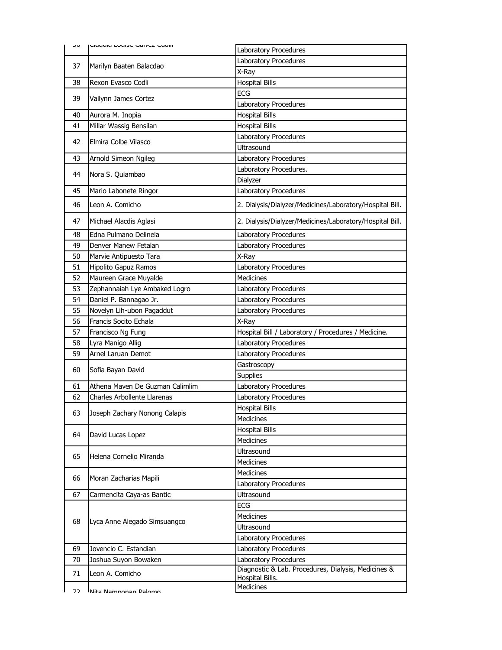| ںر | Clandia Ludisc Gailer Canil     | Laboratory Procedures                                    |
|----|---------------------------------|----------------------------------------------------------|
|    |                                 | Laboratory Procedures                                    |
| 37 | Marilyn Baaten Balacdao         | X-Ray                                                    |
| 38 | Rexon Evasco Codli              | <b>Hospital Bills</b>                                    |
|    |                                 | <b>ECG</b>                                               |
| 39 | Vailynn James Cortez            | Laboratory Procedures                                    |
| 40 | Aurora M. Inopia                | <b>Hospital Bills</b>                                    |
| 41 | Millar Wassig Bensilan          | <b>Hospital Bills</b>                                    |
|    |                                 | Laboratory Procedures                                    |
| 42 | Elmira Colbe Vilasco            | Ultrasound                                               |
| 43 | Arnold Simeon Ngileg            | Laboratory Procedures                                    |
|    |                                 | Laboratory Procedures.                                   |
| 44 | Nora S. Quiambao                | Dialyzer                                                 |
| 45 | Mario Labonete Ringor           | Laboratory Procedures                                    |
| 46 | Leon A. Comicho                 | 2. Dialysis/Dialyzer/Medicines/Laboratory/Hospital Bill. |
| 47 | Michael Alacdis Aglasi          | 2. Dialysis/Dialyzer/Medicines/Laboratory/Hospital Bill. |
| 48 | Edna Pulmano Delinela           | Laboratory Procedures                                    |
| 49 | Denver Manew Fetalan            | Laboratory Procedures                                    |
| 50 | Marvie Antipuesto Tara          | X-Ray                                                    |
| 51 | Hipolito Gapuz Ramos            | Laboratory Procedures                                    |
| 52 | Maureen Grace Muyalde           | <b>Medicines</b>                                         |
| 53 | Zephannaiah Lye Ambaked Logro   | Laboratory Procedures                                    |
| 54 | Daniel P. Bannagao Jr.          | Laboratory Procedures                                    |
| 55 | Novelyn Lih-ubon Pagaddut       | Laboratory Procedures                                    |
| 56 | Francis Socito Echala           | X-Ray                                                    |
| 57 | Francisco Ng Fung               | Hospital Bill / Laboratory / Procedures / Medicine.      |
| 58 | Lyra Manigo Allig               | Laboratory Procedures                                    |
| 59 | Arnel Laruan Demot              | Laboratory Procedures                                    |
| 60 | Sofia Bayan David               | Gastroscopy                                              |
|    |                                 | <b>Supplies</b>                                          |
| 61 | Athena Maven De Guzman Calimlim | Laboratory Procedures                                    |
| 62 | Charles Arbollente Llarenas     | Laboratory Procedures                                    |
| 63 | Joseph Zachary Nonong Calapis   | <b>Hospital Bills</b>                                    |
|    |                                 | Medicines                                                |
| 64 | David Lucas Lopez               | <b>Hospital Bills</b>                                    |
|    |                                 | Medicines                                                |
| 65 | Helena Cornelio Miranda         | Ultrasound                                               |
|    |                                 | Medicines                                                |
|    |                                 | Medicines                                                |
| 66 | Moran Zacharias Mapili          | Laboratory Procedures                                    |
| 67 | Carmencita Caya-as Bantic       | Ultrasound                                               |
|    |                                 | ECG                                                      |
| 68 |                                 | <b>Medicines</b>                                         |
|    | Lyca Anne Alegado Simsuangco    | Ultrasound                                               |
|    |                                 | Laboratory Procedures                                    |
| 69 | Jovencio C. Estandian           | Laboratory Procedures                                    |
| 70 | Joshua Suyon Bowaken            | Laboratory Procedures                                    |
| 71 | Leon A. Comicho                 | Diagnostic & Lab. Procedures, Dialysis, Medicines &      |
|    |                                 | Hospital Bills.                                          |
| רד | Nita Nampenan Dalamo            | Medicines                                                |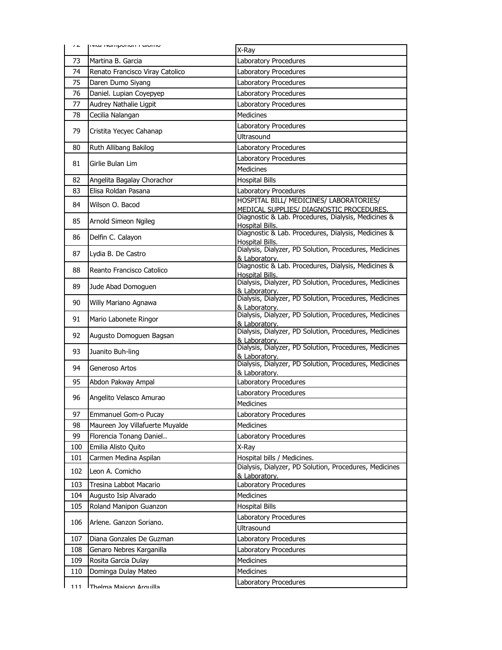| 16  | <b>INICE INCITIQUIED IT CHUITIU</b> |                                                                                     |
|-----|-------------------------------------|-------------------------------------------------------------------------------------|
|     |                                     | X-Ray                                                                               |
| 73  | Martina B. Garcia                   | Laboratory Procedures                                                               |
| 74  | Renato Francisco Viray Catolico     | Laboratory Procedures                                                               |
| 75  | Daren Dumo Siyang                   | Laboratory Procedures                                                               |
| 76  | Daniel. Lupian Coyepyep             | Laboratory Procedures                                                               |
| 77  | Audrey Nathalie Ligpit              | Laboratory Procedures                                                               |
| 78  | Cecilia Nalangan                    | Medicines                                                                           |
| 79  | Cristita Yecyec Cahanap             | Laboratory Procedures                                                               |
|     |                                     | <b>Ultrasound</b>                                                                   |
| 80  | Ruth Allibang Bakilog               | Laboratory Procedures                                                               |
| 81  | Girlie Bulan Lim                    | Laboratory Procedures                                                               |
|     |                                     | Medicines                                                                           |
| 82  | Angelita Bagalay Chorachor          | <b>Hospital Bills</b>                                                               |
| 83  | Elisa Roldan Pasana                 | Laboratory Procedures                                                               |
| 84  | Wilson O. Bacod                     | HOSPITAL BILL/ MEDICINES/ LABORATORIES/<br>MEDICAL SUPPLIES/ DIAGNOSTIC PROCEDURES. |
| 85  | Arnold Simeon Ngileg                | Diagnostic & Lab. Procedures, Dialysis, Medicines &                                 |
|     |                                     | Hospital Bills.                                                                     |
| 86  | Delfin C. Calayon                   | Diagnostic & Lab. Procedures, Dialysis, Medicines &<br><b>Hospital Bills.</b>       |
| 87  | Lydia B. De Castro                  | Dialysis, Dialyzer, PD Solution, Procedures, Medicines                              |
|     |                                     | & Laboratory.<br>Diagnostic & Lab. Procedures, Dialysis, Medicines &                |
| 88  | Reanto Francisco Catolico           | Hospital Bills.                                                                     |
| 89  | Jude Abad Domoguen                  | Dialysis, Dialyzer, PD Solution, Procedures, Medicines                              |
|     |                                     | & Laboratory.<br>Dialysis, Dialyzer, PD Solution, Procedures, Medicines             |
| 90  | Willy Mariano Agnawa                | & Laboratory.                                                                       |
| 91  | Mario Labonete Ringor               | Dialysis, Dialyzer, PD Solution, Procedures, Medicines                              |
|     |                                     | & Laboratory.<br>Dialysis, Dialyzer, PD Solution, Procedures, Medicines             |
| 92  | Augusto Domoguen Bagsan             | & Laboratory.                                                                       |
| 93  | Juanito Buh-ling                    | Dialysis, Dialyzer, PD Solution, Procedures, Medicines                              |
|     |                                     | & Laboratorv.<br>Dialysis, Dialyzer, PD Solution, Procedures, Medicines             |
| 94  | Generoso Artos                      | & Laboratory.                                                                       |
| 95  | Abdon Pakway Ampal                  | Laboratory Procedures                                                               |
| 96  | Angelito Velasco Amurao             | Laboratory Procedures                                                               |
|     |                                     | <b>Medicines</b>                                                                    |
| 97  | Emmanuel Gom-o Pucay                | Laboratory Procedures                                                               |
| 98  | Maureen Joy Villafuerte Muyalde     | <b>Medicines</b>                                                                    |
| 99  | Florencia Tonang Daniel             | Laboratory Procedures                                                               |
| 100 | Emilia Alisto Quito                 | X-Ray                                                                               |
| 101 | Carmen Medina Aspilan               | Hospital bills / Medicines.                                                         |
| 102 | Leon A. Comicho                     | Dialysis, Dialyzer, PD Solution, Procedures, Medicines<br>& Laboratory.             |
| 103 | Tresina Labbot Macario              | Laboratory Procedures                                                               |
| 104 | Augusto Isip Alvarado               | Medicines                                                                           |
| 105 | Roland Manipon Guanzon              | <b>Hospital Bills</b>                                                               |
| 106 | Arlene. Ganzon Soriano.             | Laboratory Procedures                                                               |
|     |                                     | <b>Ultrasound</b>                                                                   |
| 107 | Diana Gonzales De Guzman            | Laboratory Procedures                                                               |
| 108 | Genaro Nebres Karganilla            | Laboratory Procedures                                                               |
| 109 | Rosita Garcia Dulay                 | Medicines                                                                           |
| 110 | Dominga Dulay Mateo                 | <b>Medicines</b>                                                                    |
| 111 | Thalma Maicon Armuilla              | Laboratory Procedures                                                               |
|     |                                     |                                                                                     |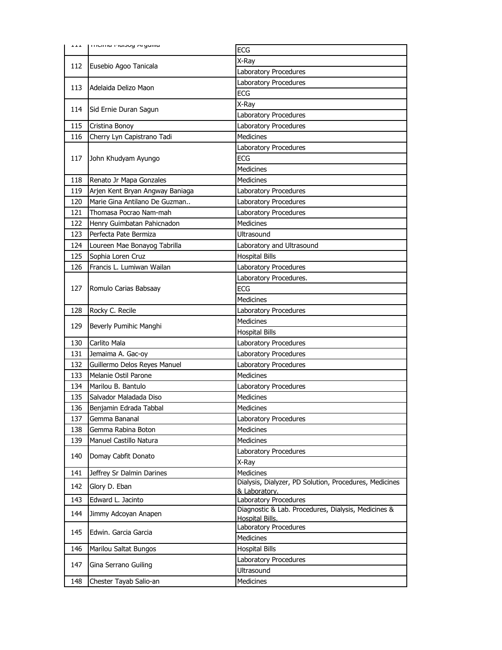| 고 고 고 | <b>ITTICITIO PIOISOY AT YUTTO</b> | ECG                                                    |
|-------|-----------------------------------|--------------------------------------------------------|
|       |                                   | X-Ray                                                  |
| 112   | Eusebio Agoo Tanicala             | Laboratory Procedures                                  |
|       |                                   | Laboratory Procedures                                  |
| 113   | Adelaida Delizo Maon              | <b>ECG</b>                                             |
|       |                                   | X-Ray                                                  |
| 114   | Sid Ernie Duran Sagun             | Laboratory Procedures                                  |
| 115   | Cristina Bonoy                    | Laboratory Procedures                                  |
| 116   | Cherry Lyn Capistrano Tadi        | <b>Medicines</b>                                       |
|       |                                   | Laboratory Procedures                                  |
| 117   | John Khudyam Ayungo               | <b>ECG</b>                                             |
|       |                                   | Medicines                                              |
| 118   | Renato Jr Mapa Gonzales           | Medicines                                              |
| 119   | Arjen Kent Bryan Angway Baniaga   | Laboratory Procedures                                  |
| 120   | Marie Gina Antilano De Guzman     | <b>Laboratory Procedures</b>                           |
| 121   | Thomasa Pocrao Nam-mah            | Laboratory Procedures                                  |
| 122   | Henry Guimbatan Pahicnadon        | <b>Medicines</b>                                       |
| 123   | Perfecta Pate Bermiza             | Ultrasound                                             |
| 124   | Loureen Mae Bonayog Tabrilla      | Laboratory and Ultrasound                              |
| 125   | Sophia Loren Cruz                 | <b>Hospital Bills</b>                                  |
| 126   | Francis L. Lumiwan Wailan         | Laboratory Procedures                                  |
|       |                                   | Laboratory Procedures.                                 |
| 127   | Romulo Carias Babsaay             | ECG                                                    |
|       |                                   | <b>Medicines</b>                                       |
| 128   | Rocky C. Recile                   | Laboratory Procedures                                  |
|       |                                   |                                                        |
| 129   |                                   | <b>Medicines</b>                                       |
|       | Beverly Pumihic Manghi            | <b>Hospital Bills</b>                                  |
| 130   | Carlito Mala                      | Laboratory Procedures                                  |
| 131   | Jemaima A. Gac-oy                 | Laboratory Procedures                                  |
| 132   | Guillermo Delos Reyes Manuel      | Laboratory Procedures                                  |
| 133   | Melanie Ostil Parone              | <b>Medicines</b>                                       |
| 134   | Marilou B. Bantulo                | Laboratory Procedures                                  |
| 135   | Salvador Maladada Diso            | <b>Medicines</b>                                       |
| 136   | Benjamin Edrada Tabbal            | <b>Medicines</b>                                       |
| 137   | Gemma Bananal                     | Laboratory Procedures                                  |
| 138   | Gemma Rabina Boton                | Medicines                                              |
| 139   | Manuel Castillo Natura            | <b>Medicines</b>                                       |
| 140   | Domay Cabfit Donato               | Laboratory Procedures                                  |
|       |                                   | X-Ray                                                  |
| 141   | Jeffrey Sr Dalmin Darines         | Medicines                                              |
| 142   | Glory D. Eban                     | Dialysis, Dialyzer, PD Solution, Procedures, Medicines |
| 143   | Edward L. Jacinto                 | & Laboratory.<br>Laboratory Procedures                 |
| 144   | Jimmy Adcoyan Anapen              | Diagnostic & Lab. Procedures, Dialysis, Medicines &    |
|       |                                   | <b>Hospital Bills.</b><br>Laboratory Procedures        |
| 145   | Edwin, Garcia Garcia              | <b>Medicines</b>                                       |
| 146   | Marilou Saltat Bungos             | <b>Hospital Bills</b>                                  |
|       |                                   | Laboratory Procedures                                  |
| 147   | Gina Serrano Guiling              | Ultrasound                                             |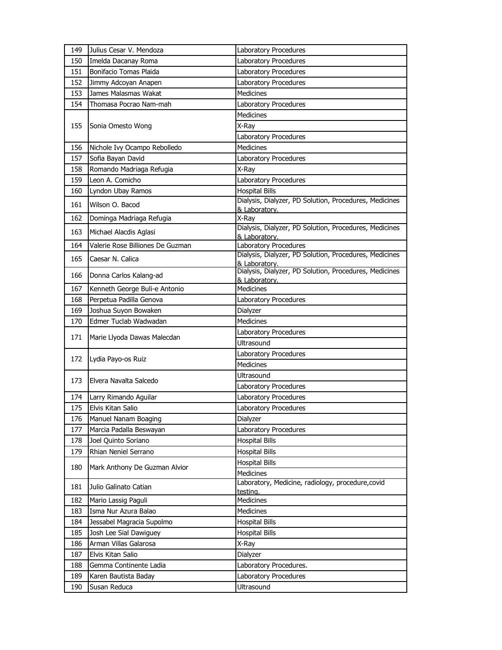| 149 | Julius Cesar V. Mendoza          | Laboratory Procedures                                                   |
|-----|----------------------------------|-------------------------------------------------------------------------|
| 150 | Imelda Dacanay Roma              | Laboratory Procedures                                                   |
| 151 | Bonifacio Tomas Plaida           | Laboratory Procedures                                                   |
| 152 | Jimmy Adcoyan Anapen             | Laboratory Procedures                                                   |
| 153 | James Malasmas Wakat             | <b>Medicines</b>                                                        |
| 154 | Thomasa Pocrao Nam-mah           | Laboratory Procedures                                                   |
|     |                                  | <b>Medicines</b>                                                        |
| 155 | Sonia Omesto Wong                | X-Ray                                                                   |
|     |                                  | Laboratory Procedures                                                   |
| 156 | Nichole Ivy Ocampo Rebolledo     | <b>Medicines</b>                                                        |
| 157 | Sofia Bayan David                | Laboratory Procedures                                                   |
| 158 | Romando Madriaga Refugia         | X-Ray                                                                   |
| 159 | Leon A. Comicho                  | Laboratory Procedures                                                   |
| 160 | Lyndon Ubay Ramos                | <b>Hospital Bills</b>                                                   |
| 161 | Wilson O. Bacod                  | Dialysis, Dialyzer, PD Solution, Procedures, Medicines<br>& Laboratory. |
| 162 | Dominga Madriaga Refugia         | X-Rav                                                                   |
| 163 | Michael Alacdis Aglasi           | Dialysis, Dialyzer, PD Solution, Procedures, Medicines                  |
| 164 | Valerie Rose Billiones De Guzman | & Laboratory.<br>Laboratory Procedures                                  |
| 165 | Caesar N. Calica                 | Dialysis, Dialyzer, PD Solution, Procedures, Medicines                  |
|     |                                  | & Laboratory.<br>Dialysis, Dialyzer, PD Solution, Procedures, Medicines |
| 166 | Donna Carlos Kalang-ad           | & Laboratory.                                                           |
| 167 | Kenneth George Buli-e Antonio    | Medicines                                                               |
| 168 | Perpetua Padilla Genova          | Laboratory Procedures                                                   |
| 169 | Joshua Suyon Bowaken             | Dialyzer                                                                |
| 170 | Edmer Tuclab Wadwadan            | Medicines                                                               |
|     |                                  | Laboratory Procedures                                                   |
| 171 | Marie Llyoda Dawas Malecdan      | Ultrasound                                                              |
| 172 | Lydia Payo-os Ruiz               | Laboratory Procedures                                                   |
|     |                                  | <b>Medicines</b>                                                        |
| 173 | Elvera Navalta Salcedo           | Ultrasound                                                              |
|     |                                  | Laboratory Procedures                                                   |
| 174 | Larry Rimando Aguilar            | Laboratory Procedures                                                   |
| 175 | Elvis Kitan Salio                | Laboratory Procedures                                                   |
| 176 | Manuel Nanam Boaging             | Dialyzer                                                                |
| 177 | Marcia Padalla Beswayan          | Laboratory Procedures                                                   |
| 178 | Joel Quinto Soriano              | <b>Hospital Bills</b>                                                   |
| 179 | Rhian Neniel Serrano             | <b>Hospital Bills</b>                                                   |
| 180 | Mark Anthony De Guzman Alvior    | <b>Hospital Bills</b><br>Medicines                                      |
| 181 | Julio Galinato Catian            | Laboratory, Medicine, radiology, procedure, covid                       |
|     |                                  | testing.<br><b>Medicines</b>                                            |
| 182 | Mario Lassig Paguli              |                                                                         |
| 183 | Isma Nur Azura Balao             | Medicines                                                               |
| 184 | Jessabel Magracia Supolmo        | <b>Hospital Bills</b>                                                   |
| 185 | Josh Lee Sial Dawiguey           | <b>Hospital Bills</b>                                                   |
| 186 | Arman Villas Galarosa            | X-Ray                                                                   |
| 187 | Elvis Kitan Salio                | Dialyzer                                                                |
| 188 | Gemma Continente Ladia           | Laboratory Procedures.                                                  |
| 189 | Karen Bautista Baday             | Laboratory Procedures                                                   |
| 190 | Susan Reduca                     | Ultrasound                                                              |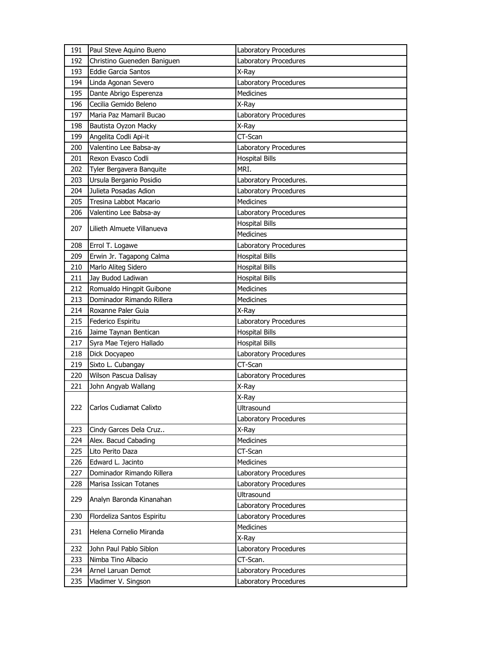| 191 | Paul Steve Aquino Bueno     | Laboratory Procedures  |
|-----|-----------------------------|------------------------|
| 192 | Christino Gueneden Baniguen | Laboratory Procedures  |
| 193 | <b>Eddie Garcia Santos</b>  | X-Ray                  |
| 194 | Linda Agonan Severo         | Laboratory Procedures  |
| 195 | Dante Abrigo Esperenza      | <b>Medicines</b>       |
| 196 | Cecilia Gemido Beleno       | X-Ray                  |
| 197 | Maria Paz Mamaril Bucao     | Laboratory Procedures  |
| 198 | Bautista Oyzon Macky        | X-Ray                  |
| 199 | Angelita Codli Api-it       | CT-Scan                |
| 200 | Valentino Lee Babsa-ay      | Laboratory Procedures  |
| 201 | Rexon Evasco Codli          | <b>Hospital Bills</b>  |
| 202 | Tyler Bergavera Banquite    | MRI.                   |
| 203 | Ursula Berganio Posidio     | Laboratory Procedures. |
| 204 | Julieta Posadas Adion       | Laboratory Procedures  |
| 205 | Tresina Labbot Macario      | Medicines              |
| 206 | Valentino Lee Babsa-ay      | Laboratory Procedures  |
|     | Lilieth Almuete Villanueva  | <b>Hospital Bills</b>  |
| 207 |                             | Medicines              |
| 208 | Errol T. Logawe             | Laboratory Procedures  |
| 209 | Erwin Jr. Tagapong Calma    | <b>Hospital Bills</b>  |
| 210 | Marlo Aliteg Sidero         | <b>Hospital Bills</b>  |
| 211 | Jay Budod Ladiwan           | <b>Hospital Bills</b>  |
| 212 | Romualdo Hingpit Guibone    | <b>Medicines</b>       |
| 213 | Dominador Rimando Rillera   | Medicines              |
| 214 | Roxanne Paler Guia          | X-Ray                  |
| 215 | Federico Espiritu           | Laboratory Procedures  |
| 216 | Jaime Taynan Bentican       | <b>Hospital Bills</b>  |
| 217 | Syra Mae Tejero Hallado     | <b>Hospital Bills</b>  |
| 218 | Dick Docyapeo               | Laboratory Procedures  |
| 219 | Sixto L. Cubangay           | CT-Scan                |
| 220 | Wilson Pascua Dalisay       | Laboratory Procedures  |
| 221 | John Angyab Wallang         | X-Ray                  |
|     |                             | X-Ray                  |
| 222 | Carlos Cudiamat Calixto     | Ultrasound             |
|     |                             | Laboratory Procedures  |
| 223 | Cindy Garces Dela Cruz      | X-Ray                  |
| 224 | Alex. Bacud Cabading        | Medicines              |
| 225 | Lito Perito Daza            | CT-Scan                |
| 226 | Edward L. Jacinto           | <b>Medicines</b>       |
| 227 | Dominador Rimando Rillera   | Laboratory Procedures  |
| 228 | Marisa Issican Totanes      | Laboratory Procedures  |
| 229 | Analyn Baronda Kinanahan    | Ultrasound             |
|     |                             | Laboratory Procedures  |
| 230 | Flordeliza Santos Espiritu  | Laboratory Procedures  |
| 231 | Helena Cornelio Miranda     | Medicines              |
|     |                             | X-Ray                  |
| 232 | John Paul Pablo Siblon      | Laboratory Procedures  |
| 233 | Nimba Tino Albacio          | CT-Scan.               |
| 234 | Arnel Laruan Demot          | Laboratory Procedures  |
| 235 | Vladimer V. Singson         | Laboratory Procedures  |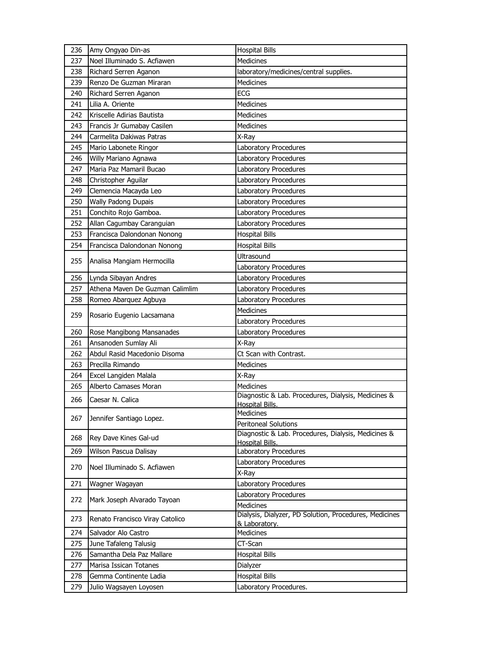| 236 | Amy Ongyao Din-as               | <b>Hospital Bills</b>                                                       |
|-----|---------------------------------|-----------------------------------------------------------------------------|
| 237 | Noel Illuminado S. Acfiawen     | Medicines                                                                   |
| 238 | Richard Serren Aganon           | laboratory/medicines/central supplies.                                      |
| 239 | Renzo De Guzman Miraran         | <b>Medicines</b>                                                            |
| 240 | Richard Serren Aganon           | ECG                                                                         |
| 241 | Lilia A. Oriente                | Medicines                                                                   |
| 242 | Kriscelle Adirias Bautista      | Medicines                                                                   |
| 243 | Francis Jr Gumabay Casilen      | <b>Medicines</b>                                                            |
| 244 | Carmelita Dakiwas Patras        | X-Ray                                                                       |
| 245 | Mario Labonete Ringor           | Laboratory Procedures                                                       |
| 246 | Willy Mariano Agnawa            | Laboratory Procedures                                                       |
| 247 | Maria Paz Mamaril Bucao         | Laboratory Procedures                                                       |
| 248 | Christopher Aguilar             | Laboratory Procedures                                                       |
| 249 | Clemencia Macayda Leo           | Laboratory Procedures                                                       |
| 250 | <b>Wally Padong Dupais</b>      | Laboratory Procedures                                                       |
| 251 | Conchito Rojo Gamboa.           | Laboratory Procedures                                                       |
| 252 | Allan Cagumbay Caranguian       | Laboratory Procedures                                                       |
| 253 | Francisca Dalondonan Nonong     | <b>Hospital Bills</b>                                                       |
| 254 | Francisca Dalondonan Nonong     | <b>Hospital Bills</b>                                                       |
|     |                                 | Ultrasound                                                                  |
| 255 | Analisa Mangiam Hermocilla      | Laboratory Procedures                                                       |
| 256 | Lynda Sibayan Andres            | Laboratory Procedures                                                       |
| 257 | Athena Maven De Guzman Calimlim | Laboratory Procedures                                                       |
| 258 | Romeo Abarquez Agbuya           | Laboratory Procedures                                                       |
|     |                                 | <b>Medicines</b>                                                            |
| 259 | Rosario Eugenio Lacsamana       | Laboratory Procedures                                                       |
| 260 | Rose Mangibong Mansanades       | Laboratory Procedures                                                       |
| 261 | Ansanoden Sumlay Ali            | X-Ray                                                                       |
| 262 | Abdul Rasid Macedonio Disoma    | Ct Scan with Contrast.                                                      |
| 263 | Precilla Rimando                | Medicines                                                                   |
| 264 | Excel Langiden Malala           | X-Ray                                                                       |
| 265 | Alberto Camases Moran           | <b>Medicines</b>                                                            |
| 266 | Caesar N. Calica                | Diagnostic & Lab. Procedures, Dialysis, Medicines &                         |
|     |                                 | Hospital Bills.                                                             |
| 267 | Jennifer Santiago Lopez.        | Medicines                                                                   |
|     |                                 | Peritoneal Solutions<br>Diagnostic & Lab. Procedures, Dialysis, Medicines & |
| 268 | Rey Dave Kines Gal-ud           | Hospital Bills.                                                             |
| 269 | Wilson Pascua Dalisay           | Laboratory Procedures                                                       |
| 270 | Noel Illuminado S. Acfiawen     | Laboratory Procedures                                                       |
|     |                                 | X-Ray                                                                       |
| 271 | Wagner Wagayan                  | Laboratory Procedures                                                       |
| 272 | Mark Joseph Alvarado Tayoan     | Laboratory Procedures                                                       |
|     |                                 | Medicines                                                                   |
| 273 | Renato Francisco Viray Catolico | Dialysis, Dialyzer, PD Solution, Procedures, Medicines                      |
| 274 | Salvador Alo Castro             | & Laboratory.<br>Medicines                                                  |
| 275 | June Tafaleng Talusig           | CT-Scan                                                                     |
| 276 | Samantha Dela Paz Mallare       | <b>Hospital Bills</b>                                                       |
| 277 | Marisa Issican Totanes          | Dialyzer                                                                    |
| 278 | Gemma Continente Ladia          | <b>Hospital Bills</b>                                                       |
| 279 | Julio Wagsayen Loyosen          | Laboratory Procedures.                                                      |
|     |                                 |                                                                             |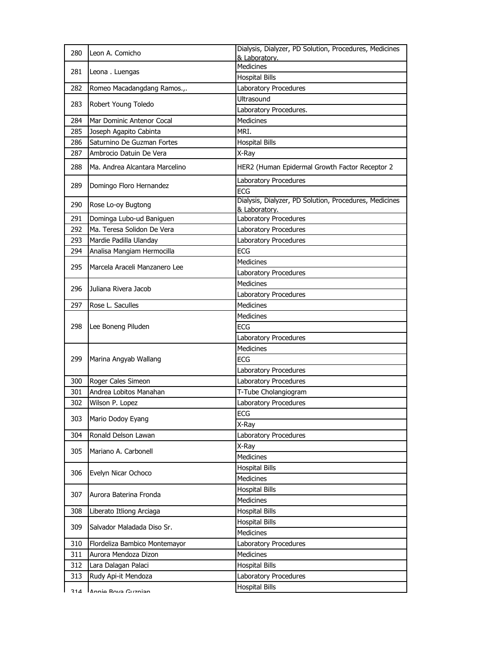| 280 | Leon A. Comicho                | Dialysis, Dialyzer, PD Solution, Procedures, Medicines<br>& Laboratory. |
|-----|--------------------------------|-------------------------------------------------------------------------|
|     |                                | <b>Medicines</b>                                                        |
| 281 | Leona. Luengas                 | <b>Hospital Bills</b>                                                   |
| 282 | Romeo Macadangdang Ramos.,.    | Laboratory Procedures                                                   |
|     |                                | Ultrasound                                                              |
| 283 | Robert Young Toledo            | Laboratory Procedures.                                                  |
| 284 | Mar Dominic Antenor Cocal      | <b>Medicines</b>                                                        |
| 285 | Joseph Agapito Cabinta         | MRI.                                                                    |
| 286 | Saturnino De Guzman Fortes     | <b>Hospital Bills</b>                                                   |
| 287 | Ambrocio Datuin De Vera        | X-Ray                                                                   |
| 288 | Ma. Andrea Alcantara Marcelino | HER2 (Human Epidermal Growth Factor Receptor 2                          |
| 289 | Domingo Floro Hernandez        | Laboratory Procedures<br>ECG                                            |
|     |                                | Dialysis, Dialyzer, PD Solution, Procedures, Medicines                  |
| 290 | Rose Lo-oy Bugtong             | & Laboratory.                                                           |
| 291 | Dominga Lubo-ud Baniguen       | Laboratory Procedures                                                   |
| 292 | Ma. Teresa Solidon De Vera     | Laboratory Procedures                                                   |
| 293 | Mardie Padilla Ulanday         | <b>Laboratory Procedures</b>                                            |
| 294 | Analisa Mangiam Hermocilla     | <b>ECG</b>                                                              |
| 295 | Marcela Araceli Manzanero Lee  | Medicines                                                               |
|     |                                | Laboratory Procedures                                                   |
| 296 | Juliana Rivera Jacob           | Medicines                                                               |
|     |                                | Laboratory Procedures                                                   |
| 297 | Rose L. Saculles               | <b>Medicines</b>                                                        |
|     |                                | Medicines                                                               |
| 298 | Lee Boneng Piluden             | <b>ECG</b>                                                              |
|     |                                | Laboratory Procedures                                                   |
|     |                                | Medicines                                                               |
| 299 | Marina Angyab Wallang          | <b>ECG</b>                                                              |
|     |                                | Laboratory Procedures                                                   |
| 300 | Roger Cales Simeon             | Laboratory Procedures                                                   |
| 301 | Andrea Lobitos Manahan         | T-Tube Cholangiogram                                                    |
| 302 | Wilson P. Lopez                | Laboratory Procedures                                                   |
| 303 | Mario Dodoy Eyang              | ECG                                                                     |
|     |                                | X-Ray                                                                   |
| 304 | Ronald Delson Lawan            | Laboratory Procedures                                                   |
| 305 | Mariano A. Carbonell           | X-Ray                                                                   |
|     |                                | Medicines                                                               |
| 306 | Evelyn Nicar Ochoco            | <b>Hospital Bills</b>                                                   |
|     |                                | Medicines                                                               |
| 307 | Aurora Baterina Fronda         | <b>Hospital Bills</b><br>Medicines                                      |
| 308 | Liberato Itliong Arciaga       | <b>Hospital Bills</b>                                                   |
|     |                                | <b>Hospital Bills</b>                                                   |
| 309 | Salvador Maladada Diso Sr.     | Medicines                                                               |
| 310 | Flordeliza Bambico Montemayor  | Laboratory Procedures                                                   |
| 311 | Aurora Mendoza Dizon           | Medicines                                                               |
| 312 | Lara Dalagan Palaci            | <b>Hospital Bills</b>                                                   |
| 313 | Rudy Api-it Mendoza            | Laboratory Procedures                                                   |
|     |                                | <b>Hospital Bills</b>                                                   |
| 314 | Annie Rova Guznian             |                                                                         |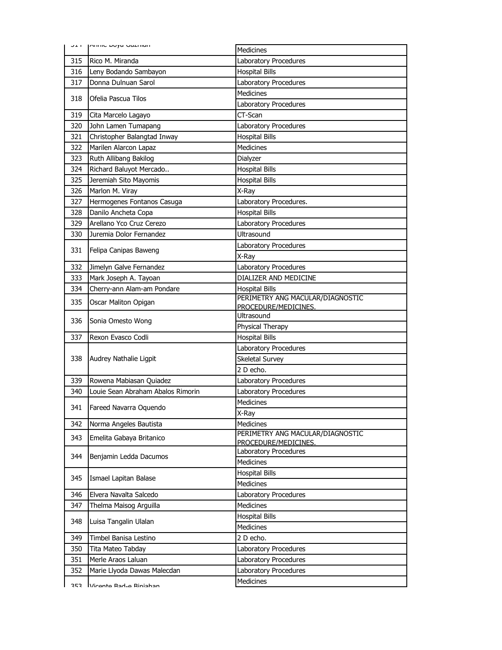|     | <b>ULL PUTTLE DOAG ONTIHIGHT</b>  | <b>Medicines</b>                                         |
|-----|-----------------------------------|----------------------------------------------------------|
| 315 | Rico M. Miranda                   | Laboratory Procedures                                    |
| 316 | Leny Bodando Sambayon             | <b>Hospital Bills</b>                                    |
| 317 | Donna Dulnuan Sarol               | Laboratory Procedures                                    |
| 318 | Ofelia Pascua Tilos               | <b>Medicines</b>                                         |
|     |                                   | Laboratory Procedures                                    |
| 319 | Cita Marcelo Lagayo               | CT-Scan                                                  |
| 320 | John Lamen Tumapang               | Laboratory Procedures                                    |
| 321 | Christopher Balangtad Inway       | <b>Hospital Bills</b>                                    |
| 322 | Marilen Alarcon Lapaz             | <b>Medicines</b>                                         |
| 323 | Ruth Allibang Bakilog             | Dialyzer                                                 |
| 324 | Richard Baluyot Mercado           | <b>Hospital Bills</b>                                    |
| 325 | Jeremiah Sito Mayomis             | <b>Hospital Bills</b>                                    |
| 326 | Marlon M. Viray                   | X-Ray                                                    |
| 327 | Hermogenes Fontanos Casuga        | Laboratory Procedures.                                   |
| 328 | Danilo Ancheta Copa               | <b>Hospital Bills</b>                                    |
| 329 | Arellano Yco Cruz Cerezo          | Laboratory Procedures                                    |
| 330 | Juremia Dolor Fernandez           | <b>Ultrasound</b>                                        |
|     |                                   | Laboratory Procedures                                    |
| 331 | Felipa Canipas Baweng             | X-Ray                                                    |
| 332 | Jimelyn Galve Fernandez           | Laboratory Procedures                                    |
| 333 | Mark Joseph A. Tayoan             | DIALIZER AND MEDICINE                                    |
| 334 | Cherry-ann Alam-am Pondare        | <b>Hospital Bills</b>                                    |
| 335 | Oscar Maliton Opigan              | PERIMETRY ANG MACULAR/DIAGNOSTIC<br>PROCEDURE/MEDICINES. |
|     |                                   | Ultrasound                                               |
| 336 | Sonia Omesto Wong                 | Physical Therapy                                         |
| 337 | Rexon Evasco Codli                | <b>Hospital Bills</b>                                    |
|     |                                   | Laboratory Procedures                                    |
| 338 | Audrey Nathalie Ligpit            | Skeletal Survey                                          |
|     |                                   | 2 D echo.                                                |
| 339 | Rowena Mabiasan Quiadez           | Laboratory Procedures                                    |
| 340 | Louie Sean Abraham Abalos Rimorin | Laboratory Procedures                                    |
|     |                                   | <b>Medicines</b>                                         |
| 341 | Fareed Navarra Oquendo            | X-Ray                                                    |
| 342 | Norma Angeles Bautista            | Medicines                                                |
| 343 | Emelita Gabaya Britanico          | PERIMETRY ANG MACULAR/DIAGNOSTIC<br>PROCEDURE/MEDICINES. |
|     | Benjamin Ledda Dacumos            | Laboratory Procedures                                    |
| 344 |                                   | Medicines                                                |
|     |                                   | <b>Hospital Bills</b>                                    |
| 345 | Ismael Lapitan Balase             | Medicines                                                |
| 346 | Elvera Navalta Salcedo            | Laboratory Procedures                                    |
| 347 | Thelma Maisog Arguilla            | <b>Medicines</b>                                         |
|     |                                   | <b>Hospital Bills</b>                                    |
| 348 | Luisa Tangalin Ulalan             | Medicines                                                |
| 349 | Timbel Banisa Lestino             | 2 D echo.                                                |
| 350 | Tita Mateo Tabday                 | Laboratory Procedures                                    |
| 351 | Merle Araos Laluan                | Laboratory Procedures                                    |
| 352 | Marie Llyoda Dawas Malecdan       | Laboratory Procedures                                    |
|     |                                   | Medicines                                                |
| つにつ | Vironto Rad-o Riniahan            |                                                          |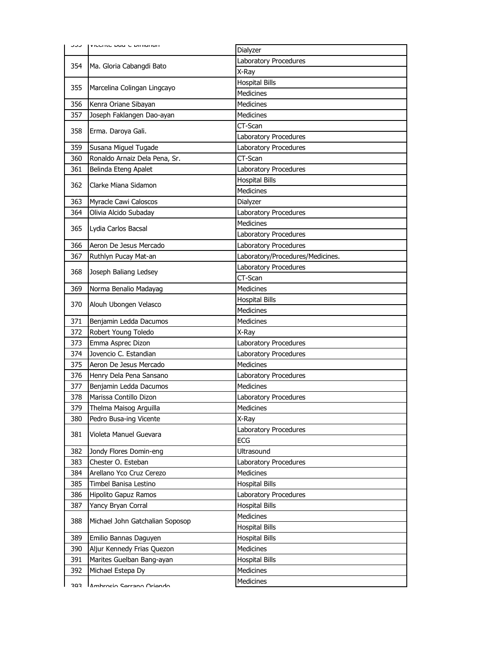|     | I VICCITIC DAY'S DIFFICITION<br>ر ر ر |                                  |
|-----|---------------------------------------|----------------------------------|
|     |                                       | Dialyzer                         |
| 354 | Ma. Gloria Cabangdi Bato              | Laboratory Procedures            |
|     |                                       | X-Ray                            |
| 355 | Marcelina Colingan Lingcayo           | <b>Hospital Bills</b>            |
|     |                                       | <b>Medicines</b>                 |
| 356 | Kenra Oriane Sibayan                  | <b>Medicines</b>                 |
| 357 | Joseph Faklangen Dao-ayan             | Medicines                        |
| 358 | Erma. Daroya Gali.                    | CT-Scan                          |
|     |                                       | Laboratory Procedures            |
| 359 | Susana Miguel Tugade                  | Laboratory Procedures            |
| 360 | Ronaldo Arnaiz Dela Pena, Sr.         | CT-Scan                          |
| 361 | Belinda Eteng Apalet                  | Laboratory Procedures            |
| 362 | Clarke Miana Sidamon                  | <b>Hospital Bills</b>            |
|     |                                       | <b>Medicines</b>                 |
| 363 | Myracle Cawi Caloscos                 | Dialyzer                         |
| 364 | Olivia Alcido Subaday                 | Laboratory Procedures            |
| 365 | Lydia Carlos Bacsal                   | <b>Medicines</b>                 |
|     |                                       | Laboratory Procedures            |
| 366 | Aeron De Jesus Mercado                | Laboratory Procedures            |
| 367 | Ruthlyn Pucay Mat-an                  | Laboratory/Procedures/Medicines. |
| 368 | Joseph Baliang Ledsey                 | Laboratory Procedures            |
|     |                                       | CT-Scan                          |
| 369 | Norma Benalio Madayag                 | Medicines                        |
| 370 | Alouh Ubongen Velasco                 | <b>Hospital Bills</b>            |
|     |                                       | <b>Medicines</b>                 |
| 371 | Benjamin Ledda Dacumos                | <b>Medicines</b>                 |
| 372 | Robert Young Toledo                   | X-Ray                            |
| 373 | Emma Asprec Dizon                     | Laboratory Procedures            |
| 374 | Jovencio C. Estandian                 | Laboratory Procedures            |
| 375 | Aeron De Jesus Mercado                | <b>Medicines</b>                 |
| 376 | Henry Dela Pena Sansano               | Laboratory Procedures            |
| 377 | Benjamin Ledda Dacumos                | Medicines                        |
| 378 | Marissa Contillo Dizon                | Laboratory Procedures            |
| 379 | Thelma Maisog Arguilla                | Medicines                        |
| 380 | Pedro Busa-ing Vicente                | X-Ray                            |
| 381 | Violeta Manuel Guevara                | Laboratory Procedures            |
|     |                                       | ECG                              |
| 382 | Jondy Flores Domin-eng                | Ultrasound                       |
| 383 | Chester O. Esteban                    | Laboratory Procedures            |
| 384 | Arellano Yco Cruz Cerezo              | Medicines                        |
| 385 | Timbel Banisa Lestino                 | <b>Hospital Bills</b>            |
| 386 | <b>Hipolito Gapuz Ramos</b>           | Laboratory Procedures            |
| 387 | Yancy Bryan Corral                    | <b>Hospital Bills</b>            |
| 388 | Michael John Gatchalian Soposop       | Medicines                        |
|     |                                       | <b>Hospital Bills</b>            |
| 389 | Emilio Bannas Daguyen                 | <b>Hospital Bills</b>            |
| 390 | Aljur Kennedy Frias Quezon            | Medicines                        |
| 391 | Marites Guelban Bang-ayan             | <b>Hospital Bills</b>            |
| 392 | Michael Estepa Dy                     | Medicines                        |
|     |                                       | Medicines                        |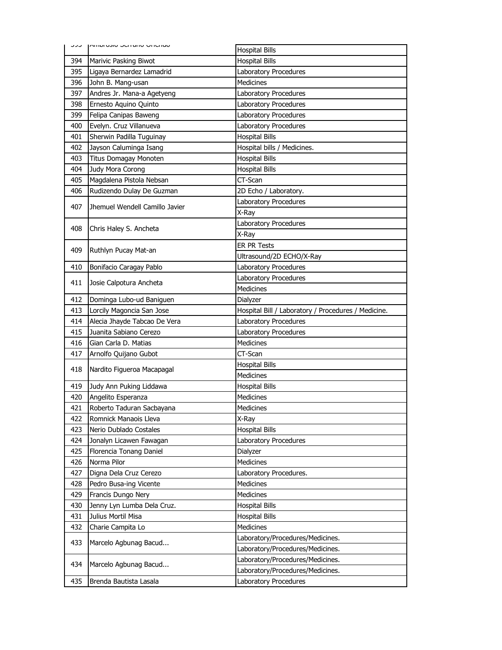| ر در | ואוואוסווער טונמווט אונוואן                     | <b>Hospital Bills</b>                                     |
|------|-------------------------------------------------|-----------------------------------------------------------|
| 394  | Marivic Pasking Biwot                           | <b>Hospital Bills</b>                                     |
| 395  | Ligaya Bernardez Lamadrid                       | Laboratory Procedures                                     |
| 396  | John B. Mang-usan                               | <b>Medicines</b>                                          |
| 397  | Andres Jr. Mana-a Agetyeng                      | Laboratory Procedures                                     |
| 398  | Ernesto Aquino Quinto                           | Laboratory Procedures                                     |
| 399  | Felipa Canipas Baweng                           | Laboratory Procedures                                     |
| 400  | Evelyn. Cruz Villanueva                         | Laboratory Procedures                                     |
| 401  | Sherwin Padilla Tuguinay                        | <b>Hospital Bills</b>                                     |
| 402  | Jayson Caluminga Isang                          | Hospital bills / Medicines.                               |
| 403  | Titus Domagay Monoten                           | <b>Hospital Bills</b>                                     |
| 404  | Judy Mora Corong                                | <b>Hospital Bills</b>                                     |
| 405  | Magdalena Pistola Nebsan                        | CT-Scan                                                   |
| 406  | Rudizendo Dulay De Guzman                       | 2D Echo / Laboratory.                                     |
| 407  | Jhemuel Wendell Camillo Javier                  | Laboratory Procedures                                     |
|      |                                                 | X-Rav                                                     |
| 408  | Chris Haley S. Ancheta                          | Laboratory Procedures                                     |
|      |                                                 | X-Ray                                                     |
| 409  | Ruthlyn Pucay Mat-an                            | <b>ER PR Tests</b>                                        |
|      |                                                 | Ultrasound/2D ECHO/X-Ray                                  |
| 410  | Bonifacio Caragay Pablo                         | Laboratory Procedures                                     |
| 411  | Josie Calpotura Ancheta                         | Laboratory Procedures                                     |
|      |                                                 | Medicines                                                 |
| 412  | Dominga Lubo-ud Baniguen                        | Dialyzer                                                  |
| 413  | Lorcily Magoncia San Jose                       | Hospital Bill / Laboratory / Procedures / Medicine.       |
|      |                                                 |                                                           |
| 414  | Alecia Jhayde Tabcao De Vera                    | Laboratory Procedures                                     |
| 415  | Juanita Sabiano Cerezo                          | Laboratory Procedures                                     |
| 416  | Gian Carla D. Matias                            | Medicines                                                 |
| 417  | Arnolfo Quijano Gubot                           | CT-Scan                                                   |
|      |                                                 | <b>Hospital Bills</b>                                     |
| 418  | Nardito Figueroa Macapagal                      | <b>Medicines</b>                                          |
| 419  | Judy Ann Puking Liddawa                         | <b>Hospital Bills</b>                                     |
| 420  | Angelito Esperanza                              | <b>Medicines</b>                                          |
| 421  | Roberto Taduran Sacbayana                       | Medicines                                                 |
| 422  | Romnick Manaois Lleva                           | X-Ray                                                     |
| 423  | Nerio Dublado Costales                          | <b>Hospital Bills</b>                                     |
| 424  | Jonalyn Licawen Fawagan                         | Laboratory Procedures                                     |
| 425  | Florencia Tonang Daniel                         | Dialyzer                                                  |
| 426  | Norma Pilor                                     | Medicines                                                 |
| 427  | Digna Dela Cruz Cerezo                          | Laboratory Procedures.                                    |
| 428  | Pedro Busa-ing Vicente                          | <b>Medicines</b>                                          |
| 429  | Francis Dungo Nery                              | Medicines                                                 |
| 430  | Jenny Lyn Lumba Dela Cruz.                      | <b>Hospital Bills</b>                                     |
| 431  | Julius Mortil Misa                              | <b>Hospital Bills</b>                                     |
| 432  | Charie Campita Lo                               | Medicines                                                 |
| 433  | Marcelo Agbunag Bacud                           | Laboratory/Procedures/Medicines.                          |
|      |                                                 | Laboratory/Procedures/Medicines.                          |
| 434  |                                                 | Laboratory/Procedures/Medicines.                          |
| 435  | Marcelo Agbunag Bacud<br>Brenda Bautista Lasala | Laboratory/Procedures/Medicines.<br>Laboratory Procedures |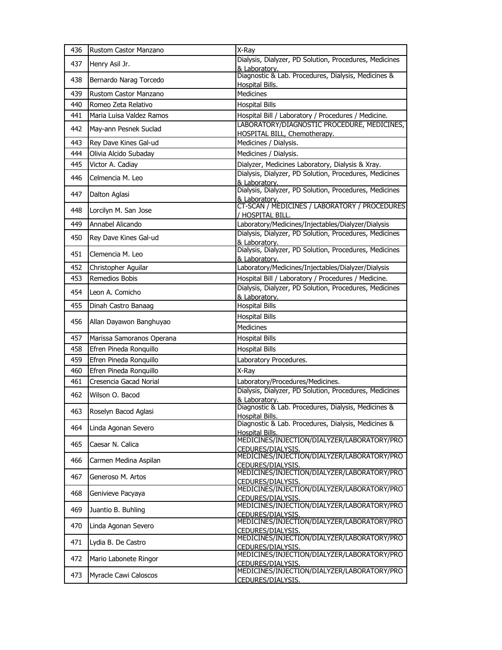| 436 | Rustom Castor Manzano     | X-Ray                                                                                                                    |
|-----|---------------------------|--------------------------------------------------------------------------------------------------------------------------|
| 437 | Henry Asil Jr.            | Dialysis, Dialyzer, PD Solution, Procedures, Medicines<br>& Laboratory.                                                  |
| 438 | Bernardo Narag Torcedo    | Diagnostic & Lab. Procedures, Dialysis, Medicines &<br><b>Hospital Bills.</b>                                            |
| 439 | Rustom Castor Manzano     | <b>Medicines</b>                                                                                                         |
| 440 | Romeo Zeta Relativo       | <b>Hospital Bills</b>                                                                                                    |
| 441 | Maria Luisa Valdez Ramos  | Hospital Bill / Laboratory / Procedures / Medicine.                                                                      |
| 442 | Mav-ann Pesnek Suclad     | LABORATORY/DIAGNOSTIC PROCEDURE, MEDICINES,<br>HOSPITAL BILL, Chemotherapy.                                              |
| 443 | Rey Dave Kines Gal-ud     | Medicines / Dialysis.                                                                                                    |
| 444 | Olivia Alcido Subaday     | Medicines / Dialysis.                                                                                                    |
| 445 | Victor A. Cadiay          | Dialyzer, Medicines Laboratory, Dialysis & Xray.                                                                         |
| 446 | Celmencia M. Leo          | Dialysis, Dialyzer, PD Solution, Procedures, Medicines<br>& Laboratory.                                                  |
| 447 | Dalton Aglasi             | Dialysis, Dialyzer, PD Solution, Procedures, Medicines<br>& Laboratory.<br>CT-SCAN / MEDICINES / LABORATORY / PROCEDURES |
| 448 | Lorcilyn M. San Jose      | / HOSPITAL BILL.                                                                                                         |
| 449 | Annabel Alicando          | Laboratory/Medicines/Injectables/Dialyzer/Dialysis                                                                       |
| 450 | Rey Dave Kines Gal-ud     | Dialysis, Dialyzer, PD Solution, Procedures, Medicines<br>& Laboratory.                                                  |
| 451 | Clemencia M. Leo          | Dialysis, Dialyzer, PD Solution, Procedures, Medicines<br>& Laboratory.                                                  |
| 452 | Christopher Aguilar       | Laboratory/Medicines/Injectables/Dialyzer/Dialysis                                                                       |
| 453 | Remedios Bobis            | Hospital Bill / Laboratory / Procedures / Medicine.                                                                      |
| 454 | Leon A. Comicho           | Dialysis, Dialyzer, PD Solution, Procedures, Medicines<br>& Laboratory.                                                  |
| 455 | Dinah Castro Banaag       | <b>Hospital Bills</b>                                                                                                    |
| 456 | Allan Dayawon Banghuyao   | <b>Hospital Bills</b><br><b>Medicines</b>                                                                                |
| 457 | Marissa Samoranos Operana | <b>Hospital Bills</b>                                                                                                    |
| 458 | Efren Pineda Ronquillo    | <b>Hospital Bills</b>                                                                                                    |
| 459 | Efren Pineda Ronquillo    | Laboratory Procedures.                                                                                                   |
| 460 | Efren Pineda Ronguillo    | X-Ray                                                                                                                    |
| 461 | Cresencia Gacad Norial    | Laboratory/Procedures/Medicines.                                                                                         |
| 462 | Wilson O. Bacod           | Dialysis, Dialyzer, PD Solution, Procedures, Medicines<br>& Laboratory.                                                  |
| 463 | Roselyn Bacod Aglasi      | Diagnostic & Lab. Procedures, Dialysis, Medicines &<br>Hospital Bills.                                                   |
| 464 | Linda Agonan Severo       | Diagnostic & Lab. Procedures, Dialysis, Medicines &<br>Hospital Bills.                                                   |
| 465 | Caesar N. Calica          | MEDICINES/INJECTION/DIALYZER/LABORATORY/PRO<br>CEDURES/DIALYSIS.                                                         |
| 466 | Carmen Medina Aspilan     | MEDICINES/INJECTION/DIALYZER/LABORATORY/PRO<br>CEDURES/DIALYSIS.                                                         |
| 467 | Generoso M. Artos         | MEDICINES/INJECTION/DIALYZER/LABORATORY/PRO<br>CEDURES/DIALYSIS.                                                         |
| 468 | Genivieve Pacyaya         | MEDICINES/INJECTION/DIALYZER/LABORATORY/PRO<br>CEDURES/DIALYSIS.                                                         |
| 469 | Juantio B. Buhling        | MEDICINES/INJECTION/DIALYZER/LABORATORY/PRO<br>CEDURES/DIALYSIS.                                                         |
| 470 | Linda Agonan Severo       | MEDICINES/INJECTION/DIALYZER/LABORATORY/PRO<br>CEDURES/DIALYSIS.                                                         |
| 471 | Lydia B. De Castro        | MEDICINES/INJECTION/DIALYZER/LABORATORY/PRO<br>CEDURES/DIALYSIS.                                                         |
| 472 | Mario Labonete Ringor     | MEDICINES/INJECTION/DIALYZER/LABORATORY/PRO<br><u>CEDURES/DIALYSIS.</u>                                                  |
| 473 | Myracle Cawi Caloscos     | MEDICINES/INJECTION/DIALYZER/LABORATORY/PRO<br><u>CEDURES/DIALYSIS.</u>                                                  |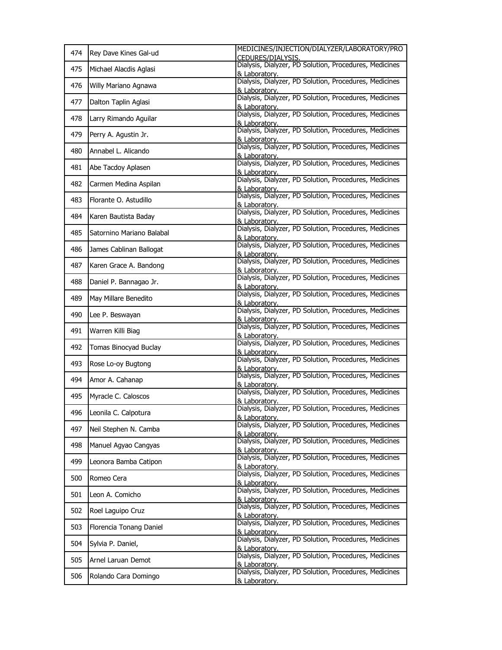| 474 | Rey Dave Kines Gal-ud     | MEDICINES/INJECTION/DIALYZER/LABORATORY/PRO<br>CEDURES/DIALYSIS.        |
|-----|---------------------------|-------------------------------------------------------------------------|
| 475 | Michael Alacdis Aglasi    | Dialysis, Dialyzer, PD Solution, Procedures, Medicines<br>& Laboratorv. |
| 476 | Willy Mariano Agnawa      | Dialysis, Dialyzer, PD Solution, Procedures, Medicines<br>& Laboratory. |
| 477 | Dalton Taplin Aglasi      | Dialysis, Dialyzer, PD Solution, Procedures, Medicines<br>& Laboratory. |
| 478 | Larry Rimando Aguilar     | Dialysis, Dialyzer, PD Solution, Procedures, Medicines<br>& Laboratory. |
| 479 | Perry A. Agustin Jr.      | Dialysis, Dialyzer, PD Solution, Procedures, Medicines<br>& Laboratory. |
| 480 | Annabel L. Alicando       | Dialysis, Dialyzer, PD Solution, Procedures, Medicines<br>& Laboratory. |
| 481 | Abe Tacdoy Aplasen        | Dialysis, Dialyzer, PD Solution, Procedures, Medicines<br>& Laboratorv. |
| 482 | Carmen Medina Aspilan     | Dialysis, Dialyzer, PD Solution, Procedures, Medicines<br>& Laboratory. |
| 483 | Florante O. Astudillo     | Dialysis, Dialyzer, PD Solution, Procedures, Medicines<br>& Laboratory. |
| 484 | Karen Bautista Baday      | Dialysis, Dialyzer, PD Solution, Procedures, Medicines<br>& Laboratory. |
| 485 | Satornino Mariano Balabal | Dialysis, Dialyzer, PD Solution, Procedures, Medicines<br>& Laboratory. |
| 486 | James Cablinan Ballogat   | Dialysis, Dialyzer, PD Solution, Procedures, Medicines<br>& Laboratory. |
| 487 | Karen Grace A. Bandong    | Dialysis, Dialyzer, PD Solution, Procedures, Medicines<br>& Laboratorv. |
| 488 | Daniel P. Bannagao Jr.    | Dialysis, Dialyzer, PD Solution, Procedures, Medicines<br>& Laboratory. |
| 489 | May Millare Benedito      | Dialysis, Dialyzer, PD Solution, Procedures, Medicines<br>& Laboratory. |
| 490 | Lee P. Beswayan           | Dialysis, Dialyzer, PD Solution, Procedures, Medicines<br>& Laboratorv. |
| 491 | Warren Killi Biag         | Dialysis, Dialyzer, PD Solution, Procedures, Medicines<br>& Laboratory. |
| 492 | Tomas Binocyad Buclay     | Dialysis, Dialyzer, PD Solution, Procedures, Medicines<br>& Laboratory. |
| 493 | Rose Lo-oy Bugtong        | Dialysis, Dialyzer, PD Solution, Procedures, Medicines<br>& Laboratory. |
| 494 | Amor A. Cahanap           | Dialysis, Dialyzer, PD Solution, Procedures, Medicines<br>& Laboratory. |
| 495 | Myracle C. Caloscos       | Dialysis, Dialyzer, PD Solution, Procedures, Medicines<br>& Laboratory. |
| 496 | Leonila C. Calpotura      | Dialysis, Dialyzer, PD Solution, Procedures, Medicines<br>& Laboratory. |
| 497 | Neil Stephen N. Camba     | Dialysis, Dialyzer, PD Solution, Procedures, Medicines<br>& Laboratorv. |
| 498 | Manuel Agyao Cangyas      | Dialysis, Dialyzer, PD Solution, Procedures, Medicines<br>& Laboratory. |
| 499 | Leonora Bamba Catipon     | Dialysis, Dialyzer, PD Solution, Procedures, Medicines<br>& Laboratory. |
| 500 | Romeo Cera                | Dialysis, Dialyzer, PD Solution, Procedures, Medicines<br>& Laboratorv. |
| 501 | Leon A. Comicho           | Dialysis, Dialyzer, PD Solution, Procedures, Medicines<br>& Laboratory. |
| 502 | Roel Laguipo Cruz         | Dialysis, Dialyzer, PD Solution, Procedures, Medicines<br>& Laboratory. |
| 503 | Florencia Tonang Daniel   | Dialysis, Dialyzer, PD Solution, Procedures, Medicines<br>& Laboratorv. |
| 504 | Sylvia P. Daniel,         | Dialysis, Dialyzer, PD Solution, Procedures, Medicines<br>& Laboratory. |
| 505 | Arnel Laruan Demot        | Dialysis, Dialyzer, PD Solution, Procedures, Medicines<br>& Laboratory. |
| 506 | Rolando Cara Domingo      | Dialysis, Dialyzer, PD Solution, Procedures, Medicines<br>& Laboratory. |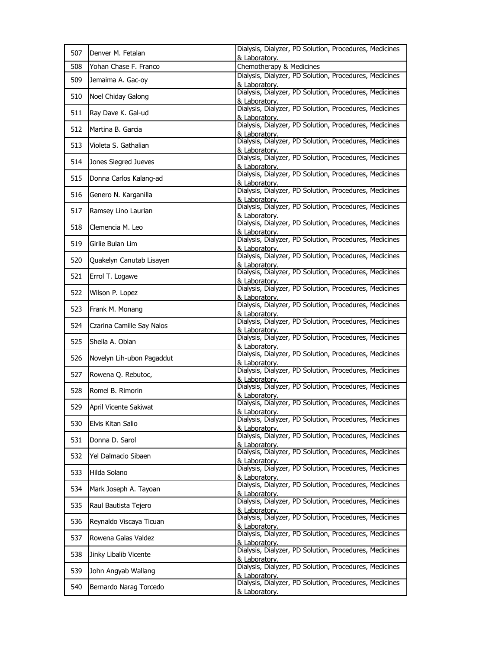| 507 | Denver M. Fetalan         | Dialysis, Dialyzer, PD Solution, Procedures, Medicines<br>& Laboratory. |
|-----|---------------------------|-------------------------------------------------------------------------|
| 508 | Yohan Chase F. Franco     | Chemotherapy & Medicines                                                |
| 509 | Jemaima A. Gac-oy         | Dialysis, Dialyzer, PD Solution, Procedures, Medicines<br>& Laboratory. |
| 510 | Noel Chiday Galong        | Dialysis, Dialyzer, PD Solution, Procedures, Medicines<br>& Laboratory. |
| 511 | Ray Dave K. Gal-ud        | Dialysis, Dialyzer, PD Solution, Procedures, Medicines<br>& Laboratory. |
| 512 | Martina B. Garcia         | Dialysis, Dialyzer, PD Solution, Procedures, Medicines<br>& Laboratory. |
| 513 | Violeta S. Gathalian      | Dialysis, Dialyzer, PD Solution, Procedures, Medicines<br>& Laboratory. |
| 514 | Jones Siegred Jueves      | Dialysis, Dialyzer, PD Solution, Procedures, Medicines<br>& Laboratory. |
| 515 | Donna Carlos Kalang-ad    | Dialysis, Dialyzer, PD Solution, Procedures, Medicines<br>& Laboratorv. |
| 516 | Genero N. Karganilla      | Dialysis, Dialyzer, PD Solution, Procedures, Medicines<br>& Laboratory. |
| 517 | Ramsey Lino Laurian       | Dialysis, Dialyzer, PD Solution, Procedures, Medicines<br>& Laboratory. |
| 518 | Clemencia M. Leo          | Dialysis, Dialyzer, PD Solution, Procedures, Medicines<br>& Laboratory. |
| 519 | Girlie Bulan Lim          | Dialysis, Dialyzer, PD Solution, Procedures, Medicines<br>& Laboratory. |
| 520 | Quakelyn Canutab Lisayen  | Dialysis, Dialyzer, PD Solution, Procedures, Medicines<br>& Laboratory. |
| 521 | Errol T. Logawe           | Dialysis, Dialyzer, PD Solution, Procedures, Medicines<br>& Laboratory. |
| 522 | Wilson P. Lopez           | Dialysis, Dialyzer, PD Solution, Procedures, Medicines<br>& Laboratory. |
| 523 | Frank M. Monang           | Dialysis, Dialyzer, PD Solution, Procedures, Medicines<br>& Laboratory. |
| 524 | Czarina Camille Say Nalos | Dialysis, Dialyzer, PD Solution, Procedures, Medicines<br>& Laboratory. |
| 525 | Sheila A. Oblan           | Dialysis, Dialyzer, PD Solution, Procedures, Medicines<br>& Laboratory. |
| 526 | Novelyn Lih-ubon Pagaddut | Dialysis, Dialyzer, PD Solution, Procedures, Medicines<br>& Laboratory. |
| 527 | Rowena Q. Rebutoc,        | Dialysis, Dialyzer, PD Solution, Procedures, Medicines<br>& Laboratory. |
| 528 | Romel B. Rimorin          | Dialysis, Dialyzer, PD Solution, Procedures, Medicines<br>& Laboratory. |
| 529 | April Vicente Sakiwat     | Dialysis, Dialyzer, PD Solution, Procedures, Medicines<br>& Laboratory. |
| 530 | Elvis Kitan Salio         | Dialysis, Dialyzer, PD Solution, Procedures, Medicines<br>& Laboratory. |
| 531 | Donna D. Sarol            | Dialysis, Dialyzer, PD Solution, Procedures, Medicines<br>& Laboratory. |
| 532 | Yel Dalmacio Sibaen       | Dialysis, Dialyzer, PD Solution, Procedures, Medicines<br>& Laboratory. |
| 533 | Hilda Solano              | Dialysis, Dialyzer, PD Solution, Procedures, Medicines<br>& Laboratory. |
| 534 | Mark Joseph A. Tayoan     | Dialysis, Dialyzer, PD Solution, Procedures, Medicines<br>& Laboratory. |
| 535 | Raul Bautista Tejero      | Dialysis, Dialyzer, PD Solution, Procedures, Medicines<br>& Laboratory. |
| 536 | Reynaldo Viscaya Ticuan   | Dialysis, Dialyzer, PD Solution, Procedures, Medicines<br>& Laboratory. |
| 537 | Rowena Galas Valdez       | Dialysis, Dialyzer, PD Solution, Procedures, Medicines<br>& Laboratory. |
| 538 | Jinky Libalib Vicente     | Dialysis, Dialyzer, PD Solution, Procedures, Medicines<br>& Laboratory. |
| 539 | John Angyab Wallang       | Dialysis, Dialyzer, PD Solution, Procedures, Medicines<br>& Laboratory. |
| 540 | Bernardo Narag Torcedo    | Dialysis, Dialyzer, PD Solution, Procedures, Medicines<br>& Laboratory. |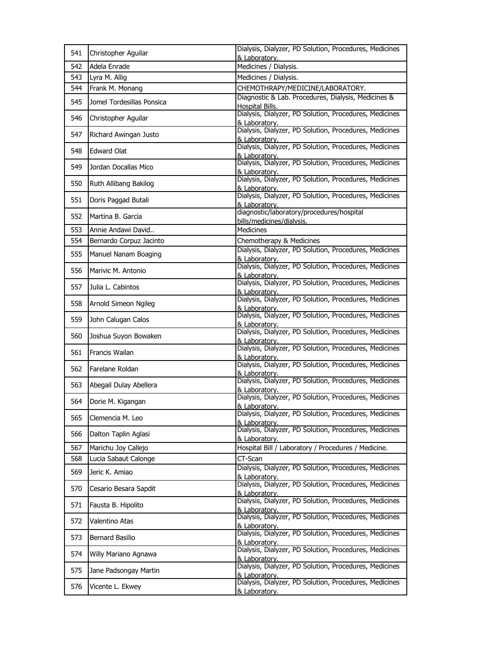| 541 | Christopher Aguilar       | Dialysis, Dialyzer, PD Solution, Procedures, Medicines<br>& Laboratory. |
|-----|---------------------------|-------------------------------------------------------------------------|
| 542 | Adela Enrade              | Medicines / Dialysis.                                                   |
| 543 | Lyra M. Allig             | Medicines / Dialysis.                                                   |
| 544 | Frank M. Monang           | CHEMOTHRAPY/MEDICINE/LABORATORY.                                        |
| 545 | Jomel Tordesillas Ponsica | Diagnostic & Lab. Procedures, Dialysis, Medicines &<br>Hospital Bills.  |
| 546 | Christopher Aguilar       | Dialysis, Dialyzer, PD Solution, Procedures, Medicines<br>& Laboratory. |
| 547 | Richard Awingan Justo     | Dialysis, Dialyzer, PD Solution, Procedures, Medicines<br>& Laboratory. |
| 548 | <b>Edward Olat</b>        | Dialysis, Dialyzer, PD Solution, Procedures, Medicines<br>& Laboratory. |
| 549 | Jordan Docallas Mico      | Dialysis, Dialyzer, PD Solution, Procedures, Medicines<br>& Laboratory. |
| 550 | Ruth Allibang Bakilog     | Dialysis, Dialyzer, PD Solution, Procedures, Medicines<br>& Laboratory. |
| 551 | Doris Paggad Butali       | Dialysis, Dialyzer, PD Solution, Procedures, Medicines<br>& Laboratory. |
| 552 | Martina B. Garcia         | diagnostic/laboratory/procedures/hospital<br>bills/medicines/dialysis.  |
| 553 | Annie Andawi David        | <b>Medicines</b>                                                        |
| 554 | Bernardo Corpuz Jacinto   | Chemotherapy & Medicines                                                |
| 555 | Manuel Nanam Boaging      | Dialysis, Dialyzer, PD Solution, Procedures, Medicines<br>& Laboratory. |
| 556 | Marivic M. Antonio        | Dialysis, Dialyzer, PD Solution, Procedures, Medicines<br>& Laboratory. |
| 557 | Julia L. Cabintos         | Dialysis, Dialyzer, PD Solution, Procedures, Medicines<br>& Laboratory. |
| 558 | Arnold Simeon Ngileg      | Dialysis, Dialyzer, PD Solution, Procedures, Medicines<br>& Laboratory. |
| 559 | John Calugan Calos        | Dialysis, Dialyzer, PD Solution, Procedures, Medicines<br>& Laboratory. |
| 560 | Joshua Suyon Bowaken      | Dialysis, Dialyzer, PD Solution, Procedures, Medicines<br>& Laboratory. |
| 561 | Francis Wailan            | Dialysis, Dialyzer, PD Solution, Procedures, Medicines<br>& Laboratorv. |
| 562 | Farelane Roldan           | Dialysis, Dialyzer, PD Solution, Procedures, Medicines<br>& Laboratory. |
| 563 | Abegail Dulay Abellera    | Dialysis, Dialyzer, PD Solution, Procedures, Medicines<br>& Laboratory. |
| 564 | Dorie M. Kigangan         | Dialysis, Dialyzer, PD Solution, Procedures, Medicines<br>& Laboratory. |
| 565 | Clemencia M. Leo          | Dialysis, Dialyzer, PD Solution, Procedures, Medicines<br>& Laboratory. |
| 566 | Dalton Taplin Aglasi      | Dialysis, Dialyzer, PD Solution, Procedures, Medicines<br>& Laboratory. |
| 567 | Marichu Joy Callejo       | Hospital Bill / Laboratory / Procedures / Medicine.                     |
| 568 | Lucia Sabaut Calonge      | CT-Scan                                                                 |
| 569 | Jeric K. Amiao            | Dialysis, Dialyzer, PD Solution, Procedures, Medicines<br>& Laboratory. |
| 570 | Cesario Besara Sapdit     | Dialysis, Dialyzer, PD Solution, Procedures, Medicines<br>& Laboratory. |
| 571 | Fausta B. Hipolito        | Dialysis, Dialyzer, PD Solution, Procedures, Medicines<br>& Laboratory. |
| 572 | Valentino Atas            | Dialysis, Dialyzer, PD Solution, Procedures, Medicines<br>& Laboratory. |
| 573 | Bernard Basilio           | Dialysis, Dialyzer, PD Solution, Procedures, Medicines<br>& Laboratory. |
| 574 | Willy Mariano Agnawa      | Dialysis, Dialyzer, PD Solution, Procedures, Medicines<br>& Laboratory. |
| 575 | Jane Padsongay Martin     | Dialysis, Dialyzer, PD Solution, Procedures, Medicines<br>& Laboratory. |
| 576 | Vicente L. Ekwey          | Dialysis, Dialyzer, PD Solution, Procedures, Medicines<br>& Laboratory. |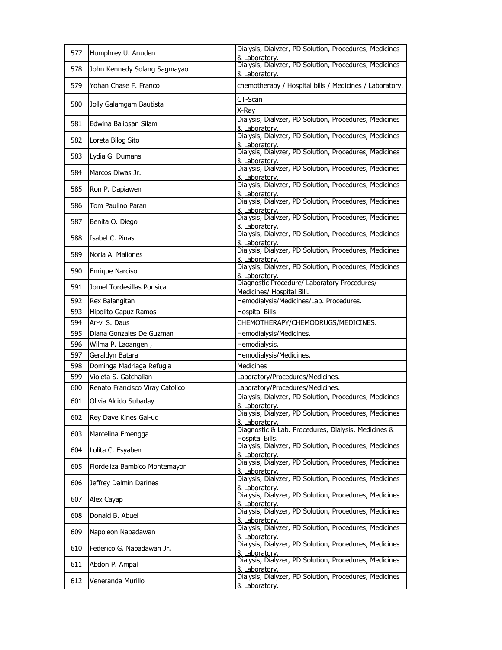| 577 | Humphrey U. Anuden              | Dialysis, Dialyzer, PD Solution, Procedures, Medicines<br>& Laboratory.                                                           |
|-----|---------------------------------|-----------------------------------------------------------------------------------------------------------------------------------|
| 578 | John Kennedy Solang Sagmayao    | Dialysis, Dialyzer, PD Solution, Procedures, Medicines<br>& Laboratory.                                                           |
| 579 | Yohan Chase F. Franco           | chemotherapy / Hospital bills / Medicines / Laboratory.                                                                           |
| 580 | Jolly Galamgam Bautista         | CT-Scan                                                                                                                           |
| 581 | Edwina Baliosan Silam           | X-Ray<br>Dialysis, Dialyzer, PD Solution, Procedures, Medicines                                                                   |
|     |                                 | & Laboratory.<br>Dialysis, Dialyzer, PD Solution, Procedures, Medicines                                                           |
| 582 | Loreta Bilog Sito               | & Laboratory.                                                                                                                     |
| 583 | Lydia G. Dumansi                | Dialysis, Dialyzer, PD Solution, Procedures, Medicines<br>& Laboratory.                                                           |
| 584 | Marcos Diwas Jr.                | Dialysis, Dialyzer, PD Solution, Procedures, Medicines<br>& Laboratory.                                                           |
| 585 | Ron P. Dapiawen                 | Dialysis, Dialyzer, PD Solution, Procedures, Medicines<br>& Laboratory.                                                           |
| 586 | Tom Paulino Paran               | Dialysis, Dialyzer, PD Solution, Procedures, Medicines<br>& Laboratory.                                                           |
| 587 | Benita O. Diego                 | Dialysis, Dialyzer, PD Solution, Procedures, Medicines<br>& Laboratory.                                                           |
| 588 | Isabel C. Pinas                 | Dialysis, Dialyzer, PD Solution, Procedures, Medicines<br>& Laboratory.                                                           |
| 589 | Noria A. Maliones               | Dialysis, Dialyzer, PD Solution, Procedures, Medicines<br>& Laboratory.                                                           |
| 590 | Enrique Narciso                 | Dialysis, Dialyzer, PD Solution, Procedures, Medicines<br>& Laboratory.                                                           |
| 591 | Jomel Tordesillas Ponsica       | Diagnostic Procedure/ Laboratory Procedures/<br>Medicines/ Hospital Bill.                                                         |
| 592 | Rex Balangitan                  | Hemodialysis/Medicines/Lab. Procedures.                                                                                           |
| 593 | Hipolito Gapuz Ramos            | <b>Hospital Bills</b>                                                                                                             |
|     |                                 |                                                                                                                                   |
| 594 | Ar-vi S. Daus                   | CHEMOTHERAPY/CHEMODRUGS/MEDICINES.                                                                                                |
| 595 | Diana Gonzales De Guzman        | Hemodialysis/Medicines.                                                                                                           |
| 596 | Wilma P. Laoangen,              | Hemodialysis.                                                                                                                     |
| 597 | Geraldyn Batara                 | Hemodialysis/Medicines.                                                                                                           |
| 598 | Dominga Madriaga Refugia        | Medicines                                                                                                                         |
| 599 | Violeta S. Gatchalian           | Laboratory/Procedures/Medicines.                                                                                                  |
| 600 | Renato Francisco Viray Catolico | Laboratory/Procedures/Medicines.                                                                                                  |
| 601 | Olivia Alcido Subaday           | Dialysis, Dialyzer, PD Solution, Procedures, Medicines                                                                            |
| 602 | Rey Dave Kines Gal-ud           | & Laboratory.<br>Dialysis, Dialyzer, PD Solution, Procedures, Medicines<br>& Laboratory.                                          |
| 603 | Marcelina Emengga               | Diagnostic & Lab. Procedures, Dialysis, Medicines &<br>Hospital Bills.                                                            |
| 604 | Lolita C. Esyaben               | Dialysis, Dialyzer, PD Solution, Procedures, Medicines<br>& Laboratory.                                                           |
| 605 | Flordeliza Bambico Montemayor   | Dialysis, Dialyzer, PD Solution, Procedures, Medicines<br>& Laboratory.                                                           |
| 606 | Jeffrey Dalmin Darines          | Dialysis, Dialyzer, PD Solution, Procedures, Medicines<br>& Laboratory.                                                           |
| 607 | Alex Cayap                      | Dialysis, Dialyzer, PD Solution, Procedures, Medicines<br>& Laboratory.                                                           |
| 608 | Donald B. Abuel                 | Dialysis, Dialyzer, PD Solution, Procedures, Medicines<br>& Laboratorv.                                                           |
| 609 | Napoleon Napadawan              | Dialysis, Dialyzer, PD Solution, Procedures, Medicines<br>& Laboratory.                                                           |
| 610 | Federico G. Napadawan Jr.       | Dialysis, Dialyzer, PD Solution, Procedures, Medicines<br>& Laboratory.                                                           |
| 611 | Abdon P. Ampal                  | Dialysis, Dialyzer, PD Solution, Procedures, Medicines<br>& Laboratory.<br>Dialysis, Dialyzer, PD Solution, Procedures, Medicines |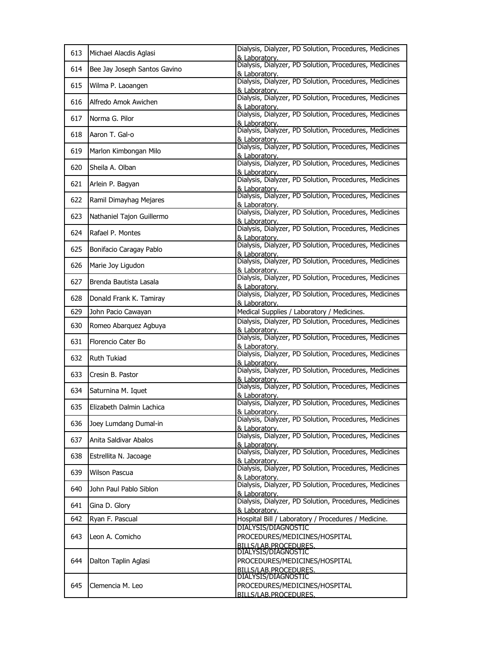| 613 | Michael Alacdis Aglasi       | Dialysis, Dialyzer, PD Solution, Procedures, Medicines<br>& Laboratory. |
|-----|------------------------------|-------------------------------------------------------------------------|
| 614 | Bee Jay Joseph Santos Gavino | Dialysis, Dialyzer, PD Solution, Procedures, Medicines<br>& Laboratory. |
| 615 | Wilma P. Laoangen            | Dialysis, Dialyzer, PD Solution, Procedures, Medicines<br>& Laboratory. |
| 616 | Alfredo Amok Awichen         | Dialysis, Dialyzer, PD Solution, Procedures, Medicines<br>& Laboratory. |
| 617 | Norma G. Pilor               | Dialysis, Dialyzer, PD Solution, Procedures, Medicines<br>& Laboratory. |
| 618 | Aaron T. Gal-o               | Dialysis, Dialyzer, PD Solution, Procedures, Medicines<br>& Laboratory. |
| 619 | Marlon Kimbongan Milo        | Dialysis, Dialyzer, PD Solution, Procedures, Medicines<br>& Laboratory. |
| 620 | Sheila A. Olban              | Dialysis, Dialyzer, PD Solution, Procedures, Medicines                  |
| 621 | Arlein P. Bagyan             | & Laboratory.<br>Dialysis, Dialyzer, PD Solution, Procedures, Medicines |
| 622 | Ramil Dimayhag Mejares       | & Laboratory.<br>Dialysis, Dialyzer, PD Solution, Procedures, Medicines |
| 623 | Nathaniel Tajon Guillermo    | & Laboratory.<br>Dialysis, Dialyzer, PD Solution, Procedures, Medicines |
| 624 | Rafael P. Montes             | & Laboratory.<br>Dialysis, Dialyzer, PD Solution, Procedures, Medicines |
| 625 | Bonifacio Caragay Pablo      | & Laboratory.<br>Dialysis, Dialyzer, PD Solution, Procedures, Medicines |
| 626 | Marie Joy Ligudon            | & Laboratory.<br>Dialysis, Dialyzer, PD Solution, Procedures, Medicines |
| 627 | Brenda Bautista Lasala       | & Laboratorv.<br>Dialysis, Dialyzer, PD Solution, Procedures, Medicines |
| 628 | Donald Frank K. Tamiray      | & Laboratory.<br>Dialysis, Dialyzer, PD Solution, Procedures, Medicines |
| 629 | John Pacio Cawayan           | & Laboratory.<br>Medical Supplies / Laboratory / Medicines.             |
|     |                              | Dialysis, Dialyzer, PD Solution, Procedures, Medicines                  |
| 630 | Romeo Abarquez Agbuya        | & Laboratory.                                                           |
| 631 | Florencio Cater Bo           | Dialysis, Dialyzer, PD Solution, Procedures, Medicines<br>& Laboratory. |
| 632 | Ruth Tukiad                  | Dialysis, Dialyzer, PD Solution, Procedures, Medicines<br>& Laboratory. |
| 633 | Cresin B. Pastor             | Dialysis, Dialyzer, PD Solution, Procedures, Medicines<br>& Laboratory. |
| 634 | Saturnina M. Iquet           | Dialysis, Dialyzer, PD Solution, Procedures, Medicines<br>& Laboratory. |
| 635 | Elizabeth Dalmin Lachica     | Dialysis, Dialyzer, PD Solution, Procedures, Medicines<br>& Laboratory. |
| 636 | Joey Lumdang Dumal-in        | Dialysis, Dialyzer, PD Solution, Procedures, Medicines<br>& Laboratory. |
| 637 | Anita Saldivar Abalos        | Dialysis, Dialyzer, PD Solution, Procedures, Medicines<br>& Laboratory. |
| 638 | Estrellita N. Jacoage        | Dialysis, Dialyzer, PD Solution, Procedures, Medicines<br>& Laboratorv. |
| 639 | Wilson Pascua                | Dialysis, Dialyzer, PD Solution, Procedures, Medicines<br>& Laboratory. |
| 640 | John Paul Pablo Siblon       | Dialysis, Dialyzer, PD Solution, Procedures, Medicines<br>& Laboratory. |
| 641 | Gina D. Glory                | Dialysis, Dialyzer, PD Solution, Procedures, Medicines<br>& Laboratory. |
| 642 | Ryan F. Pascual              | Hospital Bill / Laboratory / Procedures / Medicine.                     |
|     |                              | DIALYSIS/DIAGNOSTIC                                                     |
| 643 | Leon A. Comicho              | PROCEDURES/MEDICINES/HOSPITAL<br>BILLS/LAB.PROCEDURES.                  |
| 644 |                              | DIALYSIS/DIAGNOSTIC<br>PROCEDURES/MEDICINES/HOSPITAL                    |
|     | Dalton Taplin Aglasi         | BILLS/LAB.PROCEDURES.                                                   |
|     |                              | DIALYSIS/DIAGNOSTIC                                                     |
| 645 | Clemencia M. Leo             | PROCEDURES/MEDICINES/HOSPITAL<br>BILLS/LAB.PROCEDURES.                  |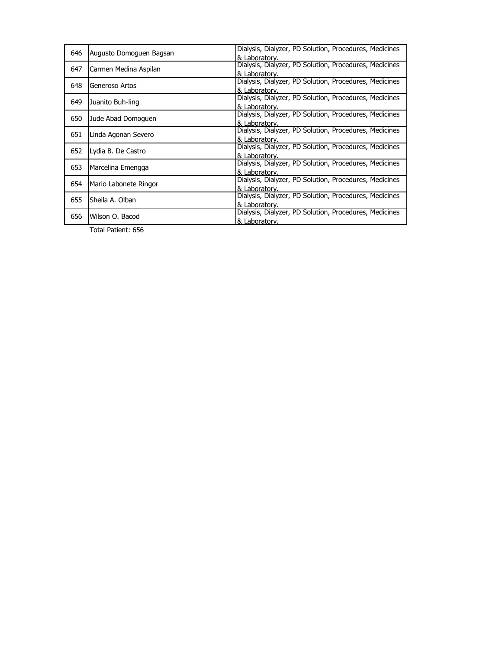| & Laboratory.<br>Dialysis, Dialyzer, PD Solution, Procedures, Medicines<br>Carmen Medina Aspilan<br>647<br>& Laboratory.<br>Dialysis, Dialyzer, PD Solution, Procedures, Medicines<br>648<br>Generoso Artos<br>& Laboratory.<br>Dialysis, Dialyzer, PD Solution, Procedures, Medicines<br>649<br>Juanito Buh-ling<br>& Laboratory.<br>Dialysis, Dialyzer, PD Solution, Procedures, Medicines<br>650<br>Jude Abad Domoguen<br>& Laboratory.<br>Dialysis, Dialyzer, PD Solution, Procedures, Medicines<br>651<br>Linda Agonan Severo<br>& Laboratory.<br>Dialysis, Dialyzer, PD Solution, Procedures, Medicines<br>652<br>Lydia B. De Castro<br>& Laboratory.<br>Dialysis, Dialyzer, PD Solution, Procedures, Medicines<br>653<br>Marcelina Emengga<br>& Laboratory.<br>Dialysis, Dialyzer, PD Solution, Procedures, Medicines<br>654<br>Mario Labonete Ringor<br>& Laboratory.<br>Dialysis, Dialyzer, PD Solution, Procedures, Medicines<br>655<br>Sheila A. Olban<br>& Laboratory.<br>Dialysis, Dialyzer, PD Solution, Procedures, Medicines | 646 | Augusto Domoguen Bagsan | Dialysis, Dialyzer, PD Solution, Procedures, Medicines |
|----------------------------------------------------------------------------------------------------------------------------------------------------------------------------------------------------------------------------------------------------------------------------------------------------------------------------------------------------------------------------------------------------------------------------------------------------------------------------------------------------------------------------------------------------------------------------------------------------------------------------------------------------------------------------------------------------------------------------------------------------------------------------------------------------------------------------------------------------------------------------------------------------------------------------------------------------------------------------------------------------------------------------------------------|-----|-------------------------|--------------------------------------------------------|
|                                                                                                                                                                                                                                                                                                                                                                                                                                                                                                                                                                                                                                                                                                                                                                                                                                                                                                                                                                                                                                              |     |                         |                                                        |
|                                                                                                                                                                                                                                                                                                                                                                                                                                                                                                                                                                                                                                                                                                                                                                                                                                                                                                                                                                                                                                              |     |                         |                                                        |
|                                                                                                                                                                                                                                                                                                                                                                                                                                                                                                                                                                                                                                                                                                                                                                                                                                                                                                                                                                                                                                              |     |                         |                                                        |
|                                                                                                                                                                                                                                                                                                                                                                                                                                                                                                                                                                                                                                                                                                                                                                                                                                                                                                                                                                                                                                              |     |                         |                                                        |
|                                                                                                                                                                                                                                                                                                                                                                                                                                                                                                                                                                                                                                                                                                                                                                                                                                                                                                                                                                                                                                              |     |                         |                                                        |
|                                                                                                                                                                                                                                                                                                                                                                                                                                                                                                                                                                                                                                                                                                                                                                                                                                                                                                                                                                                                                                              |     |                         |                                                        |
|                                                                                                                                                                                                                                                                                                                                                                                                                                                                                                                                                                                                                                                                                                                                                                                                                                                                                                                                                                                                                                              |     |                         |                                                        |
|                                                                                                                                                                                                                                                                                                                                                                                                                                                                                                                                                                                                                                                                                                                                                                                                                                                                                                                                                                                                                                              |     |                         |                                                        |
|                                                                                                                                                                                                                                                                                                                                                                                                                                                                                                                                                                                                                                                                                                                                                                                                                                                                                                                                                                                                                                              |     |                         |                                                        |
|                                                                                                                                                                                                                                                                                                                                                                                                                                                                                                                                                                                                                                                                                                                                                                                                                                                                                                                                                                                                                                              |     |                         |                                                        |
|                                                                                                                                                                                                                                                                                                                                                                                                                                                                                                                                                                                                                                                                                                                                                                                                                                                                                                                                                                                                                                              |     |                         |                                                        |
|                                                                                                                                                                                                                                                                                                                                                                                                                                                                                                                                                                                                                                                                                                                                                                                                                                                                                                                                                                                                                                              |     |                         |                                                        |
|                                                                                                                                                                                                                                                                                                                                                                                                                                                                                                                                                                                                                                                                                                                                                                                                                                                                                                                                                                                                                                              |     |                         |                                                        |
|                                                                                                                                                                                                                                                                                                                                                                                                                                                                                                                                                                                                                                                                                                                                                                                                                                                                                                                                                                                                                                              |     |                         |                                                        |
|                                                                                                                                                                                                                                                                                                                                                                                                                                                                                                                                                                                                                                                                                                                                                                                                                                                                                                                                                                                                                                              |     |                         |                                                        |
|                                                                                                                                                                                                                                                                                                                                                                                                                                                                                                                                                                                                                                                                                                                                                                                                                                                                                                                                                                                                                                              |     |                         |                                                        |
|                                                                                                                                                                                                                                                                                                                                                                                                                                                                                                                                                                                                                                                                                                                                                                                                                                                                                                                                                                                                                                              |     |                         |                                                        |
|                                                                                                                                                                                                                                                                                                                                                                                                                                                                                                                                                                                                                                                                                                                                                                                                                                                                                                                                                                                                                                              |     |                         |                                                        |
|                                                                                                                                                                                                                                                                                                                                                                                                                                                                                                                                                                                                                                                                                                                                                                                                                                                                                                                                                                                                                                              |     |                         |                                                        |
|                                                                                                                                                                                                                                                                                                                                                                                                                                                                                                                                                                                                                                                                                                                                                                                                                                                                                                                                                                                                                                              |     | Wilson O. Bacod         |                                                        |
| & Laboratory.                                                                                                                                                                                                                                                                                                                                                                                                                                                                                                                                                                                                                                                                                                                                                                                                                                                                                                                                                                                                                                | 656 |                         |                                                        |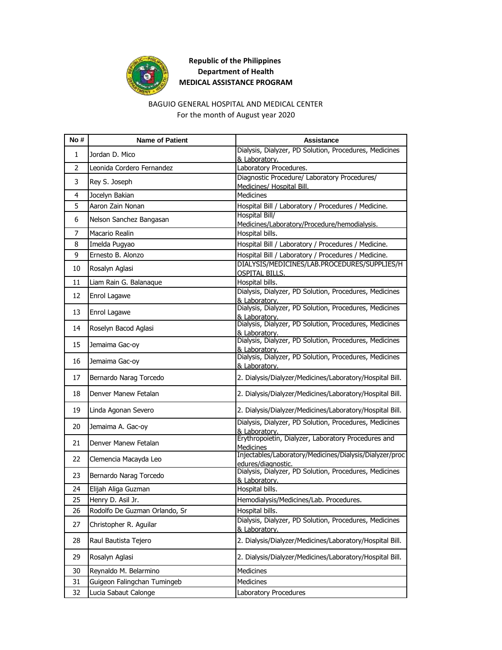

# **Republic of the Philippines Department of Health MEDICAL ASSISTANCE PROGRAM**

### BAGUIO GENERAL HOSPITAL AND MEDICAL CENTER For the month of August year 2020

| No# | <b>Name of Patient</b>        | <b>Assistance</b>                                                             |
|-----|-------------------------------|-------------------------------------------------------------------------------|
| 1   | Jordan D. Mico                | Dialysis, Dialyzer, PD Solution, Procedures, Medicines                        |
|     |                               | & Laboratory.                                                                 |
| 2   | Leonida Cordero Fernandez     | Laboratory Procedures.                                                        |
| 3   | Rey S. Joseph                 | Diagnostic Procedure/ Laboratory Procedures/<br>Medicines/ Hospital Bill.     |
| 4   | Jocelyn Bakian                | <b>Medicines</b>                                                              |
| 5   | Aaron Zain Nonan              | Hospital Bill / Laboratory / Procedures / Medicine.                           |
| 6   | Nelson Sanchez Bangasan       | <b>Hospital Bill/</b><br>Medicines/Laboratory/Procedure/hemodialysis.         |
| 7   | Macario Realin                | Hospital bills.                                                               |
| 8   | Imelda Pugyao                 | Hospital Bill / Laboratory / Procedures / Medicine.                           |
| 9   | Ernesto B. Alonzo             | Hospital Bill / Laboratory / Procedures / Medicine.                           |
| 10  | Rosalyn Aglasi                | DIALYSIS/MEDICINES/LAB.PROCEDURES/SUPPLIES/H<br><b>OSPITAL BILLS.</b>         |
| 11  | Liam Rain G. Balanaque        | Hospital bills.                                                               |
| 12  | Enrol Lagawe                  | Dialysis, Dialyzer, PD Solution, Procedures, Medicines<br>& Laboratory.       |
| 13  | Enrol Lagawe                  | Dialysis, Dialyzer, PD Solution, Procedures, Medicines<br>& Laboratory.       |
| 14  | Roselyn Bacod Aglasi          | Dialysis, Dialyzer, PD Solution, Procedures, Medicines<br>& Laboratory.       |
| 15  | Jemaima Gac-oy                | Dialysis, Dialyzer, PD Solution, Procedures, Medicines<br>& Laboratory.       |
| 16  | Jemaima Gac-oy                | Dialysis, Dialyzer, PD Solution, Procedures, Medicines<br>& Laboratory.       |
| 17  | Bernardo Narag Torcedo        | 2. Dialysis/Dialyzer/Medicines/Laboratory/Hospital Bill.                      |
| 18  | Denver Manew Fetalan          | 2. Dialysis/Dialyzer/Medicines/Laboratory/Hospital Bill.                      |
| 19  | Linda Agonan Severo           | 2. Dialysis/Dialyzer/Medicines/Laboratory/Hospital Bill.                      |
| 20  | Jemaima A. Gac-oy             | Dialysis, Dialyzer, PD Solution, Procedures, Medicines<br>& Laboratory.       |
| 21  | Denver Manew Fetalan          | Erythropoietin, Dialyzer, Laboratory Procedures and<br><b>Medicines</b>       |
| 22  | Clemencia Macayda Leo         | Injectables/Laboratory/Medicines/Dialysis/Dialyzer/proc<br>edures/diagnostic. |
| 23  | Bernardo Narag Torcedo        | Dialysis, Dialyzer, PD Solution, Procedures, Medicines<br>& Laboratory.       |
| 24  | Elijah Aliga Guzman           | Hospital bills.                                                               |
| 25  | Henry D. Asil Jr.             | Hemodialysis/Medicines/Lab. Procedures.                                       |
| 26  | Rodolfo De Guzman Orlando, Sr | Hospital bills.                                                               |
| 27  | Christopher R. Aguilar        | Dialysis, Dialyzer, PD Solution, Procedures, Medicines<br>& Laboratory.       |
| 28  | Raul Bautista Tejero          | 2. Dialysis/Dialyzer/Medicines/Laboratory/Hospital Bill.                      |
| 29  | Rosalyn Aglasi                | 2. Dialysis/Dialyzer/Medicines/Laboratory/Hospital Bill.                      |
| 30  | Reynaldo M. Belarmino         | Medicines                                                                     |
| 31  | Guigeon Falingchan Tumingeb   | <b>Medicines</b>                                                              |
| 32  | Lucia Sabaut Calonge          | Laboratory Procedures                                                         |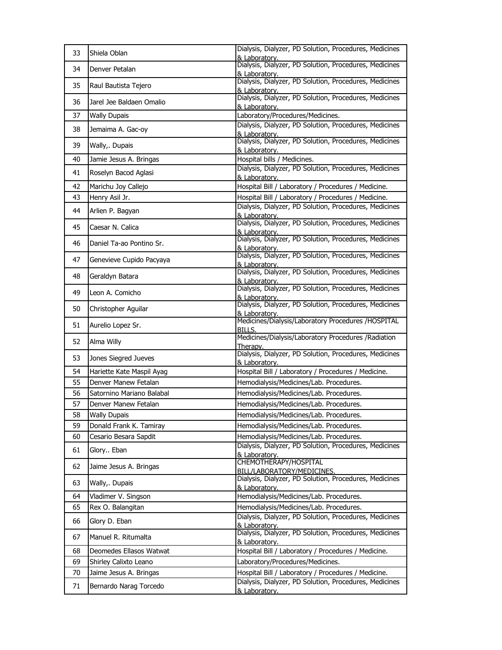| Dialysis, Dialyzer, PD Solution, Procedures, Medicines<br>34<br>Denver Petalan<br>& Laboratory.<br>Dialysis, Dialyzer, PD Solution, Procedures, Medicines<br>35<br>Raul Bautista Tejero<br>& Laboratory.<br>Dialysis, Dialyzer, PD Solution, Procedures, Medicines<br>36<br>Jarel Jee Baldaen Omalio<br>& Laboratory.<br>Laboratory/Procedures/Medicines.<br>37<br><b>Wally Dupais</b><br>Dialysis, Dialyzer, PD Solution, Procedures, Medicines<br>38<br>Jemaima A. Gac-oy<br>& Laboratory.<br>Dialysis, Dialyzer, PD Solution, Procedures, Medicines<br>39<br>Wally,. Dupais<br>& Laboratory.<br>Hospital bills / Medicines.<br>40<br>Jamie Jesus A. Bringas<br>Dialysis, Dialyzer, PD Solution, Procedures, Medicines<br>41<br>Roselyn Bacod Aglasi<br>& Laboratory.<br>Hospital Bill / Laboratory / Procedures / Medicine.<br>42<br>Marichu Joy Callejo<br>Henry Asil Jr.<br>43<br>Hospital Bill / Laboratory / Procedures / Medicine.<br>Dialysis, Dialyzer, PD Solution, Procedures, Medicines<br>44<br>Arlien P. Bagyan<br>& Laboratory.<br>Dialysis, Dialyzer, PD Solution, Procedures, Medicines<br>45<br>Caesar N. Calica<br>& Laboratory.<br>Dialysis, Dialyzer, PD Solution, Procedures, Medicines<br>46<br>Daniel Ta-ao Pontino Sr.<br>& Laboratory.<br>Dialysis, Dialyzer, PD Solution, Procedures, Medicines<br>47<br>Genevieve Cupido Pacyaya<br>& Laboratory.<br>Dialysis, Dialyzer, PD Solution, Procedures, Medicines<br>48<br>Geraldyn Batara<br>& Laboratory.<br>Dialysis, Dialyzer, PD Solution, Procedures, Medicines<br>49<br>Leon A. Comicho<br>& Laboratory.<br>Dialysis, Dialyzer, PD Solution, Procedures, Medicines<br>50<br>Christopher Aguilar<br>& Laboratory.<br>Medicines/Dialysis/Laboratory Procedures /HOSPITAL<br>51<br>Aurelio Lopez Sr.<br><b>BILLS.</b><br>Medicines/Dialysis/Laboratory Procedures /Radiation<br>52<br>Alma Willy<br>Therapy.<br>Dialysis, Dialyzer, PD Solution, Procedures, Medicines<br>53<br>Jones Siegred Jueves<br>& Laboratory.<br>54<br>Hospital Bill / Laboratory / Procedures / Medicine.<br>Hariette Kate Maspil Ayag<br>55<br>Denver Manew Fetalan<br>Hemodialysis/Medicines/Lab. Procedures.<br>56<br>Hemodialysis/Medicines/Lab. Procedures.<br>Satornino Mariano Balabal<br>Hemodialysis/Medicines/Lab. Procedures.<br>57<br>Denver Manew Fetalan<br>58<br><b>Wally Dupais</b><br>Hemodialysis/Medicines/Lab. Procedures.<br>59<br>Donald Frank K. Tamiray<br>Hemodialysis/Medicines/Lab. Procedures.<br>60<br>Cesario Besara Sapdit<br>Hemodialysis/Medicines/Lab. Procedures.<br>Dialysis, Dialyzer, PD Solution, Procedures, Medicines<br>61<br>Glory Eban<br>& Laboratory.<br>CHEMOTHERAPY/HOSPITAL<br>62<br>Jaime Jesus A. Bringas<br>BILL/LABORATORY/MEDICINES.<br>Dialysis, Dialyzer, PD Solution, Procedures, Medicines<br>63<br>Wally,. Dupais<br>& Laboratory.<br>Hemodialysis/Medicines/Lab. Procedures.<br>64<br>Vladimer V. Singson<br>65<br>Rex O. Balangitan<br>Hemodialysis/Medicines/Lab. Procedures.<br>Dialysis, Dialyzer, PD Solution, Procedures, Medicines<br>66<br>Glory D. Eban<br>& Laboratory.<br>Dialysis, Dialyzer, PD Solution, Procedures, Medicines<br>67<br>Manuel R. Ritumalta<br>& Laboratory.<br>Hospital Bill / Laboratory / Procedures / Medicine.<br>Deomedes Ellasos Watwat<br>68<br>69<br>Shirley Calixto Leano<br>Laboratory/Procedures/Medicines.<br>70<br>Jaime Jesus A. Bringas<br>Hospital Bill / Laboratory / Procedures / Medicine.<br>Dialysis, Dialyzer, PD Solution, Procedures, Medicines<br>71<br>Bernardo Narag Torcedo<br>& Laboratory. | 33 | Shiela Oblan | Dialysis, Dialyzer, PD Solution, Procedures, Medicines<br>& Laboratory. |
|------------------------------------------------------------------------------------------------------------------------------------------------------------------------------------------------------------------------------------------------------------------------------------------------------------------------------------------------------------------------------------------------------------------------------------------------------------------------------------------------------------------------------------------------------------------------------------------------------------------------------------------------------------------------------------------------------------------------------------------------------------------------------------------------------------------------------------------------------------------------------------------------------------------------------------------------------------------------------------------------------------------------------------------------------------------------------------------------------------------------------------------------------------------------------------------------------------------------------------------------------------------------------------------------------------------------------------------------------------------------------------------------------------------------------------------------------------------------------------------------------------------------------------------------------------------------------------------------------------------------------------------------------------------------------------------------------------------------------------------------------------------------------------------------------------------------------------------------------------------------------------------------------------------------------------------------------------------------------------------------------------------------------------------------------------------------------------------------------------------------------------------------------------------------------------------------------------------------------------------------------------------------------------------------------------------------------------------------------------------------------------------------------------------------------------------------------------------------------------------------------------------------------------------------------------------------------------------------------------------------------------------------------------------------------------------------------------------------------------------------------------------------------------------------------------------------------------------------------------------------------------------------------------------------------------------------------------------------------------------------------------------------------------------------------------------------------------------------------------------------------------------------------------------------------------------------------------------------------------------------------------------------------------------------------------------------------------------------------------------------------------------------------------------------------------------------------------------------------------------------------------------------------------------------------------------------|----|--------------|-------------------------------------------------------------------------|
|                                                                                                                                                                                                                                                                                                                                                                                                                                                                                                                                                                                                                                                                                                                                                                                                                                                                                                                                                                                                                                                                                                                                                                                                                                                                                                                                                                                                                                                                                                                                                                                                                                                                                                                                                                                                                                                                                                                                                                                                                                                                                                                                                                                                                                                                                                                                                                                                                                                                                                                                                                                                                                                                                                                                                                                                                                                                                                                                                                                                                                                                                                                                                                                                                                                                                                                                                                                                                                                                                                                                                                        |    |              |                                                                         |
|                                                                                                                                                                                                                                                                                                                                                                                                                                                                                                                                                                                                                                                                                                                                                                                                                                                                                                                                                                                                                                                                                                                                                                                                                                                                                                                                                                                                                                                                                                                                                                                                                                                                                                                                                                                                                                                                                                                                                                                                                                                                                                                                                                                                                                                                                                                                                                                                                                                                                                                                                                                                                                                                                                                                                                                                                                                                                                                                                                                                                                                                                                                                                                                                                                                                                                                                                                                                                                                                                                                                                                        |    |              |                                                                         |
|                                                                                                                                                                                                                                                                                                                                                                                                                                                                                                                                                                                                                                                                                                                                                                                                                                                                                                                                                                                                                                                                                                                                                                                                                                                                                                                                                                                                                                                                                                                                                                                                                                                                                                                                                                                                                                                                                                                                                                                                                                                                                                                                                                                                                                                                                                                                                                                                                                                                                                                                                                                                                                                                                                                                                                                                                                                                                                                                                                                                                                                                                                                                                                                                                                                                                                                                                                                                                                                                                                                                                                        |    |              |                                                                         |
|                                                                                                                                                                                                                                                                                                                                                                                                                                                                                                                                                                                                                                                                                                                                                                                                                                                                                                                                                                                                                                                                                                                                                                                                                                                                                                                                                                                                                                                                                                                                                                                                                                                                                                                                                                                                                                                                                                                                                                                                                                                                                                                                                                                                                                                                                                                                                                                                                                                                                                                                                                                                                                                                                                                                                                                                                                                                                                                                                                                                                                                                                                                                                                                                                                                                                                                                                                                                                                                                                                                                                                        |    |              |                                                                         |
|                                                                                                                                                                                                                                                                                                                                                                                                                                                                                                                                                                                                                                                                                                                                                                                                                                                                                                                                                                                                                                                                                                                                                                                                                                                                                                                                                                                                                                                                                                                                                                                                                                                                                                                                                                                                                                                                                                                                                                                                                                                                                                                                                                                                                                                                                                                                                                                                                                                                                                                                                                                                                                                                                                                                                                                                                                                                                                                                                                                                                                                                                                                                                                                                                                                                                                                                                                                                                                                                                                                                                                        |    |              |                                                                         |
|                                                                                                                                                                                                                                                                                                                                                                                                                                                                                                                                                                                                                                                                                                                                                                                                                                                                                                                                                                                                                                                                                                                                                                                                                                                                                                                                                                                                                                                                                                                                                                                                                                                                                                                                                                                                                                                                                                                                                                                                                                                                                                                                                                                                                                                                                                                                                                                                                                                                                                                                                                                                                                                                                                                                                                                                                                                                                                                                                                                                                                                                                                                                                                                                                                                                                                                                                                                                                                                                                                                                                                        |    |              |                                                                         |
|                                                                                                                                                                                                                                                                                                                                                                                                                                                                                                                                                                                                                                                                                                                                                                                                                                                                                                                                                                                                                                                                                                                                                                                                                                                                                                                                                                                                                                                                                                                                                                                                                                                                                                                                                                                                                                                                                                                                                                                                                                                                                                                                                                                                                                                                                                                                                                                                                                                                                                                                                                                                                                                                                                                                                                                                                                                                                                                                                                                                                                                                                                                                                                                                                                                                                                                                                                                                                                                                                                                                                                        |    |              |                                                                         |
|                                                                                                                                                                                                                                                                                                                                                                                                                                                                                                                                                                                                                                                                                                                                                                                                                                                                                                                                                                                                                                                                                                                                                                                                                                                                                                                                                                                                                                                                                                                                                                                                                                                                                                                                                                                                                                                                                                                                                                                                                                                                                                                                                                                                                                                                                                                                                                                                                                                                                                                                                                                                                                                                                                                                                                                                                                                                                                                                                                                                                                                                                                                                                                                                                                                                                                                                                                                                                                                                                                                                                                        |    |              |                                                                         |
|                                                                                                                                                                                                                                                                                                                                                                                                                                                                                                                                                                                                                                                                                                                                                                                                                                                                                                                                                                                                                                                                                                                                                                                                                                                                                                                                                                                                                                                                                                                                                                                                                                                                                                                                                                                                                                                                                                                                                                                                                                                                                                                                                                                                                                                                                                                                                                                                                                                                                                                                                                                                                                                                                                                                                                                                                                                                                                                                                                                                                                                                                                                                                                                                                                                                                                                                                                                                                                                                                                                                                                        |    |              |                                                                         |
|                                                                                                                                                                                                                                                                                                                                                                                                                                                                                                                                                                                                                                                                                                                                                                                                                                                                                                                                                                                                                                                                                                                                                                                                                                                                                                                                                                                                                                                                                                                                                                                                                                                                                                                                                                                                                                                                                                                                                                                                                                                                                                                                                                                                                                                                                                                                                                                                                                                                                                                                                                                                                                                                                                                                                                                                                                                                                                                                                                                                                                                                                                                                                                                                                                                                                                                                                                                                                                                                                                                                                                        |    |              |                                                                         |
|                                                                                                                                                                                                                                                                                                                                                                                                                                                                                                                                                                                                                                                                                                                                                                                                                                                                                                                                                                                                                                                                                                                                                                                                                                                                                                                                                                                                                                                                                                                                                                                                                                                                                                                                                                                                                                                                                                                                                                                                                                                                                                                                                                                                                                                                                                                                                                                                                                                                                                                                                                                                                                                                                                                                                                                                                                                                                                                                                                                                                                                                                                                                                                                                                                                                                                                                                                                                                                                                                                                                                                        |    |              |                                                                         |
|                                                                                                                                                                                                                                                                                                                                                                                                                                                                                                                                                                                                                                                                                                                                                                                                                                                                                                                                                                                                                                                                                                                                                                                                                                                                                                                                                                                                                                                                                                                                                                                                                                                                                                                                                                                                                                                                                                                                                                                                                                                                                                                                                                                                                                                                                                                                                                                                                                                                                                                                                                                                                                                                                                                                                                                                                                                                                                                                                                                                                                                                                                                                                                                                                                                                                                                                                                                                                                                                                                                                                                        |    |              |                                                                         |
|                                                                                                                                                                                                                                                                                                                                                                                                                                                                                                                                                                                                                                                                                                                                                                                                                                                                                                                                                                                                                                                                                                                                                                                                                                                                                                                                                                                                                                                                                                                                                                                                                                                                                                                                                                                                                                                                                                                                                                                                                                                                                                                                                                                                                                                                                                                                                                                                                                                                                                                                                                                                                                                                                                                                                                                                                                                                                                                                                                                                                                                                                                                                                                                                                                                                                                                                                                                                                                                                                                                                                                        |    |              |                                                                         |
|                                                                                                                                                                                                                                                                                                                                                                                                                                                                                                                                                                                                                                                                                                                                                                                                                                                                                                                                                                                                                                                                                                                                                                                                                                                                                                                                                                                                                                                                                                                                                                                                                                                                                                                                                                                                                                                                                                                                                                                                                                                                                                                                                                                                                                                                                                                                                                                                                                                                                                                                                                                                                                                                                                                                                                                                                                                                                                                                                                                                                                                                                                                                                                                                                                                                                                                                                                                                                                                                                                                                                                        |    |              |                                                                         |
|                                                                                                                                                                                                                                                                                                                                                                                                                                                                                                                                                                                                                                                                                                                                                                                                                                                                                                                                                                                                                                                                                                                                                                                                                                                                                                                                                                                                                                                                                                                                                                                                                                                                                                                                                                                                                                                                                                                                                                                                                                                                                                                                                                                                                                                                                                                                                                                                                                                                                                                                                                                                                                                                                                                                                                                                                                                                                                                                                                                                                                                                                                                                                                                                                                                                                                                                                                                                                                                                                                                                                                        |    |              |                                                                         |
|                                                                                                                                                                                                                                                                                                                                                                                                                                                                                                                                                                                                                                                                                                                                                                                                                                                                                                                                                                                                                                                                                                                                                                                                                                                                                                                                                                                                                                                                                                                                                                                                                                                                                                                                                                                                                                                                                                                                                                                                                                                                                                                                                                                                                                                                                                                                                                                                                                                                                                                                                                                                                                                                                                                                                                                                                                                                                                                                                                                                                                                                                                                                                                                                                                                                                                                                                                                                                                                                                                                                                                        |    |              |                                                                         |
|                                                                                                                                                                                                                                                                                                                                                                                                                                                                                                                                                                                                                                                                                                                                                                                                                                                                                                                                                                                                                                                                                                                                                                                                                                                                                                                                                                                                                                                                                                                                                                                                                                                                                                                                                                                                                                                                                                                                                                                                                                                                                                                                                                                                                                                                                                                                                                                                                                                                                                                                                                                                                                                                                                                                                                                                                                                                                                                                                                                                                                                                                                                                                                                                                                                                                                                                                                                                                                                                                                                                                                        |    |              |                                                                         |
|                                                                                                                                                                                                                                                                                                                                                                                                                                                                                                                                                                                                                                                                                                                                                                                                                                                                                                                                                                                                                                                                                                                                                                                                                                                                                                                                                                                                                                                                                                                                                                                                                                                                                                                                                                                                                                                                                                                                                                                                                                                                                                                                                                                                                                                                                                                                                                                                                                                                                                                                                                                                                                                                                                                                                                                                                                                                                                                                                                                                                                                                                                                                                                                                                                                                                                                                                                                                                                                                                                                                                                        |    |              |                                                                         |
|                                                                                                                                                                                                                                                                                                                                                                                                                                                                                                                                                                                                                                                                                                                                                                                                                                                                                                                                                                                                                                                                                                                                                                                                                                                                                                                                                                                                                                                                                                                                                                                                                                                                                                                                                                                                                                                                                                                                                                                                                                                                                                                                                                                                                                                                                                                                                                                                                                                                                                                                                                                                                                                                                                                                                                                                                                                                                                                                                                                                                                                                                                                                                                                                                                                                                                                                                                                                                                                                                                                                                                        |    |              |                                                                         |
|                                                                                                                                                                                                                                                                                                                                                                                                                                                                                                                                                                                                                                                                                                                                                                                                                                                                                                                                                                                                                                                                                                                                                                                                                                                                                                                                                                                                                                                                                                                                                                                                                                                                                                                                                                                                                                                                                                                                                                                                                                                                                                                                                                                                                                                                                                                                                                                                                                                                                                                                                                                                                                                                                                                                                                                                                                                                                                                                                                                                                                                                                                                                                                                                                                                                                                                                                                                                                                                                                                                                                                        |    |              |                                                                         |
|                                                                                                                                                                                                                                                                                                                                                                                                                                                                                                                                                                                                                                                                                                                                                                                                                                                                                                                                                                                                                                                                                                                                                                                                                                                                                                                                                                                                                                                                                                                                                                                                                                                                                                                                                                                                                                                                                                                                                                                                                                                                                                                                                                                                                                                                                                                                                                                                                                                                                                                                                                                                                                                                                                                                                                                                                                                                                                                                                                                                                                                                                                                                                                                                                                                                                                                                                                                                                                                                                                                                                                        |    |              |                                                                         |
|                                                                                                                                                                                                                                                                                                                                                                                                                                                                                                                                                                                                                                                                                                                                                                                                                                                                                                                                                                                                                                                                                                                                                                                                                                                                                                                                                                                                                                                                                                                                                                                                                                                                                                                                                                                                                                                                                                                                                                                                                                                                                                                                                                                                                                                                                                                                                                                                                                                                                                                                                                                                                                                                                                                                                                                                                                                                                                                                                                                                                                                                                                                                                                                                                                                                                                                                                                                                                                                                                                                                                                        |    |              |                                                                         |
|                                                                                                                                                                                                                                                                                                                                                                                                                                                                                                                                                                                                                                                                                                                                                                                                                                                                                                                                                                                                                                                                                                                                                                                                                                                                                                                                                                                                                                                                                                                                                                                                                                                                                                                                                                                                                                                                                                                                                                                                                                                                                                                                                                                                                                                                                                                                                                                                                                                                                                                                                                                                                                                                                                                                                                                                                                                                                                                                                                                                                                                                                                                                                                                                                                                                                                                                                                                                                                                                                                                                                                        |    |              |                                                                         |
|                                                                                                                                                                                                                                                                                                                                                                                                                                                                                                                                                                                                                                                                                                                                                                                                                                                                                                                                                                                                                                                                                                                                                                                                                                                                                                                                                                                                                                                                                                                                                                                                                                                                                                                                                                                                                                                                                                                                                                                                                                                                                                                                                                                                                                                                                                                                                                                                                                                                                                                                                                                                                                                                                                                                                                                                                                                                                                                                                                                                                                                                                                                                                                                                                                                                                                                                                                                                                                                                                                                                                                        |    |              |                                                                         |
|                                                                                                                                                                                                                                                                                                                                                                                                                                                                                                                                                                                                                                                                                                                                                                                                                                                                                                                                                                                                                                                                                                                                                                                                                                                                                                                                                                                                                                                                                                                                                                                                                                                                                                                                                                                                                                                                                                                                                                                                                                                                                                                                                                                                                                                                                                                                                                                                                                                                                                                                                                                                                                                                                                                                                                                                                                                                                                                                                                                                                                                                                                                                                                                                                                                                                                                                                                                                                                                                                                                                                                        |    |              |                                                                         |
|                                                                                                                                                                                                                                                                                                                                                                                                                                                                                                                                                                                                                                                                                                                                                                                                                                                                                                                                                                                                                                                                                                                                                                                                                                                                                                                                                                                                                                                                                                                                                                                                                                                                                                                                                                                                                                                                                                                                                                                                                                                                                                                                                                                                                                                                                                                                                                                                                                                                                                                                                                                                                                                                                                                                                                                                                                                                                                                                                                                                                                                                                                                                                                                                                                                                                                                                                                                                                                                                                                                                                                        |    |              |                                                                         |
|                                                                                                                                                                                                                                                                                                                                                                                                                                                                                                                                                                                                                                                                                                                                                                                                                                                                                                                                                                                                                                                                                                                                                                                                                                                                                                                                                                                                                                                                                                                                                                                                                                                                                                                                                                                                                                                                                                                                                                                                                                                                                                                                                                                                                                                                                                                                                                                                                                                                                                                                                                                                                                                                                                                                                                                                                                                                                                                                                                                                                                                                                                                                                                                                                                                                                                                                                                                                                                                                                                                                                                        |    |              |                                                                         |
|                                                                                                                                                                                                                                                                                                                                                                                                                                                                                                                                                                                                                                                                                                                                                                                                                                                                                                                                                                                                                                                                                                                                                                                                                                                                                                                                                                                                                                                                                                                                                                                                                                                                                                                                                                                                                                                                                                                                                                                                                                                                                                                                                                                                                                                                                                                                                                                                                                                                                                                                                                                                                                                                                                                                                                                                                                                                                                                                                                                                                                                                                                                                                                                                                                                                                                                                                                                                                                                                                                                                                                        |    |              |                                                                         |
|                                                                                                                                                                                                                                                                                                                                                                                                                                                                                                                                                                                                                                                                                                                                                                                                                                                                                                                                                                                                                                                                                                                                                                                                                                                                                                                                                                                                                                                                                                                                                                                                                                                                                                                                                                                                                                                                                                                                                                                                                                                                                                                                                                                                                                                                                                                                                                                                                                                                                                                                                                                                                                                                                                                                                                                                                                                                                                                                                                                                                                                                                                                                                                                                                                                                                                                                                                                                                                                                                                                                                                        |    |              |                                                                         |
|                                                                                                                                                                                                                                                                                                                                                                                                                                                                                                                                                                                                                                                                                                                                                                                                                                                                                                                                                                                                                                                                                                                                                                                                                                                                                                                                                                                                                                                                                                                                                                                                                                                                                                                                                                                                                                                                                                                                                                                                                                                                                                                                                                                                                                                                                                                                                                                                                                                                                                                                                                                                                                                                                                                                                                                                                                                                                                                                                                                                                                                                                                                                                                                                                                                                                                                                                                                                                                                                                                                                                                        |    |              |                                                                         |
|                                                                                                                                                                                                                                                                                                                                                                                                                                                                                                                                                                                                                                                                                                                                                                                                                                                                                                                                                                                                                                                                                                                                                                                                                                                                                                                                                                                                                                                                                                                                                                                                                                                                                                                                                                                                                                                                                                                                                                                                                                                                                                                                                                                                                                                                                                                                                                                                                                                                                                                                                                                                                                                                                                                                                                                                                                                                                                                                                                                                                                                                                                                                                                                                                                                                                                                                                                                                                                                                                                                                                                        |    |              |                                                                         |
|                                                                                                                                                                                                                                                                                                                                                                                                                                                                                                                                                                                                                                                                                                                                                                                                                                                                                                                                                                                                                                                                                                                                                                                                                                                                                                                                                                                                                                                                                                                                                                                                                                                                                                                                                                                                                                                                                                                                                                                                                                                                                                                                                                                                                                                                                                                                                                                                                                                                                                                                                                                                                                                                                                                                                                                                                                                                                                                                                                                                                                                                                                                                                                                                                                                                                                                                                                                                                                                                                                                                                                        |    |              |                                                                         |
|                                                                                                                                                                                                                                                                                                                                                                                                                                                                                                                                                                                                                                                                                                                                                                                                                                                                                                                                                                                                                                                                                                                                                                                                                                                                                                                                                                                                                                                                                                                                                                                                                                                                                                                                                                                                                                                                                                                                                                                                                                                                                                                                                                                                                                                                                                                                                                                                                                                                                                                                                                                                                                                                                                                                                                                                                                                                                                                                                                                                                                                                                                                                                                                                                                                                                                                                                                                                                                                                                                                                                                        |    |              |                                                                         |
|                                                                                                                                                                                                                                                                                                                                                                                                                                                                                                                                                                                                                                                                                                                                                                                                                                                                                                                                                                                                                                                                                                                                                                                                                                                                                                                                                                                                                                                                                                                                                                                                                                                                                                                                                                                                                                                                                                                                                                                                                                                                                                                                                                                                                                                                                                                                                                                                                                                                                                                                                                                                                                                                                                                                                                                                                                                                                                                                                                                                                                                                                                                                                                                                                                                                                                                                                                                                                                                                                                                                                                        |    |              |                                                                         |
|                                                                                                                                                                                                                                                                                                                                                                                                                                                                                                                                                                                                                                                                                                                                                                                                                                                                                                                                                                                                                                                                                                                                                                                                                                                                                                                                                                                                                                                                                                                                                                                                                                                                                                                                                                                                                                                                                                                                                                                                                                                                                                                                                                                                                                                                                                                                                                                                                                                                                                                                                                                                                                                                                                                                                                                                                                                                                                                                                                                                                                                                                                                                                                                                                                                                                                                                                                                                                                                                                                                                                                        |    |              |                                                                         |
|                                                                                                                                                                                                                                                                                                                                                                                                                                                                                                                                                                                                                                                                                                                                                                                                                                                                                                                                                                                                                                                                                                                                                                                                                                                                                                                                                                                                                                                                                                                                                                                                                                                                                                                                                                                                                                                                                                                                                                                                                                                                                                                                                                                                                                                                                                                                                                                                                                                                                                                                                                                                                                                                                                                                                                                                                                                                                                                                                                                                                                                                                                                                                                                                                                                                                                                                                                                                                                                                                                                                                                        |    |              |                                                                         |
|                                                                                                                                                                                                                                                                                                                                                                                                                                                                                                                                                                                                                                                                                                                                                                                                                                                                                                                                                                                                                                                                                                                                                                                                                                                                                                                                                                                                                                                                                                                                                                                                                                                                                                                                                                                                                                                                                                                                                                                                                                                                                                                                                                                                                                                                                                                                                                                                                                                                                                                                                                                                                                                                                                                                                                                                                                                                                                                                                                                                                                                                                                                                                                                                                                                                                                                                                                                                                                                                                                                                                                        |    |              |                                                                         |
|                                                                                                                                                                                                                                                                                                                                                                                                                                                                                                                                                                                                                                                                                                                                                                                                                                                                                                                                                                                                                                                                                                                                                                                                                                                                                                                                                                                                                                                                                                                                                                                                                                                                                                                                                                                                                                                                                                                                                                                                                                                                                                                                                                                                                                                                                                                                                                                                                                                                                                                                                                                                                                                                                                                                                                                                                                                                                                                                                                                                                                                                                                                                                                                                                                                                                                                                                                                                                                                                                                                                                                        |    |              |                                                                         |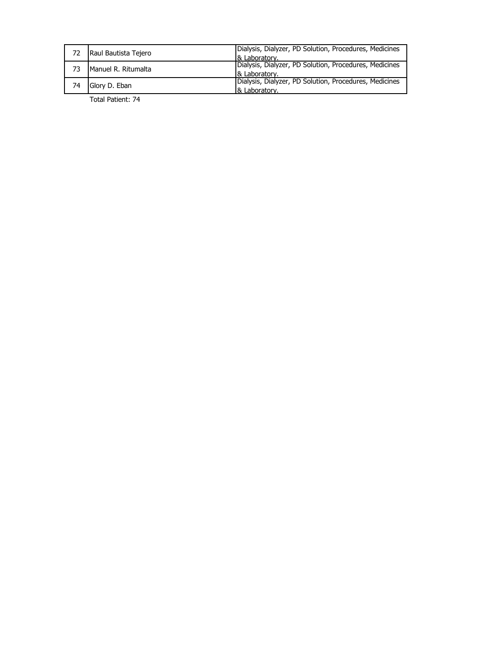| Raul Bautista Tejero | Dialysis, Dialyzer, PD Solution, Procedures, Medicines<br>& Laboratory. |
|----------------------|-------------------------------------------------------------------------|
| Manuel R. Ritumalta  | Dialysis, Dialyzer, PD Solution, Procedures, Medicines<br>& Laboratory. |
| Glory D. Eban        | Dialysis, Dialyzer, PD Solution, Procedures, Medicines<br>& Laboratory. |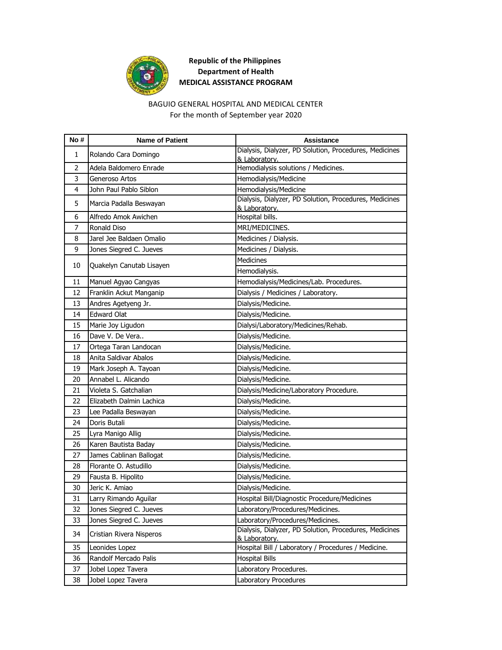

# **Republic of the Philippines Department of Health MEDICAL ASSISTANCE PROGRAM**

### BAGUIO GENERAL HOSPITAL AND MEDICAL CENTER For the month of September year 2020

| No#            | <b>Name of Patient</b>   | <b>Assistance</b>                                                       |
|----------------|--------------------------|-------------------------------------------------------------------------|
| 1              | Rolando Cara Domingo     | Dialysis, Dialyzer, PD Solution, Procedures, Medicines<br>& Laboratory. |
| $\overline{2}$ | Adela Baldomero Enrade   | Hemodialysis solutions / Medicines.                                     |
| 3              | Generoso Artos           | Hemodialysis/Medicine                                                   |
| 4              | John Paul Pablo Siblon   | Hemodialysis/Medicine                                                   |
| 5              | Marcia Padalla Beswayan  | Dialysis, Dialyzer, PD Solution, Procedures, Medicines<br>& Laboratory. |
| 6              | Alfredo Amok Awichen     | Hospital bills.                                                         |
| 7              | <b>Ronald Diso</b>       | MRI/MEDICINES.                                                          |
| 8              | Jarel Jee Baldaen Omalio | Medicines / Dialysis.                                                   |
| 9              | Jones Siegred C. Jueves  | Medicines / Dialysis.                                                   |
| 10             |                          | <b>Medicines</b>                                                        |
|                | Quakelyn Canutab Lisayen | Hemodialysis.                                                           |
| 11             | Manuel Agyao Cangyas     | Hemodialysis/Medicines/Lab. Procedures.                                 |
| 12             | Franklin Ackut Manganip  | Dialysis / Medicines / Laboratory.                                      |
| 13             | Andres Agetyeng Jr.      | Dialysis/Medicine.                                                      |
| 14             | <b>Edward Olat</b>       | Dialysis/Medicine.                                                      |
| 15             | Marie Joy Ligudon        | Dialysi/Laboratory/Medicines/Rehab.                                     |
| 16             | Dave V. De Vera          | Dialysis/Medicine.                                                      |
| 17             | Ortega Taran Landocan    | Dialysis/Medicine.                                                      |
| 18             | Anita Saldivar Abalos    | Dialysis/Medicine.                                                      |
| 19             | Mark Joseph A. Tayoan    | Dialysis/Medicine.                                                      |
| 20             | Annabel L. Alicando      | Dialysis/Medicine.                                                      |
| 21             | Violeta S. Gatchalian    | Dialysis/Medicine/Laboratory Procedure.                                 |
| 22             | Elizabeth Dalmin Lachica | Dialysis/Medicine.                                                      |
| 23             | Lee Padalla Beswayan     | Dialysis/Medicine.                                                      |
| 24             | Doris Butali             | Dialysis/Medicine.                                                      |
| 25             | Lyra Manigo Allig        | Dialysis/Medicine.                                                      |
| 26             | Karen Bautista Baday     | Dialysis/Medicine.                                                      |
| 27             | James Cablinan Ballogat  | Dialysis/Medicine.                                                      |
| 28             | Florante O. Astudillo    | Dialysis/Medicine.                                                      |
| 29             | Fausta B. Hipolito       | Dialysis/Medicine.                                                      |
| 30             | Jeric K. Amiao           | Dialysis/Medicine.                                                      |
| 31             | Larry Rimando Aguilar    | Hospital Bill/Diagnostic Procedure/Medicines                            |
| 32             | Jones Siegred C. Jueves  | Laboratory/Procedures/Medicines.                                        |
| 33             | Jones Siegred C. Jueves  | Laboratory/Procedures/Medicines.                                        |
| 34             | Cristian Rivera Nisperos | Dialysis, Dialyzer, PD Solution, Procedures, Medicines<br>& Laboratory. |
| 35             | Leonides Lopez           | Hospital Bill / Laboratory / Procedures / Medicine.                     |
| 36             | Randolf Mercado Palis    | <b>Hospital Bills</b>                                                   |
| 37             | Jobel Lopez Tavera       | Laboratory Procedures.                                                  |
| 38             | Jobel Lopez Tavera       | Laboratory Procedures                                                   |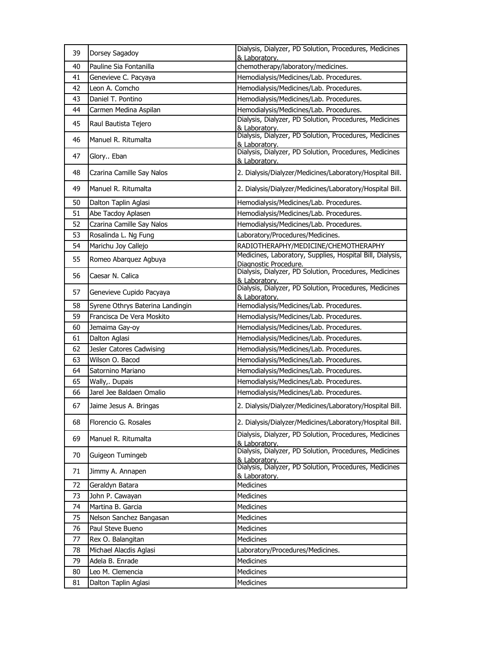| 39 | Dorsey Sagadoy                   | Dialysis, Dialyzer, PD Solution, Procedures, Medicines<br>& Laboratory.            |
|----|----------------------------------|------------------------------------------------------------------------------------|
| 40 | Pauline Sia Fontanilla           | chemotherapy/laboratory/medicines.                                                 |
| 41 | Genevieve C. Pacyaya             | Hemodialysis/Medicines/Lab. Procedures.                                            |
| 42 | Leon A. Comcho                   | Hemodialysis/Medicines/Lab. Procedures.                                            |
| 43 | Daniel T. Pontino                | Hemodialysis/Medicines/Lab. Procedures.                                            |
| 44 | Carmen Medina Aspilan            | Hemodialysis/Medicines/Lab. Procedures.                                            |
| 45 | Raul Bautista Tejero             | Dialysis, Dialyzer, PD Solution, Procedures, Medicines<br>& Laboratory.            |
| 46 | Manuel R. Ritumalta              | Dialysis, Dialyzer, PD Solution, Procedures, Medicines<br>& Laboratory.            |
| 47 | Glory Eban                       | Dialysis, Dialyzer, PD Solution, Procedures, Medicines<br>& Laboratory.            |
| 48 | Czarina Camille Say Nalos        | 2. Dialysis/Dialyzer/Medicines/Laboratory/Hospital Bill.                           |
| 49 | Manuel R. Ritumalta              | 2. Dialysis/Dialyzer/Medicines/Laboratory/Hospital Bill.                           |
| 50 | Dalton Taplin Aglasi             | Hemodialysis/Medicines/Lab. Procedures.                                            |
| 51 | Abe Tacdoy Aplasen               | Hemodialysis/Medicines/Lab. Procedures.                                            |
| 52 | Czarina Camille Say Nalos        | Hemodialysis/Medicines/Lab. Procedures.                                            |
| 53 | Rosalinda L. Ng Fung             | Laboratory/Procedures/Medicines.                                                   |
| 54 | Marichu Joy Callejo              | RADIOTHERAPHY/MEDICINE/CHEMOTHERAPHY                                               |
| 55 | Romeo Abarquez Agbuya            | Medicines, Laboratory, Supplies, Hospital Bill, Dialysis,<br>Diagnostic Procedure. |
| 56 | Caesar N. Calica                 | Dialysis, Dialyzer, PD Solution, Procedures, Medicines<br>& Laboratory.            |
| 57 | Genevieve Cupido Pacyaya         | Dialysis, Dialyzer, PD Solution, Procedures, Medicines<br><u>&amp; Laboratory.</u> |
| 58 | Syrene Othrys Baterina Landingin | Hemodialysis/Medicines/Lab. Procedures.                                            |
| 59 | Francisca De Vera Moskito        | Hemodialysis/Medicines/Lab. Procedures.                                            |
| 60 | Jemaima Gay-oy                   | Hemodialysis/Medicines/Lab. Procedures.                                            |
| 61 | Dalton Aglasi                    | Hemodialysis/Medicines/Lab. Procedures.                                            |
| 62 | Jesler Catores Cadwising         | Hemodialysis/Medicines/Lab. Procedures.                                            |
| 63 | Wilson O. Bacod                  | Hemodialysis/Medicines/Lab. Procedures.                                            |
| 64 | Satornino Mariano                | Hemodialysis/Medicines/Lab. Procedures.                                            |
| 65 | Wally,. Dupais                   | Hemodialysis/Medicines/Lab. Procedures.                                            |
| 66 | Jarel Jee Baldaen Omalio         | Hemodialysis/Medicines/Lab. Procedures.                                            |
| 67 | Jaime Jesus A. Bringas           | 2. Dialysis/Dialyzer/Medicines/Laboratory/Hospital Bill.                           |
| 68 | Florencio G. Rosales             | 2. Dialysis/Dialyzer/Medicines/Laboratory/Hospital Bill.                           |
| 69 | Manuel R. Ritumalta              | Dialysis, Dialyzer, PD Solution, Procedures, Medicines<br>& Laboratory.            |
| 70 | Guigeon Tumingeb                 | Dialysis, Dialyzer, PD Solution, Procedures, Medicines<br>& Laboratory.            |
| 71 | Jimmy A. Annapen                 | Dialysis, Dialyzer, PD Solution, Procedures, Medicines<br>& Laboratory.            |
| 72 | Geraldyn Batara                  | Medicines                                                                          |
| 73 | John P. Cawayan                  | <b>Medicines</b>                                                                   |
| 74 | Martina B. Garcia                | Medicines                                                                          |
| 75 | Nelson Sanchez Bangasan          | <b>Medicines</b>                                                                   |
| 76 | Paul Steve Bueno                 | Medicines                                                                          |
| 77 | Rex O. Balangitan                | Medicines                                                                          |
| 78 | Michael Alacdis Aglasi           | Laboratory/Procedures/Medicines.                                                   |
| 79 | Adela B. Enrade                  | Medicines                                                                          |
| 80 | Leo M. Clemencia                 | Medicines                                                                          |
| 81 | Dalton Taplin Aglasi             | Medicines                                                                          |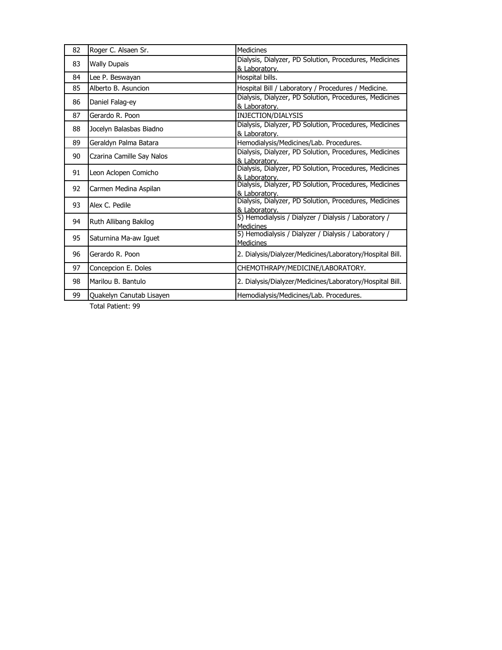| 82 | Roger C. Alsaen Sr.       | <b>Medicines</b>                                                         |
|----|---------------------------|--------------------------------------------------------------------------|
| 83 | <b>Wally Dupais</b>       | Dialysis, Dialyzer, PD Solution, Procedures, Medicines<br>& Laboratory.  |
| 84 | Lee P. Beswayan           | Hospital bills.                                                          |
| 85 | Alberto B. Asuncion       | Hospital Bill / Laboratory / Procedures / Medicine.                      |
| 86 | Daniel Falag-ey           | Dialysis, Dialyzer, PD Solution, Procedures, Medicines<br>& Laboratory.  |
| 87 | Gerardo R. Poon           | INJECTION/DIALYSIS                                                       |
| 88 | Jocelyn Balasbas Biadno   | Dialysis, Dialyzer, PD Solution, Procedures, Medicines<br>& Laboratory.  |
| 89 | Geraldyn Palma Batara     | Hemodialysis/Medicines/Lab. Procedures.                                  |
| 90 | Czarina Camille Say Nalos | Dialysis, Dialyzer, PD Solution, Procedures, Medicines<br>& Laboratory.  |
| 91 | Leon Aclopen Comicho      | Dialysis, Dialyzer, PD Solution, Procedures, Medicines<br>& Laboratory.  |
| 92 | Carmen Medina Aspilan     | Dialysis, Dialyzer, PD Solution, Procedures, Medicines<br>& Laboratory.  |
| 93 | Alex C. Pedile            | Dialysis, Dialyzer, PD Solution, Procedures, Medicines<br>& Laboratory.  |
| 94 | Ruth Allibang Bakilog     | 5) Hemodialysis / Dialyzer / Dialysis / Laboratory /<br><b>Medicines</b> |
| 95 | Saturnina Ma-aw Iguet     | 5) Hemodialysis / Dialyzer / Dialysis / Laboratory /<br><b>Medicines</b> |
| 96 | Gerardo R. Poon           | 2. Dialysis/Dialyzer/Medicines/Laboratory/Hospital Bill.                 |
| 97 | Concepcion E. Doles       | CHEMOTHRAPY/MEDICINE/LABORATORY.                                         |
| 98 | Marilou B. Bantulo        | 2. Dialysis/Dialyzer/Medicines/Laboratory/Hospital Bill.                 |
| 99 | Quakelyn Canutab Lisayen  | Hemodialysis/Medicines/Lab. Procedures.                                  |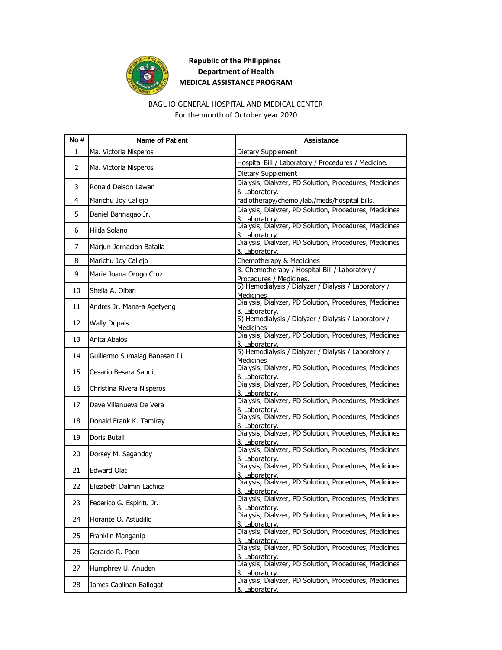

# **Republic of the Philippines Department of Health MEDICAL ASSISTANCE PROGRAM**

#### BAGUIO GENERAL HOSPITAL AND MEDICAL CENTER For the month of October year 2020

| No# | <b>Name of Patient</b>        | <b>Assistance</b>                                                          |
|-----|-------------------------------|----------------------------------------------------------------------------|
| 1   | Ma. Victoria Nisperos         | Dietary Supplement                                                         |
| 2   |                               | Hospital Bill / Laboratory / Procedures / Medicine.                        |
|     | Ma. Victoria Nisperos         | Dietary Supplement                                                         |
| 3   | Ronald Delson Lawan           | Dialysis, Dialyzer, PD Solution, Procedures, Medicines                     |
|     |                               | & Laboratory.                                                              |
| 4   | Marichu Joy Callejo           | radiotherapy/chemo./lab./meds/hospital bills.                              |
| 5.  | Daniel Bannagao Jr.           | Dialysis, Dialyzer, PD Solution, Procedures, Medicines<br>& Laboratory.    |
|     |                               | Dialysis, Dialyzer, PD Solution, Procedures, Medicines                     |
| 6   | Hilda Solano                  | & Laboratory.                                                              |
| 7   | Marjun Jornacion Batalla      | Dialysis, Dialyzer, PD Solution, Procedures, Medicines                     |
|     |                               | & Laboratory.                                                              |
| 8   | Marichu Joy Callejo           | Chemotherapy & Medicines                                                   |
| 9   | Marie Joana Orogo Cruz        | 3. Chemotherapy / Hospital Bill / Laboratory /<br>Procedures / Medicines.  |
|     |                               | 5) Hemodialysis / Dialyzer / Dialysis / Laboratory /                       |
| 10  | Sheila A. Olban               | <b>Medicines</b>                                                           |
| 11  | Andres Jr. Mana-a Agetyeng    | Dialysis, Dialyzer, PD Solution, Procedures, Medicines                     |
|     |                               | & Laboratory.<br>5) Hemodialysis / Dialyzer / Dialysis / Laboratory /      |
| 12  | <b>Wally Dupais</b>           | <b>Medicines</b>                                                           |
|     |                               | Dialysis, Dialyzer, PD Solution, Procedures, Medicines                     |
| 13  | Anita Abalos                  | & Laboratory.                                                              |
| 14  | Guillermo Sumalag Banasan Iii | 5) Hemodialysis / Dialyzer / Dialysis / Laboratory /                       |
|     |                               | <b>Medicines</b><br>Dialysis, Dialyzer, PD Solution, Procedures, Medicines |
| 15  | Cesario Besara Sapdit         | & Laboratory.                                                              |
| 16  | Christina Rivera Nisperos     | Dialysis, Dialyzer, PD Solution, Procedures, Medicines                     |
|     |                               | & Laboratory.                                                              |
| 17  | Dave Villanueva De Vera       | Dialysis, Dialyzer, PD Solution, Procedures, Medicines                     |
|     |                               | & Laboratory.<br>Dialysis, Dialyzer, PD Solution, Procedures, Medicines    |
| 18  | Donald Frank K. Tamiray       | & Laboratory.                                                              |
| 19  | Doris Butali                  | Dialysis, Dialyzer, PD Solution, Procedures, Medicines                     |
|     |                               | & Laboratory.<br>Dialysis, Dialyzer, PD Solution, Procedures, Medicines    |
| 20  | Dorsey M. Sagandoy            | & Laboratory.                                                              |
|     | <b>Edward Olat</b>            | Dialysis, Dialyzer, PD Solution, Procedures, Medicines                     |
| 21  |                               | & Laboratory.                                                              |
| 22  | Elizabeth Dalmin Lachica      | Dialysis, Dialyzer, PD Solution, Procedures, Medicines                     |
|     |                               | & Laboratory.<br>Dialysis, Dialyzer, PD Solution, Procedures, Medicines    |
| 23  | Federico G. Espiritu Jr.      | & Laboratory.                                                              |
| 24  | Florante O. Astudillo         | Dialysis, Dialyzer, PD Solution, Procedures, Medicines                     |
|     |                               | & Laboratorv.                                                              |
| 25  | Franklin Manganip             | Dialysis, Dialyzer, PD Solution, Procedures, Medicines<br>& Laboratory.    |
|     |                               | Dialysis, Dialyzer, PD Solution, Procedures, Medicines                     |
| 26  | Gerardo R. Poon               | & Laboratory.                                                              |
| 27  | Humphrey U. Anuden            | Dialysis, Dialyzer, PD Solution, Procedures, Medicines                     |
|     |                               | & Laboratory.<br>Dialysis, Dialyzer, PD Solution, Procedures, Medicines    |
| 28  | James Cablinan Ballogat       | & Laboratory.                                                              |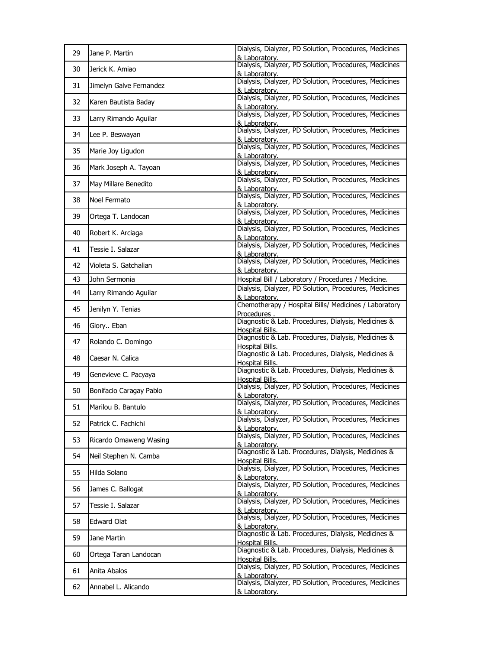| 29 | Jane P. Martin          | Dialysis, Dialyzer, PD Solution, Procedures, Medicines<br>& Laboratory.       |
|----|-------------------------|-------------------------------------------------------------------------------|
| 30 | Jerick K. Amiao         | Dialysis, Dialyzer, PD Solution, Procedures, Medicines<br>& Laboratorv.       |
| 31 | Jimelyn Galve Fernandez | Dialysis, Dialyzer, PD Solution, Procedures, Medicines<br>& Laboratory.       |
| 32 | Karen Bautista Baday    | Dialysis, Dialyzer, PD Solution, Procedures, Medicines<br>& Laboratory.       |
| 33 | Larry Rimando Aguilar   | Dialysis, Dialyzer, PD Solution, Procedures, Medicines<br>& Laboratory.       |
| 34 | Lee P. Beswayan         | Dialysis, Dialyzer, PD Solution, Procedures, Medicines<br>& Laboratory.       |
| 35 | Marie Joy Ligudon       | Dialysis, Dialyzer, PD Solution, Procedures, Medicines<br>& Laboratory.       |
| 36 | Mark Joseph A. Tayoan   | Dialysis, Dialyzer, PD Solution, Procedures, Medicines<br>& Laboratory.       |
| 37 | May Millare Benedito    | Dialysis, Dialyzer, PD Solution, Procedures, Medicines<br>& Laboratory.       |
| 38 | Noel Fermato            | Dialysis, Dialyzer, PD Solution, Procedures, Medicines<br>& Laboratory.       |
| 39 | Ortega T. Landocan      | Dialysis, Dialyzer, PD Solution, Procedures, Medicines<br>& Laboratorv.       |
| 40 | Robert K. Arciaga       | Dialysis, Dialyzer, PD Solution, Procedures, Medicines<br>& Laboratory.       |
| 41 | Tessie I. Salazar       | Dialysis, Dialyzer, PD Solution, Procedures, Medicines<br>& Laboratory.       |
| 42 | Violeta S. Gatchalian   | Dialysis, Dialyzer, PD Solution, Procedures, Medicines<br>& Laboratory.       |
| 43 | John Sermonia           | Hospital Bill / Laboratory / Procedures / Medicine.                           |
| 44 | Larry Rimando Aguilar   | Dialysis, Dialyzer, PD Solution, Procedures, Medicines<br>& Laboratory.       |
| 45 | Jenilyn Y. Tenias       | Chemotherapy / Hospital Bills/ Medicines / Laboratory<br>Procedures.          |
| 46 | Glory Eban              | Diagnostic & Lab. Procedures, Dialysis, Medicines &<br>Hospital Bills.        |
| 47 | Rolando C. Domingo      | Diagnostic & Lab. Procedures, Dialysis, Medicines &<br>Hospital Bills.        |
| 48 | Caesar N. Calica        | Diagnostic & Lab. Procedures, Dialysis, Medicines &<br><b>Hospital Bills.</b> |
| 49 | Genevieve C. Pacyaya    | Diagnostic & Lab. Procedures, Dialysis, Medicines &<br>Hospital Bills.        |
| 50 | Bonifacio Caragay Pablo | Dialysis, Dialyzer, PD Solution, Procedures, Medicines<br>& Laboratory.       |
| 51 | Marilou B. Bantulo      | Dialysis, Dialyzer, PD Solution, Procedures, Medicines<br>& Laboratory.       |
| 52 | Patrick C. Fachichi     | Dialysis, Dialyzer, PD Solution, Procedures, Medicines<br>& Laboratory.       |
| 53 | Ricardo Omaweng Wasing  | Dialysis, Dialyzer, PD Solution, Procedures, Medicines<br>& Laboratory.       |
| 54 | Neil Stephen N. Camba   | Diagnostic & Lab. Procedures, Dialysis, Medicines &<br>Hospital Bills.        |
| 55 | Hilda Solano            | Dialysis, Dialyzer, PD Solution, Procedures, Medicines<br>& Laboratory.       |
| 56 | James C. Ballogat       | Dialysis, Dialyzer, PD Solution, Procedures, Medicines<br>& Laboratory.       |
| 57 | Tessie I. Salazar       | Dialysis, Dialyzer, PD Solution, Procedures, Medicines<br>& Laboratory.       |
| 58 | Edward Olat             | Dialysis, Dialyzer, PD Solution, Procedures, Medicines<br>& Laboratory.       |
| 59 | Jane Martin             | Diagnostic & Lab. Procedures, Dialysis, Medicines &<br>Hospital Bills.        |
| 60 | Ortega Taran Landocan   | Diagnostic & Lab. Procedures, Dialysis, Medicines &<br>Hospital Bills.        |
| 61 | Anita Abalos            | Dialysis, Dialyzer, PD Solution, Procedures, Medicines<br>& Laboratory.       |
| 62 | Annabel L. Alicando     | Dialysis, Dialyzer, PD Solution, Procedures, Medicines<br>& Laboratory.       |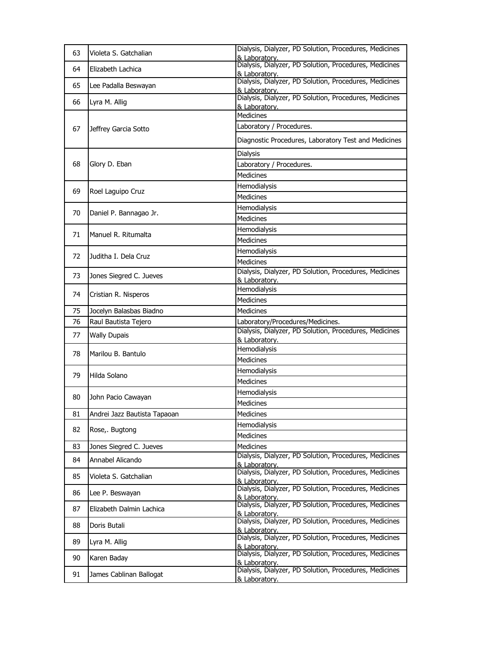| 63 | Violeta S. Gatchalian        | Dialysis, Dialyzer, PD Solution, Procedures, Medicines<br>& Laboratory.                  |
|----|------------------------------|------------------------------------------------------------------------------------------|
| 64 | Elizabeth Lachica            | Dialysis, Dialyzer, PD Solution, Procedures, Medicines<br>& Laboratory.                  |
| 65 | Lee Padalla Beswayan         | Dialysis, Dialyzer, PD Solution, Procedures, Medicines                                   |
| 66 | Lyra M. Allig                | & Laboratory.<br>Dialysis, Dialyzer, PD Solution, Procedures, Medicines                  |
|    |                              | & Laboratory.<br><b>Medicines</b>                                                        |
|    |                              | Laboratory / Procedures.                                                                 |
| 67 | Jeffrey Garcia Sotto         |                                                                                          |
|    |                              | Diagnostic Procedures, Laboratory Test and Medicines                                     |
|    |                              | <b>Dialysis</b>                                                                          |
| 68 | Glory D. Eban                | Laboratory / Procedures.                                                                 |
|    |                              | <b>Medicines</b>                                                                         |
| 69 | Roel Laguipo Cruz            | Hemodialysis                                                                             |
|    |                              | <b>Medicines</b>                                                                         |
| 70 | Daniel P. Bannagao Jr.       | Hemodialysis                                                                             |
|    |                              | <b>Medicines</b>                                                                         |
| 71 | Manuel R. Ritumalta          | Hemodialysis                                                                             |
|    |                              | <b>Medicines</b>                                                                         |
| 72 | Juditha I. Dela Cruz         | Hemodialysis                                                                             |
|    |                              | <b>Medicines</b>                                                                         |
| 73 | Jones Siegred C. Jueves      | Dialysis, Dialyzer, PD Solution, Procedures, Medicines<br>& Laboratory.                  |
|    |                              | Hemodialysis                                                                             |
| 74 | Cristian R. Nisperos         | Medicines                                                                                |
| 75 | Jocelyn Balasbas Biadno      | <b>Medicines</b>                                                                         |
| 76 | Raul Bautista Tejero         | Laboratory/Procedures/Medicines.                                                         |
| 77 | <b>Wally Dupais</b>          | Dialysis, Dialyzer, PD Solution, Procedures, Medicines                                   |
|    |                              | & Laboratory.                                                                            |
|    |                              |                                                                                          |
| 78 | Marilou B. Bantulo           | Hemodialysis                                                                             |
|    |                              | <b>Medicines</b>                                                                         |
| 79 | Hilda Solano                 | Hemodialysis                                                                             |
|    |                              | <b>Medicines</b>                                                                         |
| 80 | John Pacio Cawayan           | Hemodialysis                                                                             |
|    |                              | Medicines                                                                                |
| 81 | Andrei Jazz Bautista Tapaoan | Medicines                                                                                |
| 82 | Rose,. Bugtong               | Hemodialysis                                                                             |
|    |                              | Medicines                                                                                |
| 83 | Jones Siegred C. Jueves      | <b>Medicines</b>                                                                         |
| 84 | Annabel Alicando             | Dialysis, Dialyzer, PD Solution, Procedures, Medicines<br>& Laboratory.                  |
| 85 | Violeta S. Gatchalian        | Dialysis, Dialyzer, PD Solution, Procedures, Medicines<br>& Laboratory.                  |
| 86 | Lee P. Beswayan              | Dialysis, Dialyzer, PD Solution, Procedures, Medicines                                   |
| 87 | Elizabeth Dalmin Lachica     | & Laboratory.<br>Dialysis, Dialyzer, PD Solution, Procedures, Medicines                  |
| 88 | Doris Butali                 | & Laboratory.<br>Dialysis, Dialyzer, PD Solution, Procedures, Medicines                  |
| 89 | Lyra M. Allig                | & Laboratory.<br>Dialysis, Dialyzer, PD Solution, Procedures, Medicines                  |
| 90 | Karen Baday                  | & Laboratory.<br>Dialysis, Dialyzer, PD Solution, Procedures, Medicines                  |
| 91 | James Cablinan Ballogat      | & Laboratory.<br>Dialysis, Dialyzer, PD Solution, Procedures, Medicines<br>& Laboratory. |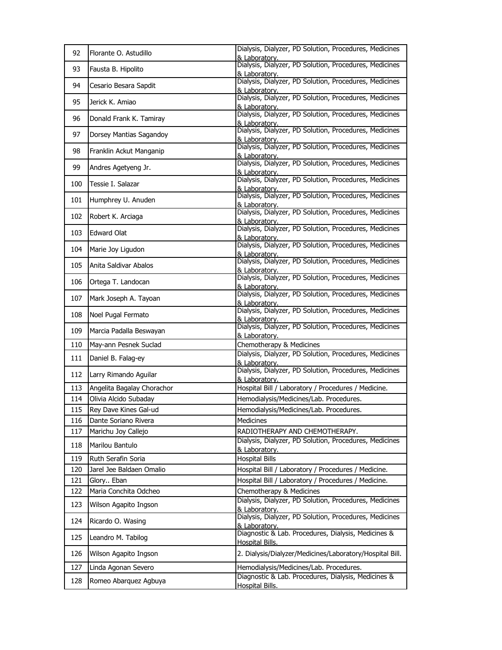| 92  | Florante O. Astudillo      | Dialysis, Dialyzer, PD Solution, Procedures, Medicines<br>& Laboratory.       |
|-----|----------------------------|-------------------------------------------------------------------------------|
| 93  | Fausta B. Hipolito         | Dialysis, Dialyzer, PD Solution, Procedures, Medicines<br>& Laboratory.       |
| 94  | Cesario Besara Sapdit      | Dialysis, Dialyzer, PD Solution, Procedures, Medicines<br>& Laboratory.       |
| 95  | Jerick K. Amiao            | Dialysis, Dialyzer, PD Solution, Procedures, Medicines<br>& Laboratory.       |
| 96  | Donald Frank K. Tamiray    | Dialysis, Dialyzer, PD Solution, Procedures, Medicines<br>& Laboratory.       |
| 97  | Dorsey Mantias Sagandoy    | Dialysis, Dialyzer, PD Solution, Procedures, Medicines<br>& Laboratory.       |
| 98  | Franklin Ackut Manganip    | Dialysis, Dialyzer, PD Solution, Procedures, Medicines<br>& Laboratory.       |
| 99  | Andres Agetyeng Jr.        | Dialysis, Dialyzer, PD Solution, Procedures, Medicines<br>& Laboratory.       |
| 100 | Tessie I. Salazar          | Dialysis, Dialyzer, PD Solution, Procedures, Medicines<br>& Laboratory.       |
| 101 | Humphrey U. Anuden         | Dialysis, Dialyzer, PD Solution, Procedures, Medicines<br>& Laboratory.       |
| 102 | Robert K. Arciaga          | Dialysis, Dialyzer, PD Solution, Procedures, Medicines<br>& Laboratorv.       |
| 103 | <b>Edward Olat</b>         | Dialysis, Dialyzer, PD Solution, Procedures, Medicines<br>& Laboratory.       |
| 104 | Marie Joy Ligudon          | Dialysis, Dialyzer, PD Solution, Procedures, Medicines<br>& Laboratory.       |
| 105 | Anita Saldivar Abalos      | Dialysis, Dialyzer, PD Solution, Procedures, Medicines<br>& Laboratorv.       |
| 106 | Ortega T. Landocan         | Dialysis, Dialyzer, PD Solution, Procedures, Medicines<br>& Laboratory.       |
| 107 | Mark Joseph A. Tayoan      | Dialysis, Dialyzer, PD Solution, Procedures, Medicines<br>& Laboratory.       |
| 108 | Noel Pugal Fermato         | Dialysis, Dialyzer, PD Solution, Procedures, Medicines<br>& Laboratorv.       |
| 109 | Marcia Padalla Beswayan    | Dialysis, Dialyzer, PD Solution, Procedures, Medicines<br>& Laboratory.       |
| 110 | May-ann Pesnek Suclad      | Chemotherapy & Medicines                                                      |
| 111 | Daniel B. Falag-ey         | Dialysis, Dialyzer, PD Solution, Procedures, Medicines<br>& Laboratory.       |
| 112 | Larry Rimando Aguilar      | Dialysis, Dialyzer, PD Solution, Procedures, Medicines<br>& Laboratory.       |
| 113 | Angelita Bagalay Chorachor | Hospital Bill / Laboratory / Procedures / Medicine.                           |
| 114 | Olivia Alcido Subaday      | Hemodialysis/Medicines/Lab. Procedures.                                       |
| 115 | Rey Dave Kines Gal-ud      | Hemodialysis/Medicines/Lab. Procedures.                                       |
| 116 | Dante Soriano Rivera       | <b>Medicines</b>                                                              |
| 117 | Marichu Joy Callejo        | RADIOTHERAPY AND CHEMOTHERAPY.                                                |
| 118 | Marilou Bantulo            | Dialysis, Dialyzer, PD Solution, Procedures, Medicines<br>& Laboratory.       |
| 119 | Ruth Serafin Soria         | <b>Hospital Bills</b>                                                         |
| 120 | Jarel Jee Baldaen Omalio   | Hospital Bill / Laboratory / Procedures / Medicine.                           |
| 121 | Glory Eban                 | Hospital Bill / Laboratory / Procedures / Medicine.                           |
| 122 | Maria Conchita Odcheo      | Chemotherapy & Medicines                                                      |
| 123 | Wilson Agapito Ingson      | Dialysis, Dialyzer, PD Solution, Procedures, Medicines<br>& Laboratory.       |
| 124 | Ricardo O. Wasing          | Dialysis, Dialyzer, PD Solution, Procedures, Medicines<br>& Laboratory.       |
| 125 | Leandro M. Tabilog         | Diagnostic & Lab. Procedures, Dialysis, Medicines &<br><b>Hospital Bills.</b> |
| 126 | Wilson Agapito Ingson      | 2. Dialysis/Dialyzer/Medicines/Laboratory/Hospital Bill.                      |
| 127 | Linda Agonan Severo        | Hemodialysis/Medicines/Lab. Procedures.                                       |
| 128 | Romeo Abarquez Agbuya      | Diagnostic & Lab. Procedures, Dialysis, Medicines &<br><b>Hospital Bills.</b> |